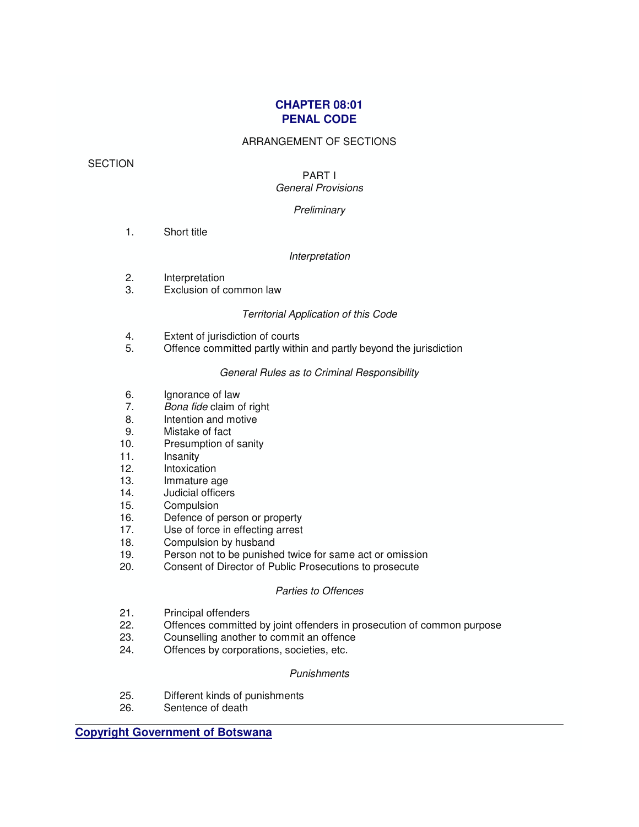## **CHAPTER 08:01 PENAL CODE**

### ARRANGEMENT OF SECTIONS

**SECTION** 

#### PART I General Provisions

## **Preliminary**

1. Short title

### Interpretation

- 2. Interpretation
- 3. Exclusion of common law

### Territorial Application of this Code

- 4. Extent of jurisdiction of courts
- 5. Offence committed partly within and partly beyond the jurisdiction

### General Rules as to Criminal Responsibility

- 6. Ignorance of law
- 7. Bona fide claim of right
- 8. Intention and motive
- 9. Mistake of fact
- 10. Presumption of sanity
- 11. Insanity
- 12. Intoxication
- 13. Immature age
- 14. Judicial officers
- 15. Compulsion
- 16. Defence of person or property
- 17. Use of force in effecting arrest
- 18. Compulsion by husband
- 19. Person not to be punished twice for same act or omission
- 20. Consent of Director of Public Prosecutions to prosecute

### Parties to Offences

- 21. Principal offenders
- 22. Offences committed by joint offenders in prosecution of common purpose
- 23. Counselling another to commit an offence
- 24. Offences by corporations, societies, etc.

#### **Punishments**

- 25. Different kinds of punishments
- 26. Sentence of death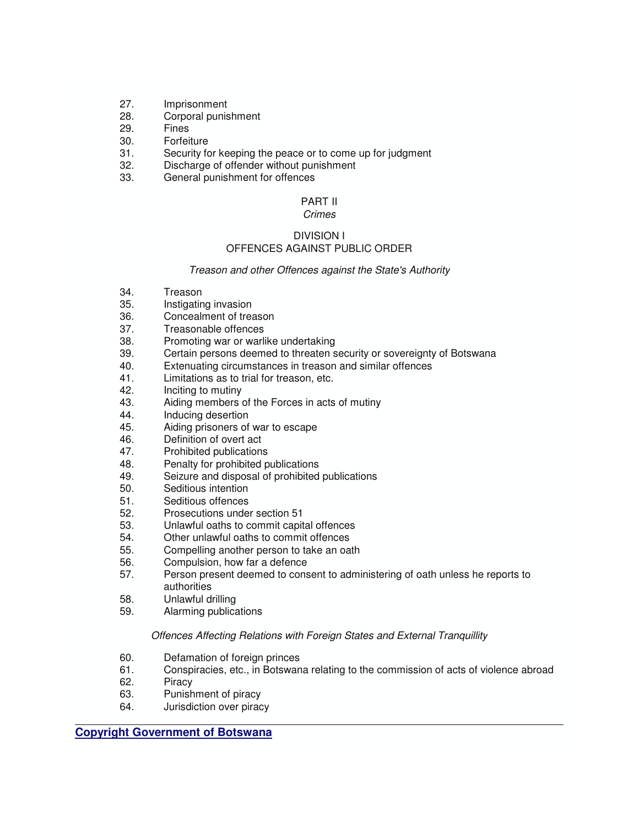- 27. Imprisonment
- 28. Corporal punishment
- 29. Fines
- 30. Forfeiture
- 31. Security for keeping the peace or to come up for judgment
- 32. Discharge of offender without punishment
- 33. General punishment for offences

## PART II

## Crimes

#### DIVISION I OFFENCES AGAINST PUBLIC ORDER

#### Treason and other Offences against the State's Authority

- 
- 34. Treason<br>35. Instigatir Instigating invasion
- 36. Concealment of treason
- 37. Treasonable offences
- 38. Promoting war or warlike undertaking
- 39. Certain persons deemed to threaten security or sovereignty of Botswana
- 40. Extenuating circumstances in treason and similar offences
- 41. Limitations as to trial for treason, etc.<br>42. Inciting to mutiny
- Inciting to mutiny
- 43. Aiding members of the Forces in acts of mutiny
- 44. Inducing desertion
- 45. Aiding prisoners of war to escape
- 46. Definition of overt act
- 47. Prohibited publications
- 48. Penalty for prohibited publications
- 49. Seizure and disposal of prohibited publications
- 50. Seditious intention<br>51. Seditious offences
- Seditious offences
- 52. Prosecutions under section 51
- 53. Unlawful oaths to commit capital offences
- 54. Other unlawful oaths to commit offences
- 55. Compelling another person to take an oath
- 56. Compulsion, how far a defence
- 57. Person present deemed to consent to administering of oath unless he reports to authorities
- 
- 58. Unlawful drilling<br>59. Alarming publica Alarming publications

#### Offences Affecting Relations with Foreign States and External Tranquillity

- 60. Defamation of foreign princes
- 61. Conspiracies, etc., in Botswana relating to the commission of acts of violence abroad
- 62. Piracy
- 63. Punishment of piracy
- 64. Jurisdiction over piracy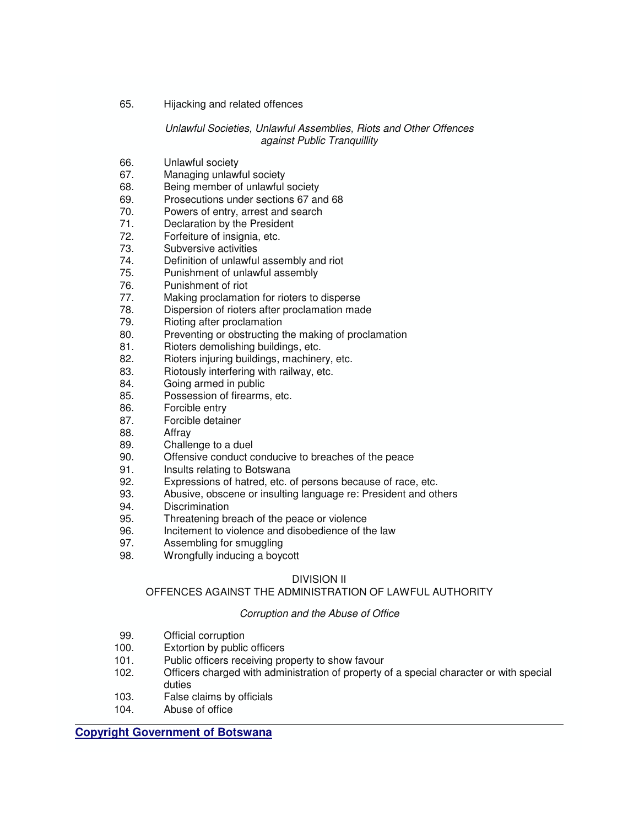65. Hijacking and related offences

#### Unlawful Societies, Unlawful Assemblies, Riots and Other Offences against Public Tranquillity

- 66. Unlawful society
- 67. Managing unlawful society
- 68. Being member of unlawful society
- 69. Prosecutions under sections 67 and 68
- 70. Powers of entry, arrest and search
- 71. Declaration by the President<br>72. Forfeiture of insignia, etc.
- Forfeiture of insignia, etc.
- 73. Subversive activities
- 74. Definition of unlawful assembly and riot
- 75. Punishment of unlawful assembly
- 76. Punishment of riot
- 77. Making proclamation for rioters to disperse
- 78. Dispersion of rioters after proclamation made
- 79. Rioting after proclamation
- 80. Preventing or obstructing the making of proclamation
- 81. Rioters demolishing buildings, etc.
- 82. Rioters injuring buildings, machinery, etc.
- 83. Riotously interfering with railway, etc.
- 84. Going armed in public
- 85. Possession of firearms, etc.
- 86. Forcible entry
- 87. Forcible detainer
- 88. Affray
- 89. Challenge to a duel
- 90. Offensive conduct conducive to breaches of the peace
- 91. Insults relating to Botswana
- 92. Expressions of hatred, etc. of persons because of race, etc.
- 93. Abusive, obscene or insulting language re: President and others
- 94. Discrimination
- 95. Threatening breach of the peace or violence
- 96. Incitement to violence and disobedience of the law
- 97. Assembling for smuggling
- 98. Wrongfully inducing a boycott

### DIVISION II

## OFFENCES AGAINST THE ADMINISTRATION OF LAWFUL AUTHORITY

#### Corruption and the Abuse of Office

- 99. Official corruption
- 100. Extortion by public officers<br>101. Public officers receiving pre
- Public officers receiving property to show favour
- 102. Officers charged with administration of property of a special character or with special duties
- 103. False claims by officials
- 104. Abuse of office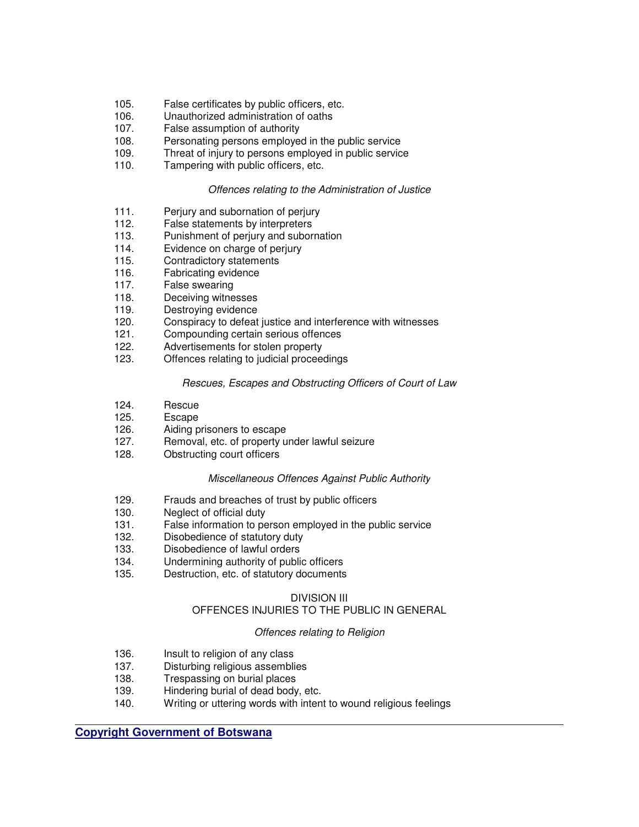- 105. False certificates by public officers, etc.
- 106. Unauthorized administration of oaths
- 107. False assumption of authority
- 108. Personating persons employed in the public service
- 109. Threat of injury to persons employed in public service
- 110. Tampering with public officers, etc.

#### Offences relating to the Administration of Justice

- 111. Perjury and subornation of perjury
- 112. False statements by interpreters
- 113. Punishment of perjury and subornation
- 114. Evidence on charge of periury
- 115. Contradictory statements
- 116. Fabricating evidence
- 117. False swearing
- 118. Deceiving witnesses
- 119. Destroying evidence
- 120. Conspiracy to defeat justice and interference with witnesses
- 121. Compounding certain serious offences<br>122. Advertisements for stolen property
- Advertisements for stolen property
- 123. Offences relating to judicial proceedings

#### Rescues, Escapes and Obstructing Officers of Court of Law

- 124. Rescue
- 125. Escape
- 126. Aiding prisoners to escape
- 127. Removal, etc. of property under lawful seizure
- 128. Obstructing court officers

#### Miscellaneous Offences Against Public Authority

- 129. Frauds and breaches of trust by public officers
- 130. Neglect of official duty
- 131. False information to person employed in the public service
- 132. Disobedience of statutory duty
- 133. Disobedience of lawful orders
- 134. Undermining authority of public officers
- 135. Destruction, etc. of statutory documents

### DIVISION III

## OFFENCES INJURIES TO THE PUBLIC IN GENERAL

### Offences relating to Religion

- 136. Insult to religion of any class
- 137. Disturbing religious assemblies
- 138. Trespassing on burial places
- 139. Hindering burial of dead body, etc.
- 140. Writing or uttering words with intent to wound religious feelings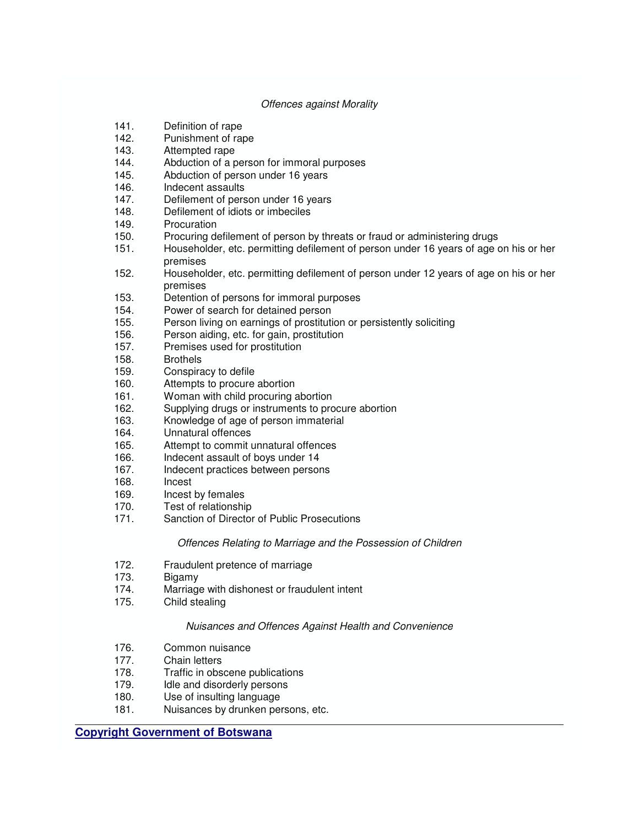#### Offences against Morality

- 141. Definition of rape
- 142. Punishment of rape
- 143. Attempted rape
- 144. Abduction of a person for immoral purposes
- 145. Abduction of person under 16 years
- 146. Indecent assaults
- 147. Defilement of person under 16 years
- 148. Defilement of idiots or imbeciles
- 149. Procuration
- 150. Procuring defilement of person by threats or fraud or administering drugs
- 151. Householder, etc. permitting defilement of person under 16 years of age on his or her premises
- 152. Householder, etc. permitting defilement of person under 12 years of age on his or her premises
- 153. Detention of persons for immoral purposes
- 154. Power of search for detained person
- 155. Person living on earnings of prostitution or persistently soliciting
- 156. Person aiding, etc. for gain, prostitution
- 157. Premises used for prostitution
- 158. Brothels
- 159. Conspiracy to defile
- 160. Attempts to procure abortion
- 161. Woman with child procuring abortion
- 162. Supplying drugs or instruments to procure abortion
- 163. Knowledge of age of person immaterial
- 164. Unnatural offences
- 165. Attempt to commit unnatural offences
- 166. Indecent assault of boys under 14
- 167. Indecent practices between persons
- 168. Incest
- 169. Incest by females
- 170. Test of relationship
- 171. Sanction of Director of Public Prosecutions

### Offences Relating to Marriage and the Possession of Children

- 172. Fraudulent pretence of marriage
- 173. Bigamy
- 174. Marriage with dishonest or fraudulent intent
- 175. Child stealing

### Nuisances and Offences Against Health and Convenience

- 176. Common nuisance<br>177. Chain letters
- **Chain letters**
- 178. Traffic in obscene publications
- 179. **Idle and disorderly persons**
- 180. Use of insulting language
- 181. Nuisances by drunken persons, etc.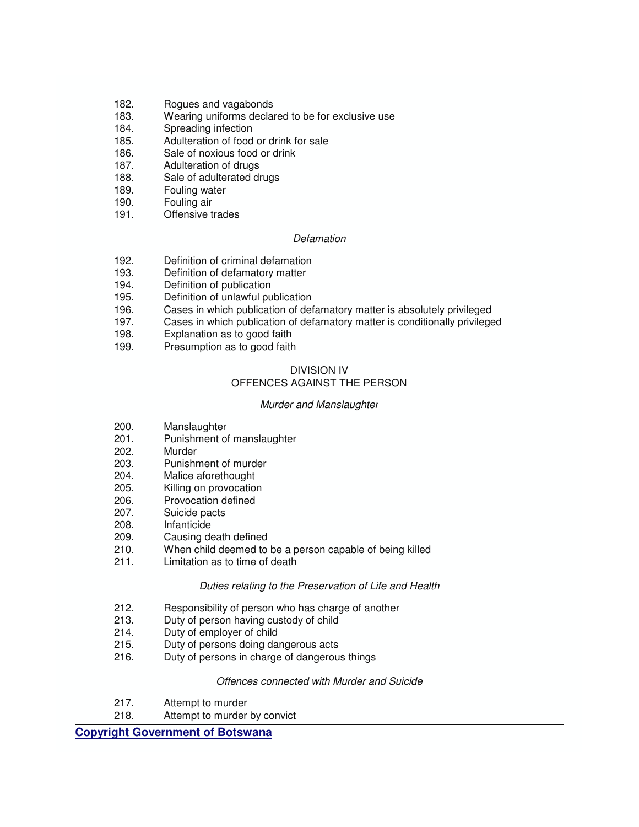- 182. Rogues and vagabonds
- 183. Wearing uniforms declared to be for exclusive use
- 184. Spreading infection
- 185. Adulteration of food or drink for sale
- 186. Sale of noxious food or drink
- 187. Adulteration of drugs
- 188. Sale of adulterated drugs
- 189. Fouling water
- 190. Fouling air
- 191. Offensive trades

#### Defamation

- 192. Definition of criminal defamation
- 193. Definition of defamatory matter
- 194. Definition of publication
- 195. Definition of unlawful publication
- 196. Cases in which publication of defamatory matter is absolutely privileged
- 197. Cases in which publication of defamatory matter is conditionally privileged
- 198. Explanation as to good faith
- 199. Presumption as to good faith

#### DIVISION IV OFFENCES AGAINST THE PERSON

#### Murder and Manslaughter

- 200. Manslaughter
- 201. Punishment of manslaughter<br>202. Murder
- Murder
- 203. Punishment of murder
- 204. Malice aforethought
- 205. Killing on provocation
- 206. Provocation defined
- 207. Suicide pacts
- 208. Infanticide
- 209. Causing death defined
- 210. When child deemed to be a person capable of being killed
- 211. Limitation as to time of death

#### Duties relating to the Preservation of Life and Health

- 212. Responsibility of person who has charge of another
- 213. Duty of person having custody of child
- 214. Duty of employer of child
- 215. Duty of persons doing dangerous acts
- 216. Duty of persons in charge of dangerous things

#### Offences connected with Murder and Suicide

- 217. Attempt to murder
- 218. Attempt to murder by convict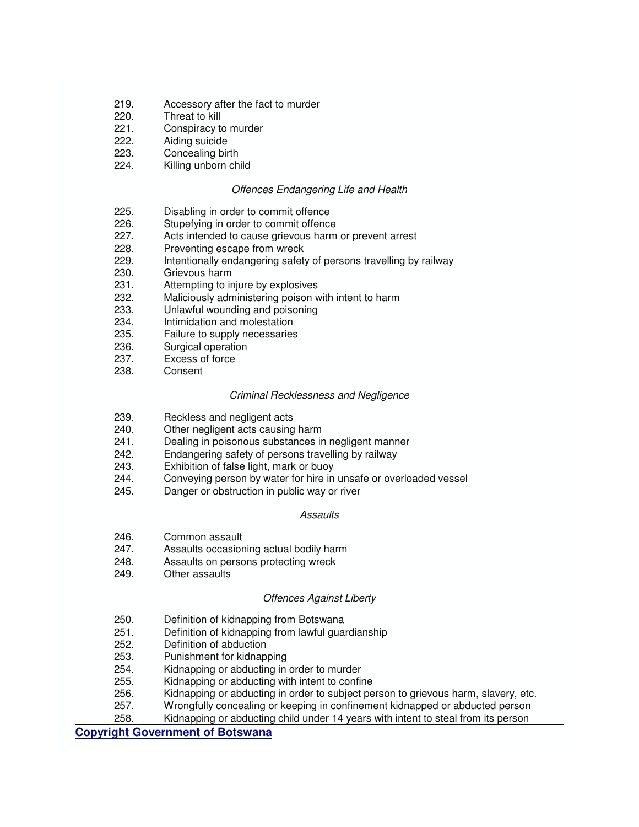- 219. Accessory after the fact to murder
- 220. Threat to kill
- 221. Conspiracy to murder
- 222. Aiding suicide
- 223. Concealing birth
- 224. Killing unborn child

## Offences Endangering Life and Health

- 225. Disabling in order to commit offence
- 226. Stupefying in order to commit offence<br>227. Acts intended to cause grievous harm
- Acts intended to cause grievous harm or prevent arrest
- 228. Preventing escape from wreck
- 229. Intentionally endangering safety of persons travelling by railway
- 230. Grievous harm
- 231. Attempting to injure by explosives
- 232. Maliciously administering poison with intent to harm
- 233. Unlawful wounding and poisoning
- 234. Intimidation and molestation
- 235. Failure to supply necessaries
- 236. Surgical operation
- 237. Excess of force
- 238. Consent

#### Criminal Recklessness and Negligence

- 239. Reckless and negligent acts
- 240. Other negligent acts causing harm
- 241. Dealing in poisonous substances in negligent manner
- 242. Endangering safety of persons travelling by railway
- 243. Exhibition of false light, mark or buoy
- 244. Conveying person by water for hire in unsafe or overloaded vessel
- 245. Danger or obstruction in public way or river

#### **Assaults**

- 246. Common assault
- 247. Assaults occasioning actual bodily harm
- 248. Assaults on persons protecting wreck
- 249. Other assaults

### Offences Against Liberty

- 250. Definition of kidnapping from Botswana
- 251. Definition of kidnapping from lawful guardianship
- 252. Definition of abduction
- 253. Punishment for kidnapping
- 254. Kidnapping or abducting in order to murder
- 255. Kidnapping or abducting with intent to confine
- 256. Kidnapping or abducting in order to subject person to grievous harm, slavery, etc.
- 257. Wrongfully concealing or keeping in confinement kidnapped or abducted person
- 258. Kidnapping or abducting child under 14 years with intent to steal from its person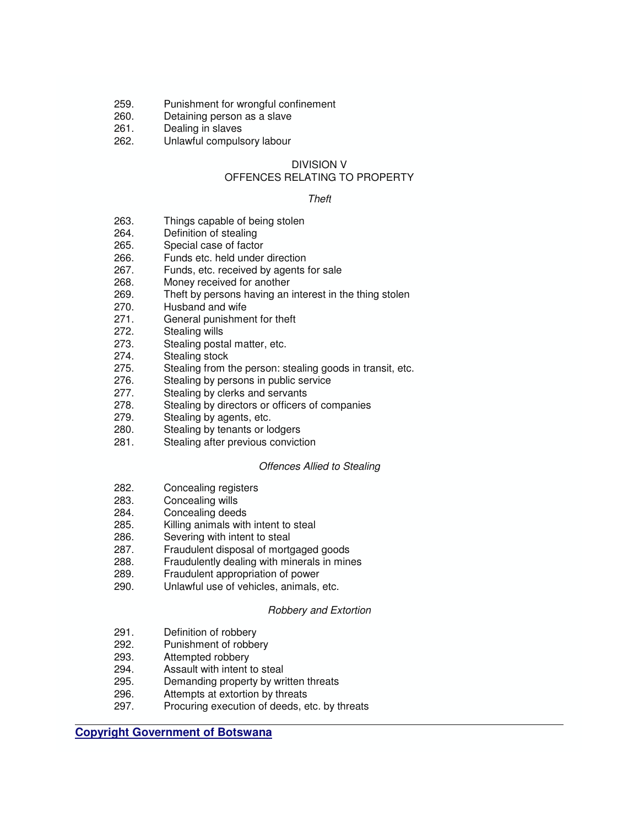- 259. Punishment for wrongful confinement
- 260. Detaining person as a slave
- 261. Dealing in slaves
- 262. Unlawful compulsory labour

#### DIVISION V

### OFFENCES RELATING TO PROPERTY

#### **Theft**

- 263. Things capable of being stolen
- 264. Definition of stealing
- 265. Special case of factor
- Funds etc. held under direction
- 267. Funds, etc. received by agents for sale
- 268. Money received for another
- 269. Theft by persons having an interest in the thing stolen
- 270. Husband and wife
- 271. General punishment for theft
- 272. Stealing wills
- 273. Stealing postal matter, etc.
- 274. Stealing stock<br>275. Stealing from t
- Stealing from the person: stealing goods in transit, etc.
- 276. Stealing by persons in public service
- 277. Stealing by clerks and servants
- 278. Stealing by directors or officers of companies
- 279. Stealing by agents, etc.
- 280. Stealing by tenants or lodgers
- 281. Stealing after previous conviction

#### Offences Allied to Stealing

- 282. Concealing registers
- 283. Concealing wills
- 284. Concealing deeds
- 285. Killing animals with intent to steal
- 286. Severing with intent to steal
- 287. Fraudulent disposal of mortgaged goods
- 288. Fraudulently dealing with minerals in mines
- 289. Fraudulent appropriation of power
- 290. Unlawful use of vehicles, animals, etc.

#### Robbery and Extortion

- 291. Definition of robbery
- 292. Punishment of robbery
- 293. Attempted robbery
- 294. Assault with intent to steal
- 295. Demanding property by written threats
- 296. Attempts at extortion by threats
- 297. Procuring execution of deeds, etc. by threats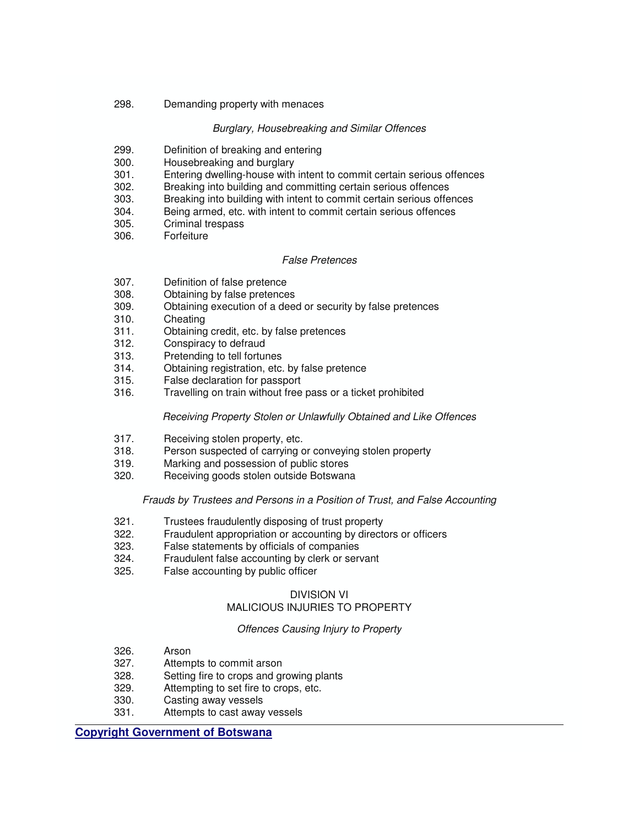298. Demanding property with menaces

#### Burglary, Housebreaking and Similar Offences

- 299. Definition of breaking and entering
- 300. Housebreaking and burglary
- 301. Entering dwelling-house with intent to commit certain serious offences
- 302. Breaking into building and committing certain serious offences
- 303. Breaking into building with intent to commit certain serious offences
- 304. Being armed, etc. with intent to commit certain serious offences
- 305. Criminal trespass
- 306. Forfeiture

#### False Pretences

- 307. Definition of false pretence
- 308. Obtaining by false pretences
- 309. Obtaining execution of a deed or security by false pretences
- 310. Cheating
- 311. Obtaining credit, etc. by false pretences
- 312. Conspiracy to defraud
- 313. Pretending to tell fortunes
- 314. Obtaining registration, etc. by false pretence
- 315. False declaration for passport
- 316. Travelling on train without free pass or a ticket prohibited

#### Receiving Property Stolen or Unlawfully Obtained and Like Offences

- 317. Receiving stolen property, etc.
- 318. Person suspected of carrying or conveying stolen property
- 319. Marking and possession of public stores<br>320. Receiving goods stolen outside Botswan
- Receiving goods stolen outside Botswana

#### Frauds by Trustees and Persons in a Position of Trust, and False Accounting

- 321. Trustees fraudulently disposing of trust property
- 322. Fraudulent appropriation or accounting by directors or officers
- 323. False statements by officials of companies
- 324. Fraudulent false accounting by clerk or servant
- 325. False accounting by public officer

### DIVISION VI

### MALICIOUS INJURIES TO PROPERTY

### Offences Causing Injury to Property

- 326. Arson
- 327. Attempts to commit arson
- 328. Setting fire to crops and growing plants
- 329. Attempting to set fire to crops, etc.
- 330. Casting away vessels
- 331. Attempts to cast away vessels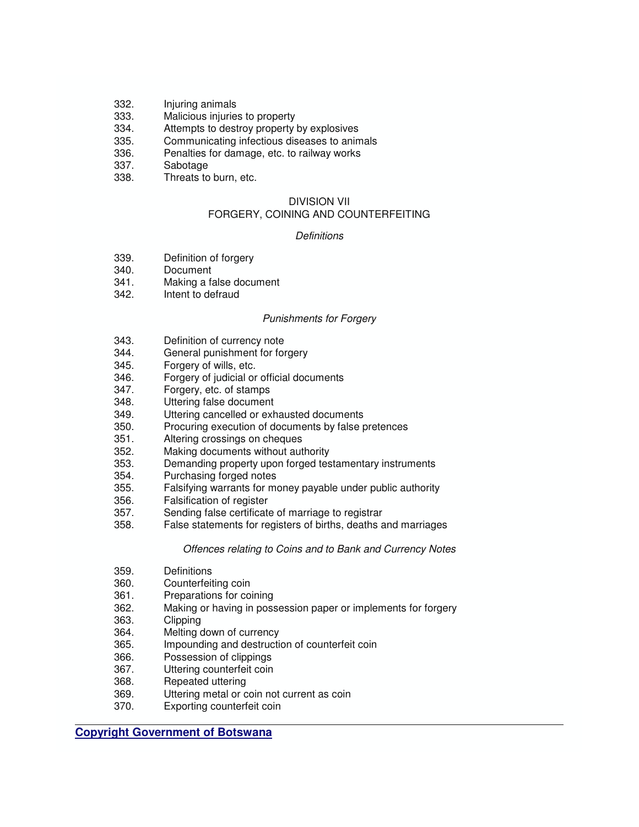- 332. Injuring animals
- 333. Malicious injuries to property
- 334. Attempts to destroy property by explosives
- 335. Communicating infectious diseases to animals
- 336. Penalties for damage, etc. to railway works
- 337. Sabotage
- 338. Threats to burn, etc.

#### DIVISION VII

## FORGERY, COINING AND COUNTERFEITING

#### **Definitions**

- 339. Definition of forgery
- 340. Document
- 341. Making a false document
- 342. Intent to defraud

#### Punishments for Forgery

- 343. Definition of currency note
- 344. General punishment for forgery
- 345. Forgery of wills, etc.
- 346. Forgery of judicial or official documents
- 347. Forgery, etc. of stamps
- 348. Uttering false document
- 349. Uttering cancelled or exhausted documents
- 350. Procuring execution of documents by false pretences
- 351. Altering crossings on cheques
- 352. Making documents without authority
- 353. Demanding property upon forged testamentary instruments
- 354. Purchasing forged notes
- 355. Falsifying warrants for money payable under public authority
- 356. Falsification of register
- 357. Sending false certificate of marriage to registrar
- 358. False statements for registers of births, deaths and marriages

Offences relating to Coins and to Bank and Currency Notes

- 359. Definitions
- 360. Counterfeiting coin
- 361. Preparations for coining
- 362. Making or having in possession paper or implements for forgery
- 363. Clipping
- 364. Melting down of currency
- 365. Impounding and destruction of counterfeit coin
- 366. Possession of clippings
- 367. Uttering counterfeit coin
- 368. Repeated uttering
- 369. Uttering metal or coin not current as coin
- 370. Exporting counterfeit coin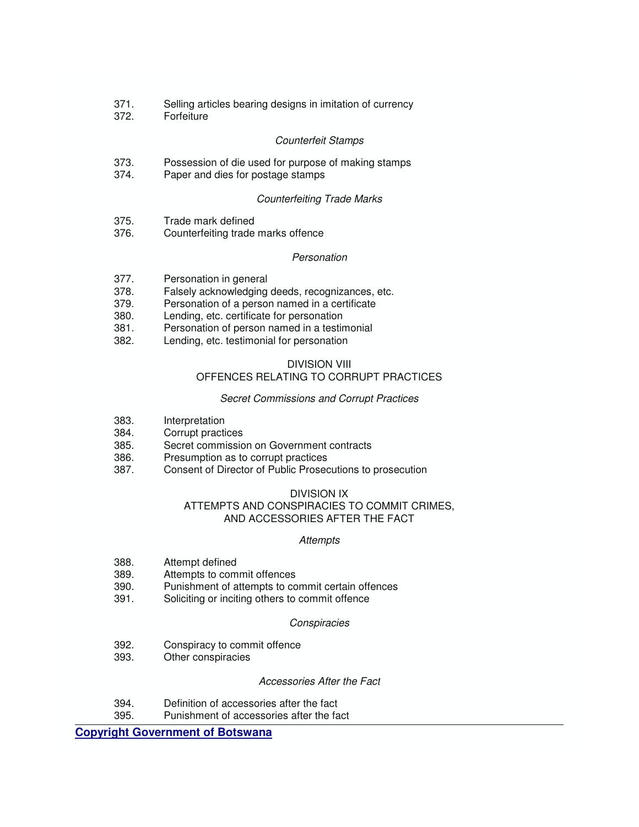- 371. Selling articles bearing designs in imitation of currency
- 372. Forfeiture

#### Counterfeit Stamps

- 373. Possession of die used for purpose of making stamps
- 374. Paper and dies for postage stamps

#### Counterfeiting Trade Marks

- 375. Trade mark defined
- 376. Counterfeiting trade marks offence

#### Personation

- 377. Personation in general
- 378. Falsely acknowledging deeds, recognizances, etc.
- 379. Personation of a person named in a certificate
- 380. Lending, etc. certificate for personation
- 381. Personation of person named in a testimonial
- 382. Lending, etc. testimonial for personation

#### DIVISION VIII

### OFFENCES RELATING TO CORRUPT PRACTICES

#### Secret Commissions and Corrupt Practices

- 383. Interpretation
- 384. Corrupt practices
- 385. Secret commission on Government contracts
- 386. Presumption as to corrupt practices
- 387. Consent of Director of Public Prosecutions to prosecution

#### DIVISION IX

#### ATTEMPTS AND CONSPIRACIES TO COMMIT CRIMES, AND ACCESSORIES AFTER THE FACT

#### **Attempts**

- 388. Attempt defined
- 389. Attempts to commit offences
- 390. Punishment of attempts to commit certain offences
- 391. Soliciting or inciting others to commit offence

#### **Conspiracies**

- 392. Conspiracy to commit offence
- 393. Other conspiracies

#### Accessories After the Fact

- 394. Definition of accessories after the fact
- 395. Punishment of accessories after the fact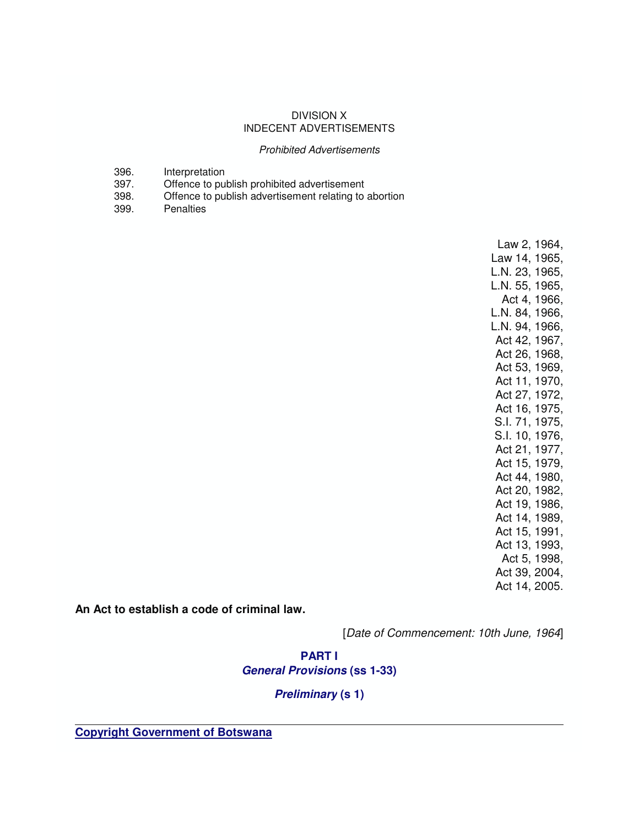#### DIVISION X INDECENT ADVERTISEMENTS

#### Prohibited Advertisements

- 396. Interpretation
- 397. Offence to publish prohibited advertisement
- 398. Offence to publish advertisement relating to abortion
- 399. Penalties

Law 2, 1964, Law 14, 1965, L.N. 23, 1965, L.N. 55, 1965, Act 4, 1966, L.N. 84, 1966, L.N. 94, 1966, Act 42, 1967, Act 26, 1968, Act 53, 1969, Act 11, 1970, Act 27, 1972, Act 16, 1975, S.I. 71, 1975, S.I. 10, 1976, Act 21, 1977, Act 15, 1979, Act 44, 1980, Act 20, 1982, Act 19, 1986, Act 14, 1989, Act 15, 1991, Act 13, 1993, Act 5, 1998, Act 39, 2004, Act 14, 2005.

**An Act to establish a code of criminal law.**

[Date of Commencement: 10th June, 1964]

## **PART I General Provisions (ss 1-33)**

### **Preliminary (s 1)**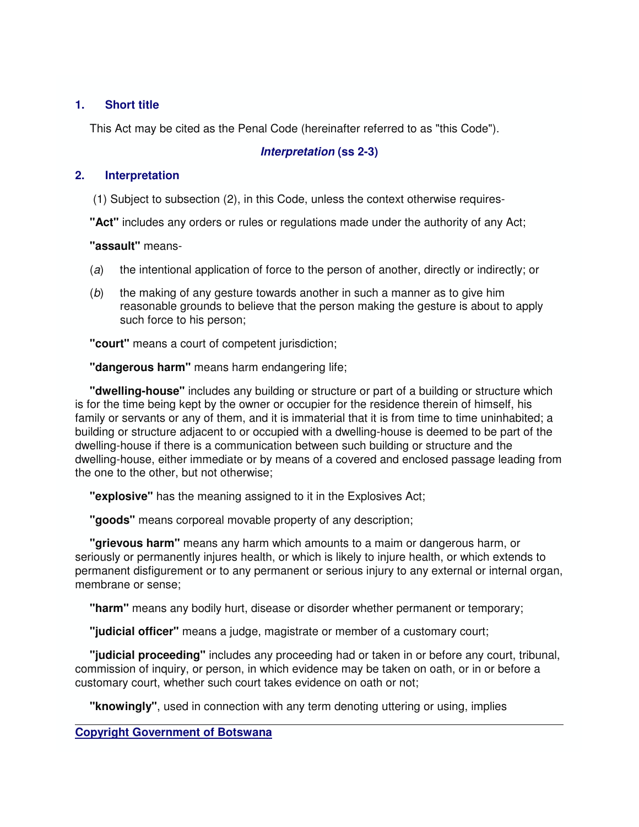## **1. Short title**

This Act may be cited as the Penal Code (hereinafter referred to as "this Code").

# **Interpretation (ss 2-3)**

## **2. Interpretation**

(1) Subject to subsection (2), in this Code, unless the context otherwise requires-

 **"Act"** includes any orders or rules or regulations made under the authority of any Act;

 **"assault"** means-

- (a) the intentional application of force to the person of another, directly or indirectly; or
- (b) the making of any gesture towards another in such a manner as to give him reasonable grounds to believe that the person making the gesture is about to apply such force to his person;

**"court"** means a court of competent jurisdiction;

 **"dangerous harm"** means harm endangering life;

 **"dwelling-house"** includes any building or structure or part of a building or structure which is for the time being kept by the owner or occupier for the residence therein of himself, his family or servants or any of them, and it is immaterial that it is from time to time uninhabited; a building or structure adjacent to or occupied with a dwelling-house is deemed to be part of the dwelling-house if there is a communication between such building or structure and the dwelling-house, either immediate or by means of a covered and enclosed passage leading from the one to the other, but not otherwise;

**"explosive"** has the meaning assigned to it in the Explosives Act;

**"goods"** means corporeal movable property of any description;

 **"grievous harm"** means any harm which amounts to a maim or dangerous harm, or seriously or permanently injures health, or which is likely to injure health, or which extends to permanent disfigurement or to any permanent or serious injury to any external or internal organ, membrane or sense;

**"harm"** means any bodily hurt, disease or disorder whether permanent or temporary;

**"judicial officer"** means a judge, magistrate or member of a customary court;

 **"judicial proceeding"** includes any proceeding had or taken in or before any court, tribunal, commission of inquiry, or person, in which evidence may be taken on oath, or in or before a customary court, whether such court takes evidence on oath or not;

**"knowingly"**, used in connection with any term denoting uttering or using, implies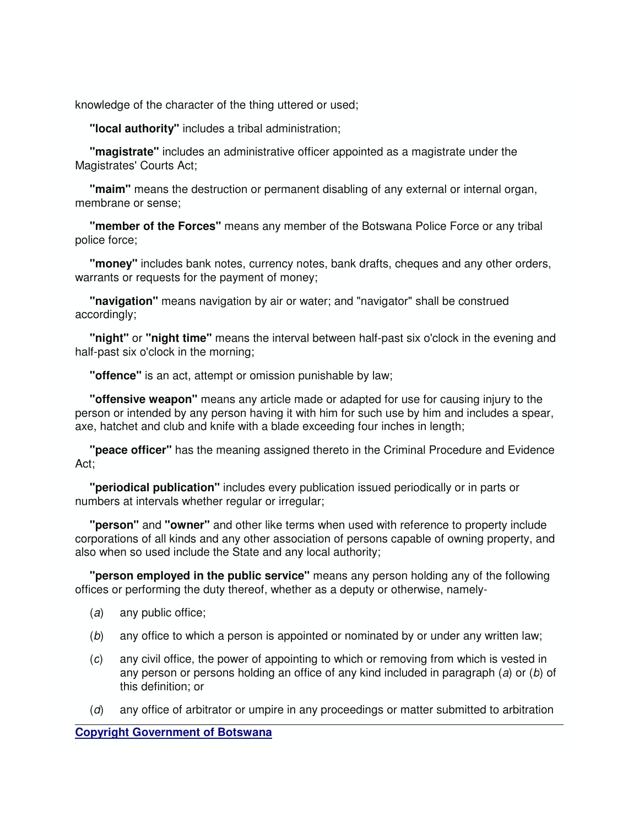knowledge of the character of the thing uttered or used;

**"local authority"** includes a tribal administration;

 **"magistrate"** includes an administrative officer appointed as a magistrate under the Magistrates' Courts Act;

 **"maim"** means the destruction or permanent disabling of any external or internal organ, membrane or sense;

 **"member of the Forces"** means any member of the Botswana Police Force or any tribal police force;

 **"money"** includes bank notes, currency notes, bank drafts, cheques and any other orders, warrants or requests for the payment of money;

 **"navigation"** means navigation by air or water; and "navigator" shall be construed accordingly;

 **"night"** or **"night time"** means the interval between half-past six o'clock in the evening and half-past six o'clock in the morning;

**"offence"** is an act, attempt or omission punishable by law;

 **"offensive weapon"** means any article made or adapted for use for causing injury to the person or intended by any person having it with him for such use by him and includes a spear, axe, hatchet and club and knife with a blade exceeding four inches in length;

 **"peace officer"** has the meaning assigned thereto in the Criminal Procedure and Evidence Act;

 **"periodical publication"** includes every publication issued periodically or in parts or numbers at intervals whether regular or irregular;

 **"person"** and **"owner"** and other like terms when used with reference to property include corporations of all kinds and any other association of persons capable of owning property, and also when so used include the State and any local authority;

 **"person employed in the public service"** means any person holding any of the following offices or performing the duty thereof, whether as a deputy or otherwise, namely-

- (a) any public office;
- (b) any office to which a person is appointed or nominated by or under any written law;
- (c) any civil office, the power of appointing to which or removing from which is vested in any person or persons holding an office of any kind included in paragraph (a) or (b) of this definition; or
- (d) any office of arbitrator or umpire in any proceedings or matter submitted to arbitration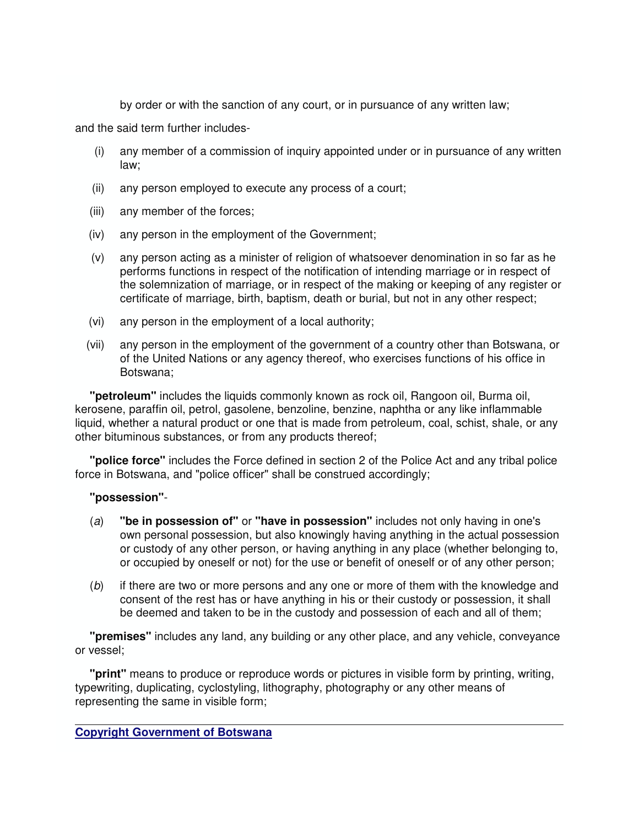by order or with the sanction of any court, or in pursuance of any written law;

and the said term further includes-

- (i) any member of a commission of inquiry appointed under or in pursuance of any written law;
- (ii) any person employed to execute any process of a court;
- (iii) any member of the forces;
- (iv) any person in the employment of the Government;
- (v) any person acting as a minister of religion of whatsoever denomination in so far as he performs functions in respect of the notification of intending marriage or in respect of the solemnization of marriage, or in respect of the making or keeping of any register or certificate of marriage, birth, baptism, death or burial, but not in any other respect;
- (vi) any person in the employment of a local authority;
- (vii) any person in the employment of the government of a country other than Botswana, or of the United Nations or any agency thereof, who exercises functions of his office in Botswana;

 **"petroleum"** includes the liquids commonly known as rock oil, Rangoon oil, Burma oil, kerosene, paraffin oil, petrol, gasolene, benzoline, benzine, naphtha or any like inflammable liquid, whether a natural product or one that is made from petroleum, coal, schist, shale, or any other bituminous substances, or from any products thereof;

 **"police force"** includes the Force defined in section 2 of the Police Act and any tribal police force in Botswana, and "police officer" shall be construed accordingly;

# **"possession"**-

- (a) **"be in possession of"** or **"have in possession"** includes not only having in one's own personal possession, but also knowingly having anything in the actual possession or custody of any other person, or having anything in any place (whether belonging to, or occupied by oneself or not) for the use or benefit of oneself or of any other person;
- (b) if there are two or more persons and any one or more of them with the knowledge and consent of the rest has or have anything in his or their custody or possession, it shall be deemed and taken to be in the custody and possession of each and all of them;

 **"premises"** includes any land, any building or any other place, and any vehicle, conveyance or vessel;

 **"print"** means to produce or reproduce words or pictures in visible form by printing, writing, typewriting, duplicating, cyclostyling, lithography, photography or any other means of representing the same in visible form;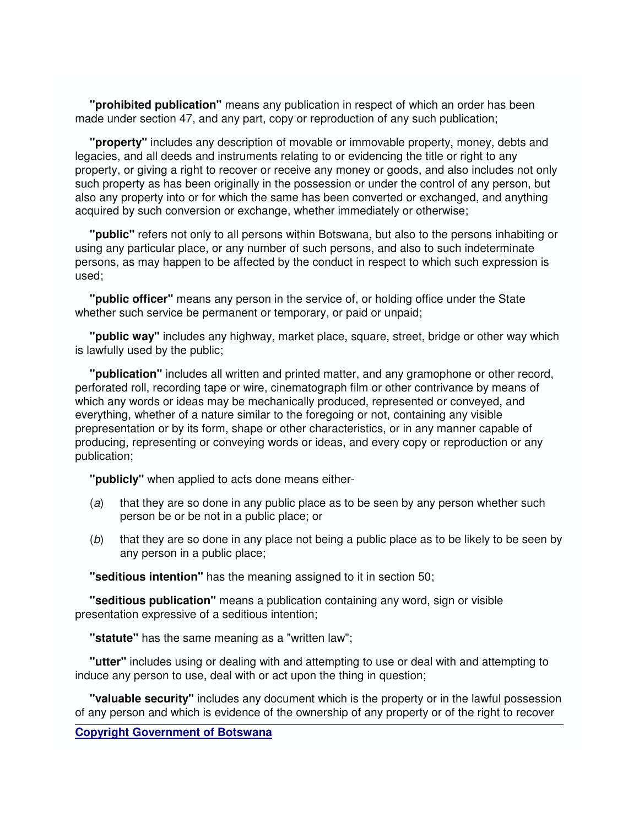**"prohibited publication"** means any publication in respect of which an order has been made under section 47, and any part, copy or reproduction of any such publication;

 **"property"** includes any description of movable or immovable property, money, debts and legacies, and all deeds and instruments relating to or evidencing the title or right to any property, or giving a right to recover or receive any money or goods, and also includes not only such property as has been originally in the possession or under the control of any person, but also any property into or for which the same has been converted or exchanged, and anything acquired by such conversion or exchange, whether immediately or otherwise;

 **"public"** refers not only to all persons within Botswana, but also to the persons inhabiting or using any particular place, or any number of such persons, and also to such indeterminate persons, as may happen to be affected by the conduct in respect to which such expression is used;

 **"public officer"** means any person in the service of, or holding office under the State whether such service be permanent or temporary, or paid or unpaid;

 **"public way"** includes any highway, market place, square, street, bridge or other way which is lawfully used by the public;

 **"publication"** includes all written and printed matter, and any gramophone or other record, perforated roll, recording tape or wire, cinematograph film or other contrivance by means of which any words or ideas may be mechanically produced, represented or conveyed, and everything, whether of a nature similar to the foregoing or not, containing any visible prepresentation or by its form, shape or other characteristics, or in any manner capable of producing, representing or conveying words or ideas, and every copy or reproduction or any publication;

 **"publicly"** when applied to acts done means either-

- $(a)$  that they are so done in any public place as to be seen by any person whether such person be or be not in a public place; or
- (b) that they are so done in any place not being a public place as to be likely to be seen by any person in a public place;

 **"seditious intention"** has the meaning assigned to it in section 50;

 **"seditious publication"** means a publication containing any word, sign or visible presentation expressive of a seditious intention;

 **"statute"** has the same meaning as a "written law";

 **"utter"** includes using or dealing with and attempting to use or deal with and attempting to induce any person to use, deal with or act upon the thing in question;

 **"valuable security"** includes any document which is the property or in the lawful possession of any person and which is evidence of the ownership of any property or of the right to recover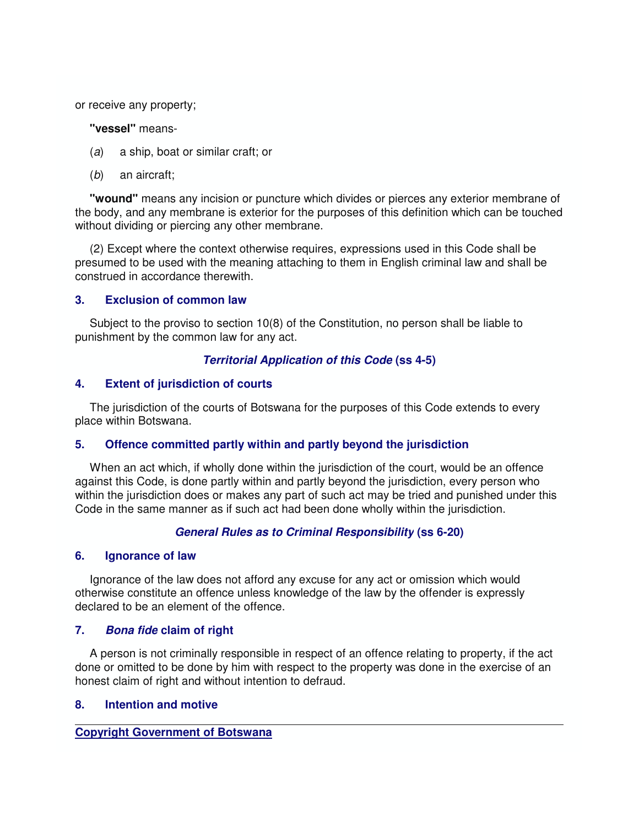or receive any property;

 **"vessel"** means-

- (a) a ship, boat or similar craft; or
- (b) an aircraft;

 **"wound"** means any incision or puncture which divides or pierces any exterior membrane of the body, and any membrane is exterior for the purposes of this definition which can be touched without dividing or piercing any other membrane.

 (2) Except where the context otherwise requires, expressions used in this Code shall be presumed to be used with the meaning attaching to them in English criminal law and shall be construed in accordance therewith.

## **3. Exclusion of common law**

 Subject to the proviso to section 10(8) of the Constitution, no person shall be liable to punishment by the common law for any act.

## **Territorial Application of this Code (ss 4-5)**

## **4. Extent of jurisdiction of courts**

 The jurisdiction of the courts of Botswana for the purposes of this Code extends to every place within Botswana.

## **5. Offence committed partly within and partly beyond the jurisdiction**

 When an act which, if wholly done within the jurisdiction of the court, would be an offence against this Code, is done partly within and partly beyond the jurisdiction, every person who within the jurisdiction does or makes any part of such act may be tried and punished under this Code in the same manner as if such act had been done wholly within the jurisdiction.

## **General Rules as to Criminal Responsibility (ss 6-20)**

### **6. Ignorance of law**

 Ignorance of the law does not afford any excuse for any act or omission which would otherwise constitute an offence unless knowledge of the law by the offender is expressly declared to be an element of the offence.

## **7. Bona fide claim of right**

 A person is not criminally responsible in respect of an offence relating to property, if the act done or omitted to be done by him with respect to the property was done in the exercise of an honest claim of right and without intention to defraud.

## **8. Intention and motive**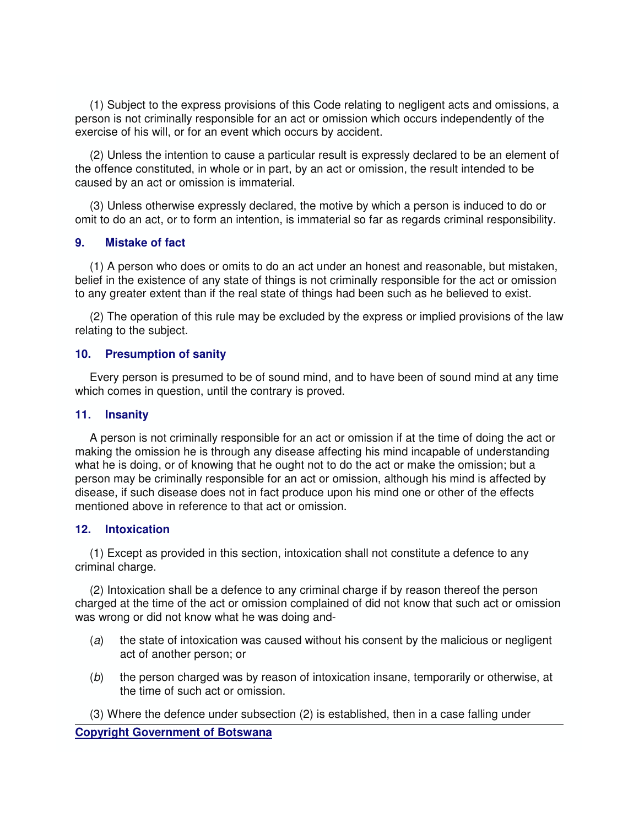(1) Subject to the express provisions of this Code relating to negligent acts and omissions, a person is not criminally responsible for an act or omission which occurs independently of the exercise of his will, or for an event which occurs by accident.

 (2) Unless the intention to cause a particular result is expressly declared to be an element of the offence constituted, in whole or in part, by an act or omission, the result intended to be caused by an act or omission is immaterial.

 (3) Unless otherwise expressly declared, the motive by which a person is induced to do or omit to do an act, or to form an intention, is immaterial so far as regards criminal responsibility.

## **9. Mistake of fact**

 (1) A person who does or omits to do an act under an honest and reasonable, but mistaken, belief in the existence of any state of things is not criminally responsible for the act or omission to any greater extent than if the real state of things had been such as he believed to exist.

 (2) The operation of this rule may be excluded by the express or implied provisions of the law relating to the subject.

### **10. Presumption of sanity**

 Every person is presumed to be of sound mind, and to have been of sound mind at any time which comes in question, until the contrary is proved.

### **11. Insanity**

 A person is not criminally responsible for an act or omission if at the time of doing the act or making the omission he is through any disease affecting his mind incapable of understanding what he is doing, or of knowing that he ought not to do the act or make the omission; but a person may be criminally responsible for an act or omission, although his mind is affected by disease, if such disease does not in fact produce upon his mind one or other of the effects mentioned above in reference to that act or omission.

#### **12. Intoxication**

 (1) Except as provided in this section, intoxication shall not constitute a defence to any criminal charge.

 (2) Intoxication shall be a defence to any criminal charge if by reason thereof the person charged at the time of the act or omission complained of did not know that such act or omission was wrong or did not know what he was doing and-

- (a) the state of intoxication was caused without his consent by the malicious or negligent act of another person; or
- (b) the person charged was by reason of intoxication insane, temporarily or otherwise, at the time of such act or omission.

**Copyright Government of Botswana** (3) Where the defence under subsection (2) is established, then in a case falling under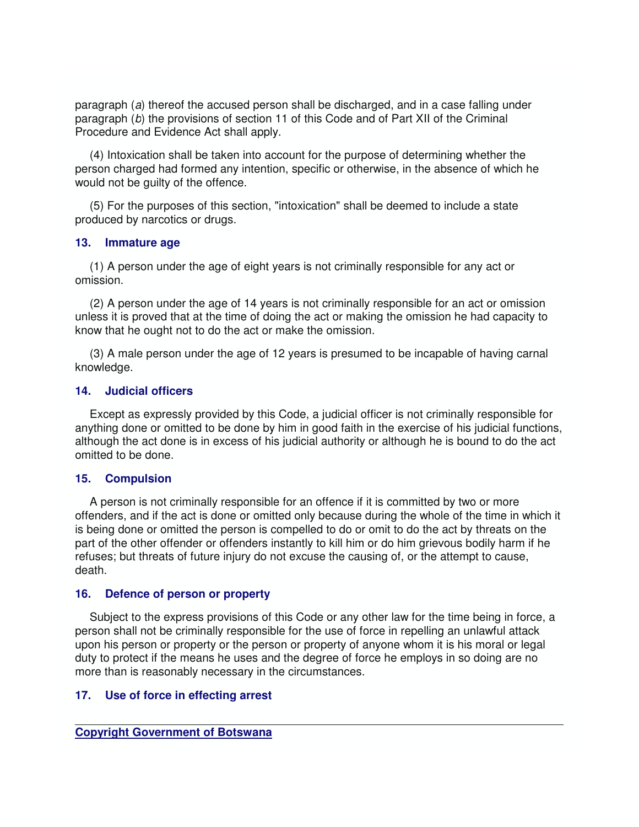paragraph (a) thereof the accused person shall be discharged, and in a case falling under paragraph (b) the provisions of section 11 of this Code and of Part XII of the Criminal Procedure and Evidence Act shall apply.

 (4) Intoxication shall be taken into account for the purpose of determining whether the person charged had formed any intention, specific or otherwise, in the absence of which he would not be guilty of the offence.

 (5) For the purposes of this section, "intoxication" shall be deemed to include a state produced by narcotics or drugs.

## **13. Immature age**

 (1) A person under the age of eight years is not criminally responsible for any act or omission.

 (2) A person under the age of 14 years is not criminally responsible for an act or omission unless it is proved that at the time of doing the act or making the omission he had capacity to know that he ought not to do the act or make the omission.

 (3) A male person under the age of 12 years is presumed to be incapable of having carnal knowledge.

## **14. Judicial officers**

 Except as expressly provided by this Code, a judicial officer is not criminally responsible for anything done or omitted to be done by him in good faith in the exercise of his judicial functions, although the act done is in excess of his judicial authority or although he is bound to do the act omitted to be done.

## **15. Compulsion**

 A person is not criminally responsible for an offence if it is committed by two or more offenders, and if the act is done or omitted only because during the whole of the time in which it is being done or omitted the person is compelled to do or omit to do the act by threats on the part of the other offender or offenders instantly to kill him or do him grievous bodily harm if he refuses; but threats of future injury do not excuse the causing of, or the attempt to cause, death.

### **16. Defence of person or property**

 Subject to the express provisions of this Code or any other law for the time being in force, a person shall not be criminally responsible for the use of force in repelling an unlawful attack upon his person or property or the person or property of anyone whom it is his moral or legal duty to protect if the means he uses and the degree of force he employs in so doing are no more than is reasonably necessary in the circumstances.

## **17. Use of force in effecting arrest**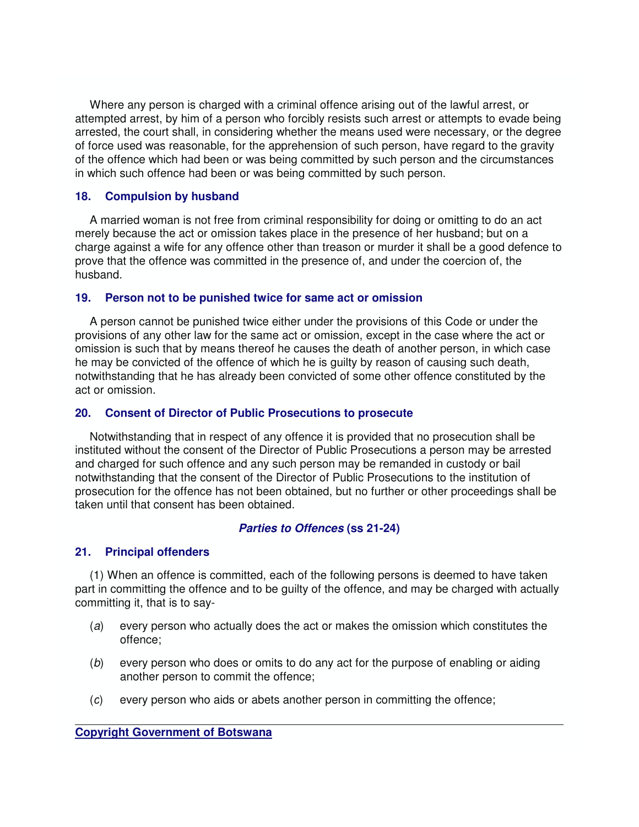Where any person is charged with a criminal offence arising out of the lawful arrest, or attempted arrest, by him of a person who forcibly resists such arrest or attempts to evade being arrested, the court shall, in considering whether the means used were necessary, or the degree of force used was reasonable, for the apprehension of such person, have regard to the gravity of the offence which had been or was being committed by such person and the circumstances in which such offence had been or was being committed by such person.

## **18. Compulsion by husband**

 A married woman is not free from criminal responsibility for doing or omitting to do an act merely because the act or omission takes place in the presence of her husband; but on a charge against a wife for any offence other than treason or murder it shall be a good defence to prove that the offence was committed in the presence of, and under the coercion of, the husband.

## **19. Person not to be punished twice for same act or omission**

 A person cannot be punished twice either under the provisions of this Code or under the provisions of any other law for the same act or omission, except in the case where the act or omission is such that by means thereof he causes the death of another person, in which case he may be convicted of the offence of which he is guilty by reason of causing such death, notwithstanding that he has already been convicted of some other offence constituted by the act or omission.

## **20. Consent of Director of Public Prosecutions to prosecute**

 Notwithstanding that in respect of any offence it is provided that no prosecution shall be instituted without the consent of the Director of Public Prosecutions a person may be arrested and charged for such offence and any such person may be remanded in custody or bail notwithstanding that the consent of the Director of Public Prosecutions to the institution of prosecution for the offence has not been obtained, but no further or other proceedings shall be taken until that consent has been obtained.

## **Parties to Offences (ss 21-24)**

## **21. Principal offenders**

 (1) When an offence is committed, each of the following persons is deemed to have taken part in committing the offence and to be guilty of the offence, and may be charged with actually committing it, that is to say-

- (a) every person who actually does the act or makes the omission which constitutes the offence;
- (b) every person who does or omits to do any act for the purpose of enabling or aiding another person to commit the offence;
- (c) every person who aids or abets another person in committing the offence;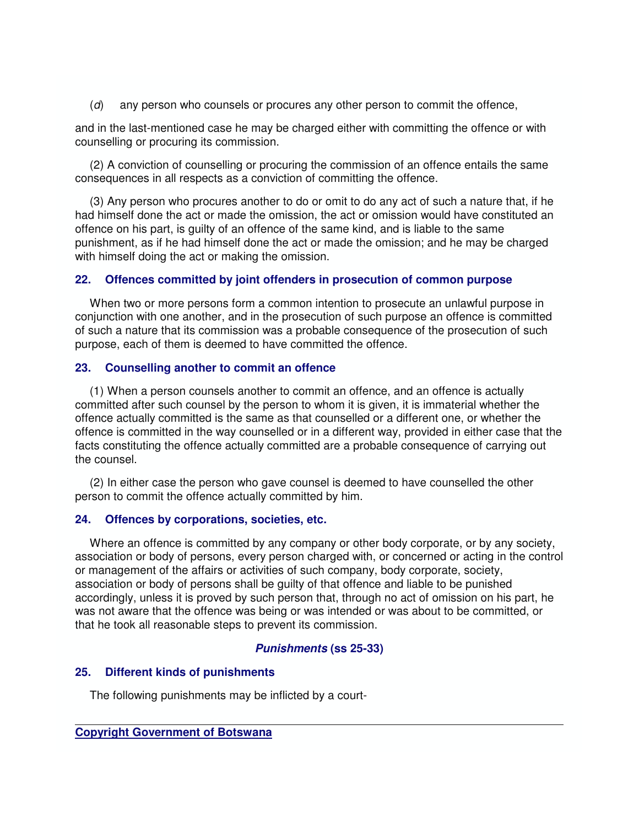(d) any person who counsels or procures any other person to commit the offence,

and in the last-mentioned case he may be charged either with committing the offence or with counselling or procuring its commission.

 (2) A conviction of counselling or procuring the commission of an offence entails the same consequences in all respects as a conviction of committing the offence.

 (3) Any person who procures another to do or omit to do any act of such a nature that, if he had himself done the act or made the omission, the act or omission would have constituted an offence on his part, is guilty of an offence of the same kind, and is liable to the same punishment, as if he had himself done the act or made the omission; and he may be charged with himself doing the act or making the omission.

# **22. Offences committed by joint offenders in prosecution of common purpose**

 When two or more persons form a common intention to prosecute an unlawful purpose in conjunction with one another, and in the prosecution of such purpose an offence is committed of such a nature that its commission was a probable consequence of the prosecution of such purpose, each of them is deemed to have committed the offence.

# **23. Counselling another to commit an offence**

 (1) When a person counsels another to commit an offence, and an offence is actually committed after such counsel by the person to whom it is given, it is immaterial whether the offence actually committed is the same as that counselled or a different one, or whether the offence is committed in the way counselled or in a different way, provided in either case that the facts constituting the offence actually committed are a probable consequence of carrying out the counsel.

 (2) In either case the person who gave counsel is deemed to have counselled the other person to commit the offence actually committed by him.

# **24. Offences by corporations, societies, etc.**

 Where an offence is committed by any company or other body corporate, or by any society, association or body of persons, every person charged with, or concerned or acting in the control or management of the affairs or activities of such company, body corporate, society, association or body of persons shall be guilty of that offence and liable to be punished accordingly, unless it is proved by such person that, through no act of omission on his part, he was not aware that the offence was being or was intended or was about to be committed, or that he took all reasonable steps to prevent its commission.

# **Punishments (ss 25-33)**

# **25. Different kinds of punishments**

The following punishments may be inflicted by a court-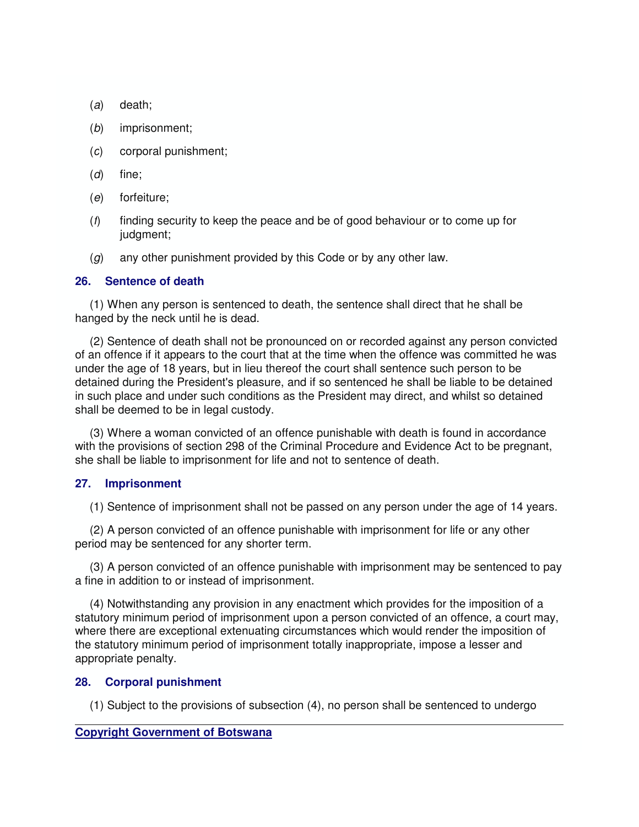- (a) death;
- (b) imprisonment;
- (c) corporal punishment;
- (d) fine;
- (e) forfeiture;
- $(f)$  finding security to keep the peace and be of good behaviour or to come up for judgment;
- $(g)$  any other punishment provided by this Code or by any other law.

## **26. Sentence of death**

 (1) When any person is sentenced to death, the sentence shall direct that he shall be hanged by the neck until he is dead.

 (2) Sentence of death shall not be pronounced on or recorded against any person convicted of an offence if it appears to the court that at the time when the offence was committed he was under the age of 18 years, but in lieu thereof the court shall sentence such person to be detained during the President's pleasure, and if so sentenced he shall be liable to be detained in such place and under such conditions as the President may direct, and whilst so detained shall be deemed to be in legal custody.

 (3) Where a woman convicted of an offence punishable with death is found in accordance with the provisions of section 298 of the Criminal Procedure and Evidence Act to be pregnant, she shall be liable to imprisonment for life and not to sentence of death.

## **27. Imprisonment**

(1) Sentence of imprisonment shall not be passed on any person under the age of 14 years.

 (2) A person convicted of an offence punishable with imprisonment for life or any other period may be sentenced for any shorter term.

 (3) A person convicted of an offence punishable with imprisonment may be sentenced to pay a fine in addition to or instead of imprisonment.

 (4) Notwithstanding any provision in any enactment which provides for the imposition of a statutory minimum period of imprisonment upon a person convicted of an offence, a court may, where there are exceptional extenuating circumstances which would render the imposition of the statutory minimum period of imprisonment totally inappropriate, impose a lesser and appropriate penalty.

## **28. Corporal punishment**

(1) Subject to the provisions of subsection (4), no person shall be sentenced to undergo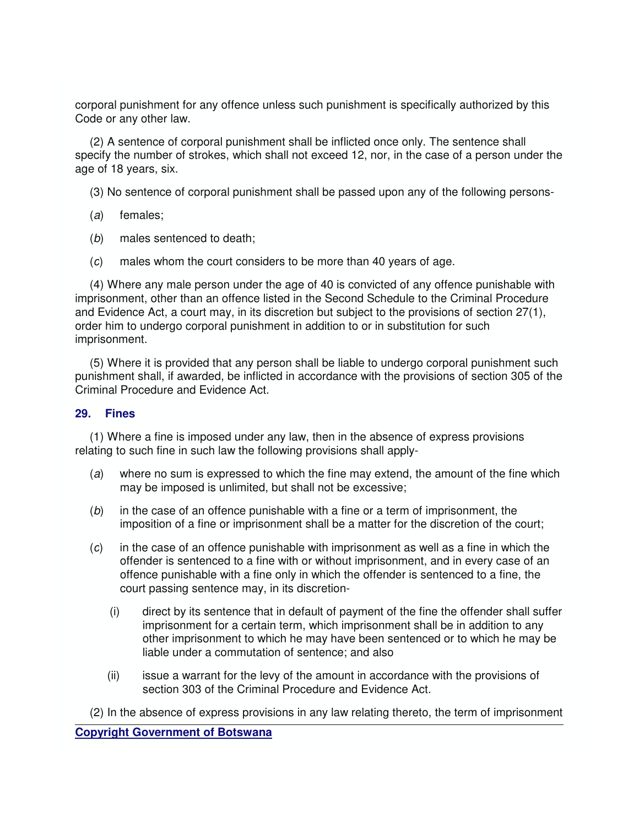corporal punishment for any offence unless such punishment is specifically authorized by this Code or any other law.

 (2) A sentence of corporal punishment shall be inflicted once only. The sentence shall specify the number of strokes, which shall not exceed 12, nor, in the case of a person under the age of 18 years, six.

- (3) No sentence of corporal punishment shall be passed upon any of the following persons-
- (a) females;
- (b) males sentenced to death;
- (c) males whom the court considers to be more than 40 years of age.

 (4) Where any male person under the age of 40 is convicted of any offence punishable with imprisonment, other than an offence listed in the Second Schedule to the Criminal Procedure and Evidence Act, a court may, in its discretion but subject to the provisions of section 27(1), order him to undergo corporal punishment in addition to or in substitution for such imprisonment.

 (5) Where it is provided that any person shall be liable to undergo corporal punishment such punishment shall, if awarded, be inflicted in accordance with the provisions of section 305 of the Criminal Procedure and Evidence Act.

## **29. Fines**

 (1) Where a fine is imposed under any law, then in the absence of express provisions relating to such fine in such law the following provisions shall apply-

- (a) where no sum is expressed to which the fine may extend, the amount of the fine which may be imposed is unlimited, but shall not be excessive;
- $(b)$  in the case of an offence punishable with a fine or a term of imprisonment, the imposition of a fine or imprisonment shall be a matter for the discretion of the court;
- (c) in the case of an offence punishable with imprisonment as well as a fine in which the offender is sentenced to a fine with or without imprisonment, and in every case of an offence punishable with a fine only in which the offender is sentenced to a fine, the court passing sentence may, in its discretion-
	- (i) direct by its sentence that in default of payment of the fine the offender shall suffer imprisonment for a certain term, which imprisonment shall be in addition to any other imprisonment to which he may have been sentenced or to which he may be liable under a commutation of sentence; and also
	- (ii) issue a warrant for the levy of the amount in accordance with the provisions of section 303 of the Criminal Procedure and Evidence Act.

(2) In the absence of express provisions in any law relating thereto, the term of imprisonment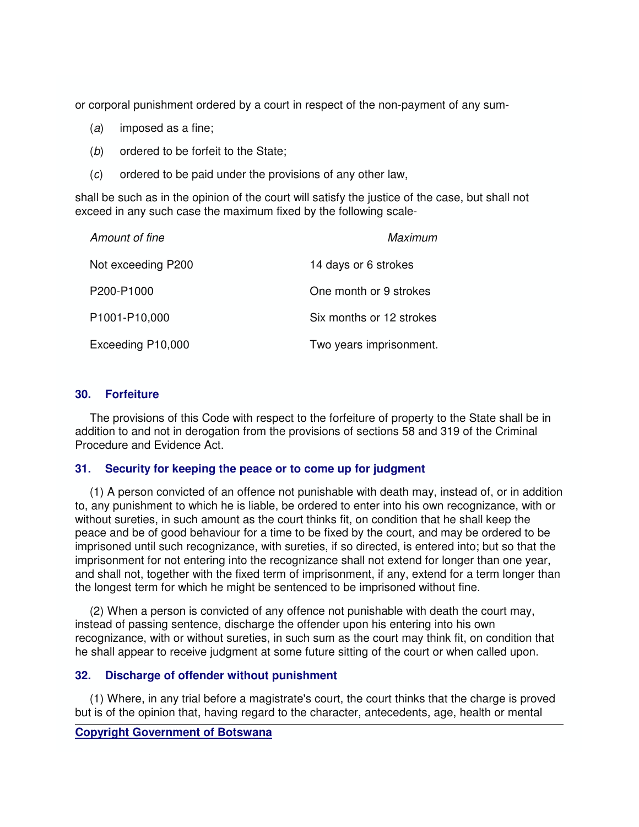or corporal punishment ordered by a court in respect of the non-payment of any sum-

- (a) imposed as a fine;
- (b) ordered to be forfeit to the State:
- (c) ordered to be paid under the provisions of any other law,

shall be such as in the opinion of the court will satisfy the justice of the case, but shall not exceed in any such case the maximum fixed by the following scale-

| Amount of fine                       | Maximum                  |
|--------------------------------------|--------------------------|
| Not exceeding P200                   | 14 days or 6 strokes     |
| P200-P1000                           | One month or 9 strokes   |
| P <sub>1001-P<sub>10,000</sub></sub> | Six months or 12 strokes |
| Exceeding P10,000                    | Two years imprisonment.  |

## **30. Forfeiture**

 The provisions of this Code with respect to the forfeiture of property to the State shall be in addition to and not in derogation from the provisions of sections 58 and 319 of the Criminal Procedure and Evidence Act.

### **31. Security for keeping the peace or to come up for judgment**

 (1) A person convicted of an offence not punishable with death may, instead of, or in addition to, any punishment to which he is liable, be ordered to enter into his own recognizance, with or without sureties, in such amount as the court thinks fit, on condition that he shall keep the peace and be of good behaviour for a time to be fixed by the court, and may be ordered to be imprisoned until such recognizance, with sureties, if so directed, is entered into; but so that the imprisonment for not entering into the recognizance shall not extend for longer than one year, and shall not, together with the fixed term of imprisonment, if any, extend for a term longer than the longest term for which he might be sentenced to be imprisoned without fine.

 (2) When a person is convicted of any offence not punishable with death the court may, instead of passing sentence, discharge the offender upon his entering into his own recognizance, with or without sureties, in such sum as the court may think fit, on condition that he shall appear to receive judgment at some future sitting of the court or when called upon.

## **32. Discharge of offender without punishment**

 (1) Where, in any trial before a magistrate's court, the court thinks that the charge is proved but is of the opinion that, having regard to the character, antecedents, age, health or mental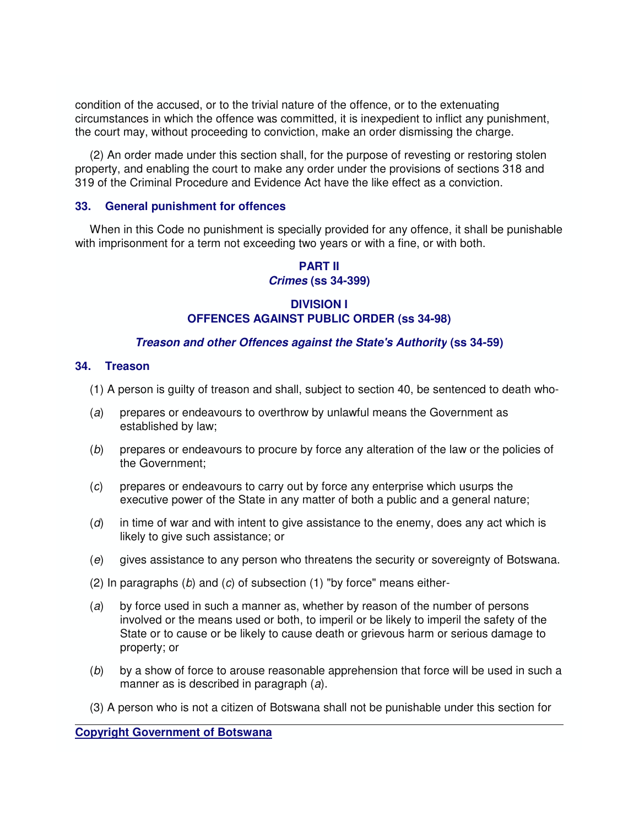condition of the accused, or to the trivial nature of the offence, or to the extenuating circumstances in which the offence was committed, it is inexpedient to inflict any punishment, the court may, without proceeding to conviction, make an order dismissing the charge.

 (2) An order made under this section shall, for the purpose of revesting or restoring stolen property, and enabling the court to make any order under the provisions of sections 318 and 319 of the Criminal Procedure and Evidence Act have the like effect as a conviction.

## **33. General punishment for offences**

 When in this Code no punishment is specially provided for any offence, it shall be punishable with imprisonment for a term not exceeding two years or with a fine, or with both.

## **PART II Crimes (ss 34-399)**

## **DIVISION I OFFENCES AGAINST PUBLIC ORDER (ss 34-98)**

## **Treason and other Offences against the State's Authority (ss 34-59)**

## **34. Treason**

- (1) A person is guilty of treason and shall, subject to section 40, be sentenced to death who-
- (a) prepares or endeavours to overthrow by unlawful means the Government as established by law;
- (b) prepares or endeavours to procure by force any alteration of the law or the policies of the Government;
- (c) prepares or endeavours to carry out by force any enterprise which usurps the executive power of the State in any matter of both a public and a general nature;
- $(d)$  in time of war and with intent to give assistance to the enemy, does any act which is likely to give such assistance; or
- (e) gives assistance to any person who threatens the security or sovereignty of Botswana.
- $(2)$  In paragraphs  $(b)$  and  $(c)$  of subsection  $(1)$  "by force" means either-
- (a) by force used in such a manner as, whether by reason of the number of persons involved or the means used or both, to imperil or be likely to imperil the safety of the State or to cause or be likely to cause death or grievous harm or serious damage to property; or
- (b) by a show of force to arouse reasonable apprehension that force will be used in such a manner as is described in paragraph (a).
- (3) A person who is not a citizen of Botswana shall not be punishable under this section for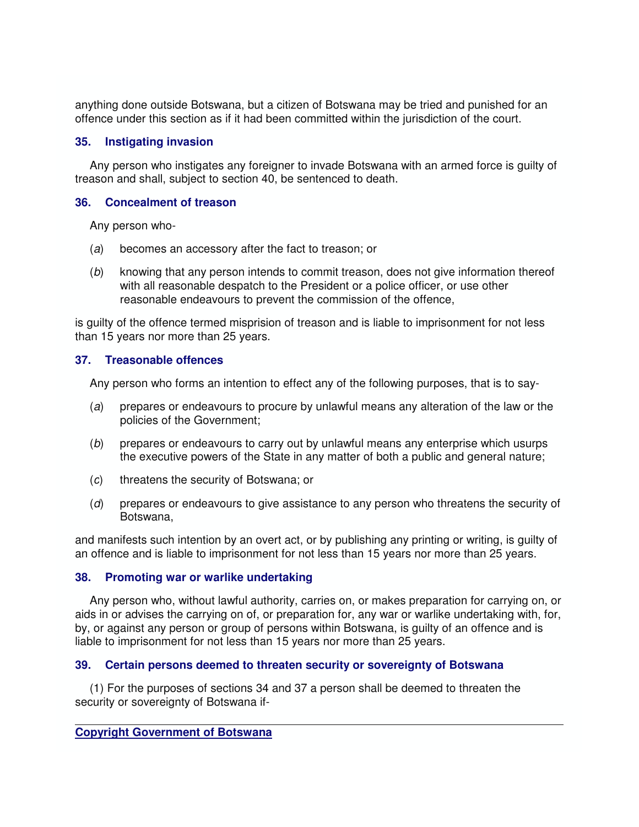anything done outside Botswana, but a citizen of Botswana may be tried and punished for an offence under this section as if it had been committed within the jurisdiction of the court.

## **35. Instigating invasion**

 Any person who instigates any foreigner to invade Botswana with an armed force is guilty of treason and shall, subject to section 40, be sentenced to death.

## **36. Concealment of treason**

Any person who-

- (a) becomes an accessory after the fact to treason; or
- (b) knowing that any person intends to commit treason, does not give information thereof with all reasonable despatch to the President or a police officer, or use other reasonable endeavours to prevent the commission of the offence,

is guilty of the offence termed misprision of treason and is liable to imprisonment for not less than 15 years nor more than 25 years.

## **37. Treasonable offences**

Any person who forms an intention to effect any of the following purposes, that is to say-

- (a) prepares or endeavours to procure by unlawful means any alteration of the law or the policies of the Government;
- (b) prepares or endeavours to carry out by unlawful means any enterprise which usurps the executive powers of the State in any matter of both a public and general nature;
- (c) threatens the security of Botswana; or
- (d) prepares or endeavours to give assistance to any person who threatens the security of Botswana,

and manifests such intention by an overt act, or by publishing any printing or writing, is guilty of an offence and is liable to imprisonment for not less than 15 years nor more than 25 years.

## **38. Promoting war or warlike undertaking**

 Any person who, without lawful authority, carries on, or makes preparation for carrying on, or aids in or advises the carrying on of, or preparation for, any war or warlike undertaking with, for, by, or against any person or group of persons within Botswana, is guilty of an offence and is liable to imprisonment for not less than 15 years nor more than 25 years.

## **39. Certain persons deemed to threaten security or sovereignty of Botswana**

 (1) For the purposes of sections 34 and 37 a person shall be deemed to threaten the security or sovereignty of Botswana if-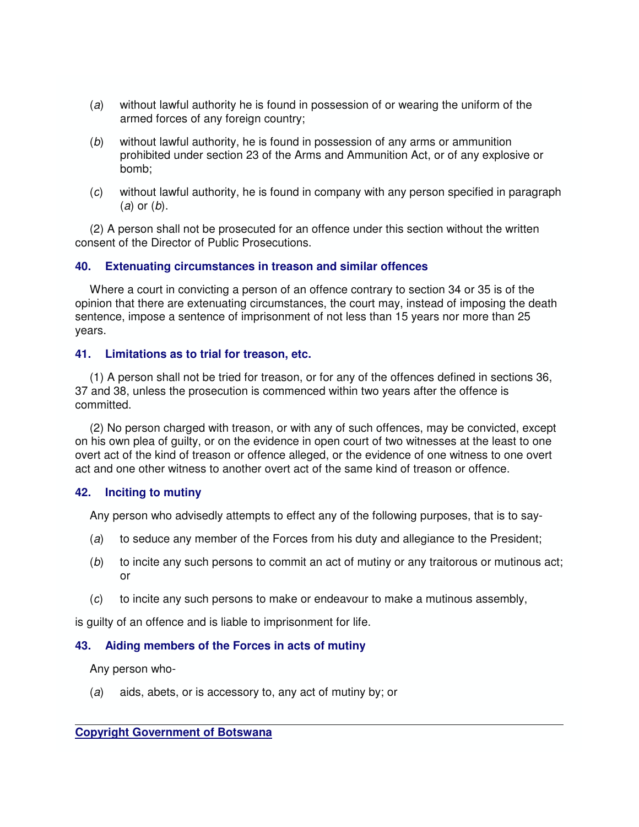- (a) without lawful authority he is found in possession of or wearing the uniform of the armed forces of any foreign country;
- (b) without lawful authority, he is found in possession of any arms or ammunition prohibited under section 23 of the Arms and Ammunition Act, or of any explosive or bomb;
- (c) without lawful authority, he is found in company with any person specified in paragraph  $(a)$  or  $(b)$ .

 (2) A person shall not be prosecuted for an offence under this section without the written consent of the Director of Public Prosecutions.

## **40. Extenuating circumstances in treason and similar offences**

 Where a court in convicting a person of an offence contrary to section 34 or 35 is of the opinion that there are extenuating circumstances, the court may, instead of imposing the death sentence, impose a sentence of imprisonment of not less than 15 years nor more than 25 years.

## **41. Limitations as to trial for treason, etc.**

 (1) A person shall not be tried for treason, or for any of the offences defined in sections 36, 37 and 38, unless the prosecution is commenced within two years after the offence is committed.

 (2) No person charged with treason, or with any of such offences, may be convicted, except on his own plea of guilty, or on the evidence in open court of two witnesses at the least to one overt act of the kind of treason or offence alleged, or the evidence of one witness to one overt act and one other witness to another overt act of the same kind of treason or offence.

### **42. Inciting to mutiny**

Any person who advisedly attempts to effect any of the following purposes, that is to say-

- (a) to seduce any member of the Forces from his duty and allegiance to the President;
- (b) to incite any such persons to commit an act of mutiny or any traitorous or mutinous act; or
- (c) to incite any such persons to make or endeavour to make a mutinous assembly,

is guilty of an offence and is liable to imprisonment for life.

## **43. Aiding members of the Forces in acts of mutiny**

Any person who-

(a) aids, abets, or is accessory to, any act of mutiny by; or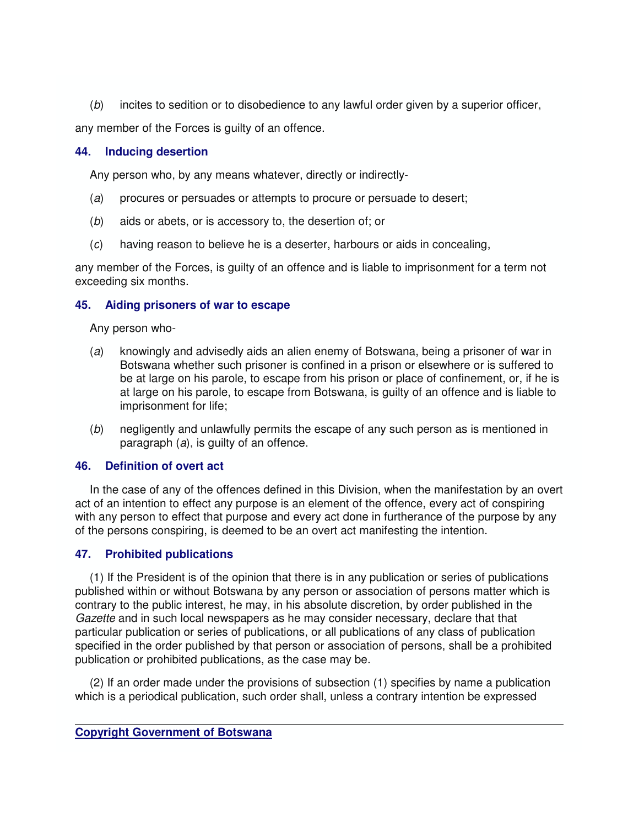(b) incites to sedition or to disobedience to any lawful order given by a superior officer,

any member of the Forces is guilty of an offence.

# **44. Inducing desertion**

Any person who, by any means whatever, directly or indirectly-

- (a) procures or persuades or attempts to procure or persuade to desert;
- (b) aids or abets, or is accessory to, the desertion of; or
- (c) having reason to believe he is a deserter, harbours or aids in concealing,

any member of the Forces, is guilty of an offence and is liable to imprisonment for a term not exceeding six months.

# **45. Aiding prisoners of war to escape**

Any person who-

- (a) knowingly and advisedly aids an alien enemy of Botswana, being a prisoner of war in Botswana whether such prisoner is confined in a prison or elsewhere or is suffered to be at large on his parole, to escape from his prison or place of confinement, or, if he is at large on his parole, to escape from Botswana, is guilty of an offence and is liable to imprisonment for life;
- (b) negligently and unlawfully permits the escape of any such person as is mentioned in paragraph (a), is guilty of an offence.

# **46. Definition of overt act**

 In the case of any of the offences defined in this Division, when the manifestation by an overt act of an intention to effect any purpose is an element of the offence, every act of conspiring with any person to effect that purpose and every act done in furtherance of the purpose by any of the persons conspiring, is deemed to be an overt act manifesting the intention.

# **47. Prohibited publications**

 (1) If the President is of the opinion that there is in any publication or series of publications published within or without Botswana by any person or association of persons matter which is contrary to the public interest, he may, in his absolute discretion, by order published in the Gazette and in such local newspapers as he may consider necessary, declare that that particular publication or series of publications, or all publications of any class of publication specified in the order published by that person or association of persons, shall be a prohibited publication or prohibited publications, as the case may be.

 (2) If an order made under the provisions of subsection (1) specifies by name a publication which is a periodical publication, such order shall, unless a contrary intention be expressed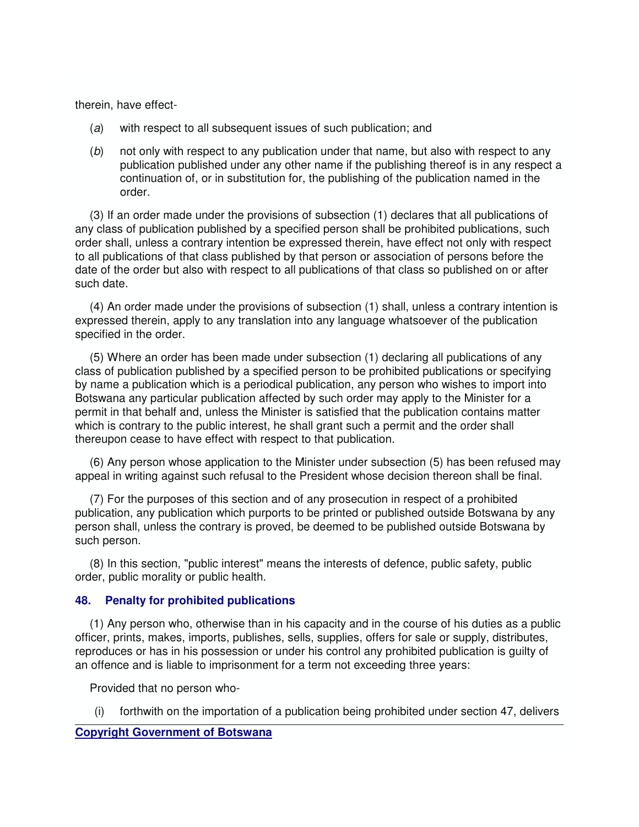therein, have effect-

- (a) with respect to all subsequent issues of such publication; and
- (b) not only with respect to any publication under that name, but also with respect to any publication published under any other name if the publishing thereof is in any respect a continuation of, or in substitution for, the publishing of the publication named in the order.

 (3) If an order made under the provisions of subsection (1) declares that all publications of any class of publication published by a specified person shall be prohibited publications, such order shall, unless a contrary intention be expressed therein, have effect not only with respect to all publications of that class published by that person or association of persons before the date of the order but also with respect to all publications of that class so published on or after such date.

 (4) An order made under the provisions of subsection (1) shall, unless a contrary intention is expressed therein, apply to any translation into any language whatsoever of the publication specified in the order.

 (5) Where an order has been made under subsection (1) declaring all publications of any class of publication published by a specified person to be prohibited publications or specifying by name a publication which is a periodical publication, any person who wishes to import into Botswana any particular publication affected by such order may apply to the Minister for a permit in that behalf and, unless the Minister is satisfied that the publication contains matter which is contrary to the public interest, he shall grant such a permit and the order shall thereupon cease to have effect with respect to that publication.

 (6) Any person whose application to the Minister under subsection (5) has been refused may appeal in writing against such refusal to the President whose decision thereon shall be final.

 (7) For the purposes of this section and of any prosecution in respect of a prohibited publication, any publication which purports to be printed or published outside Botswana by any person shall, unless the contrary is proved, be deemed to be published outside Botswana by such person.

 (8) In this section, "public interest" means the interests of defence, public safety, public order, public morality or public health.

## **48. Penalty for prohibited publications**

 (1) Any person who, otherwise than in his capacity and in the course of his duties as a public officer, prints, makes, imports, publishes, sells, supplies, offers for sale or supply, distributes, reproduces or has in his possession or under his control any prohibited publication is guilty of an offence and is liable to imprisonment for a term not exceeding three years:

Provided that no person who-

(i) forthwith on the importation of a publication being prohibited under section 47, delivers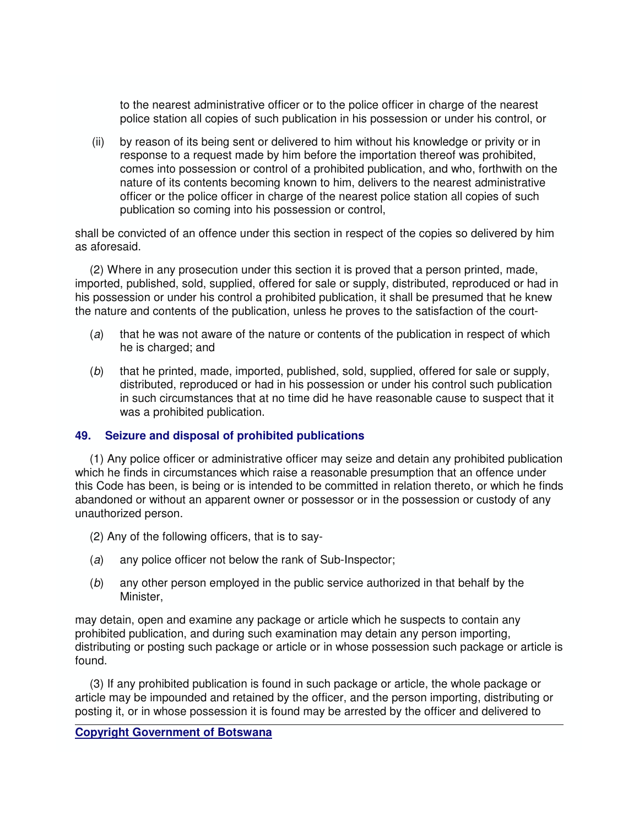to the nearest administrative officer or to the police officer in charge of the nearest police station all copies of such publication in his possession or under his control, or

 (ii) by reason of its being sent or delivered to him without his knowledge or privity or in response to a request made by him before the importation thereof was prohibited, comes into possession or control of a prohibited publication, and who, forthwith on the nature of its contents becoming known to him, delivers to the nearest administrative officer or the police officer in charge of the nearest police station all copies of such publication so coming into his possession or control,

shall be convicted of an offence under this section in respect of the copies so delivered by him as aforesaid.

 (2) Where in any prosecution under this section it is proved that a person printed, made, imported, published, sold, supplied, offered for sale or supply, distributed, reproduced or had in his possession or under his control a prohibited publication, it shall be presumed that he knew the nature and contents of the publication, unless he proves to the satisfaction of the court-

- (a) that he was not aware of the nature or contents of the publication in respect of which he is charged; and
- (b) that he printed, made, imported, published, sold, supplied, offered for sale or supply, distributed, reproduced or had in his possession or under his control such publication in such circumstances that at no time did he have reasonable cause to suspect that it was a prohibited publication.

## **49. Seizure and disposal of prohibited publications**

 (1) Any police officer or administrative officer may seize and detain any prohibited publication which he finds in circumstances which raise a reasonable presumption that an offence under this Code has been, is being or is intended to be committed in relation thereto, or which he finds abandoned or without an apparent owner or possessor or in the possession or custody of any unauthorized person.

- (2) Any of the following officers, that is to say-
- (a) any police officer not below the rank of Sub-Inspector;
- (b) any other person employed in the public service authorized in that behalf by the Minister,

may detain, open and examine any package or article which he suspects to contain any prohibited publication, and during such examination may detain any person importing, distributing or posting such package or article or in whose possession such package or article is found.

 (3) If any prohibited publication is found in such package or article, the whole package or article may be impounded and retained by the officer, and the person importing, distributing or posting it, or in whose possession it is found may be arrested by the officer and delivered to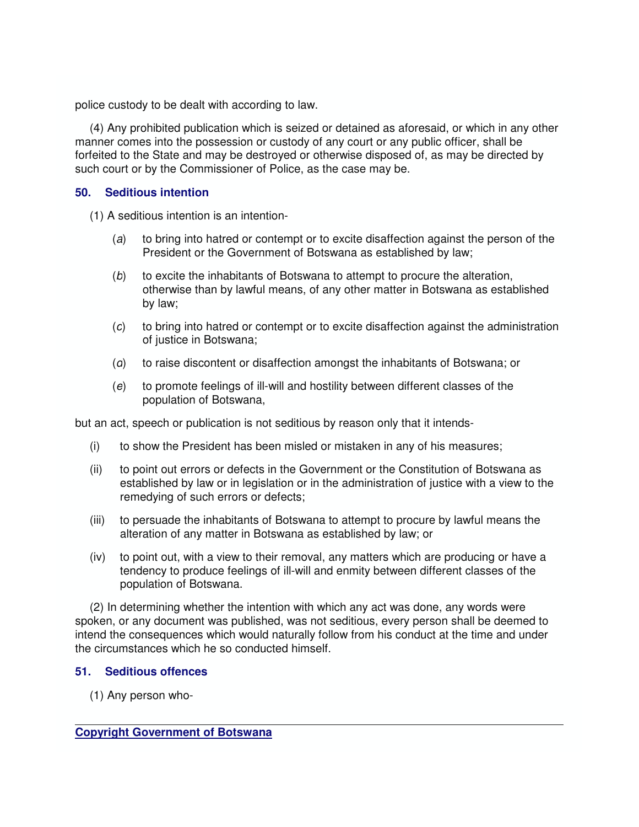police custody to be dealt with according to law.

 (4) Any prohibited publication which is seized or detained as aforesaid, or which in any other manner comes into the possession or custody of any court or any public officer, shall be forfeited to the State and may be destroyed or otherwise disposed of, as may be directed by such court or by the Commissioner of Police, as the case may be.

## **50. Seditious intention**

(1) A seditious intention is an intention-

- (a) to bring into hatred or contempt or to excite disaffection against the person of the President or the Government of Botswana as established by law;
- (b) to excite the inhabitants of Botswana to attempt to procure the alteration, otherwise than by lawful means, of any other matter in Botswana as established by law;
- (c) to bring into hatred or contempt or to excite disaffection against the administration of justice in Botswana;
- (d) to raise discontent or disaffection amongst the inhabitants of Botswana; or
- (e) to promote feelings of ill-will and hostility between different classes of the population of Botswana,

but an act, speech or publication is not seditious by reason only that it intends-

- (i) to show the President has been misled or mistaken in any of his measures;
- (ii) to point out errors or defects in the Government or the Constitution of Botswana as established by law or in legislation or in the administration of justice with a view to the remedying of such errors or defects;
- (iii) to persuade the inhabitants of Botswana to attempt to procure by lawful means the alteration of any matter in Botswana as established by law; or
- (iv) to point out, with a view to their removal, any matters which are producing or have a tendency to produce feelings of ill-will and enmity between different classes of the population of Botswana.

 (2) In determining whether the intention with which any act was done, any words were spoken, or any document was published, was not seditious, every person shall be deemed to intend the consequences which would naturally follow from his conduct at the time and under the circumstances which he so conducted himself.

# **51. Seditious offences**

(1) Any person who-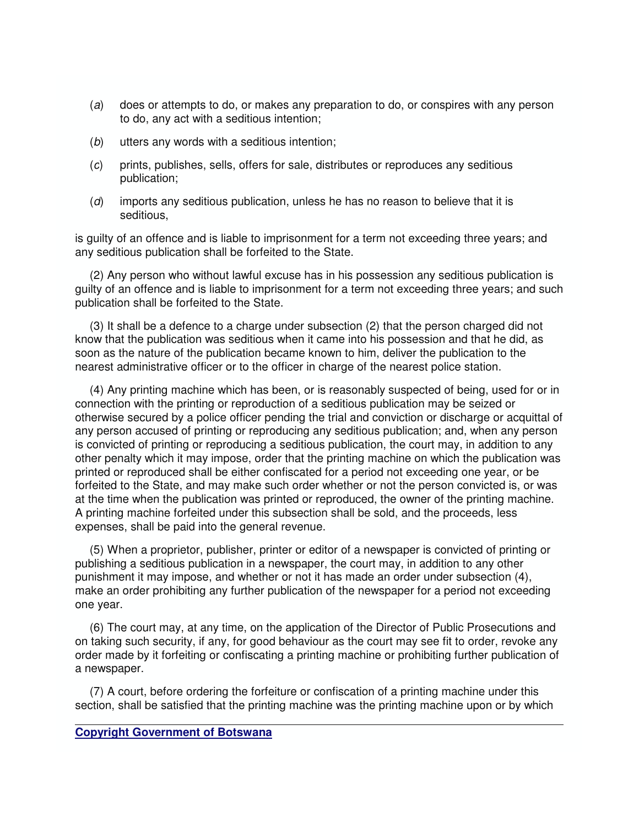- (a) does or attempts to do, or makes any preparation to do, or conspires with any person to do, any act with a seditious intention;
- (b) utters any words with a seditious intention;
- (c) prints, publishes, sells, offers for sale, distributes or reproduces any seditious publication;
- (d) imports any seditious publication, unless he has no reason to believe that it is seditious,

is guilty of an offence and is liable to imprisonment for a term not exceeding three years; and any seditious publication shall be forfeited to the State.

 (2) Any person who without lawful excuse has in his possession any seditious publication is guilty of an offence and is liable to imprisonment for a term not exceeding three years; and such publication shall be forfeited to the State.

 (3) It shall be a defence to a charge under subsection (2) that the person charged did not know that the publication was seditious when it came into his possession and that he did, as soon as the nature of the publication became known to him, deliver the publication to the nearest administrative officer or to the officer in charge of the nearest police station.

 (4) Any printing machine which has been, or is reasonably suspected of being, used for or in connection with the printing or reproduction of a seditious publication may be seized or otherwise secured by a police officer pending the trial and conviction or discharge or acquittal of any person accused of printing or reproducing any seditious publication; and, when any person is convicted of printing or reproducing a seditious publication, the court may, in addition to any other penalty which it may impose, order that the printing machine on which the publication was printed or reproduced shall be either confiscated for a period not exceeding one year, or be forfeited to the State, and may make such order whether or not the person convicted is, or was at the time when the publication was printed or reproduced, the owner of the printing machine. A printing machine forfeited under this subsection shall be sold, and the proceeds, less expenses, shall be paid into the general revenue.

 (5) When a proprietor, publisher, printer or editor of a newspaper is convicted of printing or publishing a seditious publication in a newspaper, the court may, in addition to any other punishment it may impose, and whether or not it has made an order under subsection (4), make an order prohibiting any further publication of the newspaper for a period not exceeding one year.

 (6) The court may, at any time, on the application of the Director of Public Prosecutions and on taking such security, if any, for good behaviour as the court may see fit to order, revoke any order made by it forfeiting or confiscating a printing machine or prohibiting further publication of a newspaper.

 (7) A court, before ordering the forfeiture or confiscation of a printing machine under this section, shall be satisfied that the printing machine was the printing machine upon or by which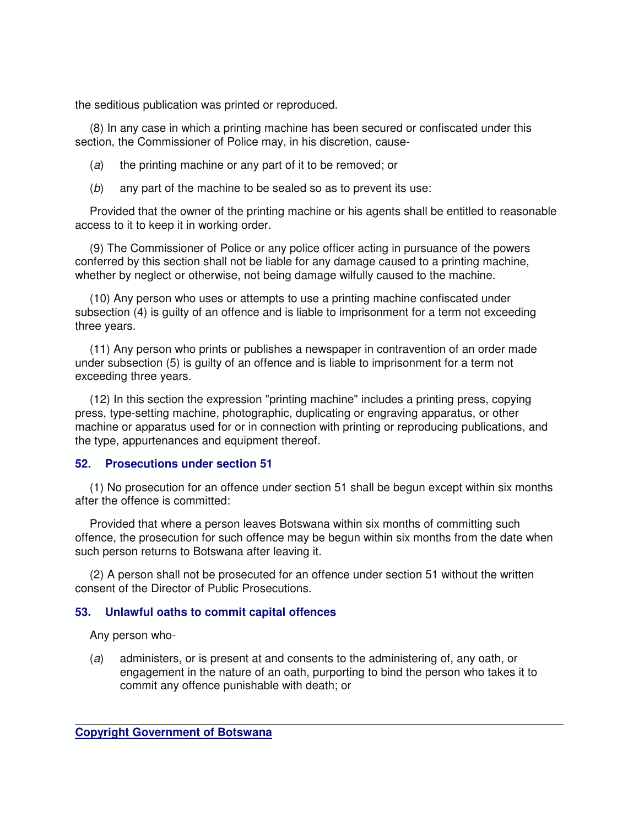the seditious publication was printed or reproduced.

 (8) In any case in which a printing machine has been secured or confiscated under this section, the Commissioner of Police may, in his discretion, cause-

(a) the printing machine or any part of it to be removed; or

(b) any part of the machine to be sealed so as to prevent its use:

 Provided that the owner of the printing machine or his agents shall be entitled to reasonable access to it to keep it in working order.

 (9) The Commissioner of Police or any police officer acting in pursuance of the powers conferred by this section shall not be liable for any damage caused to a printing machine, whether by neglect or otherwise, not being damage wilfully caused to the machine.

 (10) Any person who uses or attempts to use a printing machine confiscated under subsection (4) is guilty of an offence and is liable to imprisonment for a term not exceeding three years.

 (11) Any person who prints or publishes a newspaper in contravention of an order made under subsection (5) is guilty of an offence and is liable to imprisonment for a term not exceeding three years.

 (12) In this section the expression "printing machine" includes a printing press, copying press, type-setting machine, photographic, duplicating or engraving apparatus, or other machine or apparatus used for or in connection with printing or reproducing publications, and the type, appurtenances and equipment thereof.

## **52. Prosecutions under section 51**

 (1) No prosecution for an offence under section 51 shall be begun except within six months after the offence is committed:

 Provided that where a person leaves Botswana within six months of committing such offence, the prosecution for such offence may be begun within six months from the date when such person returns to Botswana after leaving it.

 (2) A person shall not be prosecuted for an offence under section 51 without the written consent of the Director of Public Prosecutions.

# **53. Unlawful oaths to commit capital offences**

Any person who-

 (a) administers, or is present at and consents to the administering of, any oath, or engagement in the nature of an oath, purporting to bind the person who takes it to commit any offence punishable with death; or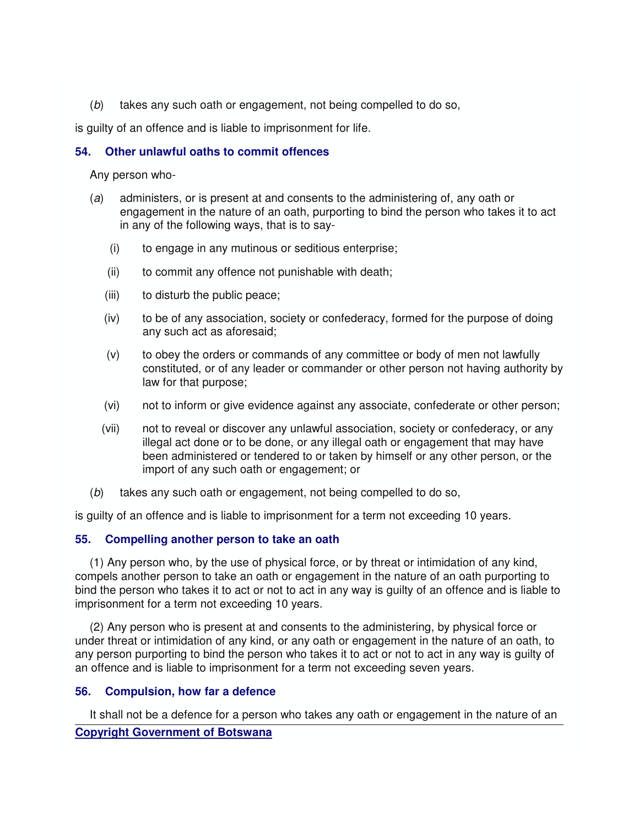(b) takes any such oath or engagement, not being compelled to do so,

is guilty of an offence and is liable to imprisonment for life.

## **54. Other unlawful oaths to commit offences**

Any person who-

- (a) administers, or is present at and consents to the administering of, any oath or engagement in the nature of an oath, purporting to bind the person who takes it to act in any of the following ways, that is to say-
	- (i) to engage in any mutinous or seditious enterprise;
	- (ii) to commit any offence not punishable with death;
	- (iii) to disturb the public peace;
	- (iv) to be of any association, society or confederacy, formed for the purpose of doing any such act as aforesaid;
	- (v) to obey the orders or commands of any committee or body of men not lawfully constituted, or of any leader or commander or other person not having authority by law for that purpose;
	- (vi) not to inform or give evidence against any associate, confederate or other person;
	- (vii) not to reveal or discover any unlawful association, society or confederacy, or any illegal act done or to be done, or any illegal oath or engagement that may have been administered or tendered to or taken by himself or any other person, or the import of any such oath or engagement; or
- (b) takes any such oath or engagement, not being compelled to do so,

is guilty of an offence and is liable to imprisonment for a term not exceeding 10 years.

## **55. Compelling another person to take an oath**

 (1) Any person who, by the use of physical force, or by threat or intimidation of any kind, compels another person to take an oath or engagement in the nature of an oath purporting to bind the person who takes it to act or not to act in any way is guilty of an offence and is liable to imprisonment for a term not exceeding 10 years.

 (2) Any person who is present at and consents to the administering, by physical force or under threat or intimidation of any kind, or any oath or engagement in the nature of an oath, to any person purporting to bind the person who takes it to act or not to act in any way is guilty of an offence and is liable to imprisonment for a term not exceeding seven years.

## **56. Compulsion, how far a defence**

**Copyright Government of Botswana** It shall not be a defence for a person who takes any oath or engagement in the nature of an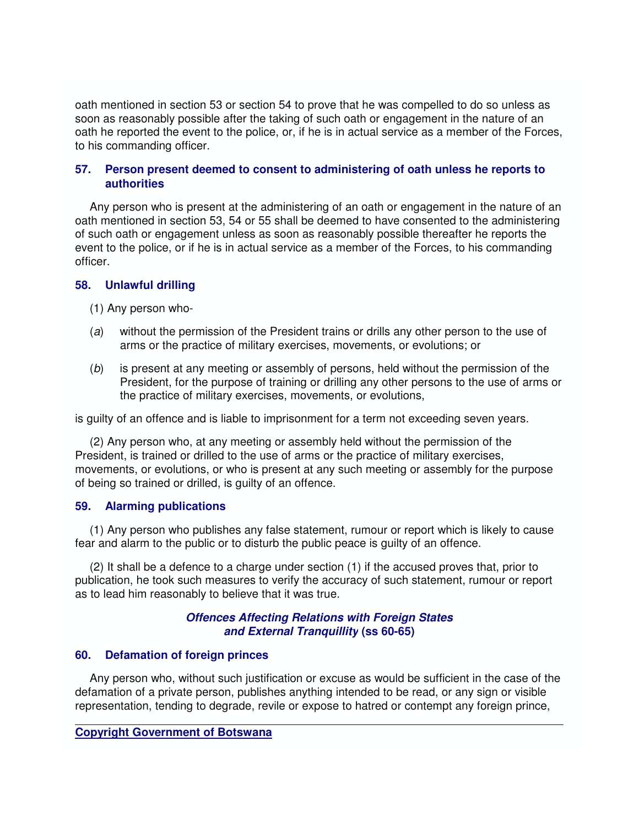oath mentioned in section 53 or section 54 to prove that he was compelled to do so unless as soon as reasonably possible after the taking of such oath or engagement in the nature of an oath he reported the event to the police, or, if he is in actual service as a member of the Forces, to his commanding officer.

## **57. Person present deemed to consent to administering of oath unless he reports to authorities**

 Any person who is present at the administering of an oath or engagement in the nature of an oath mentioned in section 53, 54 or 55 shall be deemed to have consented to the administering of such oath or engagement unless as soon as reasonably possible thereafter he reports the event to the police, or if he is in actual service as a member of the Forces, to his commanding officer.

## **58. Unlawful drilling**

- (1) Any person who-
- (a) without the permission of the President trains or drills any other person to the use of arms or the practice of military exercises, movements, or evolutions; or
- (b) is present at any meeting or assembly of persons, held without the permission of the President, for the purpose of training or drilling any other persons to the use of arms or the practice of military exercises, movements, or evolutions,

is guilty of an offence and is liable to imprisonment for a term not exceeding seven years.

 (2) Any person who, at any meeting or assembly held without the permission of the President, is trained or drilled to the use of arms or the practice of military exercises, movements, or evolutions, or who is present at any such meeting or assembly for the purpose of being so trained or drilled, is guilty of an offence.

## **59. Alarming publications**

 (1) Any person who publishes any false statement, rumour or report which is likely to cause fear and alarm to the public or to disturb the public peace is guilty of an offence.

 (2) It shall be a defence to a charge under section (1) if the accused proves that, prior to publication, he took such measures to verify the accuracy of such statement, rumour or report as to lead him reasonably to believe that it was true.

## **Offences Affecting Relations with Foreign States and External Tranquillity (ss 60-65)**

### **60. Defamation of foreign princes**

 Any person who, without such justification or excuse as would be sufficient in the case of the defamation of a private person, publishes anything intended to be read, or any sign or visible representation, tending to degrade, revile or expose to hatred or contempt any foreign prince,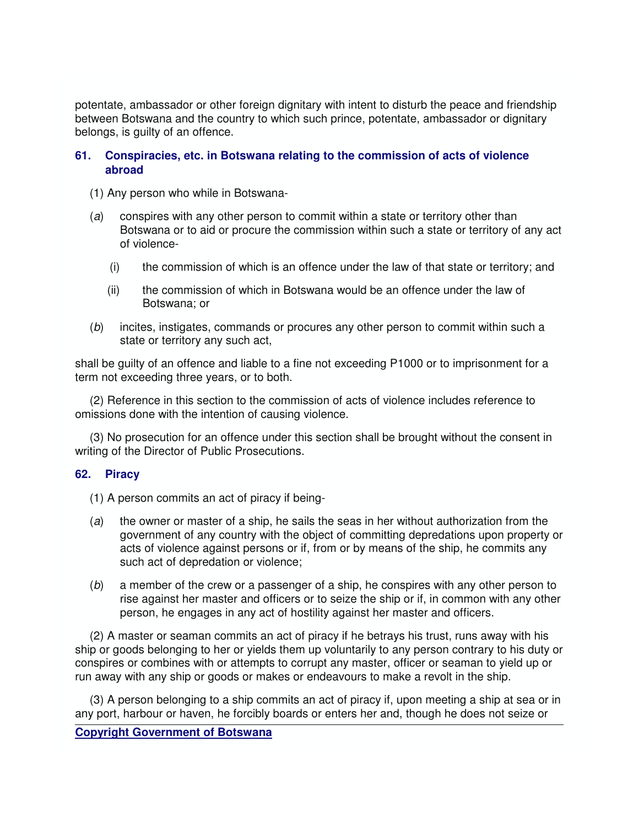potentate, ambassador or other foreign dignitary with intent to disturb the peace and friendship between Botswana and the country to which such prince, potentate, ambassador or dignitary belongs, is guilty of an offence.

## **61. Conspiracies, etc. in Botswana relating to the commission of acts of violence abroad**

- (1) Any person who while in Botswana-
- (a) conspires with any other person to commit within a state or territory other than Botswana or to aid or procure the commission within such a state or territory of any act of violence-
	- (i) the commission of which is an offence under the law of that state or territory; and
	- (ii) the commission of which in Botswana would be an offence under the law of Botswana; or
- (b) incites, instigates, commands or procures any other person to commit within such a state or territory any such act,

shall be guilty of an offence and liable to a fine not exceeding P1000 or to imprisonment for a term not exceeding three years, or to both.

 (2) Reference in this section to the commission of acts of violence includes reference to omissions done with the intention of causing violence.

 (3) No prosecution for an offence under this section shall be brought without the consent in writing of the Director of Public Prosecutions.

## **62. Piracy**

(1) A person commits an act of piracy if being-

- (a) the owner or master of a ship, he sails the seas in her without authorization from the government of any country with the object of committing depredations upon property or acts of violence against persons or if, from or by means of the ship, he commits any such act of depredation or violence;
- (b) a member of the crew or a passenger of a ship, he conspires with any other person to rise against her master and officers or to seize the ship or if, in common with any other person, he engages in any act of hostility against her master and officers.

 (2) A master or seaman commits an act of piracy if he betrays his trust, runs away with his ship or goods belonging to her or yields them up voluntarily to any person contrary to his duty or conspires or combines with or attempts to corrupt any master, officer or seaman to yield up or run away with any ship or goods or makes or endeavours to make a revolt in the ship.

 (3) A person belonging to a ship commits an act of piracy if, upon meeting a ship at sea or in any port, harbour or haven, he forcibly boards or enters her and, though he does not seize or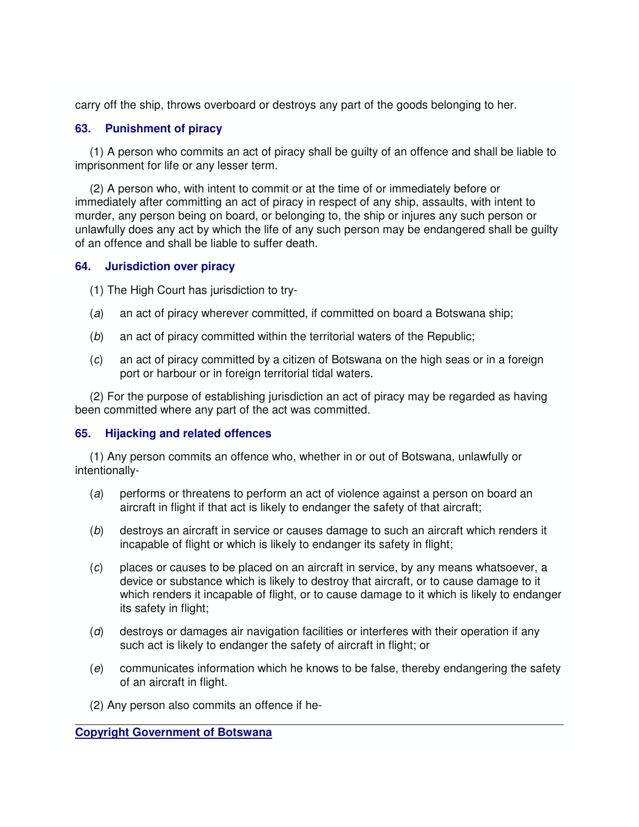carry off the ship, throws overboard or destroys any part of the goods belonging to her.

## **63. Punishment of piracy**

 (1) A person who commits an act of piracy shall be guilty of an offence and shall be liable to imprisonment for life or any lesser term.

 (2) A person who, with intent to commit or at the time of or immediately before or immediately after committing an act of piracy in respect of any ship, assaults, with intent to murder, any person being on board, or belonging to, the ship or injures any such person or unlawfully does any act by which the life of any such person may be endangered shall be guilty of an offence and shall be liable to suffer death.

## **64. Jurisdiction over piracy**

(1) The High Court has jurisdiction to try-

- (a) an act of piracy wherever committed, if committed on board a Botswana ship;
- (b) an act of piracy committed within the territorial waters of the Republic;
- (c) an act of piracy committed by a citizen of Botswana on the high seas or in a foreign port or harbour or in foreign territorial tidal waters.

 (2) For the purpose of establishing jurisdiction an act of piracy may be regarded as having been committed where any part of the act was committed.

## **65. Hijacking and related offences**

 (1) Any person commits an offence who, whether in or out of Botswana, unlawfully or intentionally-

- (a) performs or threatens to perform an act of violence against a person on board an aircraft in flight if that act is likely to endanger the safety of that aircraft;
- (b) destroys an aircraft in service or causes damage to such an aircraft which renders it incapable of flight or which is likely to endanger its safety in flight;
- (c) places or causes to be placed on an aircraft in service, by any means whatsoever, a device or substance which is likely to destroy that aircraft, or to cause damage to it which renders it incapable of flight, or to cause damage to it which is likely to endanger its safety in flight;
- (d) destroys or damages air navigation facilities or interferes with their operation if any such act is likely to endanger the safety of aircraft in flight; or
- (e) communicates information which he knows to be false, thereby endangering the safety of an aircraft in flight.
- (2) Any person also commits an offence if he-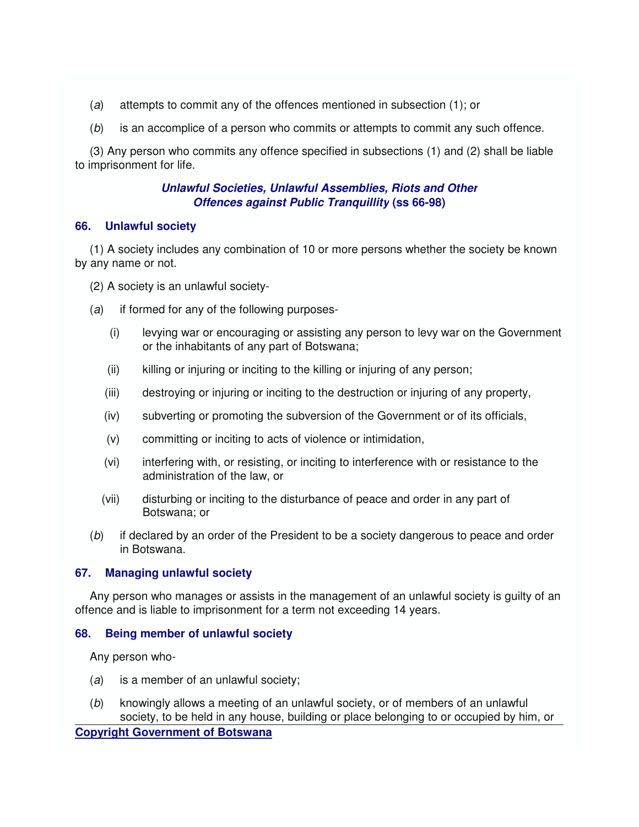- (a) attempts to commit any of the offences mentioned in subsection (1); or
- (b) is an accomplice of a person who commits or attempts to commit any such offence.

 (3) Any person who commits any offence specified in subsections (1) and (2) shall be liable to imprisonment for life.

## **Unlawful Societies, Unlawful Assemblies, Riots and Other Offences against Public Tranquillity (ss 66-98)**

# **66. Unlawful society**

 (1) A society includes any combination of 10 or more persons whether the society be known by any name or not.

- (2) A society is an unlawful society-
- (a) if formed for any of the following purposes-
	- (i) levying war or encouraging or assisting any person to levy war on the Government or the inhabitants of any part of Botswana;
	- (ii) killing or injuring or inciting to the killing or injuring of any person;
	- (iii) destroying or injuring or inciting to the destruction or injuring of any property,
	- (iv) subverting or promoting the subversion of the Government or of its officials,
	- (v) committing or inciting to acts of violence or intimidation,
	- (vi) interfering with, or resisting, or inciting to interference with or resistance to the administration of the law, or
	- (vii) disturbing or inciting to the disturbance of peace and order in any part of Botswana; or
- (b) if declared by an order of the President to be a society dangerous to peace and order in Botswana.

## **67. Managing unlawful society**

 Any person who manages or assists in the management of an unlawful society is guilty of an offence and is liable to imprisonment for a term not exceeding 14 years.

## **68. Being member of unlawful society**

Any person who-

- (a) is a member of an unlawful society;
- (b) knowingly allows a meeting of an unlawful society, or of members of an unlawful society, to be held in any house, building or place belonging to or occupied by him, or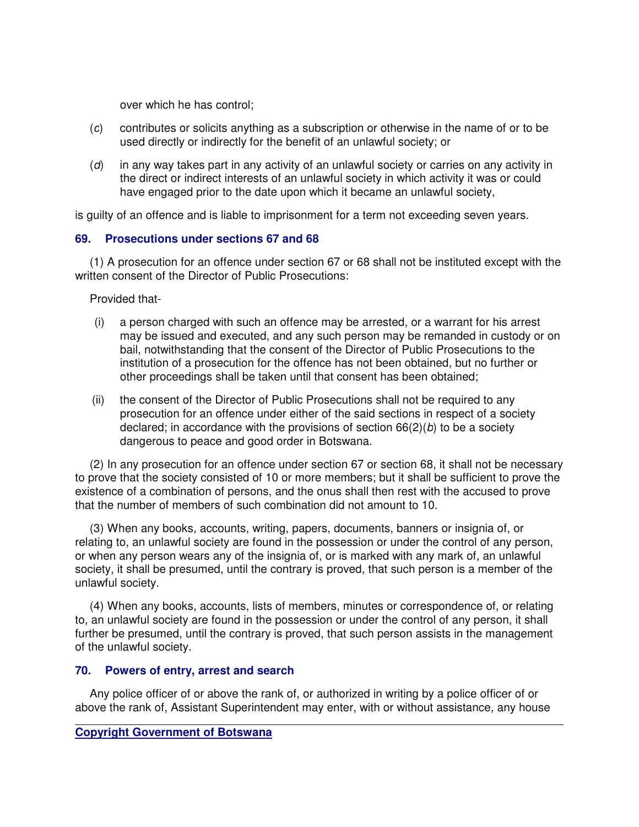over which he has control;

- (c) contributes or solicits anything as a subscription or otherwise in the name of or to be used directly or indirectly for the benefit of an unlawful society; or
- (d) in any way takes part in any activity of an unlawful society or carries on any activity in the direct or indirect interests of an unlawful society in which activity it was or could have engaged prior to the date upon which it became an unlawful society,

is guilty of an offence and is liable to imprisonment for a term not exceeding seven years.

## **69. Prosecutions under sections 67 and 68**

 (1) A prosecution for an offence under section 67 or 68 shall not be instituted except with the written consent of the Director of Public Prosecutions:

Provided that-

- (i) a person charged with such an offence may be arrested, or a warrant for his arrest may be issued and executed, and any such person may be remanded in custody or on bail, notwithstanding that the consent of the Director of Public Prosecutions to the institution of a prosecution for the offence has not been obtained, but no further or other proceedings shall be taken until that consent has been obtained;
- (ii) the consent of the Director of Public Prosecutions shall not be required to any prosecution for an offence under either of the said sections in respect of a society declared; in accordance with the provisions of section  $66(2)(b)$  to be a society dangerous to peace and good order in Botswana.

 (2) In any prosecution for an offence under section 67 or section 68, it shall not be necessary to prove that the society consisted of 10 or more members; but it shall be sufficient to prove the existence of a combination of persons, and the onus shall then rest with the accused to prove that the number of members of such combination did not amount to 10.

 (3) When any books, accounts, writing, papers, documents, banners or insignia of, or relating to, an unlawful society are found in the possession or under the control of any person, or when any person wears any of the insignia of, or is marked with any mark of, an unlawful society, it shall be presumed, until the contrary is proved, that such person is a member of the unlawful society.

 (4) When any books, accounts, lists of members, minutes or correspondence of, or relating to, an unlawful society are found in the possession or under the control of any person, it shall further be presumed, until the contrary is proved, that such person assists in the management of the unlawful society.

## **70. Powers of entry, arrest and search**

 Any police officer of or above the rank of, or authorized in writing by a police officer of or above the rank of, Assistant Superintendent may enter, with or without assistance, any house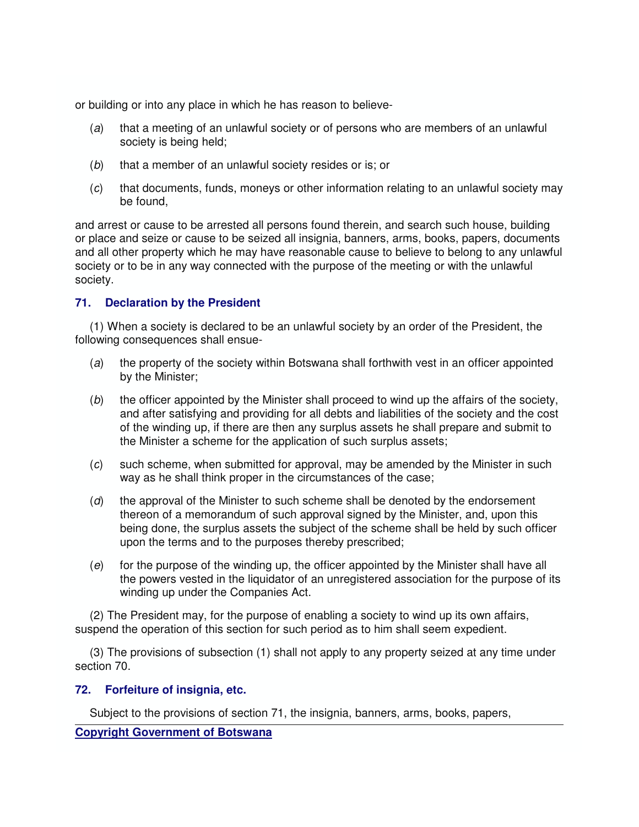or building or into any place in which he has reason to believe-

- (a) that a meeting of an unlawful society or of persons who are members of an unlawful society is being held;
- (b) that a member of an unlawful society resides or is; or
- (c) that documents, funds, moneys or other information relating to an unlawful society may be found,

and arrest or cause to be arrested all persons found therein, and search such house, building or place and seize or cause to be seized all insignia, banners, arms, books, papers, documents and all other property which he may have reasonable cause to believe to belong to any unlawful society or to be in any way connected with the purpose of the meeting or with the unlawful society.

# **71. Declaration by the President**

 (1) When a society is declared to be an unlawful society by an order of the President, the following consequences shall ensue-

- (a) the property of the society within Botswana shall forthwith vest in an officer appointed by the Minister;
- (b) the officer appointed by the Minister shall proceed to wind up the affairs of the society, and after satisfying and providing for all debts and liabilities of the society and the cost of the winding up, if there are then any surplus assets he shall prepare and submit to the Minister a scheme for the application of such surplus assets;
- (c) such scheme, when submitted for approval, may be amended by the Minister in such way as he shall think proper in the circumstances of the case;
- (d) the approval of the Minister to such scheme shall be denoted by the endorsement thereon of a memorandum of such approval signed by the Minister, and, upon this being done, the surplus assets the subject of the scheme shall be held by such officer upon the terms and to the purposes thereby prescribed;
- $(e)$  for the purpose of the winding up, the officer appointed by the Minister shall have all the powers vested in the liquidator of an unregistered association for the purpose of its winding up under the Companies Act.

 (2) The President may, for the purpose of enabling a society to wind up its own affairs, suspend the operation of this section for such period as to him shall seem expedient.

 (3) The provisions of subsection (1) shall not apply to any property seized at any time under section 70.

## **72. Forfeiture of insignia, etc.**

Subject to the provisions of section 71, the insignia, banners, arms, books, papers,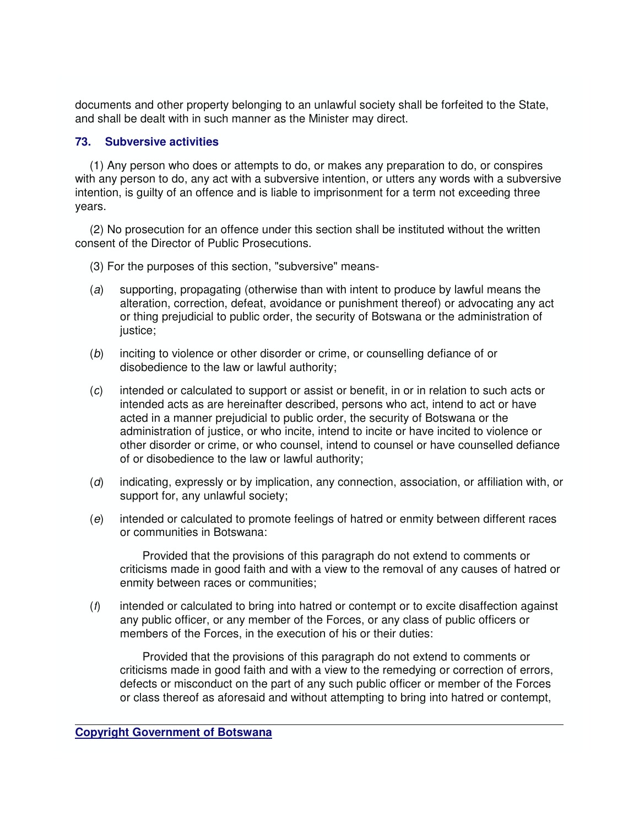documents and other property belonging to an unlawful society shall be forfeited to the State, and shall be dealt with in such manner as the Minister may direct.

## **73. Subversive activities**

 (1) Any person who does or attempts to do, or makes any preparation to do, or conspires with any person to do, any act with a subversive intention, or utters any words with a subversive intention, is guilty of an offence and is liable to imprisonment for a term not exceeding three years.

 (2) No prosecution for an offence under this section shall be instituted without the written consent of the Director of Public Prosecutions.

- (3) For the purposes of this section, "subversive" means-
- (a) supporting, propagating (otherwise than with intent to produce by lawful means the alteration, correction, defeat, avoidance or punishment thereof) or advocating any act or thing prejudicial to public order, the security of Botswana or the administration of justice;
- (b) inciting to violence or other disorder or crime, or counselling defiance of or disobedience to the law or lawful authority;
- (c) intended or calculated to support or assist or benefit, in or in relation to such acts or intended acts as are hereinafter described, persons who act, intend to act or have acted in a manner prejudicial to public order, the security of Botswana or the administration of justice, or who incite, intend to incite or have incited to violence or other disorder or crime, or who counsel, intend to counsel or have counselled defiance of or disobedience to the law or lawful authority;
- (d) indicating, expressly or by implication, any connection, association, or affiliation with, or support for, any unlawful society;
- (e) intended or calculated to promote feelings of hatred or enmity between different races or communities in Botswana:

 Provided that the provisions of this paragraph do not extend to comments or criticisms made in good faith and with a view to the removal of any causes of hatred or enmity between races or communities;

 (f) intended or calculated to bring into hatred or contempt or to excite disaffection against any public officer, or any member of the Forces, or any class of public officers or members of the Forces, in the execution of his or their duties:

 Provided that the provisions of this paragraph do not extend to comments or criticisms made in good faith and with a view to the remedying or correction of errors, defects or misconduct on the part of any such public officer or member of the Forces or class thereof as aforesaid and without attempting to bring into hatred or contempt,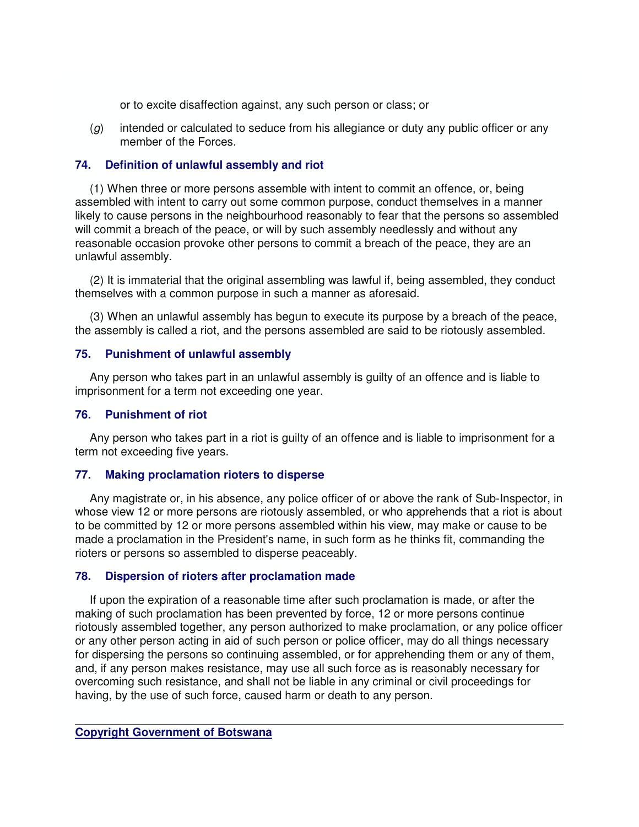or to excite disaffection against, any such person or class; or

 (g) intended or calculated to seduce from his allegiance or duty any public officer or any member of the Forces.

## **74. Definition of unlawful assembly and riot**

 (1) When three or more persons assemble with intent to commit an offence, or, being assembled with intent to carry out some common purpose, conduct themselves in a manner likely to cause persons in the neighbourhood reasonably to fear that the persons so assembled will commit a breach of the peace, or will by such assembly needlessly and without any reasonable occasion provoke other persons to commit a breach of the peace, they are an unlawful assembly.

 (2) It is immaterial that the original assembling was lawful if, being assembled, they conduct themselves with a common purpose in such a manner as aforesaid.

 (3) When an unlawful assembly has begun to execute its purpose by a breach of the peace, the assembly is called a riot, and the persons assembled are said to be riotously assembled.

# **75. Punishment of unlawful assembly**

 Any person who takes part in an unlawful assembly is guilty of an offence and is liable to imprisonment for a term not exceeding one year.

## **76. Punishment of riot**

 Any person who takes part in a riot is guilty of an offence and is liable to imprisonment for a term not exceeding five years.

## **77. Making proclamation rioters to disperse**

 Any magistrate or, in his absence, any police officer of or above the rank of Sub-Inspector, in whose view 12 or more persons are riotously assembled, or who apprehends that a riot is about to be committed by 12 or more persons assembled within his view, may make or cause to be made a proclamation in the President's name, in such form as he thinks fit, commanding the rioters or persons so assembled to disperse peaceably.

## **78. Dispersion of rioters after proclamation made**

 If upon the expiration of a reasonable time after such proclamation is made, or after the making of such proclamation has been prevented by force, 12 or more persons continue riotously assembled together, any person authorized to make proclamation, or any police officer or any other person acting in aid of such person or police officer, may do all things necessary for dispersing the persons so continuing assembled, or for apprehending them or any of them, and, if any person makes resistance, may use all such force as is reasonably necessary for overcoming such resistance, and shall not be liable in any criminal or civil proceedings for having, by the use of such force, caused harm or death to any person.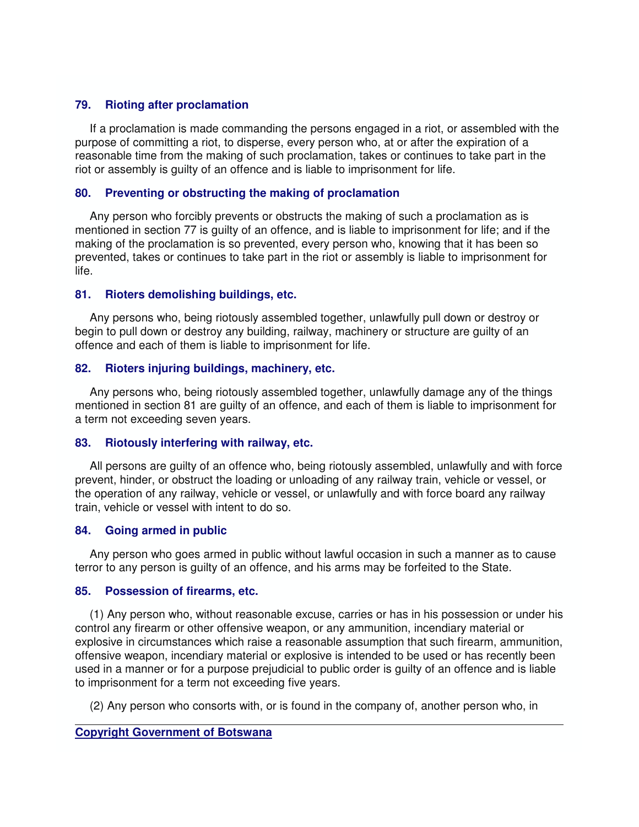### **79. Rioting after proclamation**

 If a proclamation is made commanding the persons engaged in a riot, or assembled with the purpose of committing a riot, to disperse, every person who, at or after the expiration of a reasonable time from the making of such proclamation, takes or continues to take part in the riot or assembly is guilty of an offence and is liable to imprisonment for life.

## **80. Preventing or obstructing the making of proclamation**

 Any person who forcibly prevents or obstructs the making of such a proclamation as is mentioned in section 77 is guilty of an offence, and is liable to imprisonment for life; and if the making of the proclamation is so prevented, every person who, knowing that it has been so prevented, takes or continues to take part in the riot or assembly is liable to imprisonment for life.

### **81. Rioters demolishing buildings, etc.**

 Any persons who, being riotously assembled together, unlawfully pull down or destroy or begin to pull down or destroy any building, railway, machinery or structure are guilty of an offence and each of them is liable to imprisonment for life.

### **82. Rioters injuring buildings, machinery, etc.**

 Any persons who, being riotously assembled together, unlawfully damage any of the things mentioned in section 81 are guilty of an offence, and each of them is liable to imprisonment for a term not exceeding seven years.

### **83. Riotously interfering with railway, etc.**

 All persons are guilty of an offence who, being riotously assembled, unlawfully and with force prevent, hinder, or obstruct the loading or unloading of any railway train, vehicle or vessel, or the operation of any railway, vehicle or vessel, or unlawfully and with force board any railway train, vehicle or vessel with intent to do so.

### **84. Going armed in public**

 Any person who goes armed in public without lawful occasion in such a manner as to cause terror to any person is guilty of an offence, and his arms may be forfeited to the State.

### **85. Possession of firearms, etc.**

 (1) Any person who, without reasonable excuse, carries or has in his possession or under his control any firearm or other offensive weapon, or any ammunition, incendiary material or explosive in circumstances which raise a reasonable assumption that such firearm, ammunition, offensive weapon, incendiary material or explosive is intended to be used or has recently been used in a manner or for a purpose prejudicial to public order is guilty of an offence and is liable to imprisonment for a term not exceeding five years.

(2) Any person who consorts with, or is found in the company of, another person who, in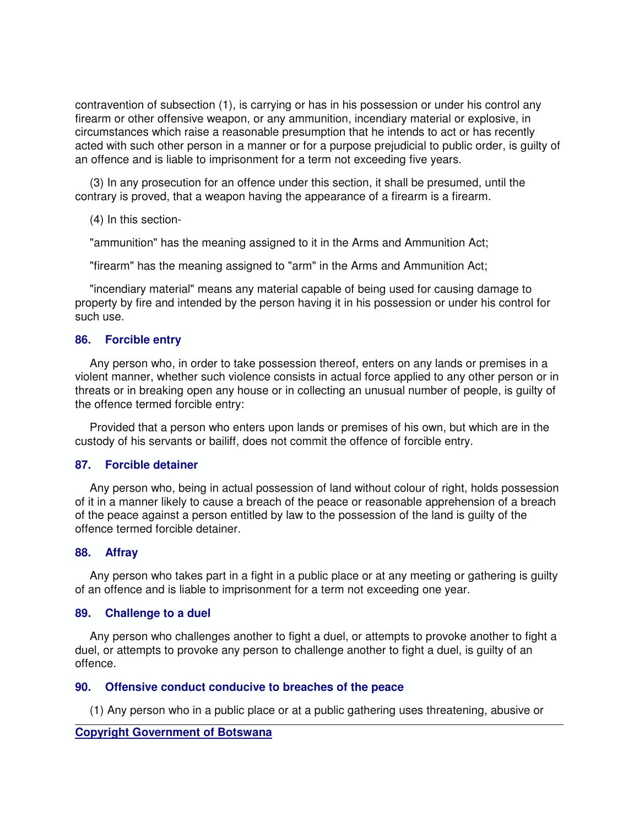contravention of subsection (1), is carrying or has in his possession or under his control any firearm or other offensive weapon, or any ammunition, incendiary material or explosive, in circumstances which raise a reasonable presumption that he intends to act or has recently acted with such other person in a manner or for a purpose prejudicial to public order, is guilty of an offence and is liable to imprisonment for a term not exceeding five years.

 (3) In any prosecution for an offence under this section, it shall be presumed, until the contrary is proved, that a weapon having the appearance of a firearm is a firearm.

(4) In this section-

"ammunition" has the meaning assigned to it in the Arms and Ammunition Act;

"firearm" has the meaning assigned to "arm" in the Arms and Ammunition Act;

 "incendiary material" means any material capable of being used for causing damage to property by fire and intended by the person having it in his possession or under his control for such use.

## **86. Forcible entry**

 Any person who, in order to take possession thereof, enters on any lands or premises in a violent manner, whether such violence consists in actual force applied to any other person or in threats or in breaking open any house or in collecting an unusual number of people, is guilty of the offence termed forcible entry:

 Provided that a person who enters upon lands or premises of his own, but which are in the custody of his servants or bailiff, does not commit the offence of forcible entry.

## **87. Forcible detainer**

 Any person who, being in actual possession of land without colour of right, holds possession of it in a manner likely to cause a breach of the peace or reasonable apprehension of a breach of the peace against a person entitled by law to the possession of the land is guilty of the offence termed forcible detainer.

## **88. Affray**

 Any person who takes part in a fight in a public place or at any meeting or gathering is guilty of an offence and is liable to imprisonment for a term not exceeding one year.

## **89. Challenge to a duel**

 Any person who challenges another to fight a duel, or attempts to provoke another to fight a duel, or attempts to provoke any person to challenge another to fight a duel, is guilty of an offence.

## **90. Offensive conduct conducive to breaches of the peace**

(1) Any person who in a public place or at a public gathering uses threatening, abusive or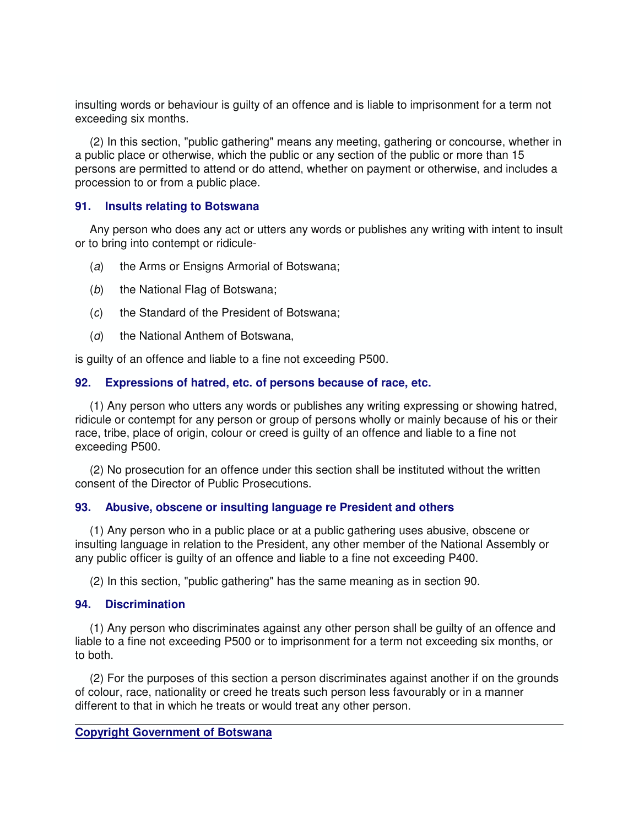insulting words or behaviour is guilty of an offence and is liable to imprisonment for a term not exceeding six months.

 (2) In this section, "public gathering" means any meeting, gathering or concourse, whether in a public place or otherwise, which the public or any section of the public or more than 15 persons are permitted to attend or do attend, whether on payment or otherwise, and includes a procession to or from a public place.

### **91. Insults relating to Botswana**

 Any person who does any act or utters any words or publishes any writing with intent to insult or to bring into contempt or ridicule-

- (a) the Arms or Ensigns Armorial of Botswana;
- (b) the National Flag of Botswana;
- (c) the Standard of the President of Botswana;
- (d) the National Anthem of Botswana,

is guilty of an offence and liable to a fine not exceeding P500.

### **92. Expressions of hatred, etc. of persons because of race, etc.**

 (1) Any person who utters any words or publishes any writing expressing or showing hatred, ridicule or contempt for any person or group of persons wholly or mainly because of his or their race, tribe, place of origin, colour or creed is guilty of an offence and liable to a fine not exceeding P500.

 (2) No prosecution for an offence under this section shall be instituted without the written consent of the Director of Public Prosecutions.

### **93. Abusive, obscene or insulting language re President and others**

 (1) Any person who in a public place or at a public gathering uses abusive, obscene or insulting language in relation to the President, any other member of the National Assembly or any public officer is guilty of an offence and liable to a fine not exceeding P400.

(2) In this section, "public gathering" has the same meaning as in section 90.

### **94. Discrimination**

 (1) Any person who discriminates against any other person shall be guilty of an offence and liable to a fine not exceeding P500 or to imprisonment for a term not exceeding six months, or to both.

 (2) For the purposes of this section a person discriminates against another if on the grounds of colour, race, nationality or creed he treats such person less favourably or in a manner different to that in which he treats or would treat any other person.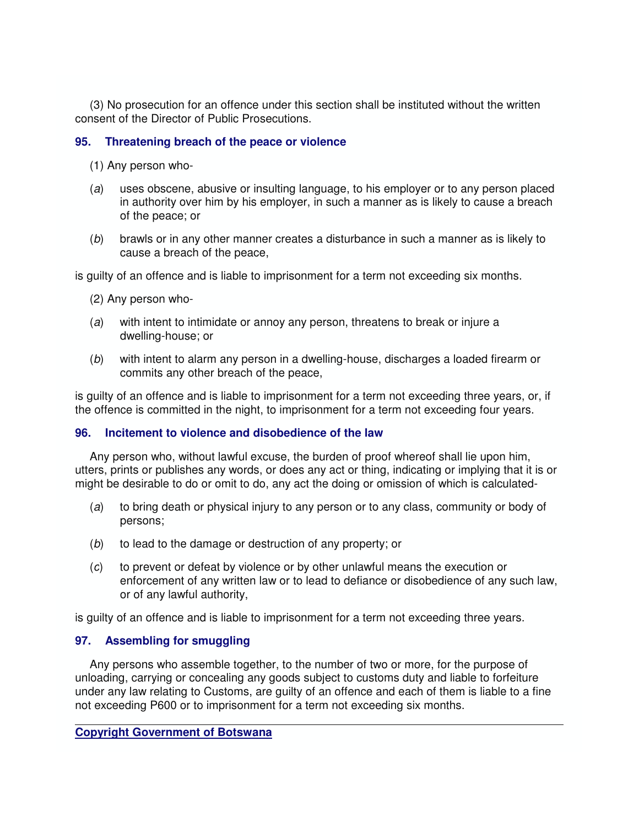(3) No prosecution for an offence under this section shall be instituted without the written consent of the Director of Public Prosecutions.

## **95. Threatening breach of the peace or violence**

- (1) Any person who-
- (a) uses obscene, abusive or insulting language, to his employer or to any person placed in authority over him by his employer, in such a manner as is likely to cause a breach of the peace; or
- (b) brawls or in any other manner creates a disturbance in such a manner as is likely to cause a breach of the peace,

is guilty of an offence and is liable to imprisonment for a term not exceeding six months.

- (2) Any person who-
- (a) with intent to intimidate or annoy any person, threatens to break or injure a dwelling-house; or
- (b) with intent to alarm any person in a dwelling-house, discharges a loaded firearm or commits any other breach of the peace,

is guilty of an offence and is liable to imprisonment for a term not exceeding three years, or, if the offence is committed in the night, to imprisonment for a term not exceeding four years.

## **96. Incitement to violence and disobedience of the law**

 Any person who, without lawful excuse, the burden of proof whereof shall lie upon him, utters, prints or publishes any words, or does any act or thing, indicating or implying that it is or might be desirable to do or omit to do, any act the doing or omission of which is calculated-

- (a) to bring death or physical injury to any person or to any class, community or body of persons;
- (b) to lead to the damage or destruction of any property; or
- (c) to prevent or defeat by violence or by other unlawful means the execution or enforcement of any written law or to lead to defiance or disobedience of any such law, or of any lawful authority,

is guilty of an offence and is liable to imprisonment for a term not exceeding three years.

## **97. Assembling for smuggling**

 Any persons who assemble together, to the number of two or more, for the purpose of unloading, carrying or concealing any goods subject to customs duty and liable to forfeiture under any law relating to Customs, are guilty of an offence and each of them is liable to a fine not exceeding P600 or to imprisonment for a term not exceeding six months.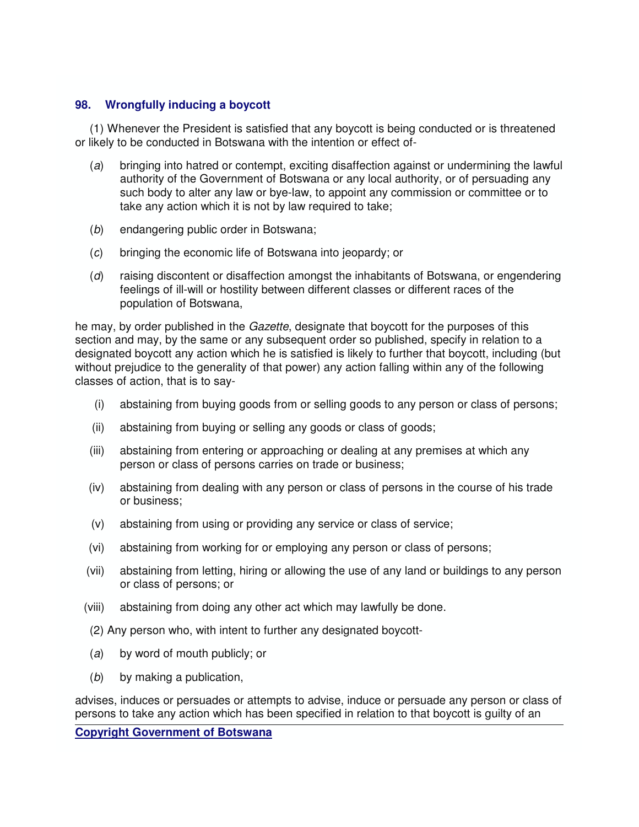## **98. Wrongfully inducing a boycott**

 (1) Whenever the President is satisfied that any boycott is being conducted or is threatened or likely to be conducted in Botswana with the intention or effect of-

- (a) bringing into hatred or contempt, exciting disaffection against or undermining the lawful authority of the Government of Botswana or any local authority, or of persuading any such body to alter any law or bye-law, to appoint any commission or committee or to take any action which it is not by law required to take;
- (b) endangering public order in Botswana;
- (c) bringing the economic life of Botswana into jeopardy; or
- (d) raising discontent or disaffection amongst the inhabitants of Botswana, or engendering feelings of ill-will or hostility between different classes or different races of the population of Botswana,

he may, by order published in the Gazette, designate that boycott for the purposes of this section and may, by the same or any subsequent order so published, specify in relation to a designated boycott any action which he is satisfied is likely to further that boycott, including (but without prejudice to the generality of that power) any action falling within any of the following classes of action, that is to say-

- (i) abstaining from buying goods from or selling goods to any person or class of persons;
- (ii) abstaining from buying or selling any goods or class of goods;
- (iii) abstaining from entering or approaching or dealing at any premises at which any person or class of persons carries on trade or business;
- (iv) abstaining from dealing with any person or class of persons in the course of his trade or business;
- (v) abstaining from using or providing any service or class of service;
- (vi) abstaining from working for or employing any person or class of persons;
- (vii) abstaining from letting, hiring or allowing the use of any land or buildings to any person or class of persons; or
- (viii) abstaining from doing any other act which may lawfully be done.
- (2) Any person who, with intent to further any designated boycott-
- (a) by word of mouth publicly; or
- (b) by making a publication,

advises, induces or persuades or attempts to advise, induce or persuade any person or class of persons to take any action which has been specified in relation to that boycott is guilty of an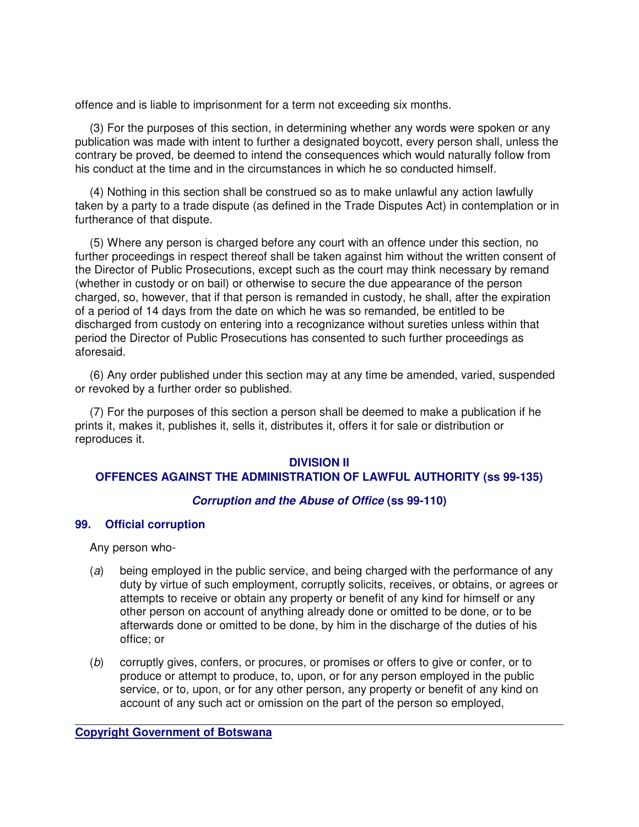offence and is liable to imprisonment for a term not exceeding six months.

 (3) For the purposes of this section, in determining whether any words were spoken or any publication was made with intent to further a designated boycott, every person shall, unless the contrary be proved, be deemed to intend the consequences which would naturally follow from his conduct at the time and in the circumstances in which he so conducted himself.

 (4) Nothing in this section shall be construed so as to make unlawful any action lawfully taken by a party to a trade dispute (as defined in the Trade Disputes Act) in contemplation or in furtherance of that dispute.

 (5) Where any person is charged before any court with an offence under this section, no further proceedings in respect thereof shall be taken against him without the written consent of the Director of Public Prosecutions, except such as the court may think necessary by remand (whether in custody or on bail) or otherwise to secure the due appearance of the person charged, so, however, that if that person is remanded in custody, he shall, after the expiration of a period of 14 days from the date on which he was so remanded, be entitled to be discharged from custody on entering into a recognizance without sureties unless within that period the Director of Public Prosecutions has consented to such further proceedings as aforesaid.

 (6) Any order published under this section may at any time be amended, varied, suspended or revoked by a further order so published.

 (7) For the purposes of this section a person shall be deemed to make a publication if he prints it, makes it, publishes it, sells it, distributes it, offers it for sale or distribution or reproduces it.

# **DIVISION II OFFENCES AGAINST THE ADMINISTRATION OF LAWFUL AUTHORITY (ss 99-135)**

## **Corruption and the Abuse of Office (ss 99-110)**

### **99. Official corruption**

Any person who-

- (a) being employed in the public service, and being charged with the performance of any duty by virtue of such employment, corruptly solicits, receives, or obtains, or agrees or attempts to receive or obtain any property or benefit of any kind for himself or any other person on account of anything already done or omitted to be done, or to be afterwards done or omitted to be done, by him in the discharge of the duties of his office; or
- (b) corruptly gives, confers, or procures, or promises or offers to give or confer, or to produce or attempt to produce, to, upon, or for any person employed in the public service, or to, upon, or for any other person, any property or benefit of any kind on account of any such act or omission on the part of the person so employed,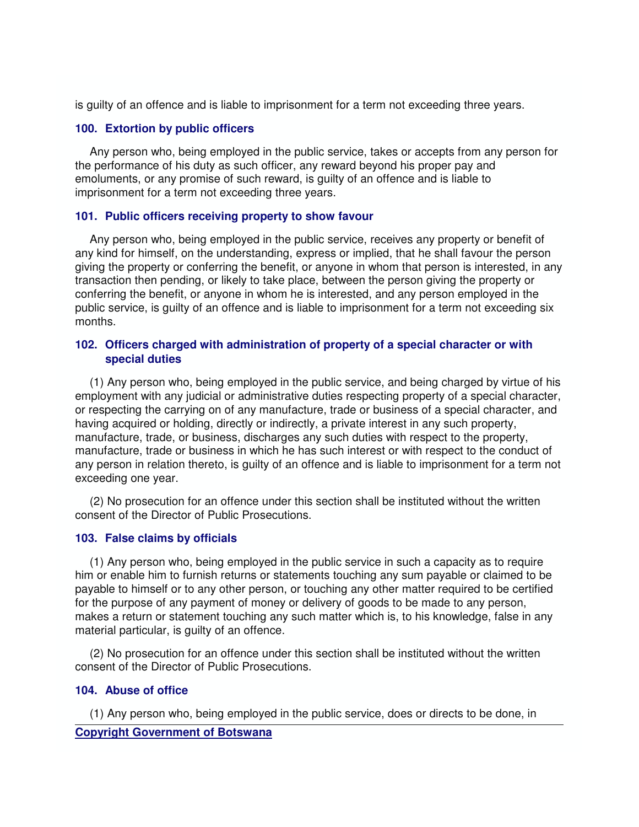is guilty of an offence and is liable to imprisonment for a term not exceeding three years.

### **100. Extortion by public officers**

 Any person who, being employed in the public service, takes or accepts from any person for the performance of his duty as such officer, any reward beyond his proper pay and emoluments, or any promise of such reward, is guilty of an offence and is liable to imprisonment for a term not exceeding three years.

### **101. Public officers receiving property to show favour**

 Any person who, being employed in the public service, receives any property or benefit of any kind for himself, on the understanding, express or implied, that he shall favour the person giving the property or conferring the benefit, or anyone in whom that person is interested, in any transaction then pending, or likely to take place, between the person giving the property or conferring the benefit, or anyone in whom he is interested, and any person employed in the public service, is guilty of an offence and is liable to imprisonment for a term not exceeding six months.

## **102. Officers charged with administration of property of a special character or with special duties**

 (1) Any person who, being employed in the public service, and being charged by virtue of his employment with any judicial or administrative duties respecting property of a special character, or respecting the carrying on of any manufacture, trade or business of a special character, and having acquired or holding, directly or indirectly, a private interest in any such property, manufacture, trade, or business, discharges any such duties with respect to the property, manufacture, trade or business in which he has such interest or with respect to the conduct of any person in relation thereto, is guilty of an offence and is liable to imprisonment for a term not exceeding one year.

 (2) No prosecution for an offence under this section shall be instituted without the written consent of the Director of Public Prosecutions.

## **103. False claims by officials**

 (1) Any person who, being employed in the public service in such a capacity as to require him or enable him to furnish returns or statements touching any sum payable or claimed to be payable to himself or to any other person, or touching any other matter required to be certified for the purpose of any payment of money or delivery of goods to be made to any person, makes a return or statement touching any such matter which is, to his knowledge, false in any material particular, is guilty of an offence.

 (2) No prosecution for an offence under this section shall be instituted without the written consent of the Director of Public Prosecutions.

### **104. Abuse of office**

(1) Any person who, being employed in the public service, does or directs to be done, in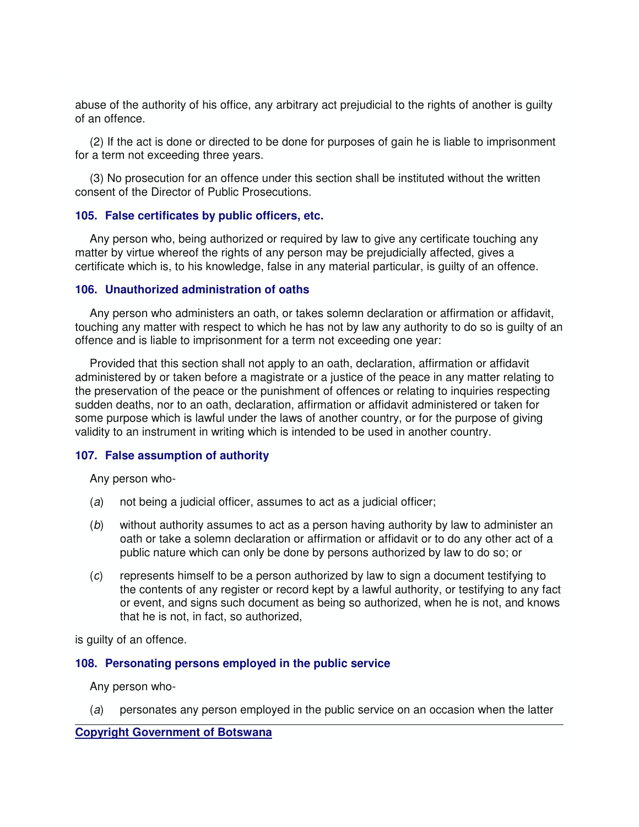abuse of the authority of his office, any arbitrary act prejudicial to the rights of another is guilty of an offence.

 (2) If the act is done or directed to be done for purposes of gain he is liable to imprisonment for a term not exceeding three years.

 (3) No prosecution for an offence under this section shall be instituted without the written consent of the Director of Public Prosecutions.

### **105. False certificates by public officers, etc.**

 Any person who, being authorized or required by law to give any certificate touching any matter by virtue whereof the rights of any person may be prejudicially affected, gives a certificate which is, to his knowledge, false in any material particular, is guilty of an offence.

#### **106. Unauthorized administration of oaths**

 Any person who administers an oath, or takes solemn declaration or affirmation or affidavit, touching any matter with respect to which he has not by law any authority to do so is guilty of an offence and is liable to imprisonment for a term not exceeding one year:

 Provided that this section shall not apply to an oath, declaration, affirmation or affidavit administered by or taken before a magistrate or a justice of the peace in any matter relating to the preservation of the peace or the punishment of offences or relating to inquiries respecting sudden deaths, nor to an oath, declaration, affirmation or affidavit administered or taken for some purpose which is lawful under the laws of another country, or for the purpose of giving validity to an instrument in writing which is intended to be used in another country.

### **107. False assumption of authority**

Any person who-

- (a) not being a judicial officer, assumes to act as a judicial officer;
- (b) without authority assumes to act as a person having authority by law to administer an oath or take a solemn declaration or affirmation or affidavit or to do any other act of a public nature which can only be done by persons authorized by law to do so; or
- (c) represents himself to be a person authorized by law to sign a document testifying to the contents of any register or record kept by a lawful authority, or testifying to any fact or event, and signs such document as being so authorized, when he is not, and knows that he is not, in fact, so authorized,

is guilty of an offence.

### **108. Personating persons employed in the public service**

Any person who-

(a) personates any person employed in the public service on an occasion when the latter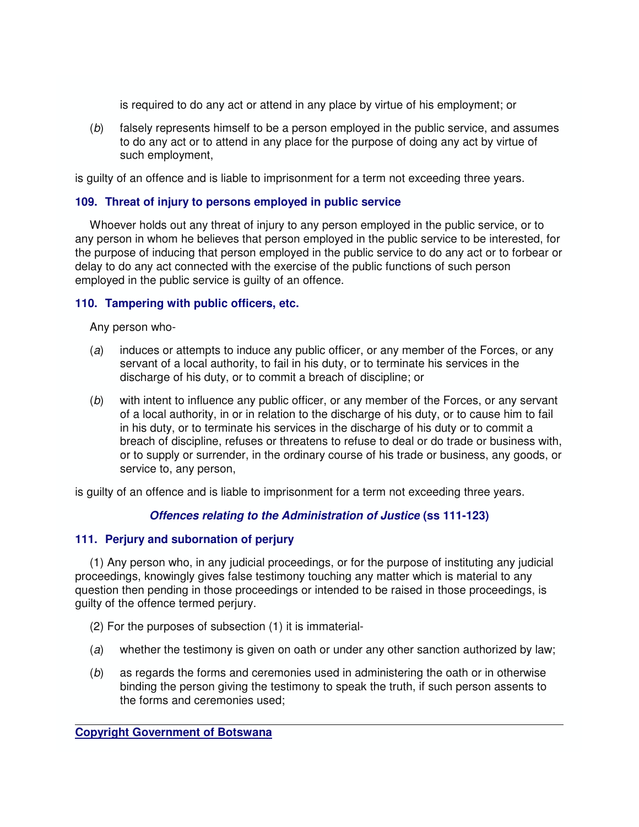is required to do any act or attend in any place by virtue of his employment; or

 (b) falsely represents himself to be a person employed in the public service, and assumes to do any act or to attend in any place for the purpose of doing any act by virtue of such employment,

is guilty of an offence and is liable to imprisonment for a term not exceeding three years.

## **109. Threat of injury to persons employed in public service**

 Whoever holds out any threat of injury to any person employed in the public service, or to any person in whom he believes that person employed in the public service to be interested, for the purpose of inducing that person employed in the public service to do any act or to forbear or delay to do any act connected with the exercise of the public functions of such person employed in the public service is guilty of an offence.

# **110. Tampering with public officers, etc.**

Any person who-

- (a) induces or attempts to induce any public officer, or any member of the Forces, or any servant of a local authority, to fail in his duty, or to terminate his services in the discharge of his duty, or to commit a breach of discipline; or
- (b) with intent to influence any public officer, or any member of the Forces, or any servant of a local authority, in or in relation to the discharge of his duty, or to cause him to fail in his duty, or to terminate his services in the discharge of his duty or to commit a breach of discipline, refuses or threatens to refuse to deal or do trade or business with, or to supply or surrender, in the ordinary course of his trade or business, any goods, or service to, any person,

is guilty of an offence and is liable to imprisonment for a term not exceeding three years.

# **Offences relating to the Administration of Justice (ss 111-123)**

## **111. Perjury and subornation of perjury**

 (1) Any person who, in any judicial proceedings, or for the purpose of instituting any judicial proceedings, knowingly gives false testimony touching any matter which is material to any question then pending in those proceedings or intended to be raised in those proceedings, is guilty of the offence termed perjury.

- (2) For the purposes of subsection (1) it is immaterial-
- (a) whether the testimony is given on oath or under any other sanction authorized by law;
- (b) as regards the forms and ceremonies used in administering the oath or in otherwise binding the person giving the testimony to speak the truth, if such person assents to the forms and ceremonies used;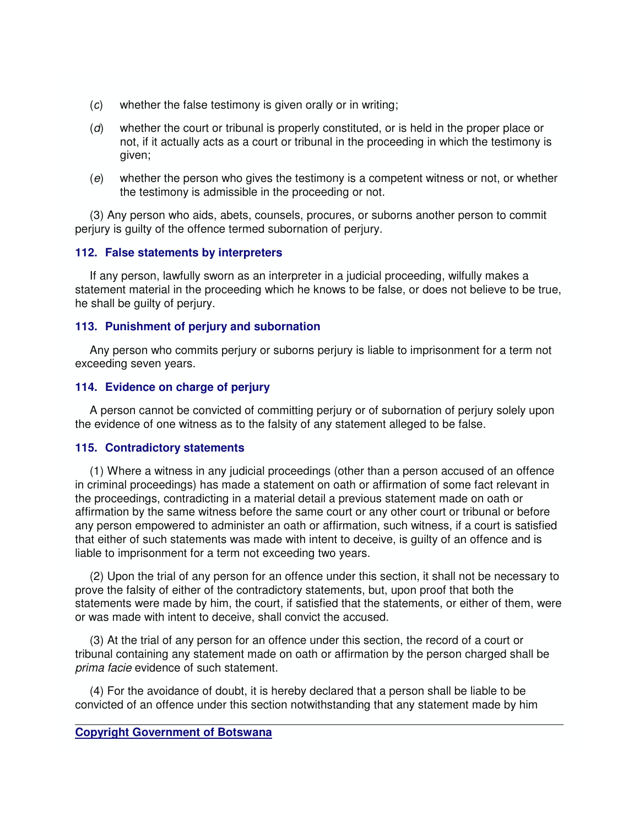- (c) whether the false testimony is given orally or in writing;
- (d) whether the court or tribunal is properly constituted, or is held in the proper place or not, if it actually acts as a court or tribunal in the proceeding in which the testimony is given;
- (e) whether the person who gives the testimony is a competent witness or not, or whether the testimony is admissible in the proceeding or not.

 (3) Any person who aids, abets, counsels, procures, or suborns another person to commit perjury is guilty of the offence termed subornation of perjury.

# **112. False statements by interpreters**

 If any person, lawfully sworn as an interpreter in a judicial proceeding, wilfully makes a statement material in the proceeding which he knows to be false, or does not believe to be true, he shall be guilty of perjury.

## **113. Punishment of perjury and subornation**

 Any person who commits perjury or suborns perjury is liable to imprisonment for a term not exceeding seven years.

# **114. Evidence on charge of perjury**

 A person cannot be convicted of committing perjury or of subornation of perjury solely upon the evidence of one witness as to the falsity of any statement alleged to be false.

## **115. Contradictory statements**

 (1) Where a witness in any judicial proceedings (other than a person accused of an offence in criminal proceedings) has made a statement on oath or affirmation of some fact relevant in the proceedings, contradicting in a material detail a previous statement made on oath or affirmation by the same witness before the same court or any other court or tribunal or before any person empowered to administer an oath or affirmation, such witness, if a court is satisfied that either of such statements was made with intent to deceive, is guilty of an offence and is liable to imprisonment for a term not exceeding two years.

 (2) Upon the trial of any person for an offence under this section, it shall not be necessary to prove the falsity of either of the contradictory statements, but, upon proof that both the statements were made by him, the court, if satisfied that the statements, or either of them, were or was made with intent to deceive, shall convict the accused.

 (3) At the trial of any person for an offence under this section, the record of a court or tribunal containing any statement made on oath or affirmation by the person charged shall be prima facie evidence of such statement.

 (4) For the avoidance of doubt, it is hereby declared that a person shall be liable to be convicted of an offence under this section notwithstanding that any statement made by him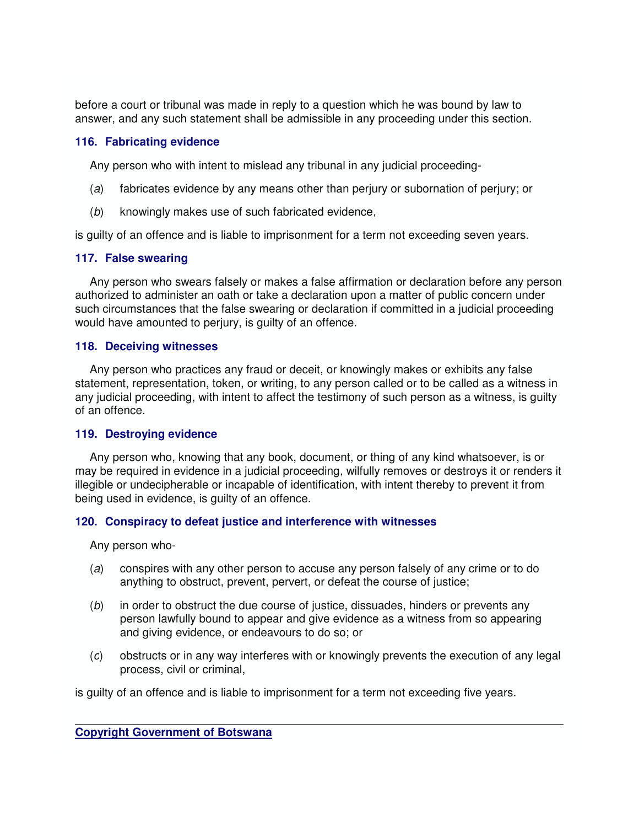before a court or tribunal was made in reply to a question which he was bound by law to answer, and any such statement shall be admissible in any proceeding under this section.

### **116. Fabricating evidence**

Any person who with intent to mislead any tribunal in any judicial proceeding-

- (a) fabricates evidence by any means other than perjury or subornation of perjury; or
- (b) knowingly makes use of such fabricated evidence,

is guilty of an offence and is liable to imprisonment for a term not exceeding seven years.

### **117. False swearing**

 Any person who swears falsely or makes a false affirmation or declaration before any person authorized to administer an oath or take a declaration upon a matter of public concern under such circumstances that the false swearing or declaration if committed in a judicial proceeding would have amounted to perjury, is guilty of an offence.

### **118. Deceiving witnesses**

 Any person who practices any fraud or deceit, or knowingly makes or exhibits any false statement, representation, token, or writing, to any person called or to be called as a witness in any judicial proceeding, with intent to affect the testimony of such person as a witness, is guilty of an offence.

## **119. Destroying evidence**

 Any person who, knowing that any book, document, or thing of any kind whatsoever, is or may be required in evidence in a judicial proceeding, wilfully removes or destroys it or renders it illegible or undecipherable or incapable of identification, with intent thereby to prevent it from being used in evidence, is guilty of an offence.

## **120. Conspiracy to defeat justice and interference with witnesses**

Any person who-

- (a) conspires with any other person to accuse any person falsely of any crime or to do anything to obstruct, prevent, pervert, or defeat the course of justice;
- (b) in order to obstruct the due course of justice, dissuades, hinders or prevents any person lawfully bound to appear and give evidence as a witness from so appearing and giving evidence, or endeavours to do so; or
- (c) obstructs or in any way interferes with or knowingly prevents the execution of any legal process, civil or criminal,

is guilty of an offence and is liable to imprisonment for a term not exceeding five years.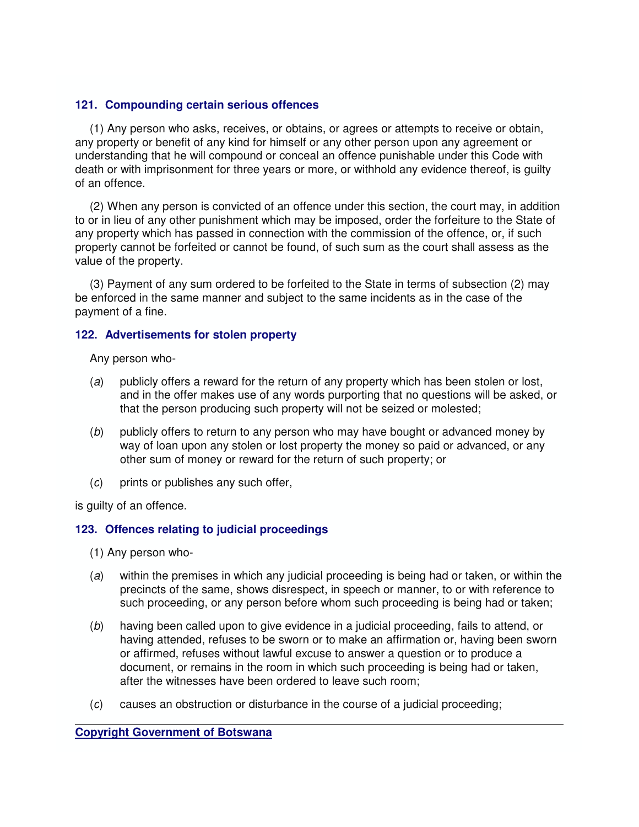### **121. Compounding certain serious offences**

 (1) Any person who asks, receives, or obtains, or agrees or attempts to receive or obtain, any property or benefit of any kind for himself or any other person upon any agreement or understanding that he will compound or conceal an offence punishable under this Code with death or with imprisonment for three years or more, or withhold any evidence thereof, is guilty of an offence.

 (2) When any person is convicted of an offence under this section, the court may, in addition to or in lieu of any other punishment which may be imposed, order the forfeiture to the State of any property which has passed in connection with the commission of the offence, or, if such property cannot be forfeited or cannot be found, of such sum as the court shall assess as the value of the property.

 (3) Payment of any sum ordered to be forfeited to the State in terms of subsection (2) may be enforced in the same manner and subject to the same incidents as in the case of the payment of a fine.

### **122. Advertisements for stolen property**

Any person who-

- (a) publicly offers a reward for the return of any property which has been stolen or lost, and in the offer makes use of any words purporting that no questions will be asked, or that the person producing such property will not be seized or molested;
- (b) publicly offers to return to any person who may have bought or advanced money by way of loan upon any stolen or lost property the money so paid or advanced, or any other sum of money or reward for the return of such property; or
- (c) prints or publishes any such offer,

is guilty of an offence.

## **123. Offences relating to judicial proceedings**

- (1) Any person who-
- (a) within the premises in which any judicial proceeding is being had or taken, or within the precincts of the same, shows disrespect, in speech or manner, to or with reference to such proceeding, or any person before whom such proceeding is being had or taken;
- (b) having been called upon to give evidence in a judicial proceeding, fails to attend, or having attended, refuses to be sworn or to make an affirmation or, having been sworn or affirmed, refuses without lawful excuse to answer a question or to produce a document, or remains in the room in which such proceeding is being had or taken, after the witnesses have been ordered to leave such room;
- (c) causes an obstruction or disturbance in the course of a judicial proceeding;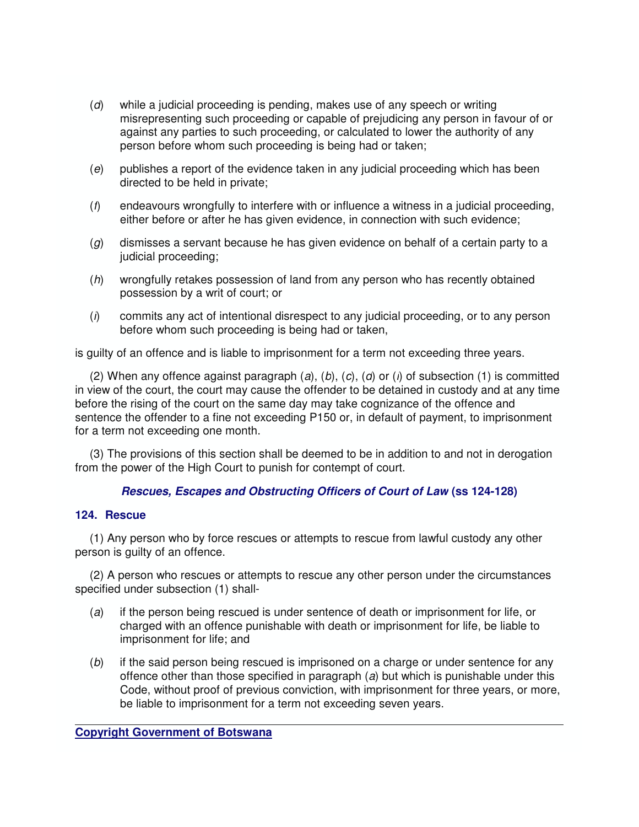- (d) while a judicial proceeding is pending, makes use of any speech or writing misrepresenting such proceeding or capable of prejudicing any person in favour of or against any parties to such proceeding, or calculated to lower the authority of any person before whom such proceeding is being had or taken;
- (e) publishes a report of the evidence taken in any judicial proceeding which has been directed to be held in private;
- (f) endeavours wrongfully to interfere with or influence a witness in a judicial proceeding, either before or after he has given evidence, in connection with such evidence;
- $(g)$  dismisses a servant because he has given evidence on behalf of a certain party to a judicial proceeding;
- (h) wrongfully retakes possession of land from any person who has recently obtained possession by a writ of court; or
- $(i)$  commits any act of intentional disrespect to any judicial proceeding, or to any person before whom such proceeding is being had or taken,

is guilty of an offence and is liable to imprisonment for a term not exceeding three years.

(2) When any offence against paragraph  $(a)$ ,  $(b)$ ,  $(c)$ ,  $(a)$  or  $(i)$  of subsection (1) is committed in view of the court, the court may cause the offender to be detained in custody and at any time before the rising of the court on the same day may take cognizance of the offence and sentence the offender to a fine not exceeding P150 or, in default of payment, to imprisonment for a term not exceeding one month.

 (3) The provisions of this section shall be deemed to be in addition to and not in derogation from the power of the High Court to punish for contempt of court.

## **Rescues, Escapes and Obstructing Officers of Court of Law (ss 124-128)**

### **124. Rescue**

 (1) Any person who by force rescues or attempts to rescue from lawful custody any other person is guilty of an offence.

 (2) A person who rescues or attempts to rescue any other person under the circumstances specified under subsection (1) shall-

- (a) if the person being rescued is under sentence of death or imprisonment for life, or charged with an offence punishable with death or imprisonment for life, be liable to imprisonment for life; and
- (b) if the said person being rescued is imprisoned on a charge or under sentence for any offence other than those specified in paragraph (a) but which is punishable under this Code, without proof of previous conviction, with imprisonment for three years, or more, be liable to imprisonment for a term not exceeding seven years.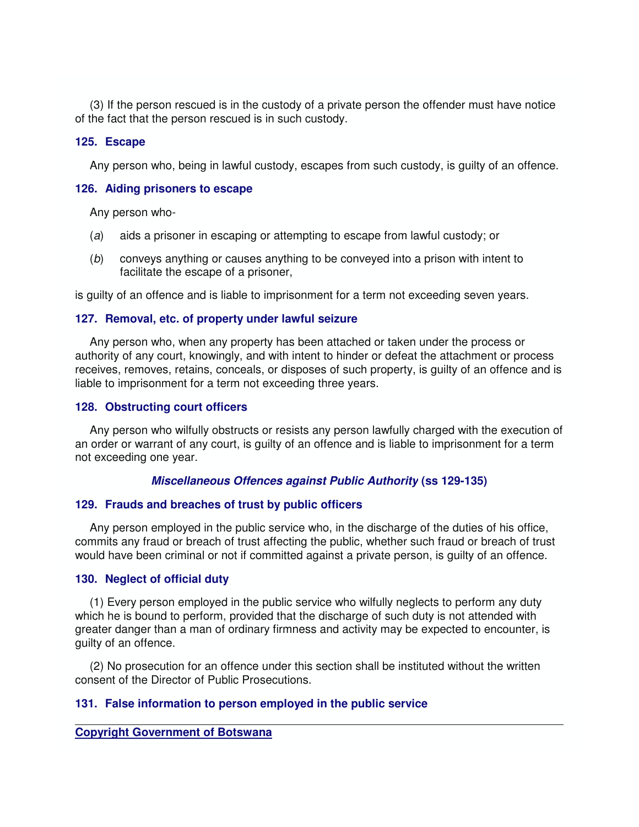(3) If the person rescued is in the custody of a private person the offender must have notice of the fact that the person rescued is in such custody.

#### **125. Escape**

Any person who, being in lawful custody, escapes from such custody, is guilty of an offence.

#### **126. Aiding prisoners to escape**

Any person who-

- (a) aids a prisoner in escaping or attempting to escape from lawful custody; or
- (b) conveys anything or causes anything to be conveyed into a prison with intent to facilitate the escape of a prisoner,

is guilty of an offence and is liable to imprisonment for a term not exceeding seven years.

#### **127. Removal, etc. of property under lawful seizure**

 Any person who, when any property has been attached or taken under the process or authority of any court, knowingly, and with intent to hinder or defeat the attachment or process receives, removes, retains, conceals, or disposes of such property, is guilty of an offence and is liable to imprisonment for a term not exceeding three years.

#### **128. Obstructing court officers**

 Any person who wilfully obstructs or resists any person lawfully charged with the execution of an order or warrant of any court, is guilty of an offence and is liable to imprisonment for a term not exceeding one year.

### **Miscellaneous Offences against Public Authority (ss 129-135)**

#### **129. Frauds and breaches of trust by public officers**

 Any person employed in the public service who, in the discharge of the duties of his office, commits any fraud or breach of trust affecting the public, whether such fraud or breach of trust would have been criminal or not if committed against a private person, is guilty of an offence.

#### **130. Neglect of official duty**

 (1) Every person employed in the public service who wilfully neglects to perform any duty which he is bound to perform, provided that the discharge of such duty is not attended with greater danger than a man of ordinary firmness and activity may be expected to encounter, is guilty of an offence.

 (2) No prosecution for an offence under this section shall be instituted without the written consent of the Director of Public Prosecutions.

### **131. False information to person employed in the public service**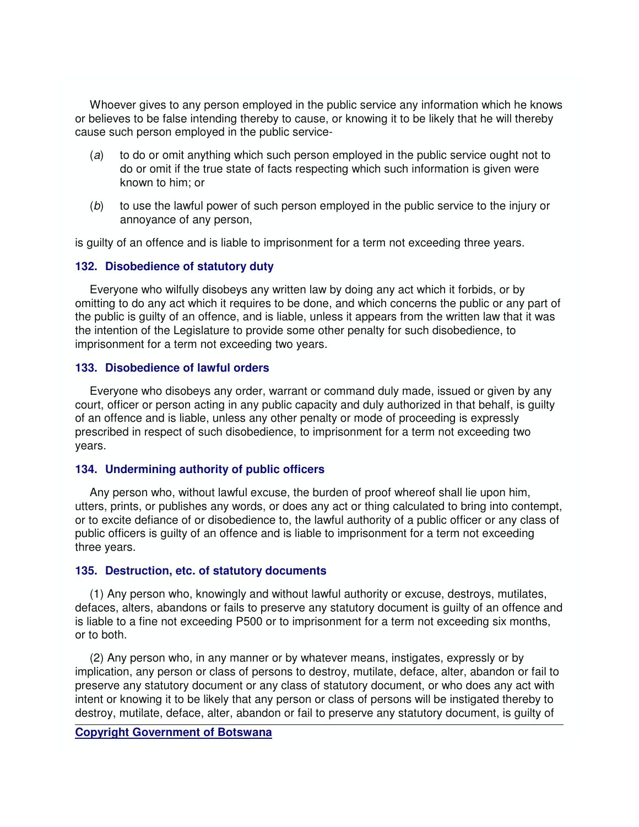Whoever gives to any person employed in the public service any information which he knows or believes to be false intending thereby to cause, or knowing it to be likely that he will thereby cause such person employed in the public service-

- (a) to do or omit anything which such person employed in the public service ought not to do or omit if the true state of facts respecting which such information is given were known to him; or
- (b) to use the lawful power of such person employed in the public service to the injury or annoyance of any person,

is guilty of an offence and is liable to imprisonment for a term not exceeding three years.

### **132. Disobedience of statutory duty**

 Everyone who wilfully disobeys any written law by doing any act which it forbids, or by omitting to do any act which it requires to be done, and which concerns the public or any part of the public is guilty of an offence, and is liable, unless it appears from the written law that it was the intention of the Legislature to provide some other penalty for such disobedience, to imprisonment for a term not exceeding two years.

### **133. Disobedience of lawful orders**

 Everyone who disobeys any order, warrant or command duly made, issued or given by any court, officer or person acting in any public capacity and duly authorized in that behalf, is guilty of an offence and is liable, unless any other penalty or mode of proceeding is expressly prescribed in respect of such disobedience, to imprisonment for a term not exceeding two years.

### **134. Undermining authority of public officers**

 Any person who, without lawful excuse, the burden of proof whereof shall lie upon him, utters, prints, or publishes any words, or does any act or thing calculated to bring into contempt, or to excite defiance of or disobedience to, the lawful authority of a public officer or any class of public officers is guilty of an offence and is liable to imprisonment for a term not exceeding three years.

### **135. Destruction, etc. of statutory documents**

 (1) Any person who, knowingly and without lawful authority or excuse, destroys, mutilates, defaces, alters, abandons or fails to preserve any statutory document is guilty of an offence and is liable to a fine not exceeding P500 or to imprisonment for a term not exceeding six months, or to both.

 (2) Any person who, in any manner or by whatever means, instigates, expressly or by implication, any person or class of persons to destroy, mutilate, deface, alter, abandon or fail to preserve any statutory document or any class of statutory document, or who does any act with intent or knowing it to be likely that any person or class of persons will be instigated thereby to destroy, mutilate, deface, alter, abandon or fail to preserve any statutory document, is guilty of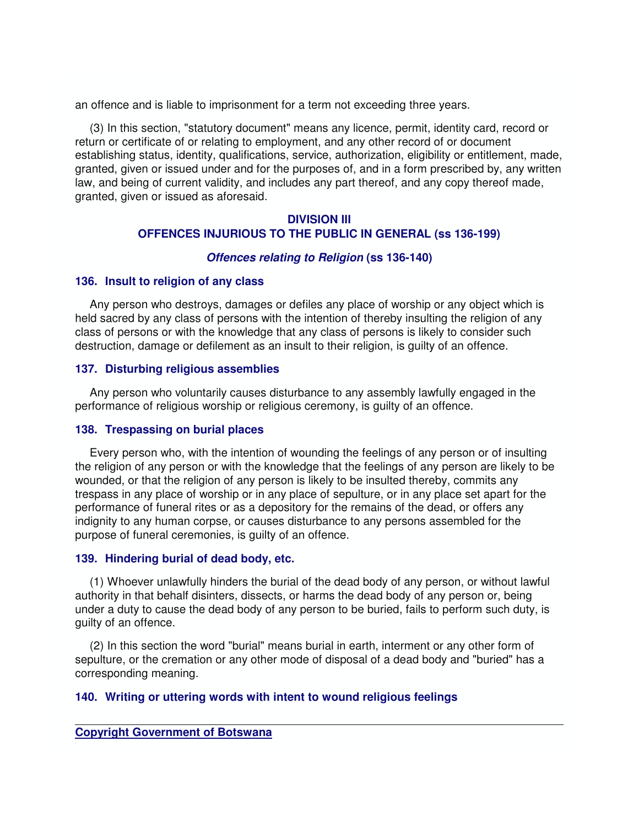an offence and is liable to imprisonment for a term not exceeding three years.

 (3) In this section, "statutory document" means any licence, permit, identity card, record or return or certificate of or relating to employment, and any other record of or document establishing status, identity, qualifications, service, authorization, eligibility or entitlement, made, granted, given or issued under and for the purposes of, and in a form prescribed by, any written law, and being of current validity, and includes any part thereof, and any copy thereof made, granted, given or issued as aforesaid.

### **DIVISION III OFFENCES INJURIOUS TO THE PUBLIC IN GENERAL (ss 136-199)**

### **Offences relating to Religion (ss 136-140)**

### **136. Insult to religion of any class**

 Any person who destroys, damages or defiles any place of worship or any object which is held sacred by any class of persons with the intention of thereby insulting the religion of any class of persons or with the knowledge that any class of persons is likely to consider such destruction, damage or defilement as an insult to their religion, is guilty of an offence.

### **137. Disturbing religious assemblies**

 Any person who voluntarily causes disturbance to any assembly lawfully engaged in the performance of religious worship or religious ceremony, is guilty of an offence.

### **138. Trespassing on burial places**

 Every person who, with the intention of wounding the feelings of any person or of insulting the religion of any person or with the knowledge that the feelings of any person are likely to be wounded, or that the religion of any person is likely to be insulted thereby, commits any trespass in any place of worship or in any place of sepulture, or in any place set apart for the performance of funeral rites or as a depository for the remains of the dead, or offers any indignity to any human corpse, or causes disturbance to any persons assembled for the purpose of funeral ceremonies, is guilty of an offence.

### **139. Hindering burial of dead body, etc.**

 (1) Whoever unlawfully hinders the burial of the dead body of any person, or without lawful authority in that behalf disinters, dissects, or harms the dead body of any person or, being under a duty to cause the dead body of any person to be buried, fails to perform such duty, is guilty of an offence.

 (2) In this section the word "burial" means burial in earth, interment or any other form of sepulture, or the cremation or any other mode of disposal of a dead body and "buried" has a corresponding meaning.

## **140. Writing or uttering words with intent to wound religious feelings**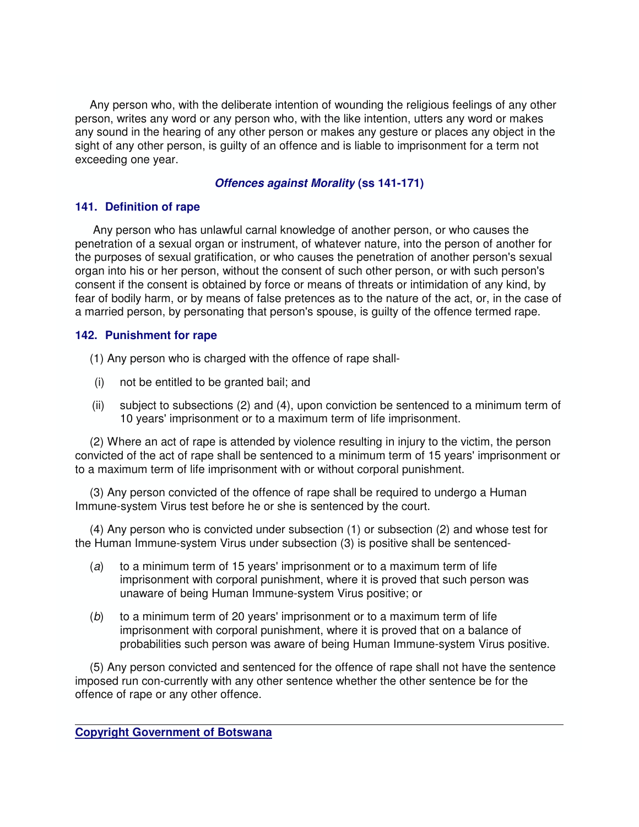Any person who, with the deliberate intention of wounding the religious feelings of any other person, writes any word or any person who, with the like intention, utters any word or makes any sound in the hearing of any other person or makes any gesture or places any object in the sight of any other person, is guilty of an offence and is liable to imprisonment for a term not exceeding one year.

## **Offences against Morality (ss 141-171)**

## **141. Definition of rape**

 Any person who has unlawful carnal knowledge of another person, or who causes the penetration of a sexual organ or instrument, of whatever nature, into the person of another for the purposes of sexual gratification, or who causes the penetration of another person's sexual organ into his or her person, without the consent of such other person, or with such person's consent if the consent is obtained by force or means of threats or intimidation of any kind, by fear of bodily harm, or by means of false pretences as to the nature of the act, or, in the case of a married person, by personating that person's spouse, is guilty of the offence termed rape.

# **142. Punishment for rape**

(1) Any person who is charged with the offence of rape shall-

- (i) not be entitled to be granted bail; and
- (ii) subject to subsections (2) and (4), upon conviction be sentenced to a minimum term of 10 years' imprisonment or to a maximum term of life imprisonment.

 (2) Where an act of rape is attended by violence resulting in injury to the victim, the person convicted of the act of rape shall be sentenced to a minimum term of 15 years' imprisonment or to a maximum term of life imprisonment with or without corporal punishment.

 (3) Any person convicted of the offence of rape shall be required to undergo a Human Immune-system Virus test before he or she is sentenced by the court.

 (4) Any person who is convicted under subsection (1) or subsection (2) and whose test for the Human Immune-system Virus under subsection (3) is positive shall be sentenced-

- (a) to a minimum term of 15 years' imprisonment or to a maximum term of life imprisonment with corporal punishment, where it is proved that such person was unaware of being Human Immune-system Virus positive; or
- (b) to a minimum term of 20 years' imprisonment or to a maximum term of life imprisonment with corporal punishment, where it is proved that on a balance of probabilities such person was aware of being Human Immune-system Virus positive.

 (5) Any person convicted and sentenced for the offence of rape shall not have the sentence imposed run con-currently with any other sentence whether the other sentence be for the offence of rape or any other offence.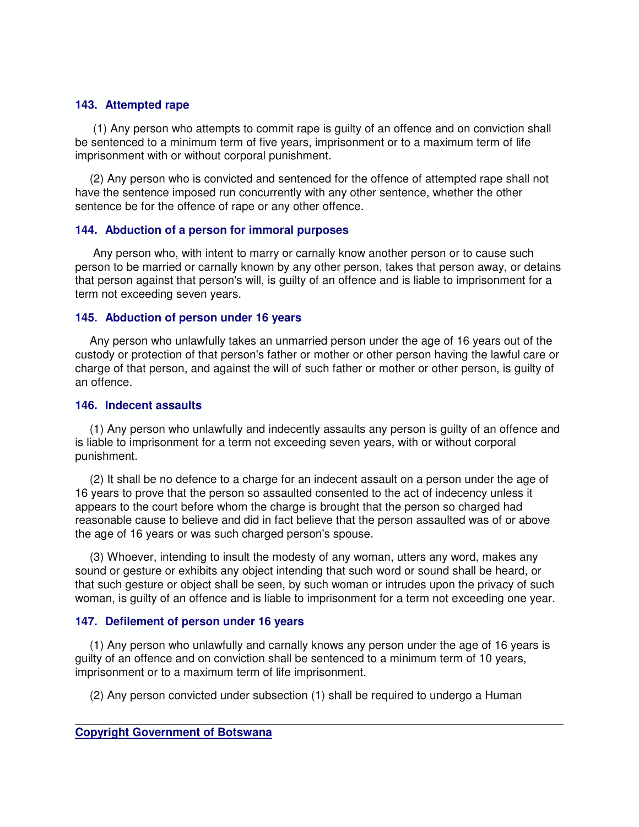### **143. Attempted rape**

 (1) Any person who attempts to commit rape is guilty of an offence and on conviction shall be sentenced to a minimum term of five years, imprisonment or to a maximum term of life imprisonment with or without corporal punishment.

 (2) Any person who is convicted and sentenced for the offence of attempted rape shall not have the sentence imposed run concurrently with any other sentence, whether the other sentence be for the offence of rape or any other offence.

### **144. Abduction of a person for immoral purposes**

 Any person who, with intent to marry or carnally know another person or to cause such person to be married or carnally known by any other person, takes that person away, or detains that person against that person's will, is guilty of an offence and is liable to imprisonment for a term not exceeding seven years.

### **145. Abduction of person under 16 years**

 Any person who unlawfully takes an unmarried person under the age of 16 years out of the custody or protection of that person's father or mother or other person having the lawful care or charge of that person, and against the will of such father or mother or other person, is guilty of an offence.

### **146. Indecent assaults**

 (1) Any person who unlawfully and indecently assaults any person is guilty of an offence and is liable to imprisonment for a term not exceeding seven years, with or without corporal punishment.

 (2) It shall be no defence to a charge for an indecent assault on a person under the age of 16 years to prove that the person so assaulted consented to the act of indecency unless it appears to the court before whom the charge is brought that the person so charged had reasonable cause to believe and did in fact believe that the person assaulted was of or above the age of 16 years or was such charged person's spouse.

 (3) Whoever, intending to insult the modesty of any woman, utters any word, makes any sound or gesture or exhibits any object intending that such word or sound shall be heard, or that such gesture or object shall be seen, by such woman or intrudes upon the privacy of such woman, is guilty of an offence and is liable to imprisonment for a term not exceeding one year.

## **147. Defilement of person under 16 years**

 (1) Any person who unlawfully and carnally knows any person under the age of 16 years is guilty of an offence and on conviction shall be sentenced to a minimum term of 10 years, imprisonment or to a maximum term of life imprisonment.

(2) Any person convicted under subsection (1) shall be required to undergo a Human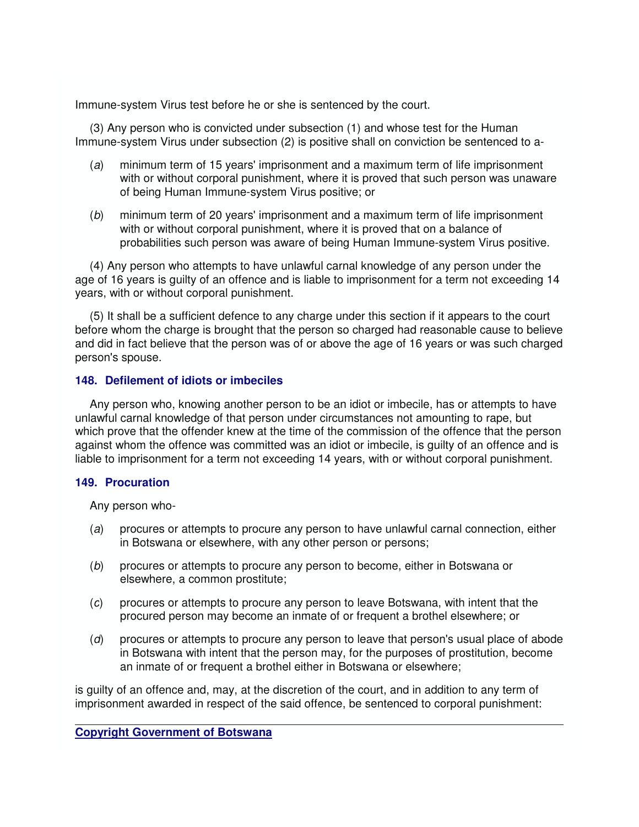Immune-system Virus test before he or she is sentenced by the court.

 (3) Any person who is convicted under subsection (1) and whose test for the Human Immune-system Virus under subsection (2) is positive shall on conviction be sentenced to a-

- (a) minimum term of 15 years' imprisonment and a maximum term of life imprisonment with or without corporal punishment, where it is proved that such person was unaware of being Human Immune-system Virus positive; or
- (b) minimum term of 20 years' imprisonment and a maximum term of life imprisonment with or without corporal punishment, where it is proved that on a balance of probabilities such person was aware of being Human Immune-system Virus positive.

 (4) Any person who attempts to have unlawful carnal knowledge of any person under the age of 16 years is guilty of an offence and is liable to imprisonment for a term not exceeding 14 years, with or without corporal punishment.

 (5) It shall be a sufficient defence to any charge under this section if it appears to the court before whom the charge is brought that the person so charged had reasonable cause to believe and did in fact believe that the person was of or above the age of 16 years or was such charged person's spouse.

## **148. Defilement of idiots or imbeciles**

 Any person who, knowing another person to be an idiot or imbecile, has or attempts to have unlawful carnal knowledge of that person under circumstances not amounting to rape, but which prove that the offender knew at the time of the commission of the offence that the person against whom the offence was committed was an idiot or imbecile, is guilty of an offence and is liable to imprisonment for a term not exceeding 14 years, with or without corporal punishment.

### **149. Procuration**

Any person who-

- (a) procures or attempts to procure any person to have unlawful carnal connection, either in Botswana or elsewhere, with any other person or persons;
- (b) procures or attempts to procure any person to become, either in Botswana or elsewhere, a common prostitute;
- (c) procures or attempts to procure any person to leave Botswana, with intent that the procured person may become an inmate of or frequent a brothel elsewhere; or
- (d) procures or attempts to procure any person to leave that person's usual place of abode in Botswana with intent that the person may, for the purposes of prostitution, become an inmate of or frequent a brothel either in Botswana or elsewhere;

is guilty of an offence and, may, at the discretion of the court, and in addition to any term of imprisonment awarded in respect of the said offence, be sentenced to corporal punishment: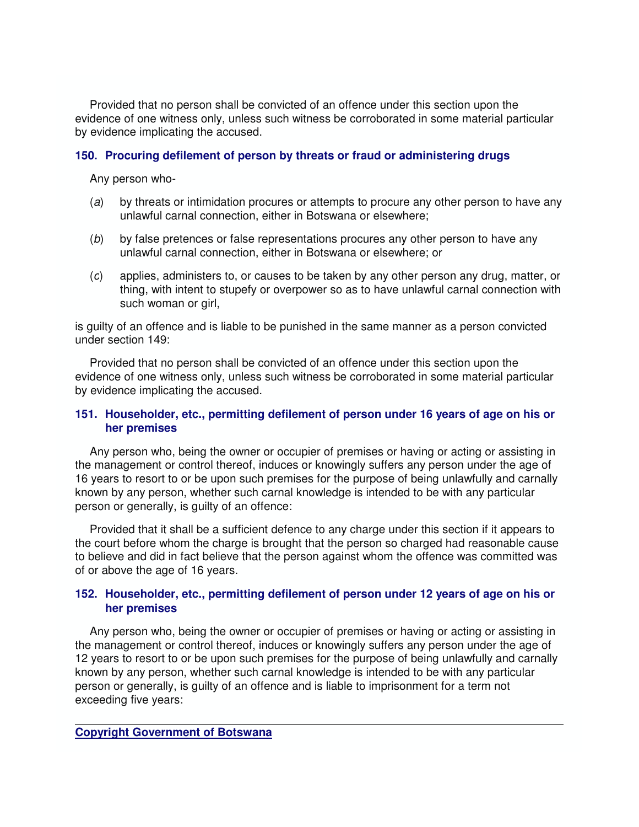Provided that no person shall be convicted of an offence under this section upon the evidence of one witness only, unless such witness be corroborated in some material particular by evidence implicating the accused.

## **150. Procuring defilement of person by threats or fraud or administering drugs**

Any person who-

- (a) by threats or intimidation procures or attempts to procure any other person to have any unlawful carnal connection, either in Botswana or elsewhere;
- (b) by false pretences or false representations procures any other person to have any unlawful carnal connection, either in Botswana or elsewhere; or
- (c) applies, administers to, or causes to be taken by any other person any drug, matter, or thing, with intent to stupefy or overpower so as to have unlawful carnal connection with such woman or girl,

is guilty of an offence and is liable to be punished in the same manner as a person convicted under section 149:

 Provided that no person shall be convicted of an offence under this section upon the evidence of one witness only, unless such witness be corroborated in some material particular by evidence implicating the accused.

# **151. Householder, etc., permitting defilement of person under 16 years of age on his or her premises**

 Any person who, being the owner or occupier of premises or having or acting or assisting in the management or control thereof, induces or knowingly suffers any person under the age of 16 years to resort to or be upon such premises for the purpose of being unlawfully and carnally known by any person, whether such carnal knowledge is intended to be with any particular person or generally, is guilty of an offence:

 Provided that it shall be a sufficient defence to any charge under this section if it appears to the court before whom the charge is brought that the person so charged had reasonable cause to believe and did in fact believe that the person against whom the offence was committed was of or above the age of 16 years.

# **152. Householder, etc., permitting defilement of person under 12 years of age on his or her premises**

 Any person who, being the owner or occupier of premises or having or acting or assisting in the management or control thereof, induces or knowingly suffers any person under the age of 12 years to resort to or be upon such premises for the purpose of being unlawfully and carnally known by any person, whether such carnal knowledge is intended to be with any particular person or generally, is guilty of an offence and is liable to imprisonment for a term not exceeding five years: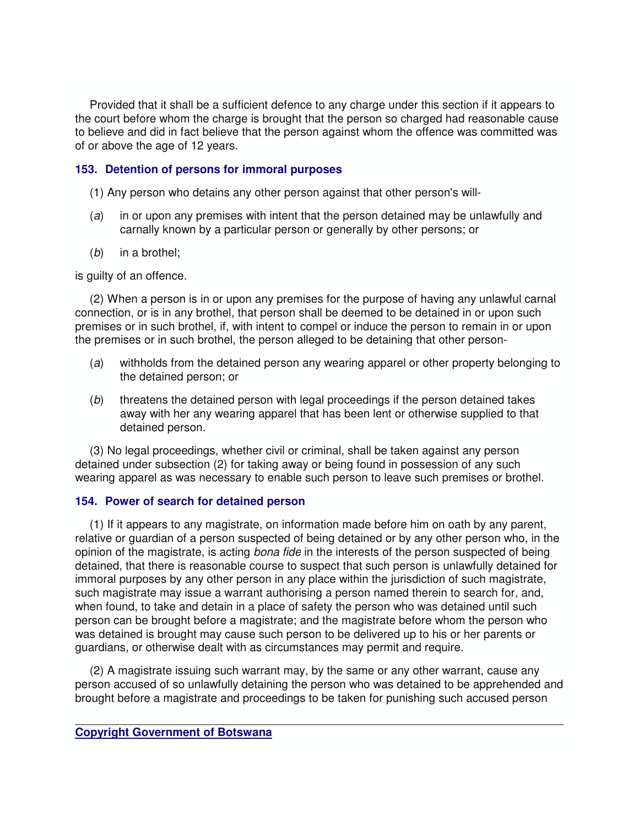Provided that it shall be a sufficient defence to any charge under this section if it appears to the court before whom the charge is brought that the person so charged had reasonable cause to believe and did in fact believe that the person against whom the offence was committed was of or above the age of 12 years.

### **153. Detention of persons for immoral purposes**

- (1) Any person who detains any other person against that other person's will-
- (a) in or upon any premises with intent that the person detained may be unlawfully and carnally known by a particular person or generally by other persons; or
- (b) in a brothel;

is guilty of an offence.

 (2) When a person is in or upon any premises for the purpose of having any unlawful carnal connection, or is in any brothel, that person shall be deemed to be detained in or upon such premises or in such brothel, if, with intent to compel or induce the person to remain in or upon the premises or in such brothel, the person alleged to be detaining that other person-

- (a) withholds from the detained person any wearing apparel or other property belonging to the detained person; or
- (b) threatens the detained person with legal proceedings if the person detained takes away with her any wearing apparel that has been lent or otherwise supplied to that detained person.

 (3) No legal proceedings, whether civil or criminal, shall be taken against any person detained under subsection (2) for taking away or being found in possession of any such wearing apparel as was necessary to enable such person to leave such premises or brothel.

### **154. Power of search for detained person**

 (1) If it appears to any magistrate, on information made before him on oath by any parent, relative or guardian of a person suspected of being detained or by any other person who, in the opinion of the magistrate, is acting bona fide in the interests of the person suspected of being detained, that there is reasonable course to suspect that such person is unlawfully detained for immoral purposes by any other person in any place within the jurisdiction of such magistrate, such magistrate may issue a warrant authorising a person named therein to search for, and, when found, to take and detain in a place of safety the person who was detained until such person can be brought before a magistrate; and the magistrate before whom the person who was detained is brought may cause such person to be delivered up to his or her parents or guardians, or otherwise dealt with as circumstances may permit and require.

 (2) A magistrate issuing such warrant may, by the same or any other warrant, cause any person accused of so unlawfully detaining the person who was detained to be apprehended and brought before a magistrate and proceedings to be taken for punishing such accused person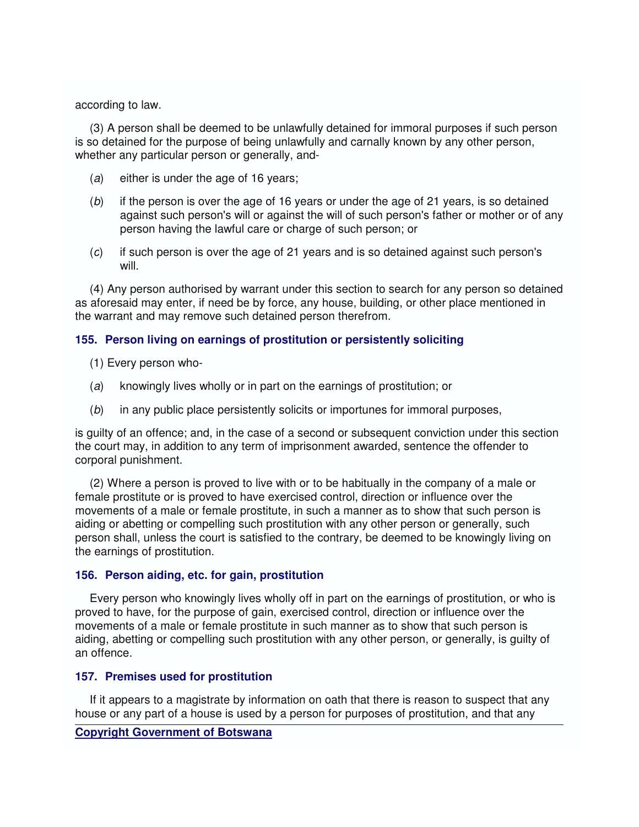according to law.

 (3) A person shall be deemed to be unlawfully detained for immoral purposes if such person is so detained for the purpose of being unlawfully and carnally known by any other person, whether any particular person or generally, and-

- (a) either is under the age of 16 years;
- (b) if the person is over the age of 16 years or under the age of 21 years, is so detained against such person's will or against the will of such person's father or mother or of any person having the lawful care or charge of such person; or
- (c) if such person is over the age of 21 years and is so detained against such person's will.

 (4) Any person authorised by warrant under this section to search for any person so detained as aforesaid may enter, if need be by force, any house, building, or other place mentioned in the warrant and may remove such detained person therefrom.

# **155. Person living on earnings of prostitution or persistently soliciting**

- (1) Every person who-
- (a) knowingly lives wholly or in part on the earnings of prostitution; or
- (b) in any public place persistently solicits or importunes for immoral purposes,

is guilty of an offence; and, in the case of a second or subsequent conviction under this section the court may, in addition to any term of imprisonment awarded, sentence the offender to corporal punishment.

 (2) Where a person is proved to live with or to be habitually in the company of a male or female prostitute or is proved to have exercised control, direction or influence over the movements of a male or female prostitute, in such a manner as to show that such person is aiding or abetting or compelling such prostitution with any other person or generally, such person shall, unless the court is satisfied to the contrary, be deemed to be knowingly living on the earnings of prostitution.

## **156. Person aiding, etc. for gain, prostitution**

 Every person who knowingly lives wholly off in part on the earnings of prostitution, or who is proved to have, for the purpose of gain, exercised control, direction or influence over the movements of a male or female prostitute in such manner as to show that such person is aiding, abetting or compelling such prostitution with any other person, or generally, is guilty of an offence.

## **157. Premises used for prostitution**

 If it appears to a magistrate by information on oath that there is reason to suspect that any house or any part of a house is used by a person for purposes of prostitution, and that any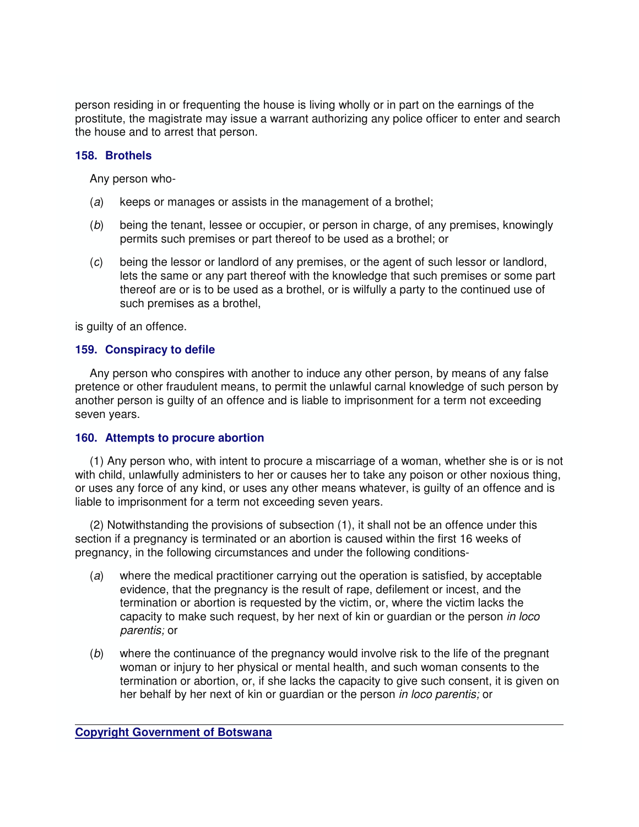person residing in or frequenting the house is living wholly or in part on the earnings of the prostitute, the magistrate may issue a warrant authorizing any police officer to enter and search the house and to arrest that person.

### **158. Brothels**

Any person who-

- (a) keeps or manages or assists in the management of a brothel;
- (b) being the tenant, lessee or occupier, or person in charge, of any premises, knowingly permits such premises or part thereof to be used as a brothel; or
- (c) being the lessor or landlord of any premises, or the agent of such lessor or landlord, lets the same or any part thereof with the knowledge that such premises or some part thereof are or is to be used as a brothel, or is wilfully a party to the continued use of such premises as a brothel,

is guilty of an offence.

### **159. Conspiracy to defile**

 Any person who conspires with another to induce any other person, by means of any false pretence or other fraudulent means, to permit the unlawful carnal knowledge of such person by another person is guilty of an offence and is liable to imprisonment for a term not exceeding seven years.

## **160. Attempts to procure abortion**

 (1) Any person who, with intent to procure a miscarriage of a woman, whether she is or is not with child, unlawfully administers to her or causes her to take any poison or other noxious thing, or uses any force of any kind, or uses any other means whatever, is guilty of an offence and is liable to imprisonment for a term not exceeding seven years.

 (2) Notwithstanding the provisions of subsection (1), it shall not be an offence under this section if a pregnancy is terminated or an abortion is caused within the first 16 weeks of pregnancy, in the following circumstances and under the following conditions-

- (a) where the medical practitioner carrying out the operation is satisfied, by acceptable evidence, that the pregnancy is the result of rape, defilement or incest, and the termination or abortion is requested by the victim, or, where the victim lacks the capacity to make such request, by her next of kin or guardian or the person in loco parentis; or
- (b) where the continuance of the pregnancy would involve risk to the life of the pregnant woman or injury to her physical or mental health, and such woman consents to the termination or abortion, or, if she lacks the capacity to give such consent, it is given on her behalf by her next of kin or guardian or the person in loco parentis; or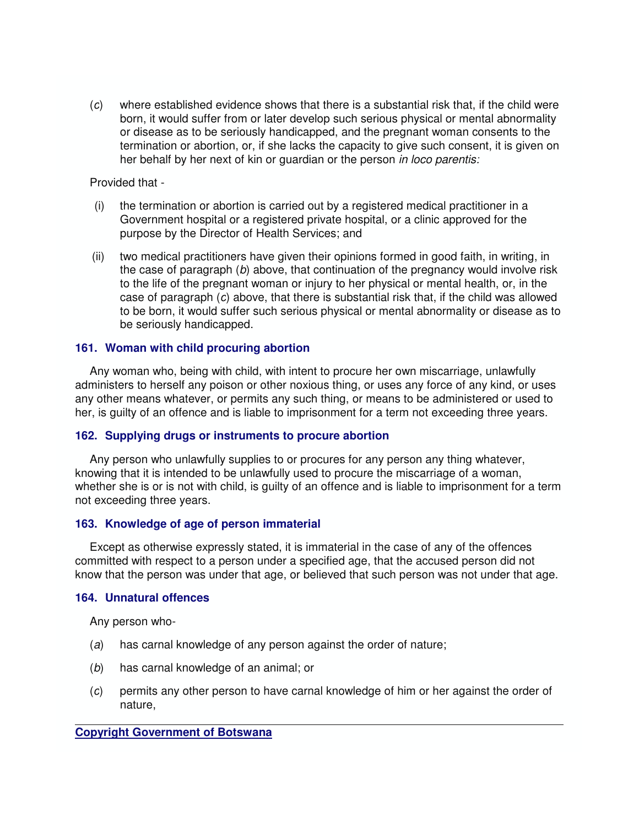(c) where established evidence shows that there is a substantial risk that, if the child were born, it would suffer from or later develop such serious physical or mental abnormality or disease as to be seriously handicapped, and the pregnant woman consents to the termination or abortion, or, if she lacks the capacity to give such consent, it is given on her behalf by her next of kin or guardian or the person in loco parentis:

Provided that -

- (i) the termination or abortion is carried out by a registered medical practitioner in a Government hospital or a registered private hospital, or a clinic approved for the purpose by the Director of Health Services; and
- (ii) two medical practitioners have given their opinions formed in good faith, in writing, in the case of paragraph (b) above, that continuation of the pregnancy would involve risk to the life of the pregnant woman or injury to her physical or mental health, or, in the case of paragraph (c) above, that there is substantial risk that, if the child was allowed to be born, it would suffer such serious physical or mental abnormality or disease as to be seriously handicapped.

### **161. Woman with child procuring abortion**

 Any woman who, being with child, with intent to procure her own miscarriage, unlawfully administers to herself any poison or other noxious thing, or uses any force of any kind, or uses any other means whatever, or permits any such thing, or means to be administered or used to her, is guilty of an offence and is liable to imprisonment for a term not exceeding three years.

### **162. Supplying drugs or instruments to procure abortion**

 Any person who unlawfully supplies to or procures for any person any thing whatever, knowing that it is intended to be unlawfully used to procure the miscarriage of a woman, whether she is or is not with child, is guilty of an offence and is liable to imprisonment for a term not exceeding three years.

### **163. Knowledge of age of person immaterial**

 Except as otherwise expressly stated, it is immaterial in the case of any of the offences committed with respect to a person under a specified age, that the accused person did not know that the person was under that age, or believed that such person was not under that age.

### **164. Unnatural offences**

Any person who-

- (a) has carnal knowledge of any person against the order of nature;
- (b) has carnal knowledge of an animal; or
- (c) permits any other person to have carnal knowledge of him or her against the order of nature,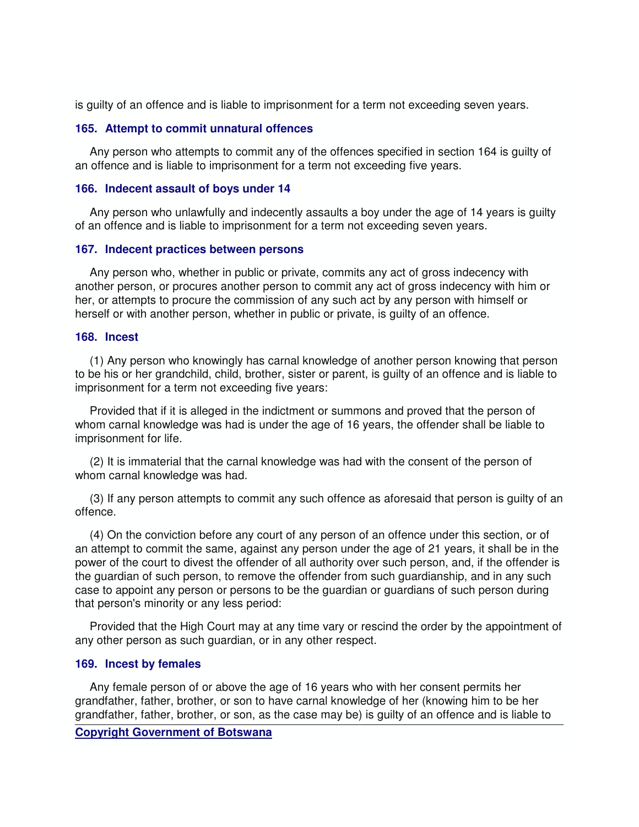is guilty of an offence and is liable to imprisonment for a term not exceeding seven years.

### **165. Attempt to commit unnatural offences**

 Any person who attempts to commit any of the offences specified in section 164 is guilty of an offence and is liable to imprisonment for a term not exceeding five years.

#### **166. Indecent assault of boys under 14**

 Any person who unlawfully and indecently assaults a boy under the age of 14 years is guilty of an offence and is liable to imprisonment for a term not exceeding seven years.

#### **167. Indecent practices between persons**

 Any person who, whether in public or private, commits any act of gross indecency with another person, or procures another person to commit any act of gross indecency with him or her, or attempts to procure the commission of any such act by any person with himself or herself or with another person, whether in public or private, is guilty of an offence.

#### **168. Incest**

 (1) Any person who knowingly has carnal knowledge of another person knowing that person to be his or her grandchild, child, brother, sister or parent, is guilty of an offence and is liable to imprisonment for a term not exceeding five years:

 Provided that if it is alleged in the indictment or summons and proved that the person of whom carnal knowledge was had is under the age of 16 years, the offender shall be liable to imprisonment for life.

 (2) It is immaterial that the carnal knowledge was had with the consent of the person of whom carnal knowledge was had.

 (3) If any person attempts to commit any such offence as aforesaid that person is guilty of an offence.

 (4) On the conviction before any court of any person of an offence under this section, or of an attempt to commit the same, against any person under the age of 21 years, it shall be in the power of the court to divest the offender of all authority over such person, and, if the offender is the guardian of such person, to remove the offender from such guardianship, and in any such case to appoint any person or persons to be the guardian or guardians of such person during that person's minority or any less period:

 Provided that the High Court may at any time vary or rescind the order by the appointment of any other person as such guardian, or in any other respect.

#### **169. Incest by females**

 Any female person of or above the age of 16 years who with her consent permits her grandfather, father, brother, or son to have carnal knowledge of her (knowing him to be her grandfather, father, brother, or son, as the case may be) is guilty of an offence and is liable to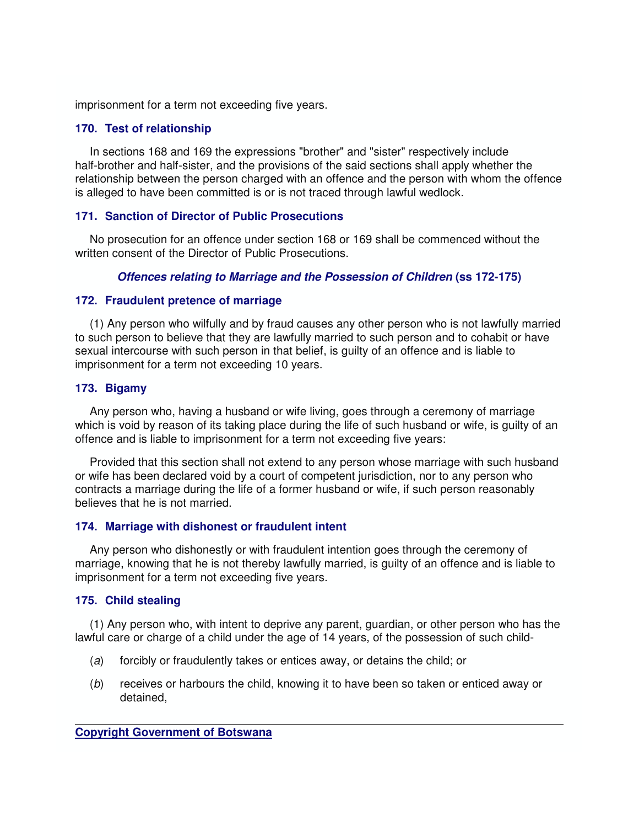imprisonment for a term not exceeding five years.

### **170. Test of relationship**

 In sections 168 and 169 the expressions "brother" and "sister" respectively include half-brother and half-sister, and the provisions of the said sections shall apply whether the relationship between the person charged with an offence and the person with whom the offence is alleged to have been committed is or is not traced through lawful wedlock.

## **171. Sanction of Director of Public Prosecutions**

 No prosecution for an offence under section 168 or 169 shall be commenced without the written consent of the Director of Public Prosecutions.

### **Offences relating to Marriage and the Possession of Children (ss 172-175)**

### **172. Fraudulent pretence of marriage**

 (1) Any person who wilfully and by fraud causes any other person who is not lawfully married to such person to believe that they are lawfully married to such person and to cohabit or have sexual intercourse with such person in that belief, is guilty of an offence and is liable to imprisonment for a term not exceeding 10 years.

### **173. Bigamy**

 Any person who, having a husband or wife living, goes through a ceremony of marriage which is void by reason of its taking place during the life of such husband or wife, is guilty of an offence and is liable to imprisonment for a term not exceeding five years:

 Provided that this section shall not extend to any person whose marriage with such husband or wife has been declared void by a court of competent jurisdiction, nor to any person who contracts a marriage during the life of a former husband or wife, if such person reasonably believes that he is not married.

### **174. Marriage with dishonest or fraudulent intent**

 Any person who dishonestly or with fraudulent intention goes through the ceremony of marriage, knowing that he is not thereby lawfully married, is guilty of an offence and is liable to imprisonment for a term not exceeding five years.

## **175. Child stealing**

 (1) Any person who, with intent to deprive any parent, guardian, or other person who has the lawful care or charge of a child under the age of 14 years, of the possession of such child-

- (a) forcibly or fraudulently takes or entices away, or detains the child; or
- (b) receives or harbours the child, knowing it to have been so taken or enticed away or detained,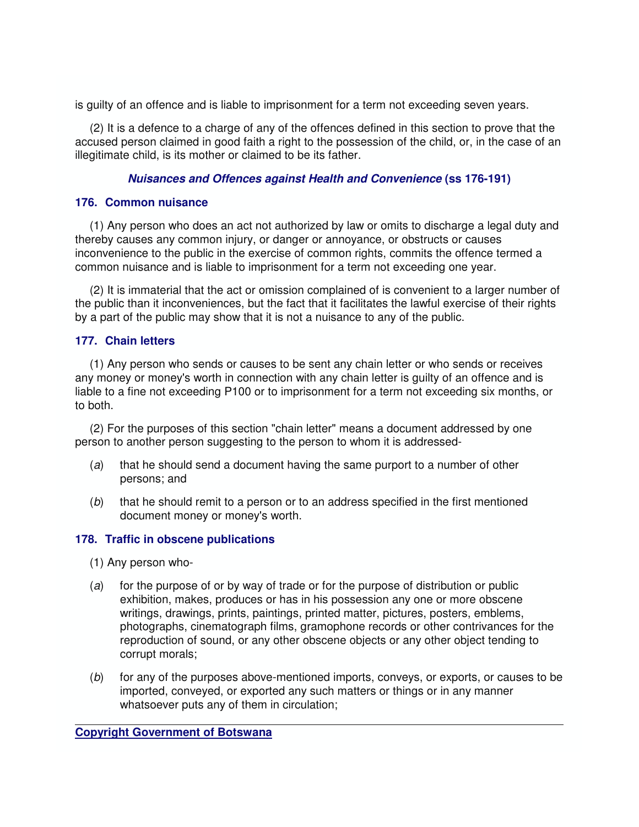is guilty of an offence and is liable to imprisonment for a term not exceeding seven years.

 (2) It is a defence to a charge of any of the offences defined in this section to prove that the accused person claimed in good faith a right to the possession of the child, or, in the case of an illegitimate child, is its mother or claimed to be its father.

# **Nuisances and Offences against Health and Convenience (ss 176-191)**

### **176. Common nuisance**

 (1) Any person who does an act not authorized by law or omits to discharge a legal duty and thereby causes any common injury, or danger or annoyance, or obstructs or causes inconvenience to the public in the exercise of common rights, commits the offence termed a common nuisance and is liable to imprisonment for a term not exceeding one year.

 (2) It is immaterial that the act or omission complained of is convenient to a larger number of the public than it inconveniences, but the fact that it facilitates the lawful exercise of their rights by a part of the public may show that it is not a nuisance to any of the public.

## **177. Chain letters**

 (1) Any person who sends or causes to be sent any chain letter or who sends or receives any money or money's worth in connection with any chain letter is guilty of an offence and is liable to a fine not exceeding P100 or to imprisonment for a term not exceeding six months, or to both.

 (2) For the purposes of this section "chain letter" means a document addressed by one person to another person suggesting to the person to whom it is addressed-

- (a) that he should send a document having the same purport to a number of other persons; and
- $(b)$  that he should remit to a person or to an address specified in the first mentioned document money or money's worth.

## **178. Traffic in obscene publications**

- (1) Any person who-
- (a) for the purpose of or by way of trade or for the purpose of distribution or public exhibition, makes, produces or has in his possession any one or more obscene writings, drawings, prints, paintings, printed matter, pictures, posters, emblems, photographs, cinematograph films, gramophone records or other contrivances for the reproduction of sound, or any other obscene objects or any other object tending to corrupt morals;
- (b) for any of the purposes above-mentioned imports, conveys, or exports, or causes to be imported, conveyed, or exported any such matters or things or in any manner whatsoever puts any of them in circulation;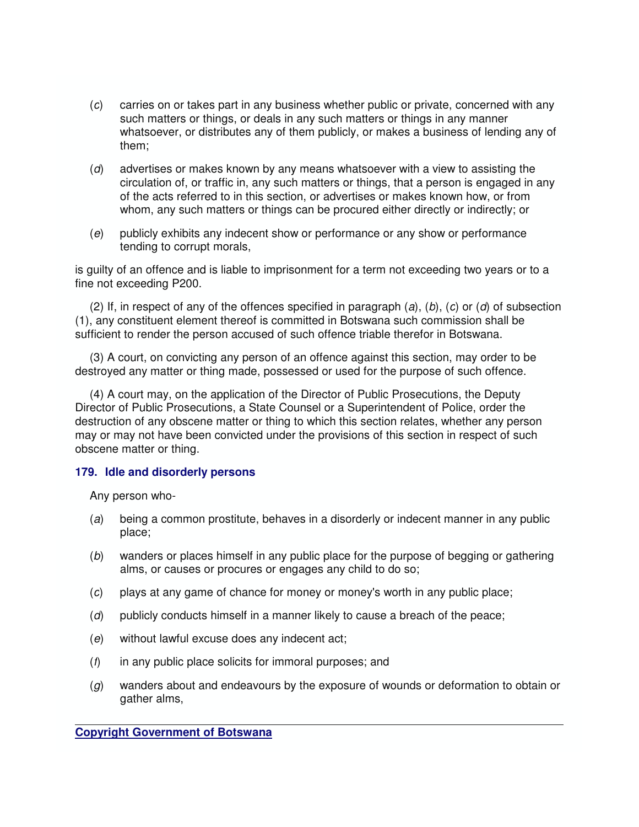- (c) carries on or takes part in any business whether public or private, concerned with any such matters or things, or deals in any such matters or things in any manner whatsoever, or distributes any of them publicly, or makes a business of lending any of them;
- (d) advertises or makes known by any means whatsoever with a view to assisting the circulation of, or traffic in, any such matters or things, that a person is engaged in any of the acts referred to in this section, or advertises or makes known how, or from whom, any such matters or things can be procured either directly or indirectly; or
- (e) publicly exhibits any indecent show or performance or any show or performance tending to corrupt morals,

is guilty of an offence and is liable to imprisonment for a term not exceeding two years or to a fine not exceeding P200.

(2) If, in respect of any of the offences specified in paragraph  $(a)$ ,  $(b)$ ,  $(c)$  or  $(d)$  of subsection (1), any constituent element thereof is committed in Botswana such commission shall be sufficient to render the person accused of such offence triable therefor in Botswana.

 (3) A court, on convicting any person of an offence against this section, may order to be destroyed any matter or thing made, possessed or used for the purpose of such offence.

 (4) A court may, on the application of the Director of Public Prosecutions, the Deputy Director of Public Prosecutions, a State Counsel or a Superintendent of Police, order the destruction of any obscene matter or thing to which this section relates, whether any person may or may not have been convicted under the provisions of this section in respect of such obscene matter or thing.

## **179. Idle and disorderly persons**

Any person who-

- (a) being a common prostitute, behaves in a disorderly or indecent manner in any public place;
- (b) wanders or places himself in any public place for the purpose of begging or gathering alms, or causes or procures or engages any child to do so;
- (c) plays at any game of chance for money or money's worth in any public place;
- (d) publicly conducts himself in a manner likely to cause a breach of the peace;
- (e) without lawful excuse does any indecent act;
- $(f)$  in any public place solicits for immoral purposes; and
- (g) wanders about and endeavours by the exposure of wounds or deformation to obtain or gather alms,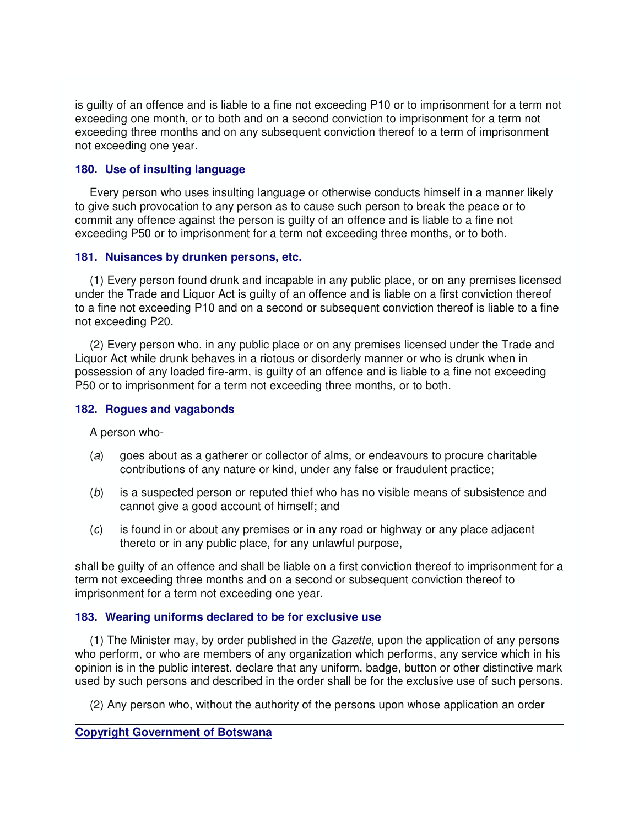is guilty of an offence and is liable to a fine not exceeding P10 or to imprisonment for a term not exceeding one month, or to both and on a second conviction to imprisonment for a term not exceeding three months and on any subsequent conviction thereof to a term of imprisonment not exceeding one year.

## **180. Use of insulting language**

 Every person who uses insulting language or otherwise conducts himself in a manner likely to give such provocation to any person as to cause such person to break the peace or to commit any offence against the person is guilty of an offence and is liable to a fine not exceeding P50 or to imprisonment for a term not exceeding three months, or to both.

# **181. Nuisances by drunken persons, etc.**

 (1) Every person found drunk and incapable in any public place, or on any premises licensed under the Trade and Liquor Act is guilty of an offence and is liable on a first conviction thereof to a fine not exceeding P10 and on a second or subsequent conviction thereof is liable to a fine not exceeding P20.

 (2) Every person who, in any public place or on any premises licensed under the Trade and Liquor Act while drunk behaves in a riotous or disorderly manner or who is drunk when in possession of any loaded fire-arm, is guilty of an offence and is liable to a fine not exceeding P50 or to imprisonment for a term not exceeding three months, or to both.

# **182. Rogues and vagabonds**

A person who-

- (a) goes about as a gatherer or collector of alms, or endeavours to procure charitable contributions of any nature or kind, under any false or fraudulent practice;
- (b) is a suspected person or reputed thief who has no visible means of subsistence and cannot give a good account of himself; and
- (c) is found in or about any premises or in any road or highway or any place adjacent thereto or in any public place, for any unlawful purpose,

shall be guilty of an offence and shall be liable on a first conviction thereof to imprisonment for a term not exceeding three months and on a second or subsequent conviction thereof to imprisonment for a term not exceeding one year.

## **183. Wearing uniforms declared to be for exclusive use**

 (1) The Minister may, by order published in the Gazette, upon the application of any persons who perform, or who are members of any organization which performs, any service which in his opinion is in the public interest, declare that any uniform, badge, button or other distinctive mark used by such persons and described in the order shall be for the exclusive use of such persons.

(2) Any person who, without the authority of the persons upon whose application an order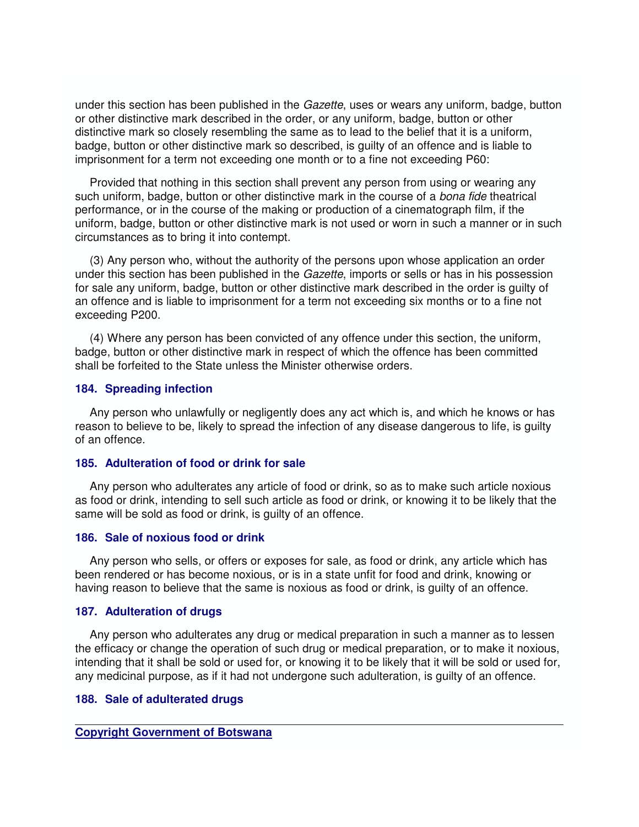under this section has been published in the *Gazette*, uses or wears any uniform, badge, button or other distinctive mark described in the order, or any uniform, badge, button or other distinctive mark so closely resembling the same as to lead to the belief that it is a uniform, badge, button or other distinctive mark so described, is guilty of an offence and is liable to imprisonment for a term not exceeding one month or to a fine not exceeding P60:

 Provided that nothing in this section shall prevent any person from using or wearing any such uniform, badge, button or other distinctive mark in the course of a *bona fide* theatrical performance, or in the course of the making or production of a cinematograph film, if the uniform, badge, button or other distinctive mark is not used or worn in such a manner or in such circumstances as to bring it into contempt.

 (3) Any person who, without the authority of the persons upon whose application an order under this section has been published in the *Gazette*, imports or sells or has in his possession for sale any uniform, badge, button or other distinctive mark described in the order is guilty of an offence and is liable to imprisonment for a term not exceeding six months or to a fine not exceeding P200.

 (4) Where any person has been convicted of any offence under this section, the uniform, badge, button or other distinctive mark in respect of which the offence has been committed shall be forfeited to the State unless the Minister otherwise orders.

#### **184. Spreading infection**

 Any person who unlawfully or negligently does any act which is, and which he knows or has reason to believe to be, likely to spread the infection of any disease dangerous to life, is guilty of an offence.

#### **185. Adulteration of food or drink for sale**

 Any person who adulterates any article of food or drink, so as to make such article noxious as food or drink, intending to sell such article as food or drink, or knowing it to be likely that the same will be sold as food or drink, is guilty of an offence.

#### **186. Sale of noxious food or drink**

 Any person who sells, or offers or exposes for sale, as food or drink, any article which has been rendered or has become noxious, or is in a state unfit for food and drink, knowing or having reason to believe that the same is noxious as food or drink, is guilty of an offence.

#### **187. Adulteration of drugs**

 Any person who adulterates any drug or medical preparation in such a manner as to lessen the efficacy or change the operation of such drug or medical preparation, or to make it noxious, intending that it shall be sold or used for, or knowing it to be likely that it will be sold or used for, any medicinal purpose, as if it had not undergone such adulteration, is guilty of an offence.

#### **188. Sale of adulterated drugs**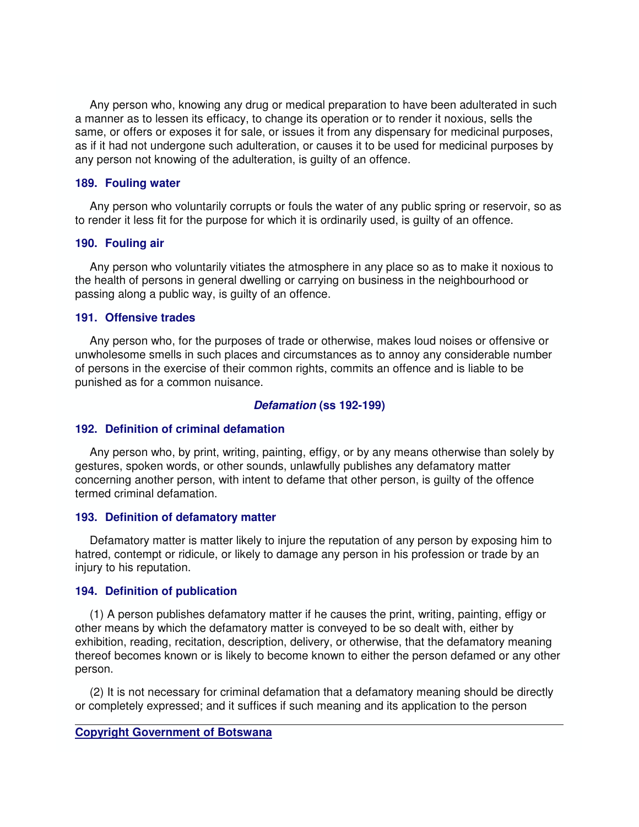Any person who, knowing any drug or medical preparation to have been adulterated in such a manner as to lessen its efficacy, to change its operation or to render it noxious, sells the same, or offers or exposes it for sale, or issues it from any dispensary for medicinal purposes, as if it had not undergone such adulteration, or causes it to be used for medicinal purposes by any person not knowing of the adulteration, is guilty of an offence.

#### **189. Fouling water**

 Any person who voluntarily corrupts or fouls the water of any public spring or reservoir, so as to render it less fit for the purpose for which it is ordinarily used, is guilty of an offence.

### **190. Fouling air**

 Any person who voluntarily vitiates the atmosphere in any place so as to make it noxious to the health of persons in general dwelling or carrying on business in the neighbourhood or passing along a public way, is guilty of an offence.

#### **191. Offensive trades**

 Any person who, for the purposes of trade or otherwise, makes loud noises or offensive or unwholesome smells in such places and circumstances as to annoy any considerable number of persons in the exercise of their common rights, commits an offence and is liable to be punished as for a common nuisance.

#### **Defamation (ss 192-199)**

### **192. Definition of criminal defamation**

 Any person who, by print, writing, painting, effigy, or by any means otherwise than solely by gestures, spoken words, or other sounds, unlawfully publishes any defamatory matter concerning another person, with intent to defame that other person, is guilty of the offence termed criminal defamation.

### **193. Definition of defamatory matter**

 Defamatory matter is matter likely to injure the reputation of any person by exposing him to hatred, contempt or ridicule, or likely to damage any person in his profession or trade by an injury to his reputation.

#### **194. Definition of publication**

 (1) A person publishes defamatory matter if he causes the print, writing, painting, effigy or other means by which the defamatory matter is conveyed to be so dealt with, either by exhibition, reading, recitation, description, delivery, or otherwise, that the defamatory meaning thereof becomes known or is likely to become known to either the person defamed or any other person.

 (2) It is not necessary for criminal defamation that a defamatory meaning should be directly or completely expressed; and it suffices if such meaning and its application to the person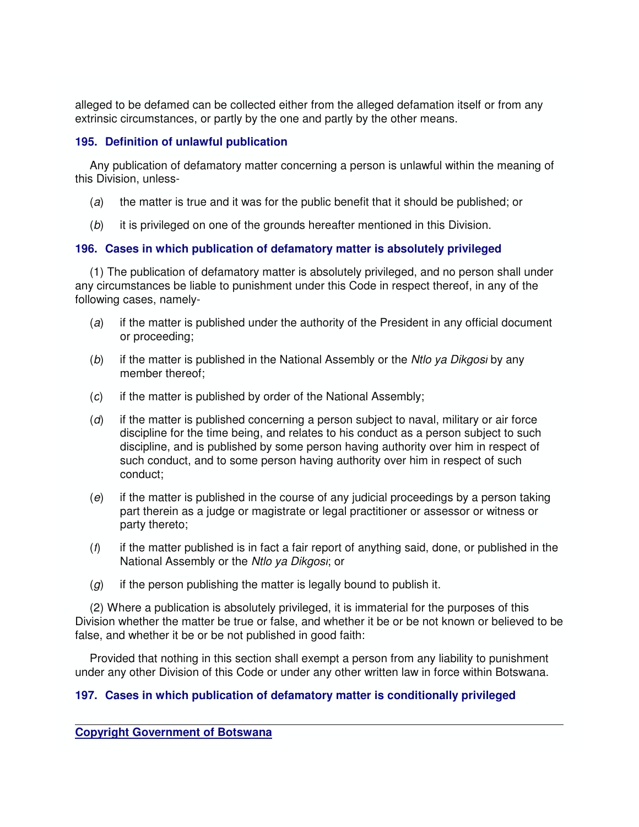alleged to be defamed can be collected either from the alleged defamation itself or from any extrinsic circumstances, or partly by the one and partly by the other means.

# **195. Definition of unlawful publication**

 Any publication of defamatory matter concerning a person is unlawful within the meaning of this Division, unless-

- (a) the matter is true and it was for the public benefit that it should be published; or
- (b) it is privileged on one of the grounds hereafter mentioned in this Division.

# **196. Cases in which publication of defamatory matter is absolutely privileged**

 (1) The publication of defamatory matter is absolutely privileged, and no person shall under any circumstances be liable to punishment under this Code in respect thereof, in any of the following cases, namely-

- (a) if the matter is published under the authority of the President in any official document or proceeding;
- (b) if the matter is published in the National Assembly or the *Ntlo ya Dikgosi* by any member thereof;
- (c) if the matter is published by order of the National Assembly;
- (d) if the matter is published concerning a person subject to naval, military or air force discipline for the time being, and relates to his conduct as a person subject to such discipline, and is published by some person having authority over him in respect of such conduct, and to some person having authority over him in respect of such conduct;
- (e) if the matter is published in the course of any judicial proceedings by a person taking part therein as a judge or magistrate or legal practitioner or assessor or witness or party thereto;
- $(f)$  if the matter published is in fact a fair report of anything said, done, or published in the National Assembly or the Ntlo ya Dikgosi; or
- $(g)$  if the person publishing the matter is legally bound to publish it.

 (2) Where a publication is absolutely privileged, it is immaterial for the purposes of this Division whether the matter be true or false, and whether it be or be not known or believed to be false, and whether it be or be not published in good faith:

 Provided that nothing in this section shall exempt a person from any liability to punishment under any other Division of this Code or under any other written law in force within Botswana.

# **197. Cases in which publication of defamatory matter is conditionally privileged**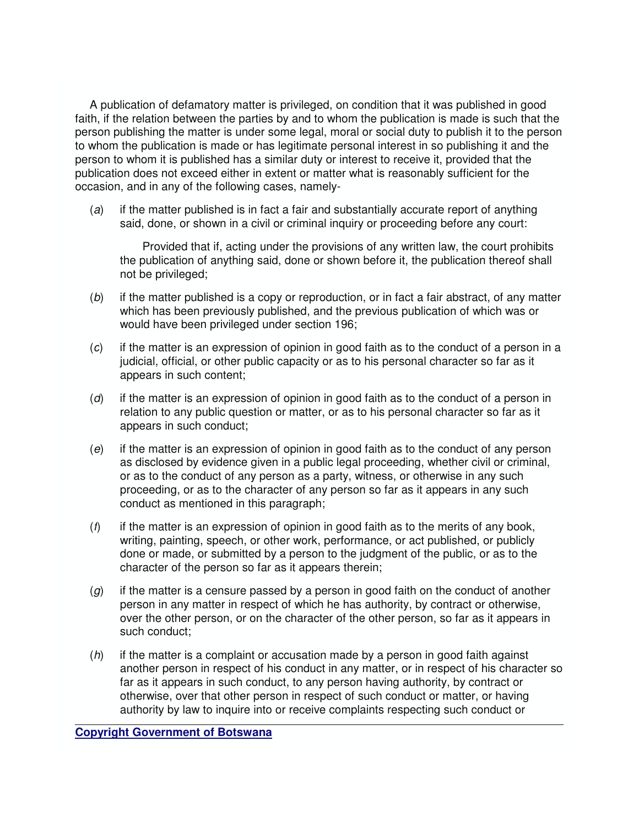A publication of defamatory matter is privileged, on condition that it was published in good faith, if the relation between the parties by and to whom the publication is made is such that the person publishing the matter is under some legal, moral or social duty to publish it to the person to whom the publication is made or has legitimate personal interest in so publishing it and the person to whom it is published has a similar duty or interest to receive it, provided that the publication does not exceed either in extent or matter what is reasonably sufficient for the occasion, and in any of the following cases, namely-

 $(a)$  if the matter published is in fact a fair and substantially accurate report of anything said, done, or shown in a civil or criminal inquiry or proceeding before any court:

 Provided that if, acting under the provisions of any written law, the court prohibits the publication of anything said, done or shown before it, the publication thereof shall not be privileged;

- $(b)$  if the matter published is a copy or reproduction, or in fact a fair abstract, of any matter which has been previously published, and the previous publication of which was or would have been privileged under section 196;
- (c) if the matter is an expression of opinion in good faith as to the conduct of a person in a judicial, official, or other public capacity or as to his personal character so far as it appears in such content;
- (d) if the matter is an expression of opinion in good faith as to the conduct of a person in relation to any public question or matter, or as to his personal character so far as it appears in such conduct;
- (e) if the matter is an expression of opinion in good faith as to the conduct of any person as disclosed by evidence given in a public legal proceeding, whether civil or criminal, or as to the conduct of any person as a party, witness, or otherwise in any such proceeding, or as to the character of any person so far as it appears in any such conduct as mentioned in this paragraph;
- $(f)$  if the matter is an expression of opinion in good faith as to the merits of any book, writing, painting, speech, or other work, performance, or act published, or publicly done or made, or submitted by a person to the judgment of the public, or as to the character of the person so far as it appears therein;
- $(g)$  if the matter is a censure passed by a person in good faith on the conduct of another person in any matter in respect of which he has authority, by contract or otherwise, over the other person, or on the character of the other person, so far as it appears in such conduct;
- $(h)$  if the matter is a complaint or accusation made by a person in good faith against another person in respect of his conduct in any matter, or in respect of his character so far as it appears in such conduct, to any person having authority, by contract or otherwise, over that other person in respect of such conduct or matter, or having authority by law to inquire into or receive complaints respecting such conduct or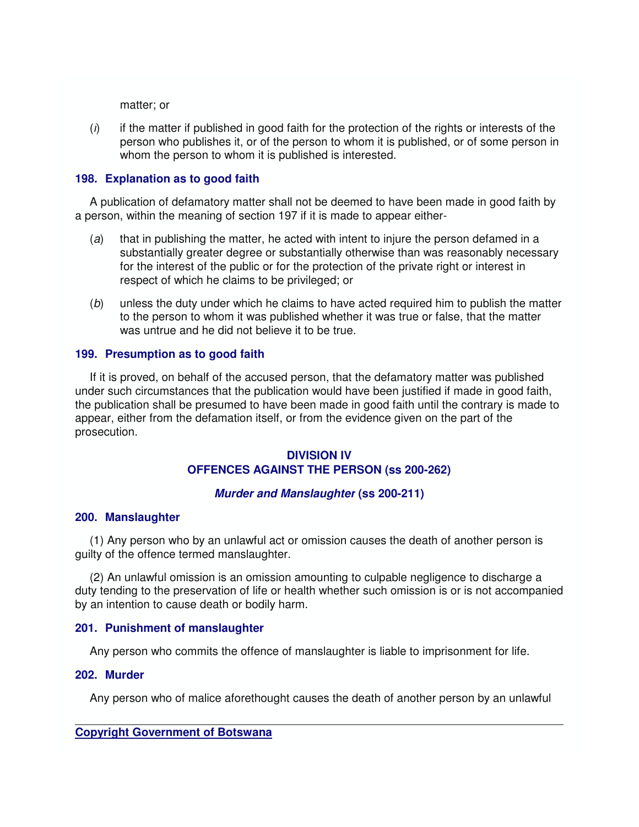matter; or

 $(i)$  if the matter if published in good faith for the protection of the rights or interests of the person who publishes it, or of the person to whom it is published, or of some person in whom the person to whom it is published is interested.

# **198. Explanation as to good faith**

 A publication of defamatory matter shall not be deemed to have been made in good faith by a person, within the meaning of section 197 if it is made to appear either-

- $(a)$  that in publishing the matter, he acted with intent to injure the person defamed in a substantially greater degree or substantially otherwise than was reasonably necessary for the interest of the public or for the protection of the private right or interest in respect of which he claims to be privileged; or
- (b) unless the duty under which he claims to have acted required him to publish the matter to the person to whom it was published whether it was true or false, that the matter was untrue and he did not believe it to be true.

### **199. Presumption as to good faith**

 If it is proved, on behalf of the accused person, that the defamatory matter was published under such circumstances that the publication would have been justified if made in good faith, the publication shall be presumed to have been made in good faith until the contrary is made to appear, either from the defamation itself, or from the evidence given on the part of the prosecution.

# **DIVISION IV OFFENCES AGAINST THE PERSON (ss 200-262)**

### **Murder and Manslaughter (ss 200-211)**

### **200. Manslaughter**

 (1) Any person who by an unlawful act or omission causes the death of another person is guilty of the offence termed manslaughter.

 (2) An unlawful omission is an omission amounting to culpable negligence to discharge a duty tending to the preservation of life or health whether such omission is or is not accompanied by an intention to cause death or bodily harm.

### **201. Punishment of manslaughter**

Any person who commits the offence of manslaughter is liable to imprisonment for life.

### **202. Murder**

Any person who of malice aforethought causes the death of another person by an unlawful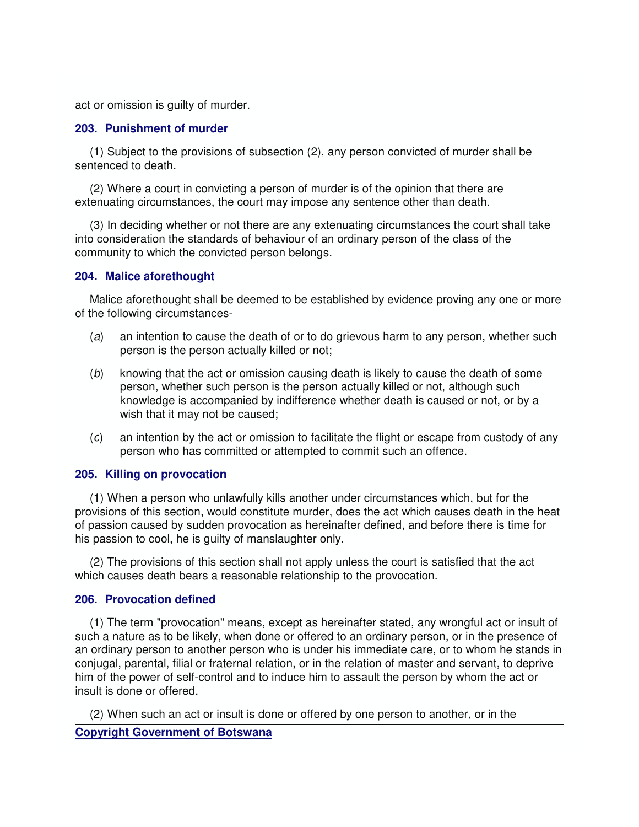act or omission is guilty of murder.

# **203. Punishment of murder**

 (1) Subject to the provisions of subsection (2), any person convicted of murder shall be sentenced to death.

 (2) Where a court in convicting a person of murder is of the opinion that there are extenuating circumstances, the court may impose any sentence other than death.

 (3) In deciding whether or not there are any extenuating circumstances the court shall take into consideration the standards of behaviour of an ordinary person of the class of the community to which the convicted person belongs.

### **204. Malice aforethought**

 Malice aforethought shall be deemed to be established by evidence proving any one or more of the following circumstances-

- (a) an intention to cause the death of or to do grievous harm to any person, whether such person is the person actually killed or not;
- (b) knowing that the act or omission causing death is likely to cause the death of some person, whether such person is the person actually killed or not, although such knowledge is accompanied by indifference whether death is caused or not, or by a wish that it may not be caused;
- (c) an intention by the act or omission to facilitate the flight or escape from custody of any person who has committed or attempted to commit such an offence.

### **205. Killing on provocation**

 (1) When a person who unlawfully kills another under circumstances which, but for the provisions of this section, would constitute murder, does the act which causes death in the heat of passion caused by sudden provocation as hereinafter defined, and before there is time for his passion to cool, he is guilty of manslaughter only.

 (2) The provisions of this section shall not apply unless the court is satisfied that the act which causes death bears a reasonable relationship to the provocation.

#### **206. Provocation defined**

 (1) The term "provocation" means, except as hereinafter stated, any wrongful act or insult of such a nature as to be likely, when done or offered to an ordinary person, or in the presence of an ordinary person to another person who is under his immediate care, or to whom he stands in conjugal, parental, filial or fraternal relation, or in the relation of master and servant, to deprive him of the power of self-control and to induce him to assault the person by whom the act or insult is done or offered.

**Copyright Government of Botswana** (2) When such an act or insult is done or offered by one person to another, or in the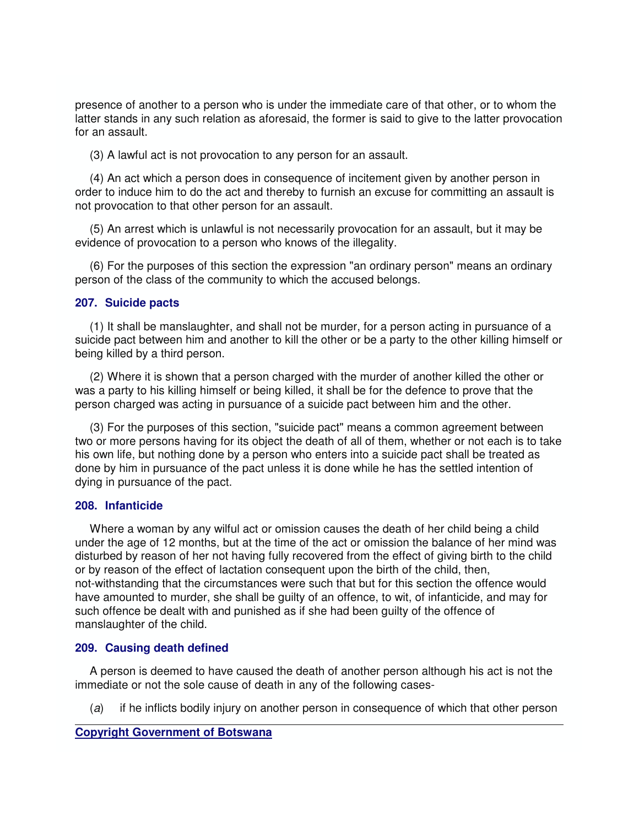presence of another to a person who is under the immediate care of that other, or to whom the latter stands in any such relation as aforesaid, the former is said to give to the latter provocation for an assault.

(3) A lawful act is not provocation to any person for an assault.

 (4) An act which a person does in consequence of incitement given by another person in order to induce him to do the act and thereby to furnish an excuse for committing an assault is not provocation to that other person for an assault.

 (5) An arrest which is unlawful is not necessarily provocation for an assault, but it may be evidence of provocation to a person who knows of the illegality.

 (6) For the purposes of this section the expression "an ordinary person" means an ordinary person of the class of the community to which the accused belongs.

### **207. Suicide pacts**

 (1) It shall be manslaughter, and shall not be murder, for a person acting in pursuance of a suicide pact between him and another to kill the other or be a party to the other killing himself or being killed by a third person.

 (2) Where it is shown that a person charged with the murder of another killed the other or was a party to his killing himself or being killed, it shall be for the defence to prove that the person charged was acting in pursuance of a suicide pact between him and the other.

 (3) For the purposes of this section, "suicide pact" means a common agreement between two or more persons having for its object the death of all of them, whether or not each is to take his own life, but nothing done by a person who enters into a suicide pact shall be treated as done by him in pursuance of the pact unless it is done while he has the settled intention of dying in pursuance of the pact.

### **208. Infanticide**

 Where a woman by any wilful act or omission causes the death of her child being a child under the age of 12 months, but at the time of the act or omission the balance of her mind was disturbed by reason of her not having fully recovered from the effect of giving birth to the child or by reason of the effect of lactation consequent upon the birth of the child, then, not-withstanding that the circumstances were such that but for this section the offence would have amounted to murder, she shall be guilty of an offence, to wit, of infanticide, and may for such offence be dealt with and punished as if she had been guilty of the offence of manslaughter of the child.

### **209. Causing death defined**

 A person is deemed to have caused the death of another person although his act is not the immediate or not the sole cause of death in any of the following cases-

(a) if he inflicts bodily injury on another person in consequence of which that other person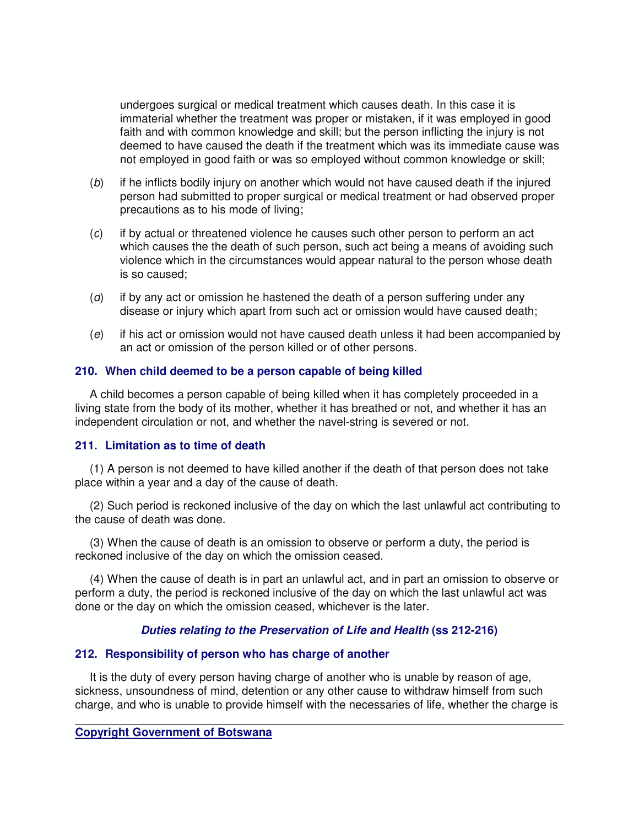undergoes surgical or medical treatment which causes death. In this case it is immaterial whether the treatment was proper or mistaken, if it was employed in good faith and with common knowledge and skill; but the person inflicting the injury is not deemed to have caused the death if the treatment which was its immediate cause was not employed in good faith or was so employed without common knowledge or skill;

- (b) if he inflicts bodily injury on another which would not have caused death if the injured person had submitted to proper surgical or medical treatment or had observed proper precautions as to his mode of living;
- (c) if by actual or threatened violence he causes such other person to perform an act which causes the the death of such person, such act being a means of avoiding such violence which in the circumstances would appear natural to the person whose death is so caused;
- $(d)$  if by any act or omission he hastened the death of a person suffering under any disease or injury which apart from such act or omission would have caused death;
- (e) if his act or omission would not have caused death unless it had been accompanied by an act or omission of the person killed or of other persons.

### **210. When child deemed to be a person capable of being killed**

 A child becomes a person capable of being killed when it has completely proceeded in a living state from the body of its mother, whether it has breathed or not, and whether it has an independent circulation or not, and whether the navel-string is severed or not.

### **211. Limitation as to time of death**

 (1) A person is not deemed to have killed another if the death of that person does not take place within a year and a day of the cause of death.

 (2) Such period is reckoned inclusive of the day on which the last unlawful act contributing to the cause of death was done.

 (3) When the cause of death is an omission to observe or perform a duty, the period is reckoned inclusive of the day on which the omission ceased.

 (4) When the cause of death is in part an unlawful act, and in part an omission to observe or perform a duty, the period is reckoned inclusive of the day on which the last unlawful act was done or the day on which the omission ceased, whichever is the later.

### **Duties relating to the Preservation of Life and Health (ss 212-216)**

### **212. Responsibility of person who has charge of another**

 It is the duty of every person having charge of another who is unable by reason of age, sickness, unsoundness of mind, detention or any other cause to withdraw himself from such charge, and who is unable to provide himself with the necessaries of life, whether the charge is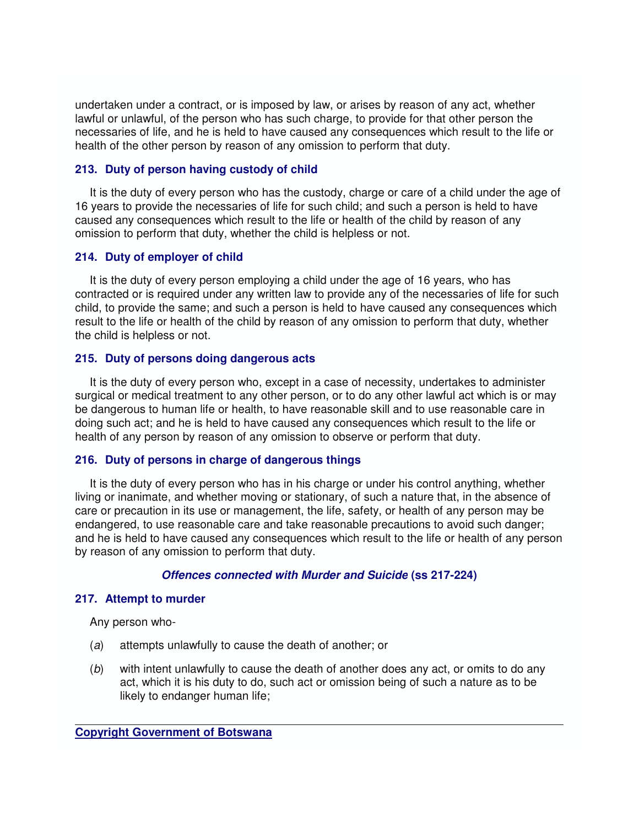undertaken under a contract, or is imposed by law, or arises by reason of any act, whether lawful or unlawful, of the person who has such charge, to provide for that other person the necessaries of life, and he is held to have caused any consequences which result to the life or health of the other person by reason of any omission to perform that duty.

# **213. Duty of person having custody of child**

 It is the duty of every person who has the custody, charge or care of a child under the age of 16 years to provide the necessaries of life for such child; and such a person is held to have caused any consequences which result to the life or health of the child by reason of any omission to perform that duty, whether the child is helpless or not.

# **214. Duty of employer of child**

 It is the duty of every person employing a child under the age of 16 years, who has contracted or is required under any written law to provide any of the necessaries of life for such child, to provide the same; and such a person is held to have caused any consequences which result to the life or health of the child by reason of any omission to perform that duty, whether the child is helpless or not.

# **215. Duty of persons doing dangerous acts**

 It is the duty of every person who, except in a case of necessity, undertakes to administer surgical or medical treatment to any other person, or to do any other lawful act which is or may be dangerous to human life or health, to have reasonable skill and to use reasonable care in doing such act; and he is held to have caused any consequences which result to the life or health of any person by reason of any omission to observe or perform that duty.

# **216. Duty of persons in charge of dangerous things**

 It is the duty of every person who has in his charge or under his control anything, whether living or inanimate, and whether moving or stationary, of such a nature that, in the absence of care or precaution in its use or management, the life, safety, or health of any person may be endangered, to use reasonable care and take reasonable precautions to avoid such danger; and he is held to have caused any consequences which result to the life or health of any person by reason of any omission to perform that duty.

### **Offences connected with Murder and Suicide (ss 217-224)**

### **217. Attempt to murder**

Any person who-

- (a) attempts unlawfully to cause the death of another; or
- (b) with intent unlawfully to cause the death of another does any act, or omits to do any act, which it is his duty to do, such act or omission being of such a nature as to be likely to endanger human life;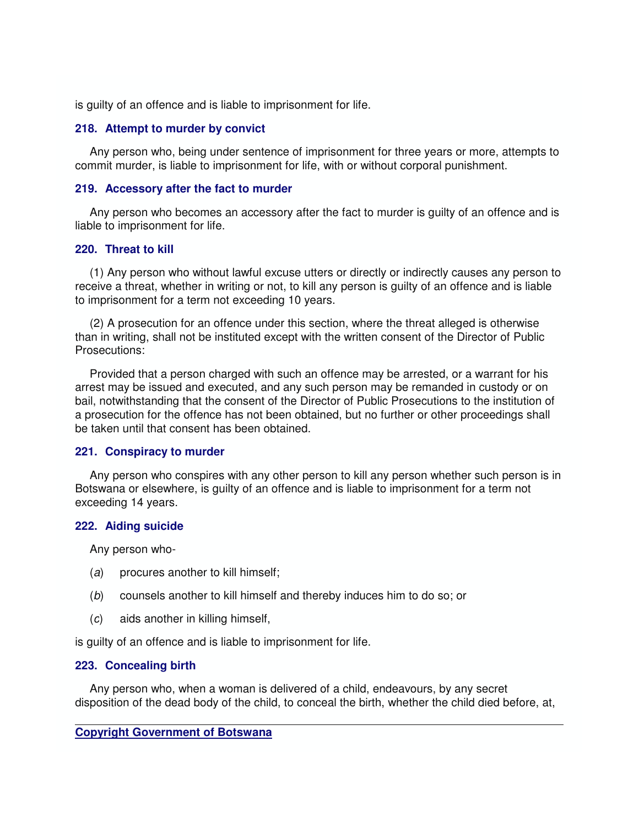is guilty of an offence and is liable to imprisonment for life.

### **218. Attempt to murder by convict**

 Any person who, being under sentence of imprisonment for three years or more, attempts to commit murder, is liable to imprisonment for life, with or without corporal punishment.

### **219. Accessory after the fact to murder**

 Any person who becomes an accessory after the fact to murder is guilty of an offence and is liable to imprisonment for life.

### **220. Threat to kill**

 (1) Any person who without lawful excuse utters or directly or indirectly causes any person to receive a threat, whether in writing or not, to kill any person is guilty of an offence and is liable to imprisonment for a term not exceeding 10 years.

 (2) A prosecution for an offence under this section, where the threat alleged is otherwise than in writing, shall not be instituted except with the written consent of the Director of Public Prosecutions:

 Provided that a person charged with such an offence may be arrested, or a warrant for his arrest may be issued and executed, and any such person may be remanded in custody or on bail, notwithstanding that the consent of the Director of Public Prosecutions to the institution of a prosecution for the offence has not been obtained, but no further or other proceedings shall be taken until that consent has been obtained.

#### **221. Conspiracy to murder**

 Any person who conspires with any other person to kill any person whether such person is in Botswana or elsewhere, is guilty of an offence and is liable to imprisonment for a term not exceeding 14 years.

### **222. Aiding suicide**

Any person who-

- (a) procures another to kill himself;
- (b) counsels another to kill himself and thereby induces him to do so; or
- (c) aids another in killing himself,

is guilty of an offence and is liable to imprisonment for life.

### **223. Concealing birth**

 Any person who, when a woman is delivered of a child, endeavours, by any secret disposition of the dead body of the child, to conceal the birth, whether the child died before, at,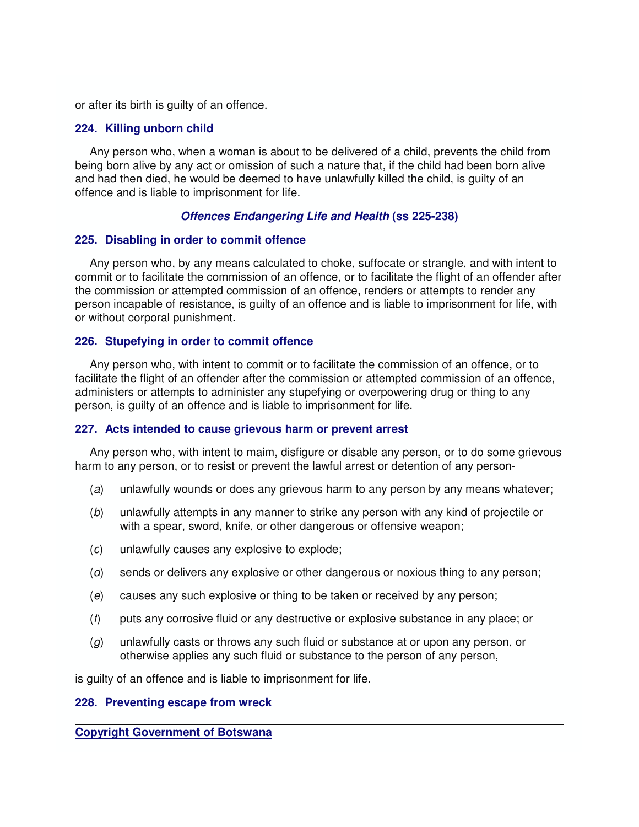or after its birth is guilty of an offence.

### **224. Killing unborn child**

 Any person who, when a woman is about to be delivered of a child, prevents the child from being born alive by any act or omission of such a nature that, if the child had been born alive and had then died, he would be deemed to have unlawfully killed the child, is guilty of an offence and is liable to imprisonment for life.

### **Offences Endangering Life and Health (ss 225-238)**

#### **225. Disabling in order to commit offence**

 Any person who, by any means calculated to choke, suffocate or strangle, and with intent to commit or to facilitate the commission of an offence, or to facilitate the flight of an offender after the commission or attempted commission of an offence, renders or attempts to render any person incapable of resistance, is guilty of an offence and is liable to imprisonment for life, with or without corporal punishment.

### **226. Stupefying in order to commit offence**

 Any person who, with intent to commit or to facilitate the commission of an offence, or to facilitate the flight of an offender after the commission or attempted commission of an offence, administers or attempts to administer any stupefying or overpowering drug or thing to any person, is guilty of an offence and is liable to imprisonment for life.

#### **227. Acts intended to cause grievous harm or prevent arrest**

 Any person who, with intent to maim, disfigure or disable any person, or to do some grievous harm to any person, or to resist or prevent the lawful arrest or detention of any person-

- (a) unlawfully wounds or does any grievous harm to any person by any means whatever;
- (b) unlawfully attempts in any manner to strike any person with any kind of projectile or with a spear, sword, knife, or other dangerous or offensive weapon;
- (c) unlawfully causes any explosive to explode;
- (d) sends or delivers any explosive or other dangerous or noxious thing to any person;
- (e) causes any such explosive or thing to be taken or received by any person;
- (f) puts any corrosive fluid or any destructive or explosive substance in any place; or
- (g) unlawfully casts or throws any such fluid or substance at or upon any person, or otherwise applies any such fluid or substance to the person of any person,

is guilty of an offence and is liable to imprisonment for life.

#### **228. Preventing escape from wreck**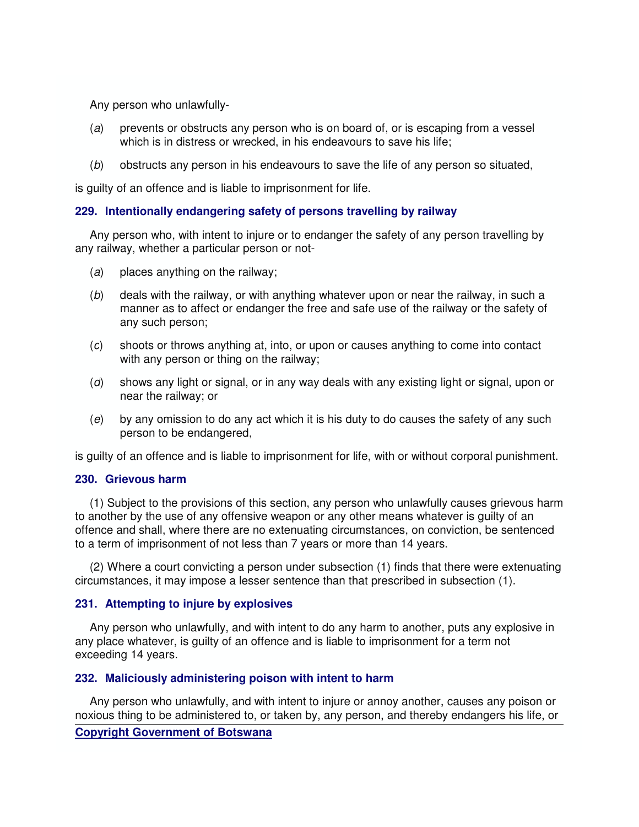Any person who unlawfully-

- (a) prevents or obstructs any person who is on board of, or is escaping from a vessel which is in distress or wrecked, in his endeavours to save his life;
- (b) obstructs any person in his endeavours to save the life of any person so situated,

is guilty of an offence and is liable to imprisonment for life.

# **229. Intentionally endangering safety of persons travelling by railway**

 Any person who, with intent to injure or to endanger the safety of any person travelling by any railway, whether a particular person or not-

- (a) places anything on the railway;
- (b) deals with the railway, or with anything whatever upon or near the railway, in such a manner as to affect or endanger the free and safe use of the railway or the safety of any such person;
- (c) shoots or throws anything at, into, or upon or causes anything to come into contact with any person or thing on the railway;
- (d) shows any light or signal, or in any way deals with any existing light or signal, upon or near the railway; or
- (e) by any omission to do any act which it is his duty to do causes the safety of any such person to be endangered,

is guilty of an offence and is liable to imprisonment for life, with or without corporal punishment.

### **230. Grievous harm**

 (1) Subject to the provisions of this section, any person who unlawfully causes grievous harm to another by the use of any offensive weapon or any other means whatever is guilty of an offence and shall, where there are no extenuating circumstances, on conviction, be sentenced to a term of imprisonment of not less than 7 years or more than 14 years.

 (2) Where a court convicting a person under subsection (1) finds that there were extenuating circumstances, it may impose a lesser sentence than that prescribed in subsection (1).

### **231. Attempting to injure by explosives**

 Any person who unlawfully, and with intent to do any harm to another, puts any explosive in any place whatever, is guilty of an offence and is liable to imprisonment for a term not exceeding 14 years.

# **232. Maliciously administering poison with intent to harm**

 Any person who unlawfully, and with intent to injure or annoy another, causes any poison or noxious thing to be administered to, or taken by, any person, and thereby endangers his life, or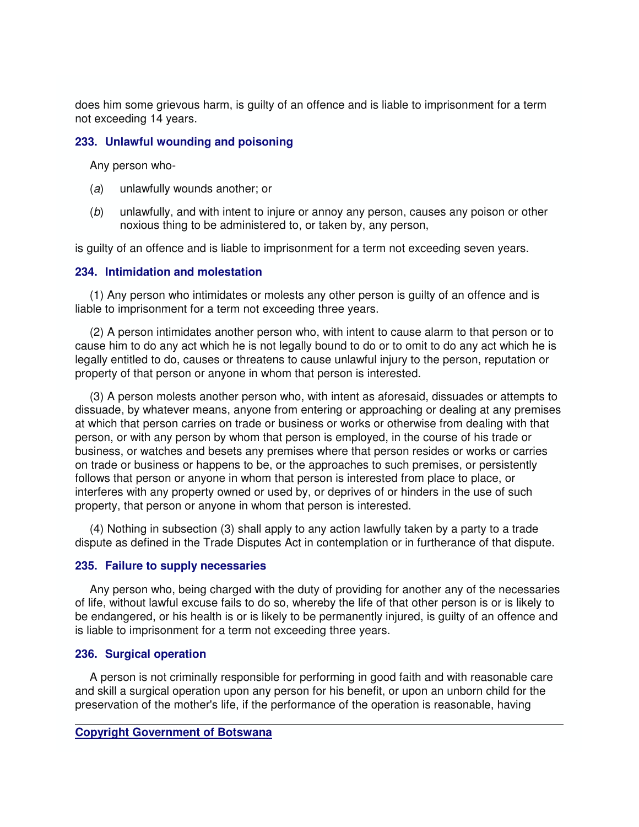does him some grievous harm, is guilty of an offence and is liable to imprisonment for a term not exceeding 14 years.

# **233. Unlawful wounding and poisoning**

Any person who-

- (a) unlawfully wounds another; or
- (b) unlawfully, and with intent to injure or annoy any person, causes any poison or other noxious thing to be administered to, or taken by, any person,

is guilty of an offence and is liable to imprisonment for a term not exceeding seven years.

# **234. Intimidation and molestation**

 (1) Any person who intimidates or molests any other person is guilty of an offence and is liable to imprisonment for a term not exceeding three years.

 (2) A person intimidates another person who, with intent to cause alarm to that person or to cause him to do any act which he is not legally bound to do or to omit to do any act which he is legally entitled to do, causes or threatens to cause unlawful injury to the person, reputation or property of that person or anyone in whom that person is interested.

 (3) A person molests another person who, with intent as aforesaid, dissuades or attempts to dissuade, by whatever means, anyone from entering or approaching or dealing at any premises at which that person carries on trade or business or works or otherwise from dealing with that person, or with any person by whom that person is employed, in the course of his trade or business, or watches and besets any premises where that person resides or works or carries on trade or business or happens to be, or the approaches to such premises, or persistently follows that person or anyone in whom that person is interested from place to place, or interferes with any property owned or used by, or deprives of or hinders in the use of such property, that person or anyone in whom that person is interested.

 (4) Nothing in subsection (3) shall apply to any action lawfully taken by a party to a trade dispute as defined in the Trade Disputes Act in contemplation or in furtherance of that dispute.

### **235. Failure to supply necessaries**

 Any person who, being charged with the duty of providing for another any of the necessaries of life, without lawful excuse fails to do so, whereby the life of that other person is or is likely to be endangered, or his health is or is likely to be permanently injured, is guilty of an offence and is liable to imprisonment for a term not exceeding three years.

### **236. Surgical operation**

 A person is not criminally responsible for performing in good faith and with reasonable care and skill a surgical operation upon any person for his benefit, or upon an unborn child for the preservation of the mother's life, if the performance of the operation is reasonable, having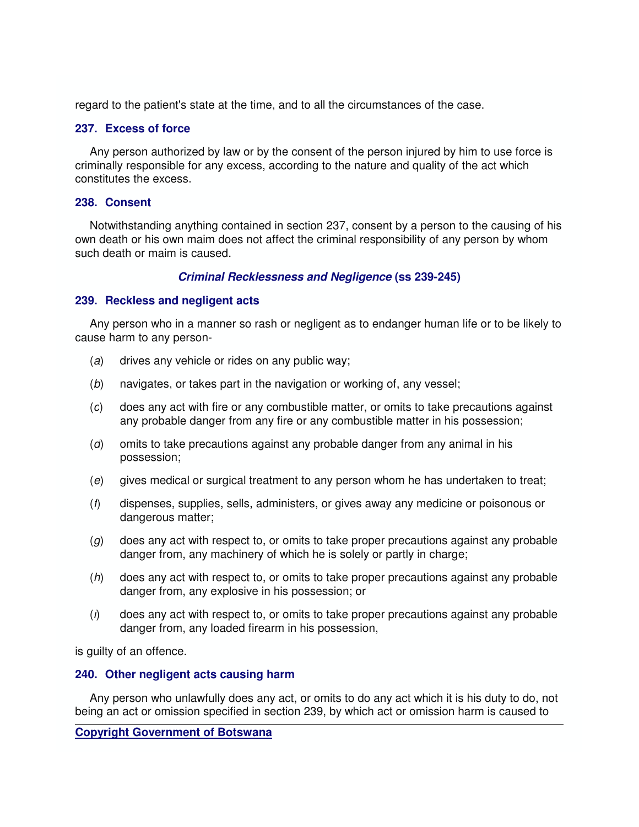regard to the patient's state at the time, and to all the circumstances of the case.

### **237. Excess of force**

 Any person authorized by law or by the consent of the person injured by him to use force is criminally responsible for any excess, according to the nature and quality of the act which constitutes the excess.

# **238. Consent**

 Notwithstanding anything contained in section 237, consent by a person to the causing of his own death or his own maim does not affect the criminal responsibility of any person by whom such death or maim is caused.

### **Criminal Recklessness and Negligence (ss 239-245)**

### **239. Reckless and negligent acts**

 Any person who in a manner so rash or negligent as to endanger human life or to be likely to cause harm to any person-

- (a) drives any vehicle or rides on any public way;
- (b) navigates, or takes part in the navigation or working of, any vessel;
- (c) does any act with fire or any combustible matter, or omits to take precautions against any probable danger from any fire or any combustible matter in his possession;
- (d) omits to take precautions against any probable danger from any animal in his possession;
- (e) gives medical or surgical treatment to any person whom he has undertaken to treat;
- (f) dispenses, supplies, sells, administers, or gives away any medicine or poisonous or dangerous matter;
- (g) does any act with respect to, or omits to take proper precautions against any probable danger from, any machinery of which he is solely or partly in charge;
- $(h)$  does any act with respect to, or omits to take proper precautions against any probable danger from, any explosive in his possession; or
- (i) does any act with respect to, or omits to take proper precautions against any probable danger from, any loaded firearm in his possession,

is guilty of an offence.

### **240. Other negligent acts causing harm**

 Any person who unlawfully does any act, or omits to do any act which it is his duty to do, not being an act or omission specified in section 239, by which act or omission harm is caused to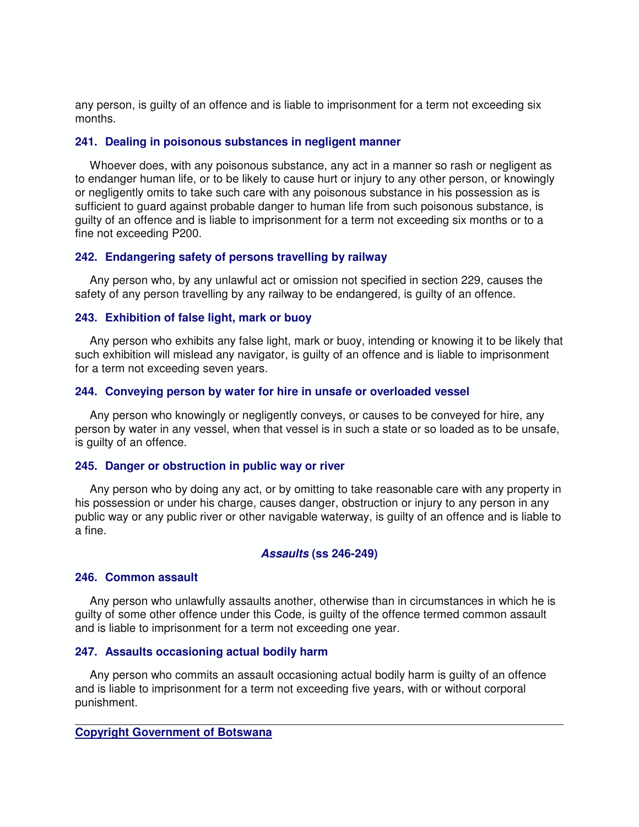any person, is guilty of an offence and is liable to imprisonment for a term not exceeding six months.

#### **241. Dealing in poisonous substances in negligent manner**

 Whoever does, with any poisonous substance, any act in a manner so rash or negligent as to endanger human life, or to be likely to cause hurt or injury to any other person, or knowingly or negligently omits to take such care with any poisonous substance in his possession as is sufficient to guard against probable danger to human life from such poisonous substance, is guilty of an offence and is liable to imprisonment for a term not exceeding six months or to a fine not exceeding P200.

#### **242. Endangering safety of persons travelling by railway**

 Any person who, by any unlawful act or omission not specified in section 229, causes the safety of any person travelling by any railway to be endangered, is guilty of an offence.

#### **243. Exhibition of false light, mark or buoy**

 Any person who exhibits any false light, mark or buoy, intending or knowing it to be likely that such exhibition will mislead any navigator, is guilty of an offence and is liable to imprisonment for a term not exceeding seven years.

#### **244. Conveying person by water for hire in unsafe or overloaded vessel**

 Any person who knowingly or negligently conveys, or causes to be conveyed for hire, any person by water in any vessel, when that vessel is in such a state or so loaded as to be unsafe, is guilty of an offence.

#### **245. Danger or obstruction in public way or river**

 Any person who by doing any act, or by omitting to take reasonable care with any property in his possession or under his charge, causes danger, obstruction or injury to any person in any public way or any public river or other navigable waterway, is guilty of an offence and is liable to a fine.

### **Assaults (ss 246-249)**

#### **246. Common assault**

 Any person who unlawfully assaults another, otherwise than in circumstances in which he is guilty of some other offence under this Code, is guilty of the offence termed common assault and is liable to imprisonment for a term not exceeding one year.

#### **247. Assaults occasioning actual bodily harm**

 Any person who commits an assault occasioning actual bodily harm is guilty of an offence and is liable to imprisonment for a term not exceeding five years, with or without corporal punishment.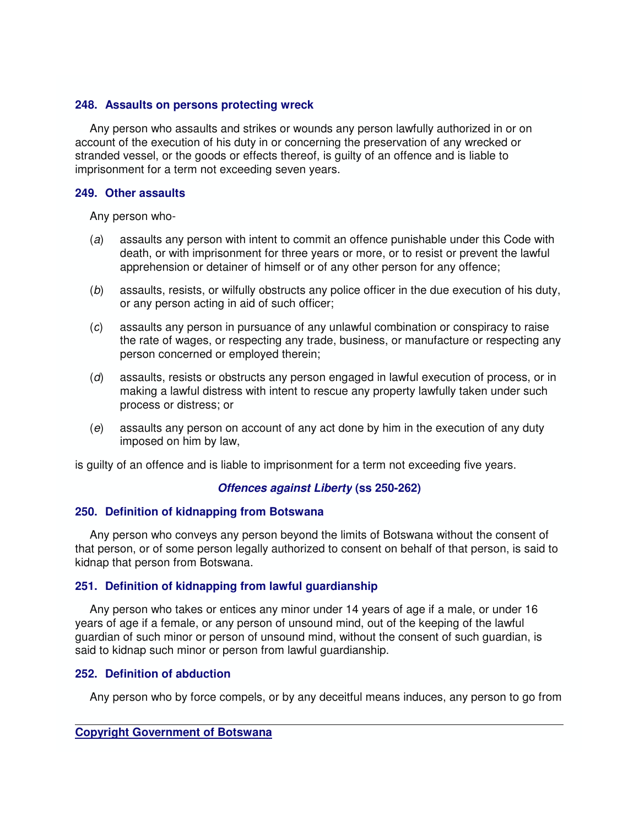### **248. Assaults on persons protecting wreck**

 Any person who assaults and strikes or wounds any person lawfully authorized in or on account of the execution of his duty in or concerning the preservation of any wrecked or stranded vessel, or the goods or effects thereof, is guilty of an offence and is liable to imprisonment for a term not exceeding seven years.

### **249. Other assaults**

Any person who-

- (a) assaults any person with intent to commit an offence punishable under this Code with death, or with imprisonment for three years or more, or to resist or prevent the lawful apprehension or detainer of himself or of any other person for any offence;
- (b) assaults, resists, or wilfully obstructs any police officer in the due execution of his duty, or any person acting in aid of such officer;
- (c) assaults any person in pursuance of any unlawful combination or conspiracy to raise the rate of wages, or respecting any trade, business, or manufacture or respecting any person concerned or employed therein;
- (d) assaults, resists or obstructs any person engaged in lawful execution of process, or in making a lawful distress with intent to rescue any property lawfully taken under such process or distress; or
- (e) assaults any person on account of any act done by him in the execution of any duty imposed on him by law,

is guilty of an offence and is liable to imprisonment for a term not exceeding five years.

### **Offences against Liberty (ss 250-262)**

### **250. Definition of kidnapping from Botswana**

 Any person who conveys any person beyond the limits of Botswana without the consent of that person, or of some person legally authorized to consent on behalf of that person, is said to kidnap that person from Botswana.

### **251. Definition of kidnapping from lawful guardianship**

 Any person who takes or entices any minor under 14 years of age if a male, or under 16 years of age if a female, or any person of unsound mind, out of the keeping of the lawful guardian of such minor or person of unsound mind, without the consent of such guardian, is said to kidnap such minor or person from lawful guardianship.

### **252. Definition of abduction**

Any person who by force compels, or by any deceitful means induces, any person to go from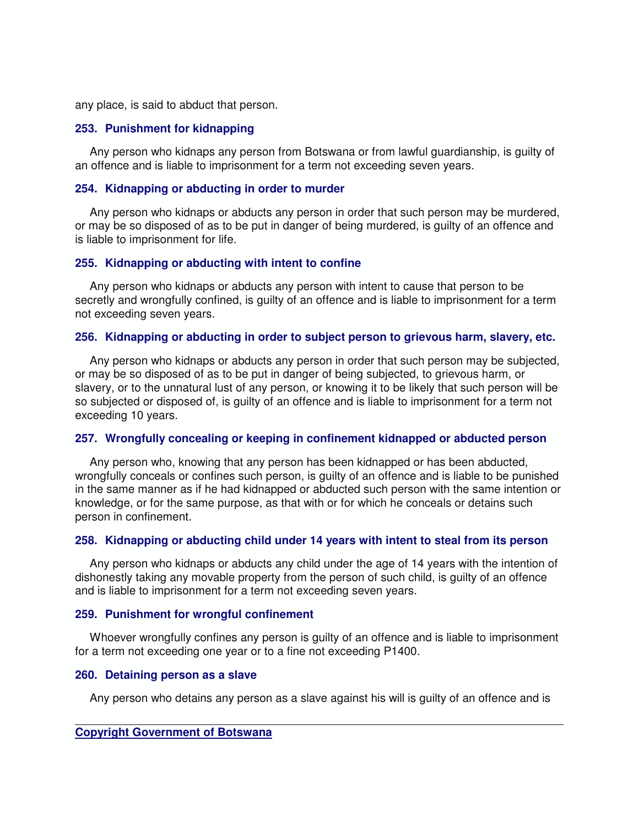any place, is said to abduct that person.

### **253. Punishment for kidnapping**

 Any person who kidnaps any person from Botswana or from lawful guardianship, is guilty of an offence and is liable to imprisonment for a term not exceeding seven years.

#### **254. Kidnapping or abducting in order to murder**

 Any person who kidnaps or abducts any person in order that such person may be murdered, or may be so disposed of as to be put in danger of being murdered, is guilty of an offence and is liable to imprisonment for life.

#### **255. Kidnapping or abducting with intent to confine**

 Any person who kidnaps or abducts any person with intent to cause that person to be secretly and wrongfully confined, is guilty of an offence and is liable to imprisonment for a term not exceeding seven years.

#### **256. Kidnapping or abducting in order to subject person to grievous harm, slavery, etc.**

 Any person who kidnaps or abducts any person in order that such person may be subjected, or may be so disposed of as to be put in danger of being subjected, to grievous harm, or slavery, or to the unnatural lust of any person, or knowing it to be likely that such person will be so subjected or disposed of, is guilty of an offence and is liable to imprisonment for a term not exceeding 10 years.

#### **257. Wrongfully concealing or keeping in confinement kidnapped or abducted person**

 Any person who, knowing that any person has been kidnapped or has been abducted, wrongfully conceals or confines such person, is guilty of an offence and is liable to be punished in the same manner as if he had kidnapped or abducted such person with the same intention or knowledge, or for the same purpose, as that with or for which he conceals or detains such person in confinement.

### **258. Kidnapping or abducting child under 14 years with intent to steal from its person**

 Any person who kidnaps or abducts any child under the age of 14 years with the intention of dishonestly taking any movable property from the person of such child, is guilty of an offence and is liable to imprisonment for a term not exceeding seven years.

#### **259. Punishment for wrongful confinement**

 Whoever wrongfully confines any person is guilty of an offence and is liable to imprisonment for a term not exceeding one year or to a fine not exceeding P1400.

#### **260. Detaining person as a slave**

Any person who detains any person as a slave against his will is guilty of an offence and is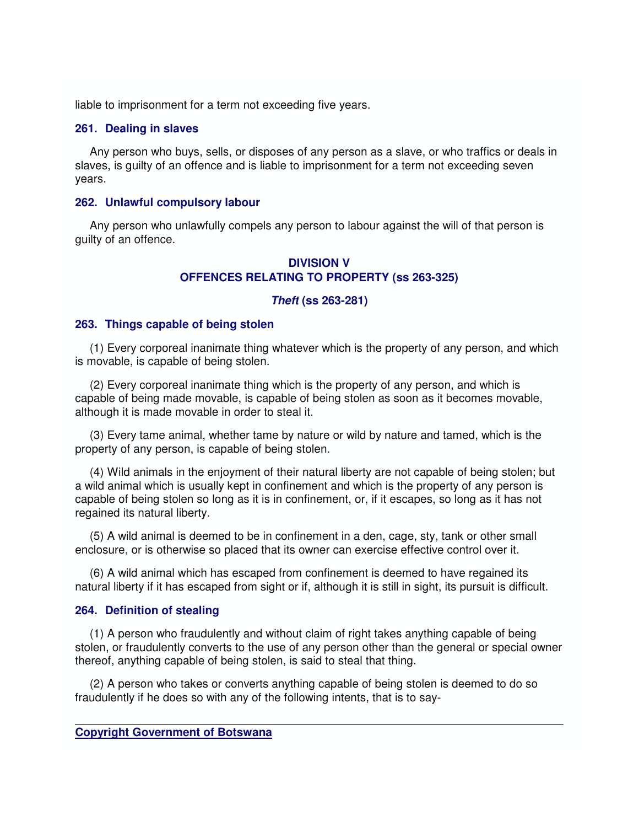liable to imprisonment for a term not exceeding five years.

### **261. Dealing in slaves**

 Any person who buys, sells, or disposes of any person as a slave, or who traffics or deals in slaves, is guilty of an offence and is liable to imprisonment for a term not exceeding seven years.

### **262. Unlawful compulsory labour**

 Any person who unlawfully compels any person to labour against the will of that person is guilty of an offence.

### **DIVISION V OFFENCES RELATING TO PROPERTY (ss 263-325)**

# **Theft (ss 263-281)**

### **263. Things capable of being stolen**

 (1) Every corporeal inanimate thing whatever which is the property of any person, and which is movable, is capable of being stolen.

 (2) Every corporeal inanimate thing which is the property of any person, and which is capable of being made movable, is capable of being stolen as soon as it becomes movable, although it is made movable in order to steal it.

 (3) Every tame animal, whether tame by nature or wild by nature and tamed, which is the property of any person, is capable of being stolen.

 (4) Wild animals in the enjoyment of their natural liberty are not capable of being stolen; but a wild animal which is usually kept in confinement and which is the property of any person is capable of being stolen so long as it is in confinement, or, if it escapes, so long as it has not regained its natural liberty.

 (5) A wild animal is deemed to be in confinement in a den, cage, sty, tank or other small enclosure, or is otherwise so placed that its owner can exercise effective control over it.

 (6) A wild animal which has escaped from confinement is deemed to have regained its natural liberty if it has escaped from sight or if, although it is still in sight, its pursuit is difficult.

### **264. Definition of stealing**

 (1) A person who fraudulently and without claim of right takes anything capable of being stolen, or fraudulently converts to the use of any person other than the general or special owner thereof, anything capable of being stolen, is said to steal that thing.

 (2) A person who takes or converts anything capable of being stolen is deemed to do so fraudulently if he does so with any of the following intents, that is to say-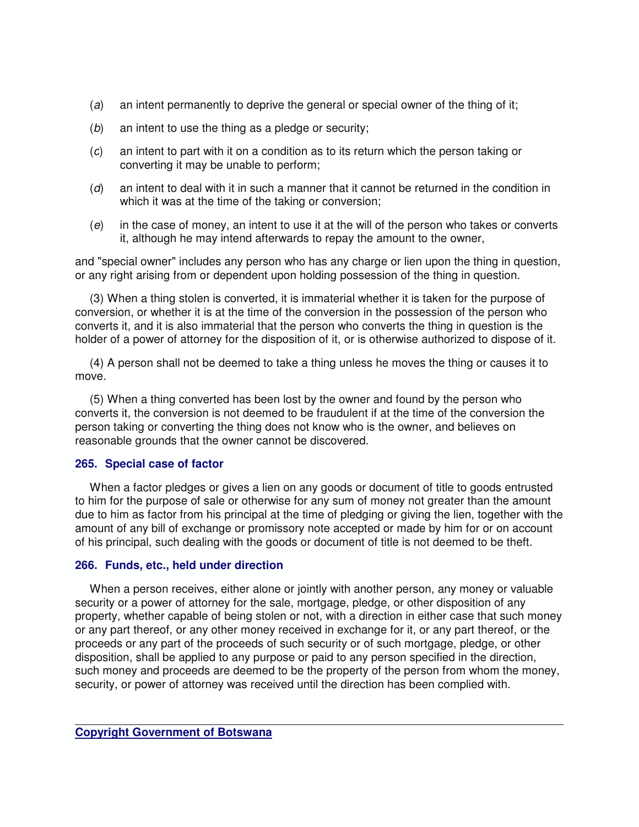- (a) an intent permanently to deprive the general or special owner of the thing of it;
- (b) an intent to use the thing as a pledge or security;
- (c) an intent to part with it on a condition as to its return which the person taking or converting it may be unable to perform;
- (d) an intent to deal with it in such a manner that it cannot be returned in the condition in which it was at the time of the taking or conversion;
- (e) in the case of money, an intent to use it at the will of the person who takes or converts it, although he may intend afterwards to repay the amount to the owner,

and "special owner" includes any person who has any charge or lien upon the thing in question, or any right arising from or dependent upon holding possession of the thing in question.

 (3) When a thing stolen is converted, it is immaterial whether it is taken for the purpose of conversion, or whether it is at the time of the conversion in the possession of the person who converts it, and it is also immaterial that the person who converts the thing in question is the holder of a power of attorney for the disposition of it, or is otherwise authorized to dispose of it.

 (4) A person shall not be deemed to take a thing unless he moves the thing or causes it to move.

 (5) When a thing converted has been lost by the owner and found by the person who converts it, the conversion is not deemed to be fraudulent if at the time of the conversion the person taking or converting the thing does not know who is the owner, and believes on reasonable grounds that the owner cannot be discovered.

# **265. Special case of factor**

 When a factor pledges or gives a lien on any goods or document of title to goods entrusted to him for the purpose of sale or otherwise for any sum of money not greater than the amount due to him as factor from his principal at the time of pledging or giving the lien, together with the amount of any bill of exchange or promissory note accepted or made by him for or on account of his principal, such dealing with the goods or document of title is not deemed to be theft.

# **266. Funds, etc., held under direction**

 When a person receives, either alone or jointly with another person, any money or valuable security or a power of attorney for the sale, mortgage, pledge, or other disposition of any property, whether capable of being stolen or not, with a direction in either case that such money or any part thereof, or any other money received in exchange for it, or any part thereof, or the proceeds or any part of the proceeds of such security or of such mortgage, pledge, or other disposition, shall be applied to any purpose or paid to any person specified in the direction, such money and proceeds are deemed to be the property of the person from whom the money, security, or power of attorney was received until the direction has been complied with.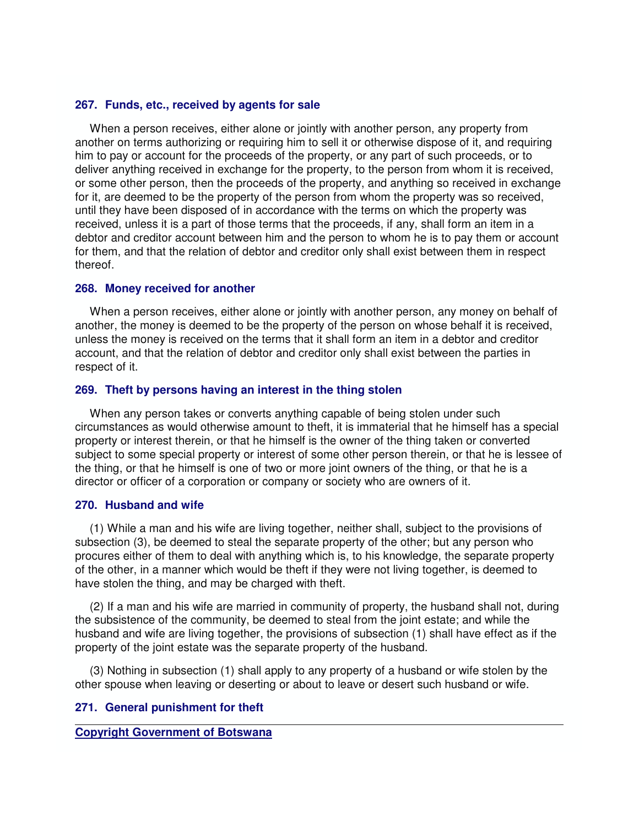#### **267. Funds, etc., received by agents for sale**

 When a person receives, either alone or jointly with another person, any property from another on terms authorizing or requiring him to sell it or otherwise dispose of it, and requiring him to pay or account for the proceeds of the property, or any part of such proceeds, or to deliver anything received in exchange for the property, to the person from whom it is received, or some other person, then the proceeds of the property, and anything so received in exchange for it, are deemed to be the property of the person from whom the property was so received, until they have been disposed of in accordance with the terms on which the property was received, unless it is a part of those terms that the proceeds, if any, shall form an item in a debtor and creditor account between him and the person to whom he is to pay them or account for them, and that the relation of debtor and creditor only shall exist between them in respect thereof.

#### **268. Money received for another**

 When a person receives, either alone or jointly with another person, any money on behalf of another, the money is deemed to be the property of the person on whose behalf it is received, unless the money is received on the terms that it shall form an item in a debtor and creditor account, and that the relation of debtor and creditor only shall exist between the parties in respect of it.

### **269. Theft by persons having an interest in the thing stolen**

 When any person takes or converts anything capable of being stolen under such circumstances as would otherwise amount to theft, it is immaterial that he himself has a special property or interest therein, or that he himself is the owner of the thing taken or converted subject to some special property or interest of some other person therein, or that he is lessee of the thing, or that he himself is one of two or more joint owners of the thing, or that he is a director or officer of a corporation or company or society who are owners of it.

#### **270. Husband and wife**

 (1) While a man and his wife are living together, neither shall, subject to the provisions of subsection (3), be deemed to steal the separate property of the other; but any person who procures either of them to deal with anything which is, to his knowledge, the separate property of the other, in a manner which would be theft if they were not living together, is deemed to have stolen the thing, and may be charged with theft.

 (2) If a man and his wife are married in community of property, the husband shall not, during the subsistence of the community, be deemed to steal from the joint estate; and while the husband and wife are living together, the provisions of subsection (1) shall have effect as if the property of the joint estate was the separate property of the husband.

 (3) Nothing in subsection (1) shall apply to any property of a husband or wife stolen by the other spouse when leaving or deserting or about to leave or desert such husband or wife.

### **271. General punishment for theft**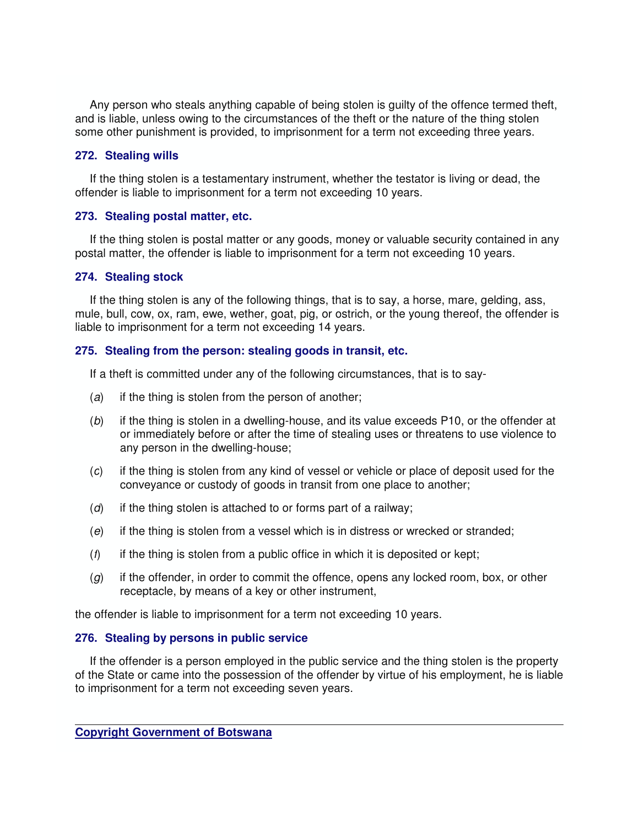Any person who steals anything capable of being stolen is guilty of the offence termed theft, and is liable, unless owing to the circumstances of the theft or the nature of the thing stolen some other punishment is provided, to imprisonment for a term not exceeding three years.

# **272. Stealing wills**

 If the thing stolen is a testamentary instrument, whether the testator is living or dead, the offender is liable to imprisonment for a term not exceeding 10 years.

# **273. Stealing postal matter, etc.**

 If the thing stolen is postal matter or any goods, money or valuable security contained in any postal matter, the offender is liable to imprisonment for a term not exceeding 10 years.

# **274. Stealing stock**

 If the thing stolen is any of the following things, that is to say, a horse, mare, gelding, ass, mule, bull, cow, ox, ram, ewe, wether, goat, pig, or ostrich, or the young thereof, the offender is liable to imprisonment for a term not exceeding 14 years.

# **275. Stealing from the person: stealing goods in transit, etc.**

If a theft is committed under any of the following circumstances, that is to say-

- $(a)$  if the thing is stolen from the person of another;
- (b) if the thing is stolen in a dwelling-house, and its value exceeds P10, or the offender at or immediately before or after the time of stealing uses or threatens to use violence to any person in the dwelling-house;
- (c) if the thing is stolen from any kind of vessel or vehicle or place of deposit used for the conveyance or custody of goods in transit from one place to another;
- (d) if the thing stolen is attached to or forms part of a railway;
- (e) if the thing is stolen from a vessel which is in distress or wrecked or stranded;
- $(f)$  if the thing is stolen from a public office in which it is deposited or kept;
- $(q)$  if the offender, in order to commit the offence, opens any locked room, box, or other receptacle, by means of a key or other instrument,

the offender is liable to imprisonment for a term not exceeding 10 years.

### **276. Stealing by persons in public service**

 If the offender is a person employed in the public service and the thing stolen is the property of the State or came into the possession of the offender by virtue of his employment, he is liable to imprisonment for a term not exceeding seven years.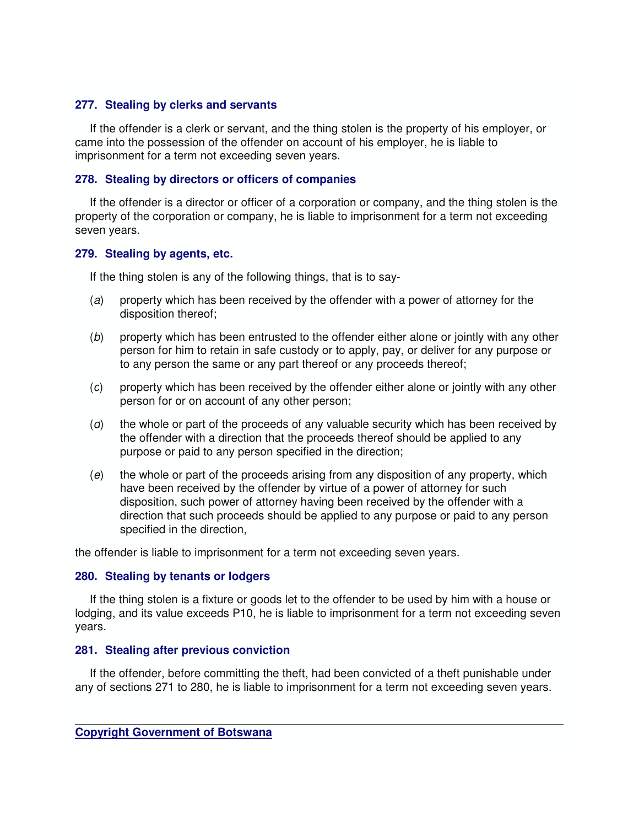# **277. Stealing by clerks and servants**

 If the offender is a clerk or servant, and the thing stolen is the property of his employer, or came into the possession of the offender on account of his employer, he is liable to imprisonment for a term not exceeding seven years.

# **278. Stealing by directors or officers of companies**

 If the offender is a director or officer of a corporation or company, and the thing stolen is the property of the corporation or company, he is liable to imprisonment for a term not exceeding seven years.

# **279. Stealing by agents, etc.**

If the thing stolen is any of the following things, that is to say-

- (a) property which has been received by the offender with a power of attorney for the disposition thereof;
- (b) property which has been entrusted to the offender either alone or jointly with any other person for him to retain in safe custody or to apply, pay, or deliver for any purpose or to any person the same or any part thereof or any proceeds thereof;
- (c) property which has been received by the offender either alone or jointly with any other person for or on account of any other person;
- (d) the whole or part of the proceeds of any valuable security which has been received by the offender with a direction that the proceeds thereof should be applied to any purpose or paid to any person specified in the direction;
- (e) the whole or part of the proceeds arising from any disposition of any property, which have been received by the offender by virtue of a power of attorney for such disposition, such power of attorney having been received by the offender with a direction that such proceeds should be applied to any purpose or paid to any person specified in the direction,

the offender is liable to imprisonment for a term not exceeding seven years.

### **280. Stealing by tenants or lodgers**

 If the thing stolen is a fixture or goods let to the offender to be used by him with a house or lodging, and its value exceeds P10, he is liable to imprisonment for a term not exceeding seven years.

### **281. Stealing after previous conviction**

 If the offender, before committing the theft, had been convicted of a theft punishable under any of sections 271 to 280, he is liable to imprisonment for a term not exceeding seven years.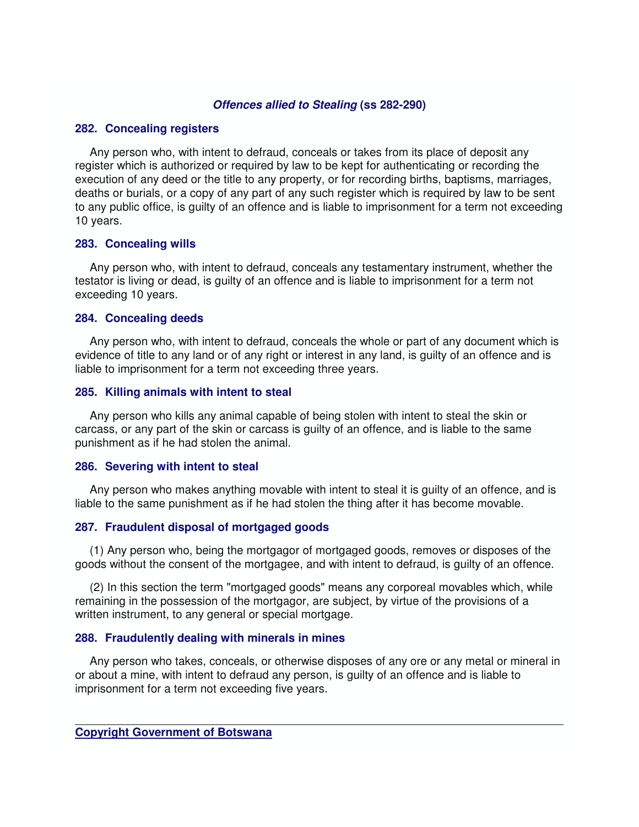#### **Offences allied to Stealing (ss 282-290)**

#### **282. Concealing registers**

 Any person who, with intent to defraud, conceals or takes from its place of deposit any register which is authorized or required by law to be kept for authenticating or recording the execution of any deed or the title to any property, or for recording births, baptisms, marriages, deaths or burials, or a copy of any part of any such register which is required by law to be sent to any public office, is guilty of an offence and is liable to imprisonment for a term not exceeding 10 years.

#### **283. Concealing wills**

 Any person who, with intent to defraud, conceals any testamentary instrument, whether the testator is living or dead, is guilty of an offence and is liable to imprisonment for a term not exceeding 10 years.

#### **284. Concealing deeds**

 Any person who, with intent to defraud, conceals the whole or part of any document which is evidence of title to any land or of any right or interest in any land, is guilty of an offence and is liable to imprisonment for a term not exceeding three years.

#### **285. Killing animals with intent to steal**

 Any person who kills any animal capable of being stolen with intent to steal the skin or carcass, or any part of the skin or carcass is guilty of an offence, and is liable to the same punishment as if he had stolen the animal.

#### **286. Severing with intent to steal**

 Any person who makes anything movable with intent to steal it is guilty of an offence, and is liable to the same punishment as if he had stolen the thing after it has become movable.

#### **287. Fraudulent disposal of mortgaged goods**

 (1) Any person who, being the mortgagor of mortgaged goods, removes or disposes of the goods without the consent of the mortgagee, and with intent to defraud, is guilty of an offence.

 (2) In this section the term "mortgaged goods" means any corporeal movables which, while remaining in the possession of the mortgagor, are subject, by virtue of the provisions of a written instrument, to any general or special mortgage.

#### **288. Fraudulently dealing with minerals in mines**

 Any person who takes, conceals, or otherwise disposes of any ore or any metal or mineral in or about a mine, with intent to defraud any person, is guilty of an offence and is liable to imprisonment for a term not exceeding five years.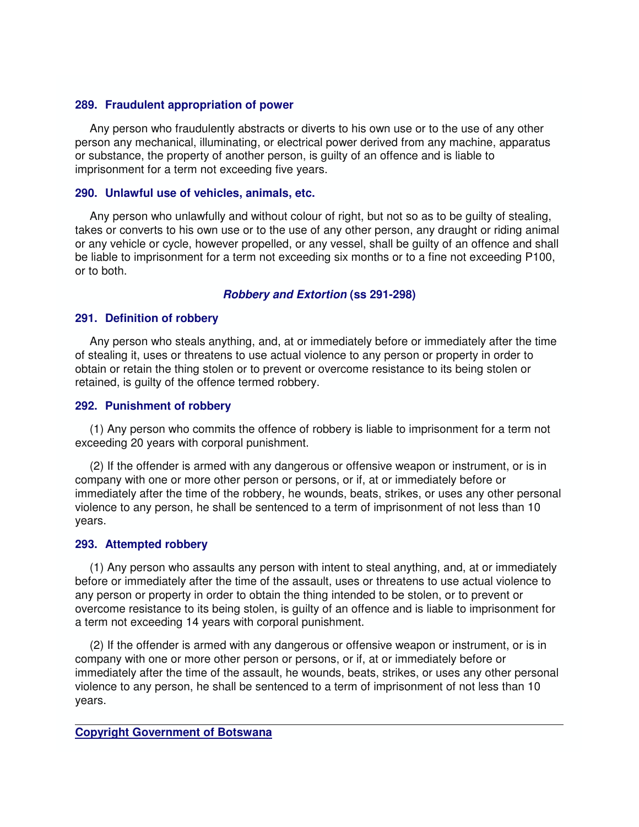### **289. Fraudulent appropriation of power**

 Any person who fraudulently abstracts or diverts to his own use or to the use of any other person any mechanical, illuminating, or electrical power derived from any machine, apparatus or substance, the property of another person, is guilty of an offence and is liable to imprisonment for a term not exceeding five years.

#### **290. Unlawful use of vehicles, animals, etc.**

 Any person who unlawfully and without colour of right, but not so as to be guilty of stealing, takes or converts to his own use or to the use of any other person, any draught or riding animal or any vehicle or cycle, however propelled, or any vessel, shall be guilty of an offence and shall be liable to imprisonment for a term not exceeding six months or to a fine not exceeding P100, or to both.

### **Robbery and Extortion (ss 291-298)**

### **291. Definition of robbery**

 Any person who steals anything, and, at or immediately before or immediately after the time of stealing it, uses or threatens to use actual violence to any person or property in order to obtain or retain the thing stolen or to prevent or overcome resistance to its being stolen or retained, is guilty of the offence termed robbery.

#### **292. Punishment of robbery**

 (1) Any person who commits the offence of robbery is liable to imprisonment for a term not exceeding 20 years with corporal punishment.

 (2) If the offender is armed with any dangerous or offensive weapon or instrument, or is in company with one or more other person or persons, or if, at or immediately before or immediately after the time of the robbery, he wounds, beats, strikes, or uses any other personal violence to any person, he shall be sentenced to a term of imprisonment of not less than 10 years.

#### **293. Attempted robbery**

 (1) Any person who assaults any person with intent to steal anything, and, at or immediately before or immediately after the time of the assault, uses or threatens to use actual violence to any person or property in order to obtain the thing intended to be stolen, or to prevent or overcome resistance to its being stolen, is guilty of an offence and is liable to imprisonment for a term not exceeding 14 years with corporal punishment.

 (2) If the offender is armed with any dangerous or offensive weapon or instrument, or is in company with one or more other person or persons, or if, at or immediately before or immediately after the time of the assault, he wounds, beats, strikes, or uses any other personal violence to any person, he shall be sentenced to a term of imprisonment of not less than 10 years.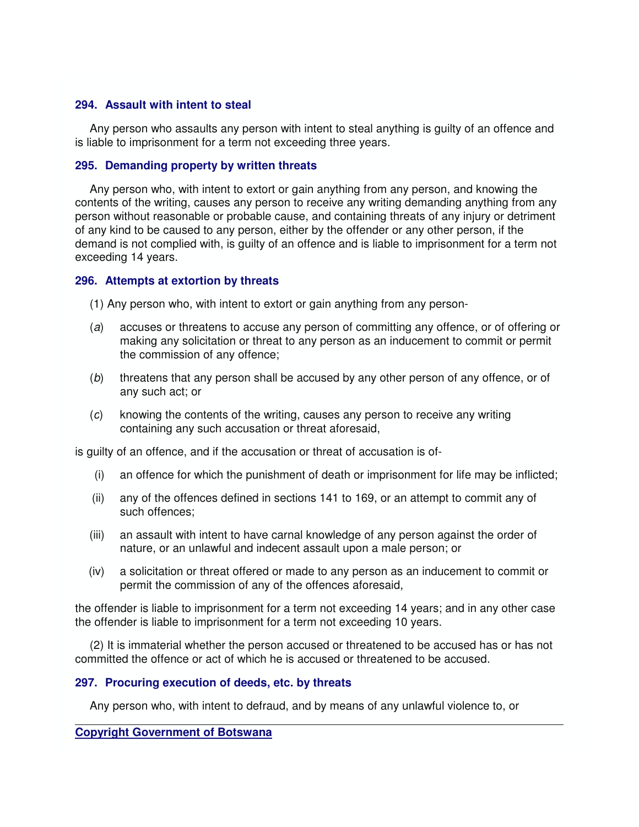# **294. Assault with intent to steal**

 Any person who assaults any person with intent to steal anything is guilty of an offence and is liable to imprisonment for a term not exceeding three years.

# **295. Demanding property by written threats**

 Any person who, with intent to extort or gain anything from any person, and knowing the contents of the writing, causes any person to receive any writing demanding anything from any person without reasonable or probable cause, and containing threats of any injury or detriment of any kind to be caused to any person, either by the offender or any other person, if the demand is not complied with, is guilty of an offence and is liable to imprisonment for a term not exceeding 14 years.

# **296. Attempts at extortion by threats**

- (1) Any person who, with intent to extort or gain anything from any person-
- (a) accuses or threatens to accuse any person of committing any offence, or of offering or making any solicitation or threat to any person as an inducement to commit or permit the commission of any offence;
- (b) threatens that any person shall be accused by any other person of any offence, or of any such act; or
- (c) knowing the contents of the writing, causes any person to receive any writing containing any such accusation or threat aforesaid,

is guilty of an offence, and if the accusation or threat of accusation is of-

- (i) an offence for which the punishment of death or imprisonment for life may be inflicted;
- (ii) any of the offences defined in sections 141 to 169, or an attempt to commit any of such offences;
- (iii) an assault with intent to have carnal knowledge of any person against the order of nature, or an unlawful and indecent assault upon a male person; or
- (iv) a solicitation or threat offered or made to any person as an inducement to commit or permit the commission of any of the offences aforesaid,

the offender is liable to imprisonment for a term not exceeding 14 years; and in any other case the offender is liable to imprisonment for a term not exceeding 10 years.

 (2) It is immaterial whether the person accused or threatened to be accused has or has not committed the offence or act of which he is accused or threatened to be accused.

# **297. Procuring execution of deeds, etc. by threats**

Any person who, with intent to defraud, and by means of any unlawful violence to, or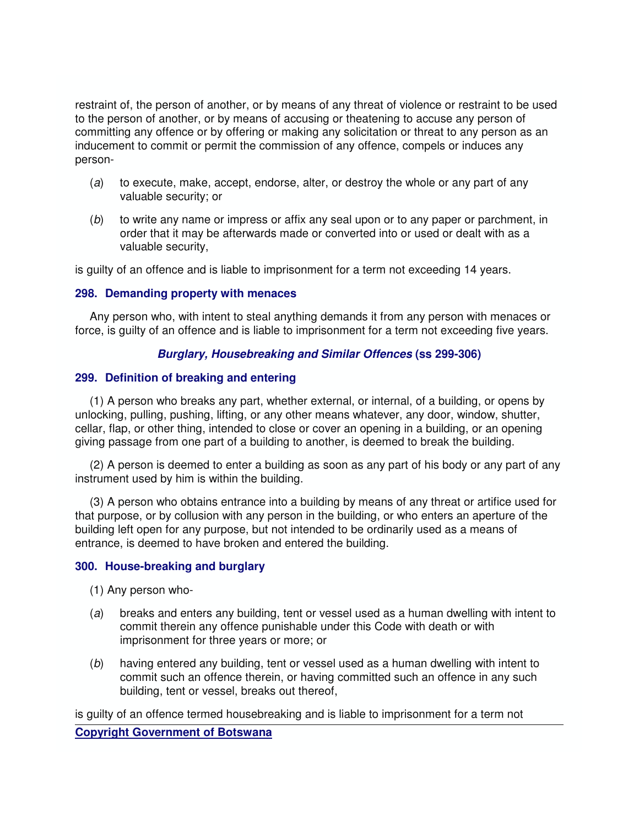restraint of, the person of another, or by means of any threat of violence or restraint to be used to the person of another, or by means of accusing or theatening to accuse any person of committing any offence or by offering or making any solicitation or threat to any person as an inducement to commit or permit the commission of any offence, compels or induces any person-

- (a) to execute, make, accept, endorse, alter, or destroy the whole or any part of any valuable security; or
- (b) to write any name or impress or affix any seal upon or to any paper or parchment, in order that it may be afterwards made or converted into or used or dealt with as a valuable security,

is guilty of an offence and is liable to imprisonment for a term not exceeding 14 years.

# **298. Demanding property with menaces**

 Any person who, with intent to steal anything demands it from any person with menaces or force, is guilty of an offence and is liable to imprisonment for a term not exceeding five years.

# **Burglary, Housebreaking and Similar Offences (ss 299-306)**

### **299. Definition of breaking and entering**

 (1) A person who breaks any part, whether external, or internal, of a building, or opens by unlocking, pulling, pushing, lifting, or any other means whatever, any door, window, shutter, cellar, flap, or other thing, intended to close or cover an opening in a building, or an opening giving passage from one part of a building to another, is deemed to break the building.

 (2) A person is deemed to enter a building as soon as any part of his body or any part of any instrument used by him is within the building.

 (3) A person who obtains entrance into a building by means of any threat or artifice used for that purpose, or by collusion with any person in the building, or who enters an aperture of the building left open for any purpose, but not intended to be ordinarily used as a means of entrance, is deemed to have broken and entered the building.

### **300. House-breaking and burglary**

- (1) Any person who-
- (a) breaks and enters any building, tent or vessel used as a human dwelling with intent to commit therein any offence punishable under this Code with death or with imprisonment for three years or more; or
- (b) having entered any building, tent or vessel used as a human dwelling with intent to commit such an offence therein, or having committed such an offence in any such building, tent or vessel, breaks out thereof,

is guilty of an offence termed housebreaking and is liable to imprisonment for a term not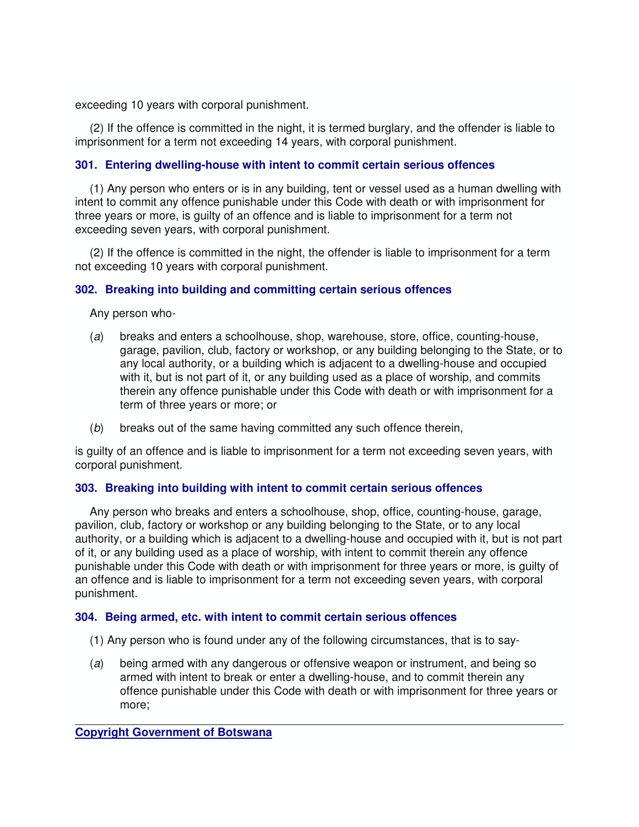exceeding 10 years with corporal punishment.

 (2) If the offence is committed in the night, it is termed burglary, and the offender is liable to imprisonment for a term not exceeding 14 years, with corporal punishment.

# **301. Entering dwelling-house with intent to commit certain serious offences**

 (1) Any person who enters or is in any building, tent or vessel used as a human dwelling with intent to commit any offence punishable under this Code with death or with imprisonment for three years or more, is guilty of an offence and is liable to imprisonment for a term not exceeding seven years, with corporal punishment.

 (2) If the offence is committed in the night, the offender is liable to imprisonment for a term not exceeding 10 years with corporal punishment.

# **302. Breaking into building and committing certain serious offences**

Any person who-

- (a) breaks and enters a schoolhouse, shop, warehouse, store, office, counting-house, garage, pavilion, club, factory or workshop, or any building belonging to the State, or to any local authority, or a building which is adjacent to a dwelling-house and occupied with it, but is not part of it, or any building used as a place of worship, and commits therein any offence punishable under this Code with death or with imprisonment for a term of three years or more; or
- (b) breaks out of the same having committed any such offence therein,

is guilty of an offence and is liable to imprisonment for a term not exceeding seven years, with corporal punishment.

# **303. Breaking into building with intent to commit certain serious offences**

 Any person who breaks and enters a schoolhouse, shop, office, counting-house, garage, pavilion, club, factory or workshop or any building belonging to the State, or to any local authority, or a building which is adjacent to a dwelling-house and occupied with it, but is not part of it, or any building used as a place of worship, with intent to commit therein any offence punishable under this Code with death or with imprisonment for three years or more, is guilty of an offence and is liable to imprisonment for a term not exceeding seven years, with corporal punishment.

# **304. Being armed, etc. with intent to commit certain serious offences**

- (1) Any person who is found under any of the following circumstances, that is to say-
- (a) being armed with any dangerous or offensive weapon or instrument, and being so armed with intent to break or enter a dwelling-house, and to commit therein any offence punishable under this Code with death or with imprisonment for three years or more;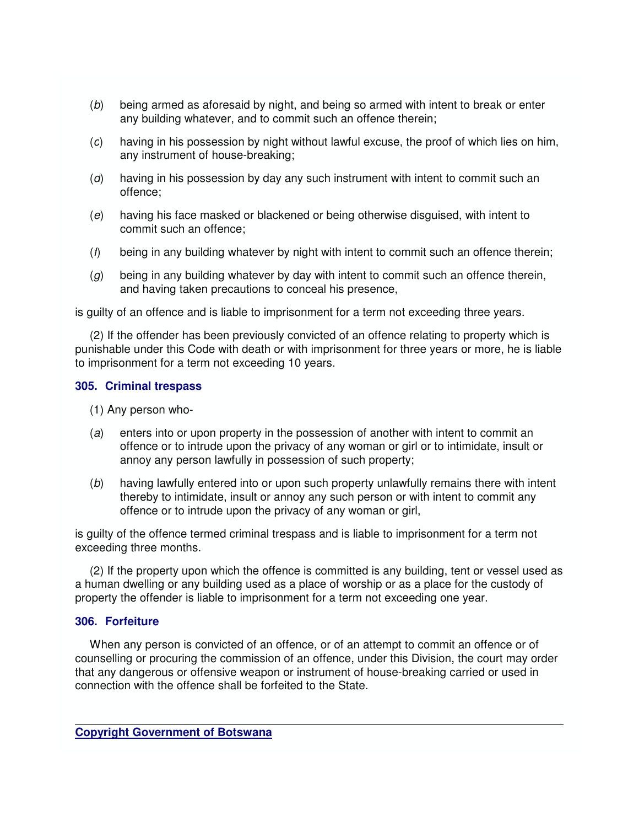- (b) being armed as aforesaid by night, and being so armed with intent to break or enter any building whatever, and to commit such an offence therein;
- (c) having in his possession by night without lawful excuse, the proof of which lies on him, any instrument of house-breaking;
- (d) having in his possession by day any such instrument with intent to commit such an offence;
- (e) having his face masked or blackened or being otherwise disguised, with intent to commit such an offence;
- (f) being in any building whatever by night with intent to commit such an offence therein;
- $(g)$  being in any building whatever by day with intent to commit such an offence therein, and having taken precautions to conceal his presence,

is guilty of an offence and is liable to imprisonment for a term not exceeding three years.

 (2) If the offender has been previously convicted of an offence relating to property which is punishable under this Code with death or with imprisonment for three years or more, he is liable to imprisonment for a term not exceeding 10 years.

### **305. Criminal trespass**

- (1) Any person who-
- (a) enters into or upon property in the possession of another with intent to commit an offence or to intrude upon the privacy of any woman or girl or to intimidate, insult or annoy any person lawfully in possession of such property;
- (b) having lawfully entered into or upon such property unlawfully remains there with intent thereby to intimidate, insult or annoy any such person or with intent to commit any offence or to intrude upon the privacy of any woman or girl,

is guilty of the offence termed criminal trespass and is liable to imprisonment for a term not exceeding three months.

 (2) If the property upon which the offence is committed is any building, tent or vessel used as a human dwelling or any building used as a place of worship or as a place for the custody of property the offender is liable to imprisonment for a term not exceeding one year.

### **306. Forfeiture**

 When any person is convicted of an offence, or of an attempt to commit an offence or of counselling or procuring the commission of an offence, under this Division, the court may order that any dangerous or offensive weapon or instrument of house-breaking carried or used in connection with the offence shall be forfeited to the State.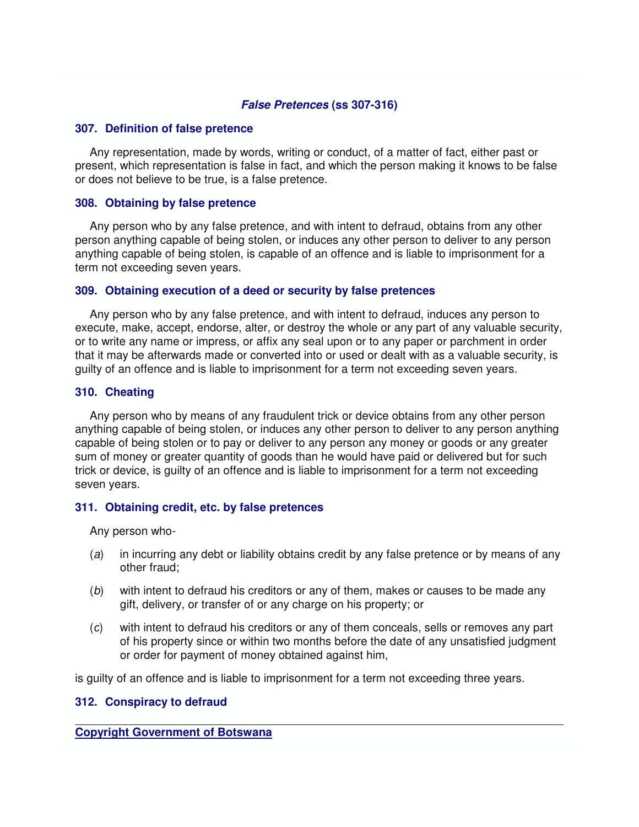### **False Pretences (ss 307-316)**

#### **307. Definition of false pretence**

 Any representation, made by words, writing or conduct, of a matter of fact, either past or present, which representation is false in fact, and which the person making it knows to be false or does not believe to be true, is a false pretence.

### **308. Obtaining by false pretence**

 Any person who by any false pretence, and with intent to defraud, obtains from any other person anything capable of being stolen, or induces any other person to deliver to any person anything capable of being stolen, is capable of an offence and is liable to imprisonment for a term not exceeding seven years.

#### **309. Obtaining execution of a deed or security by false pretences**

 Any person who by any false pretence, and with intent to defraud, induces any person to execute, make, accept, endorse, alter, or destroy the whole or any part of any valuable security, or to write any name or impress, or affix any seal upon or to any paper or parchment in order that it may be afterwards made or converted into or used or dealt with as a valuable security, is guilty of an offence and is liable to imprisonment for a term not exceeding seven years.

#### **310. Cheating**

 Any person who by means of any fraudulent trick or device obtains from any other person anything capable of being stolen, or induces any other person to deliver to any person anything capable of being stolen or to pay or deliver to any person any money or goods or any greater sum of money or greater quantity of goods than he would have paid or delivered but for such trick or device, is guilty of an offence and is liable to imprisonment for a term not exceeding seven years.

### **311. Obtaining credit, etc. by false pretences**

Any person who-

- (a) in incurring any debt or liability obtains credit by any false pretence or by means of any other fraud;
- (b) with intent to defraud his creditors or any of them, makes or causes to be made any gift, delivery, or transfer of or any charge on his property; or
- (c) with intent to defraud his creditors or any of them conceals, sells or removes any part of his property since or within two months before the date of any unsatisfied judgment or order for payment of money obtained against him,

is guilty of an offence and is liable to imprisonment for a term not exceeding three years.

### **312. Conspiracy to defraud**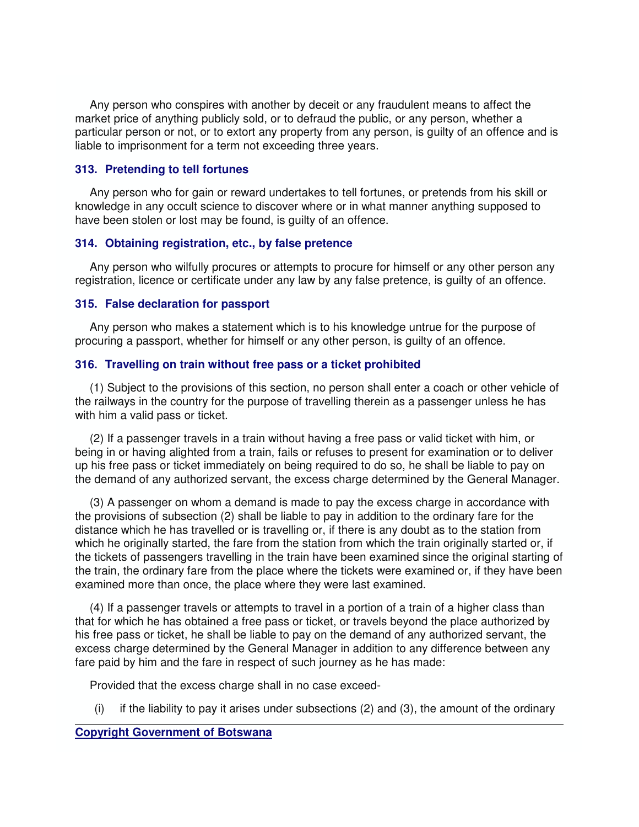Any person who conspires with another by deceit or any fraudulent means to affect the market price of anything publicly sold, or to defraud the public, or any person, whether a particular person or not, or to extort any property from any person, is guilty of an offence and is liable to imprisonment for a term not exceeding three years.

### **313. Pretending to tell fortunes**

 Any person who for gain or reward undertakes to tell fortunes, or pretends from his skill or knowledge in any occult science to discover where or in what manner anything supposed to have been stolen or lost may be found, is guilty of an offence.

### **314. Obtaining registration, etc., by false pretence**

 Any person who wilfully procures or attempts to procure for himself or any other person any registration, licence or certificate under any law by any false pretence, is guilty of an offence.

### **315. False declaration for passport**

 Any person who makes a statement which is to his knowledge untrue for the purpose of procuring a passport, whether for himself or any other person, is guilty of an offence.

# **316. Travelling on train without free pass or a ticket prohibited**

 (1) Subject to the provisions of this section, no person shall enter a coach or other vehicle of the railways in the country for the purpose of travelling therein as a passenger unless he has with him a valid pass or ticket.

 (2) If a passenger travels in a train without having a free pass or valid ticket with him, or being in or having alighted from a train, fails or refuses to present for examination or to deliver up his free pass or ticket immediately on being required to do so, he shall be liable to pay on the demand of any authorized servant, the excess charge determined by the General Manager.

 (3) A passenger on whom a demand is made to pay the excess charge in accordance with the provisions of subsection (2) shall be liable to pay in addition to the ordinary fare for the distance which he has travelled or is travelling or, if there is any doubt as to the station from which he originally started, the fare from the station from which the train originally started or, if the tickets of passengers travelling in the train have been examined since the original starting of the train, the ordinary fare from the place where the tickets were examined or, if they have been examined more than once, the place where they were last examined.

 (4) If a passenger travels or attempts to travel in a portion of a train of a higher class than that for which he has obtained a free pass or ticket, or travels beyond the place authorized by his free pass or ticket, he shall be liable to pay on the demand of any authorized servant, the excess charge determined by the General Manager in addition to any difference between any fare paid by him and the fare in respect of such journey as he has made:

Provided that the excess charge shall in no case exceed-

(i) if the liability to pay it arises under subsections (2) and (3), the amount of the ordinary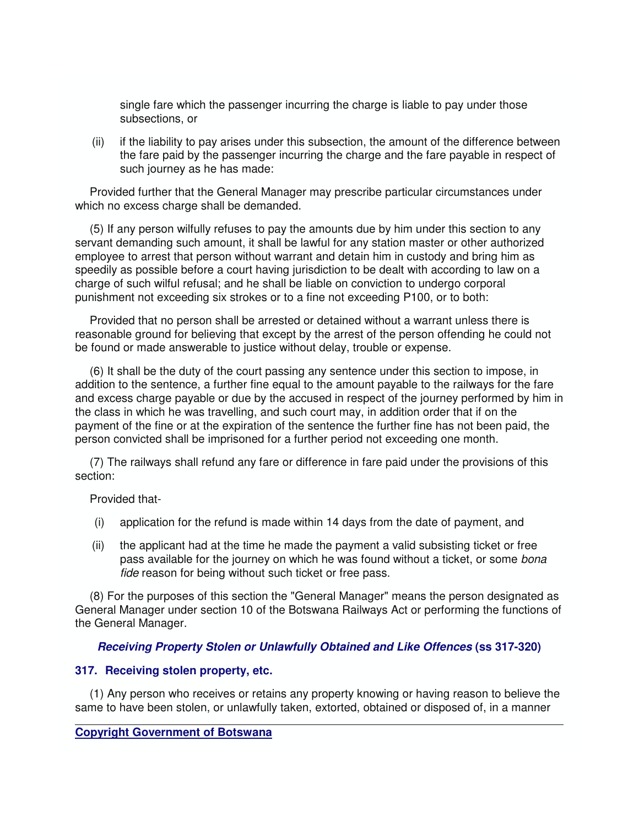single fare which the passenger incurring the charge is liable to pay under those subsections, or

 (ii) if the liability to pay arises under this subsection, the amount of the difference between the fare paid by the passenger incurring the charge and the fare payable in respect of such journey as he has made:

 Provided further that the General Manager may prescribe particular circumstances under which no excess charge shall be demanded.

 (5) If any person wilfully refuses to pay the amounts due by him under this section to any servant demanding such amount, it shall be lawful for any station master or other authorized employee to arrest that person without warrant and detain him in custody and bring him as speedily as possible before a court having jurisdiction to be dealt with according to law on a charge of such wilful refusal; and he shall be liable on conviction to undergo corporal punishment not exceeding six strokes or to a fine not exceeding P100, or to both:

 Provided that no person shall be arrested or detained without a warrant unless there is reasonable ground for believing that except by the arrest of the person offending he could not be found or made answerable to justice without delay, trouble or expense.

 (6) It shall be the duty of the court passing any sentence under this section to impose, in addition to the sentence, a further fine equal to the amount payable to the railways for the fare and excess charge payable or due by the accused in respect of the journey performed by him in the class in which he was travelling, and such court may, in addition order that if on the payment of the fine or at the expiration of the sentence the further fine has not been paid, the person convicted shall be imprisoned for a further period not exceeding one month.

 (7) The railways shall refund any fare or difference in fare paid under the provisions of this section:

Provided that-

- (i) application for the refund is made within 14 days from the date of payment, and
- (ii) the applicant had at the time he made the payment a valid subsisting ticket or free pass available for the journey on which he was found without a ticket, or some bona fide reason for being without such ticket or free pass.

 (8) For the purposes of this section the "General Manager" means the person designated as General Manager under section 10 of the Botswana Railways Act or performing the functions of the General Manager.

# **Receiving Property Stolen or Unlawfully Obtained and Like Offences (ss 317-320)**

# **317. Receiving stolen property, etc.**

 (1) Any person who receives or retains any property knowing or having reason to believe the same to have been stolen, or unlawfully taken, extorted, obtained or disposed of, in a manner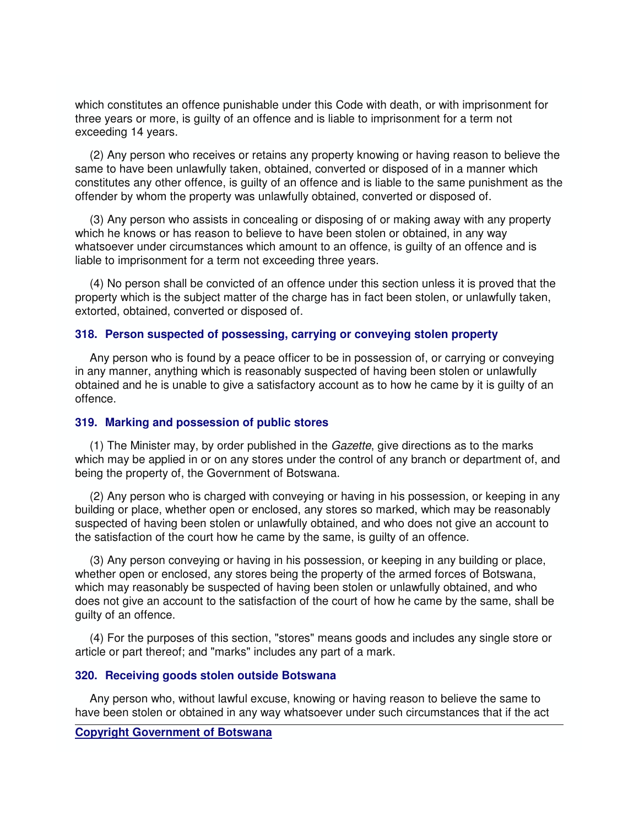which constitutes an offence punishable under this Code with death, or with imprisonment for three years or more, is guilty of an offence and is liable to imprisonment for a term not exceeding 14 years.

 (2) Any person who receives or retains any property knowing or having reason to believe the same to have been unlawfully taken, obtained, converted or disposed of in a manner which constitutes any other offence, is guilty of an offence and is liable to the same punishment as the offender by whom the property was unlawfully obtained, converted or disposed of.

 (3) Any person who assists in concealing or disposing of or making away with any property which he knows or has reason to believe to have been stolen or obtained, in any way whatsoever under circumstances which amount to an offence, is guilty of an offence and is liable to imprisonment for a term not exceeding three years.

 (4) No person shall be convicted of an offence under this section unless it is proved that the property which is the subject matter of the charge has in fact been stolen, or unlawfully taken, extorted, obtained, converted or disposed of.

### **318. Person suspected of possessing, carrying or conveying stolen property**

 Any person who is found by a peace officer to be in possession of, or carrying or conveying in any manner, anything which is reasonably suspected of having been stolen or unlawfully obtained and he is unable to give a satisfactory account as to how he came by it is guilty of an offence.

### **319. Marking and possession of public stores**

 (1) The Minister may, by order published in the Gazette, give directions as to the marks which may be applied in or on any stores under the control of any branch or department of, and being the property of, the Government of Botswana.

 (2) Any person who is charged with conveying or having in his possession, or keeping in any building or place, whether open or enclosed, any stores so marked, which may be reasonably suspected of having been stolen or unlawfully obtained, and who does not give an account to the satisfaction of the court how he came by the same, is guilty of an offence.

 (3) Any person conveying or having in his possession, or keeping in any building or place, whether open or enclosed, any stores being the property of the armed forces of Botswana, which may reasonably be suspected of having been stolen or unlawfully obtained, and who does not give an account to the satisfaction of the court of how he came by the same, shall be guilty of an offence.

 (4) For the purposes of this section, "stores" means goods and includes any single store or article or part thereof; and "marks" includes any part of a mark.

### **320. Receiving goods stolen outside Botswana**

 Any person who, without lawful excuse, knowing or having reason to believe the same to have been stolen or obtained in any way whatsoever under such circumstances that if the act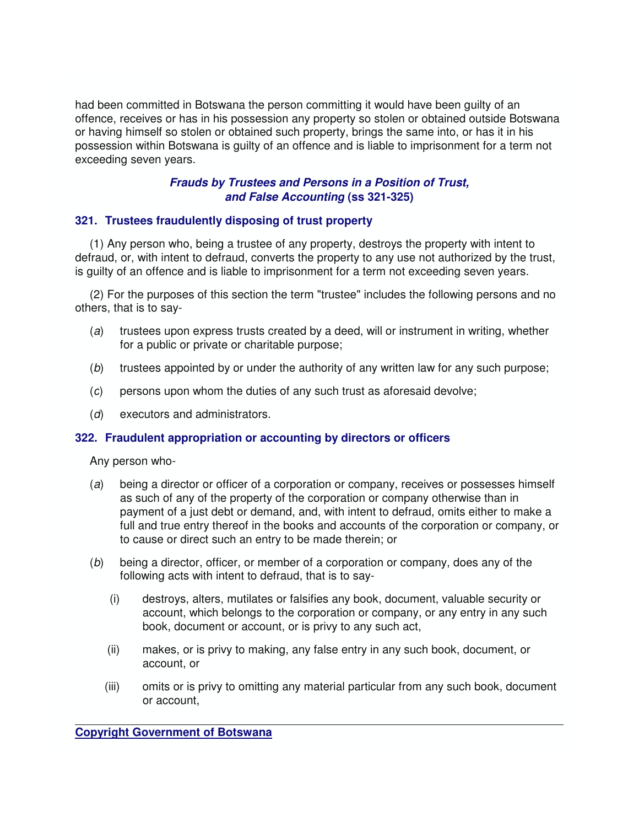had been committed in Botswana the person committing it would have been guilty of an offence, receives or has in his possession any property so stolen or obtained outside Botswana or having himself so stolen or obtained such property, brings the same into, or has it in his possession within Botswana is guilty of an offence and is liable to imprisonment for a term not exceeding seven years.

# **Frauds by Trustees and Persons in a Position of Trust, and False Accounting (ss 321-325)**

# **321. Trustees fraudulently disposing of trust property**

 (1) Any person who, being a trustee of any property, destroys the property with intent to defraud, or, with intent to defraud, converts the property to any use not authorized by the trust, is guilty of an offence and is liable to imprisonment for a term not exceeding seven years.

 (2) For the purposes of this section the term "trustee" includes the following persons and no others, that is to say-

- (a) trustees upon express trusts created by a deed, will or instrument in writing, whether for a public or private or charitable purpose;
- (b) trustees appointed by or under the authority of any written law for any such purpose;
- (c) persons upon whom the duties of any such trust as aforesaid devolve;
- (d) executors and administrators.

# **322. Fraudulent appropriation or accounting by directors or officers**

Any person who-

- (a) being a director or officer of a corporation or company, receives or possesses himself as such of any of the property of the corporation or company otherwise than in payment of a just debt or demand, and, with intent to defraud, omits either to make a full and true entry thereof in the books and accounts of the corporation or company, or to cause or direct such an entry to be made therein; or
- (b) being a director, officer, or member of a corporation or company, does any of the following acts with intent to defraud, that is to say-
	- (i) destroys, alters, mutilates or falsifies any book, document, valuable security or account, which belongs to the corporation or company, or any entry in any such book, document or account, or is privy to any such act,
	- (ii) makes, or is privy to making, any false entry in any such book, document, or account, or
	- (iii) omits or is privy to omitting any material particular from any such book, document or account,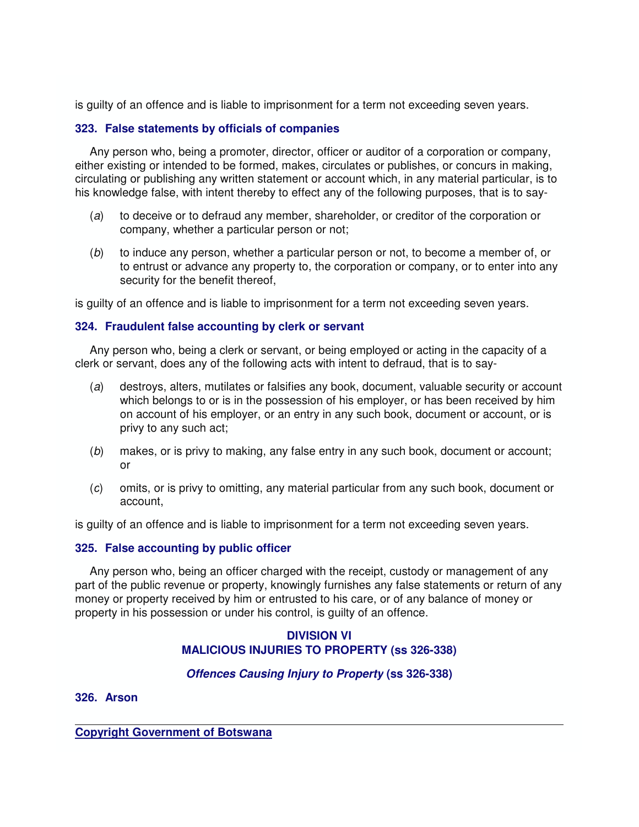is guilty of an offence and is liable to imprisonment for a term not exceeding seven years.

# **323. False statements by officials of companies**

 Any person who, being a promoter, director, officer or auditor of a corporation or company, either existing or intended to be formed, makes, circulates or publishes, or concurs in making, circulating or publishing any written statement or account which, in any material particular, is to his knowledge false, with intent thereby to effect any of the following purposes, that is to say-

- (a) to deceive or to defraud any member, shareholder, or creditor of the corporation or company, whether a particular person or not;
- (b) to induce any person, whether a particular person or not, to become a member of, or to entrust or advance any property to, the corporation or company, or to enter into any security for the benefit thereof,

is guilty of an offence and is liable to imprisonment for a term not exceeding seven years.

# **324. Fraudulent false accounting by clerk or servant**

 Any person who, being a clerk or servant, or being employed or acting in the capacity of a clerk or servant, does any of the following acts with intent to defraud, that is to say-

- (a) destroys, alters, mutilates or falsifies any book, document, valuable security or account which belongs to or is in the possession of his employer, or has been received by him on account of his employer, or an entry in any such book, document or account, or is privy to any such act;
- (b) makes, or is privy to making, any false entry in any such book, document or account; or
- (c) omits, or is privy to omitting, any material particular from any such book, document or account,

is guilty of an offence and is liable to imprisonment for a term not exceeding seven years.

# **325. False accounting by public officer**

 Any person who, being an officer charged with the receipt, custody or management of any part of the public revenue or property, knowingly furnishes any false statements or return of any money or property received by him or entrusted to his care, or of any balance of money or property in his possession or under his control, is guilty of an offence.

# **DIVISION VI MALICIOUS INJURIES TO PROPERTY (ss 326-338)**

# **Offences Causing Injury to Property (ss 326-338)**

**326. Arson**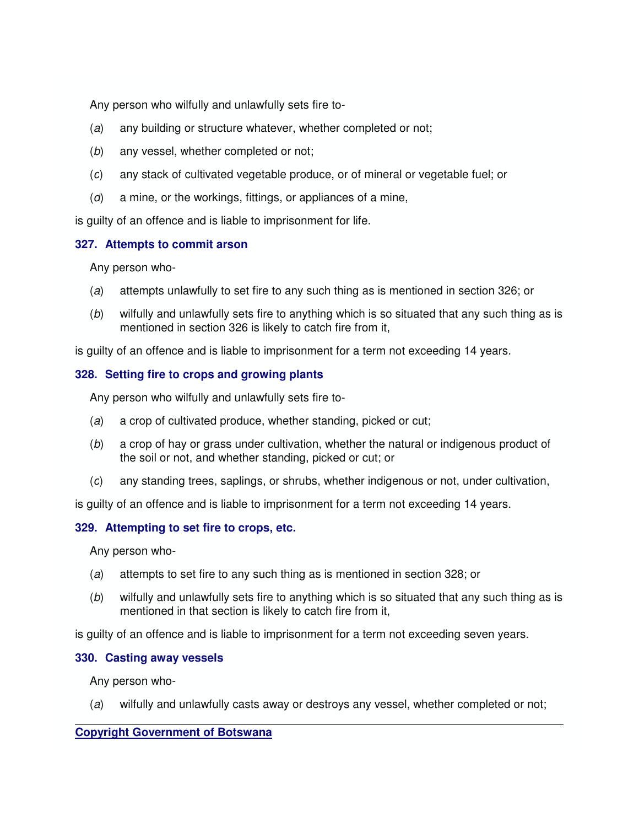Any person who wilfully and unlawfully sets fire to-

- (a) any building or structure whatever, whether completed or not;
- (b) any vessel, whether completed or not;
- (c) any stack of cultivated vegetable produce, or of mineral or vegetable fuel; or
- (d) a mine, or the workings, fittings, or appliances of a mine,

is guilty of an offence and is liable to imprisonment for life.

# **327. Attempts to commit arson**

Any person who-

- (a) attempts unlawfully to set fire to any such thing as is mentioned in section 326; or
- (b) wilfully and unlawfully sets fire to anything which is so situated that any such thing as is mentioned in section 326 is likely to catch fire from it,

is guilty of an offence and is liable to imprisonment for a term not exceeding 14 years.

# **328. Setting fire to crops and growing plants**

Any person who wilfully and unlawfully sets fire to-

- (a) a crop of cultivated produce, whether standing, picked or cut;
- (b) a crop of hay or grass under cultivation, whether the natural or indigenous product of the soil or not, and whether standing, picked or cut; or
- (c) any standing trees, saplings, or shrubs, whether indigenous or not, under cultivation,

is guilty of an offence and is liable to imprisonment for a term not exceeding 14 years.

# **329. Attempting to set fire to crops, etc.**

Any person who-

- (a) attempts to set fire to any such thing as is mentioned in section 328; or
- (b) wilfully and unlawfully sets fire to anything which is so situated that any such thing as is mentioned in that section is likely to catch fire from it,

is guilty of an offence and is liable to imprisonment for a term not exceeding seven years.

### **330. Casting away vessels**

Any person who-

(a) wilfully and unlawfully casts away or destroys any vessel, whether completed or not;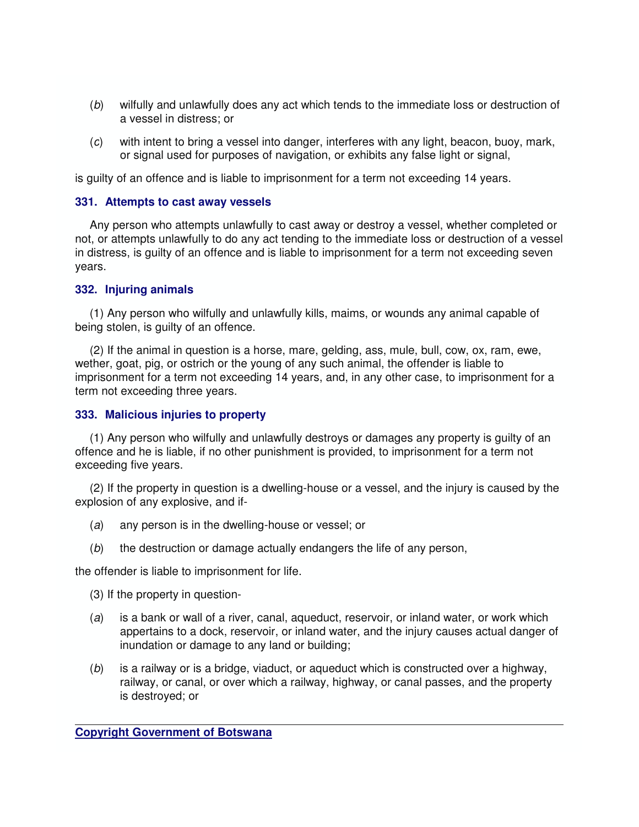- (b) wilfully and unlawfully does any act which tends to the immediate loss or destruction of a vessel in distress; or
- (c) with intent to bring a vessel into danger, interferes with any light, beacon, buoy, mark, or signal used for purposes of navigation, or exhibits any false light or signal,

is guilty of an offence and is liable to imprisonment for a term not exceeding 14 years.

# **331. Attempts to cast away vessels**

 Any person who attempts unlawfully to cast away or destroy a vessel, whether completed or not, or attempts unlawfully to do any act tending to the immediate loss or destruction of a vessel in distress, is guilty of an offence and is liable to imprisonment for a term not exceeding seven years.

# **332. Injuring animals**

 (1) Any person who wilfully and unlawfully kills, maims, or wounds any animal capable of being stolen, is guilty of an offence.

 (2) If the animal in question is a horse, mare, gelding, ass, mule, bull, cow, ox, ram, ewe, wether, goat, pig, or ostrich or the young of any such animal, the offender is liable to imprisonment for a term not exceeding 14 years, and, in any other case, to imprisonment for a term not exceeding three years.

### **333. Malicious injuries to property**

 (1) Any person who wilfully and unlawfully destroys or damages any property is guilty of an offence and he is liable, if no other punishment is provided, to imprisonment for a term not exceeding five years.

 (2) If the property in question is a dwelling-house or a vessel, and the injury is caused by the explosion of any explosive, and if-

- (a) any person is in the dwelling-house or vessel; or
- (b) the destruction or damage actually endangers the life of any person,

the offender is liable to imprisonment for life.

- (3) If the property in question-
- (a) is a bank or wall of a river, canal, aqueduct, reservoir, or inland water, or work which appertains to a dock, reservoir, or inland water, and the injury causes actual danger of inundation or damage to any land or building;
- (b) is a railway or is a bridge, viaduct, or aqueduct which is constructed over a highway, railway, or canal, or over which a railway, highway, or canal passes, and the property is destroyed; or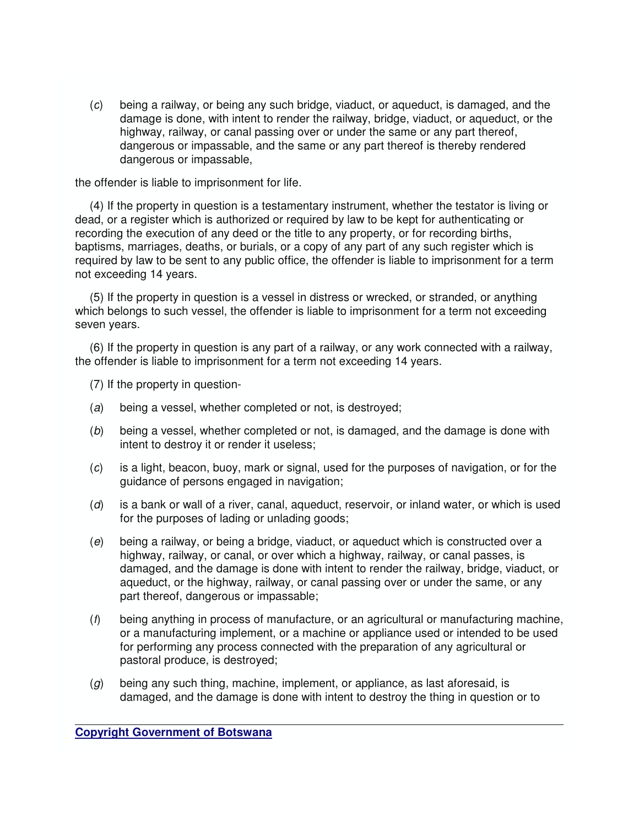(c) being a railway, or being any such bridge, viaduct, or aqueduct, is damaged, and the damage is done, with intent to render the railway, bridge, viaduct, or aqueduct, or the highway, railway, or canal passing over or under the same or any part thereof, dangerous or impassable, and the same or any part thereof is thereby rendered dangerous or impassable,

the offender is liable to imprisonment for life.

 (4) If the property in question is a testamentary instrument, whether the testator is living or dead, or a register which is authorized or required by law to be kept for authenticating or recording the execution of any deed or the title to any property, or for recording births, baptisms, marriages, deaths, or burials, or a copy of any part of any such register which is required by law to be sent to any public office, the offender is liable to imprisonment for a term not exceeding 14 years.

 (5) If the property in question is a vessel in distress or wrecked, or stranded, or anything which belongs to such vessel, the offender is liable to imprisonment for a term not exceeding seven years.

 (6) If the property in question is any part of a railway, or any work connected with a railway, the offender is liable to imprisonment for a term not exceeding 14 years.

(7) If the property in question-

- (a) being a vessel, whether completed or not, is destroyed;
- (b) being a vessel, whether completed or not, is damaged, and the damage is done with intent to destroy it or render it useless;
- (c) is a light, beacon, buoy, mark or signal, used for the purposes of navigation, or for the guidance of persons engaged in navigation;
- (d) is a bank or wall of a river, canal, aqueduct, reservoir, or inland water, or which is used for the purposes of lading or unlading goods;
- (e) being a railway, or being a bridge, viaduct, or aqueduct which is constructed over a highway, railway, or canal, or over which a highway, railway, or canal passes, is damaged, and the damage is done with intent to render the railway, bridge, viaduct, or aqueduct, or the highway, railway, or canal passing over or under the same, or any part thereof, dangerous or impassable;
- (f) being anything in process of manufacture, or an agricultural or manufacturing machine, or a manufacturing implement, or a machine or appliance used or intended to be used for performing any process connected with the preparation of any agricultural or pastoral produce, is destroyed;
- $(g)$  being any such thing, machine, implement, or appliance, as last aforesaid, is damaged, and the damage is done with intent to destroy the thing in question or to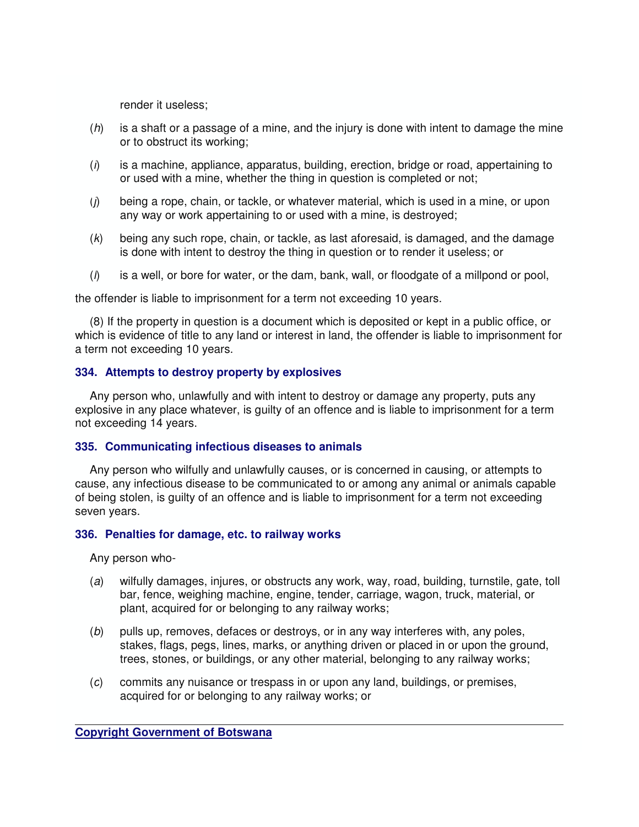render it useless;

- $(h)$  is a shaft or a passage of a mine, and the injury is done with intent to damage the mine or to obstruct its working;
- $(i)$  is a machine, appliance, apparatus, building, erection, bridge or road, appertaining to or used with a mine, whether the thing in question is completed or not;
- $(j)$  being a rope, chain, or tackle, or whatever material, which is used in a mine, or upon any way or work appertaining to or used with a mine, is destroyed;
- $(k)$  being any such rope, chain, or tackle, as last aforesaid, is damaged, and the damage is done with intent to destroy the thing in question or to render it useless; or
- $(l)$  is a well, or bore for water, or the dam, bank, wall, or floodgate of a millpond or pool,

the offender is liable to imprisonment for a term not exceeding 10 years.

 (8) If the property in question is a document which is deposited or kept in a public office, or which is evidence of title to any land or interest in land, the offender is liable to imprisonment for a term not exceeding 10 years.

# **334. Attempts to destroy property by explosives**

 Any person who, unlawfully and with intent to destroy or damage any property, puts any explosive in any place whatever, is guilty of an offence and is liable to imprisonment for a term not exceeding 14 years.

### **335. Communicating infectious diseases to animals**

 Any person who wilfully and unlawfully causes, or is concerned in causing, or attempts to cause, any infectious disease to be communicated to or among any animal or animals capable of being stolen, is guilty of an offence and is liable to imprisonment for a term not exceeding seven years.

### **336. Penalties for damage, etc. to railway works**

Any person who-

- (a) wilfully damages, injures, or obstructs any work, way, road, building, turnstile, gate, toll bar, fence, weighing machine, engine, tender, carriage, wagon, truck, material, or plant, acquired for or belonging to any railway works;
- (b) pulls up, removes, defaces or destroys, or in any way interferes with, any poles, stakes, flags, pegs, lines, marks, or anything driven or placed in or upon the ground, trees, stones, or buildings, or any other material, belonging to any railway works;
- (c) commits any nuisance or trespass in or upon any land, buildings, or premises, acquired for or belonging to any railway works; or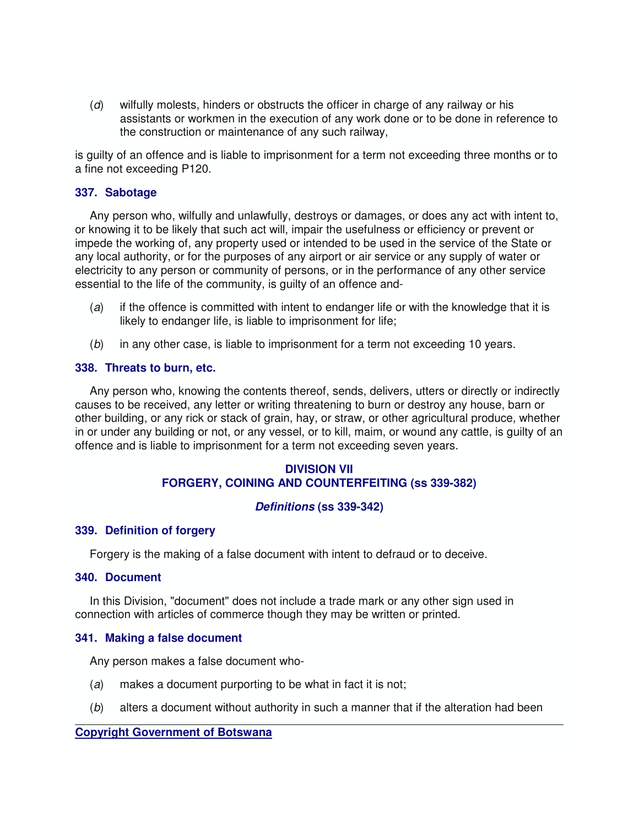(d) wilfully molests, hinders or obstructs the officer in charge of any railway or his assistants or workmen in the execution of any work done or to be done in reference to the construction or maintenance of any such railway,

is guilty of an offence and is liable to imprisonment for a term not exceeding three months or to a fine not exceeding P120.

### **337. Sabotage**

 Any person who, wilfully and unlawfully, destroys or damages, or does any act with intent to, or knowing it to be likely that such act will, impair the usefulness or efficiency or prevent or impede the working of, any property used or intended to be used in the service of the State or any local authority, or for the purposes of any airport or air service or any supply of water or electricity to any person or community of persons, or in the performance of any other service essential to the life of the community, is guilty of an offence and-

- (a) if the offence is committed with intent to endanger life or with the knowledge that it is likely to endanger life, is liable to imprisonment for life;
- (b) in any other case, is liable to imprisonment for a term not exceeding 10 years.

### **338. Threats to burn, etc.**

 Any person who, knowing the contents thereof, sends, delivers, utters or directly or indirectly causes to be received, any letter or writing threatening to burn or destroy any house, barn or other building, or any rick or stack of grain, hay, or straw, or other agricultural produce, whether in or under any building or not, or any vessel, or to kill, maim, or wound any cattle, is guilty of an offence and is liable to imprisonment for a term not exceeding seven years.

# **DIVISION VII FORGERY, COINING AND COUNTERFEITING (ss 339-382)**

# **Definitions (ss 339-342)**

### **339. Definition of forgery**

Forgery is the making of a false document with intent to defraud or to deceive.

### **340. Document**

 In this Division, "document" does not include a trade mark or any other sign used in connection with articles of commerce though they may be written or printed.

### **341. Making a false document**

Any person makes a false document who-

- (a) makes a document purporting to be what in fact it is not;
- (b) alters a document without authority in such a manner that if the alteration had been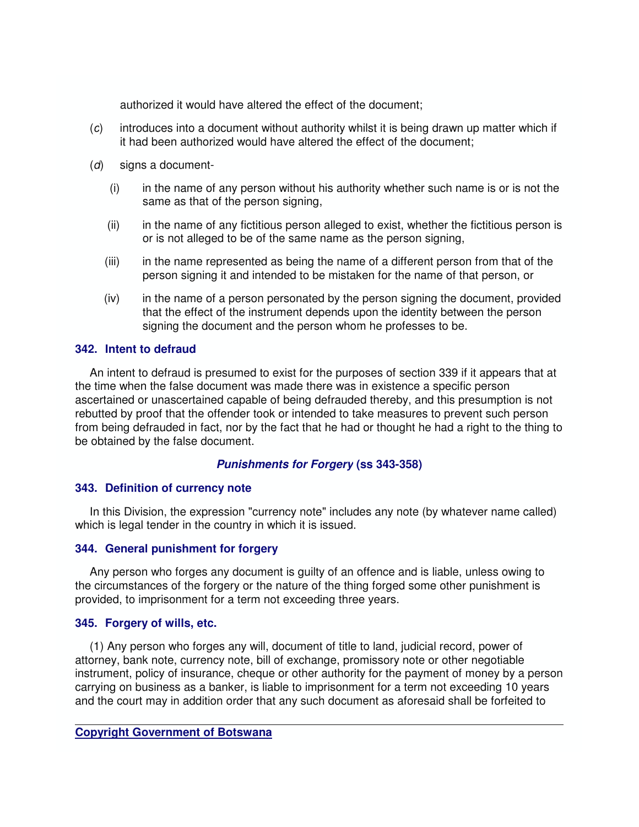authorized it would have altered the effect of the document;

- (c) introduces into a document without authority whilst it is being drawn up matter which if it had been authorized would have altered the effect of the document;
- (d) signs a document-
	- (i) in the name of any person without his authority whether such name is or is not the same as that of the person signing,
	- (ii) in the name of any fictitious person alleged to exist, whether the fictitious person is or is not alleged to be of the same name as the person signing,
	- (iii) in the name represented as being the name of a different person from that of the person signing it and intended to be mistaken for the name of that person, or
	- (iv) in the name of a person personated by the person signing the document, provided that the effect of the instrument depends upon the identity between the person signing the document and the person whom he professes to be.

### **342. Intent to defraud**

 An intent to defraud is presumed to exist for the purposes of section 339 if it appears that at the time when the false document was made there was in existence a specific person ascertained or unascertained capable of being defrauded thereby, and this presumption is not rebutted by proof that the offender took or intended to take measures to prevent such person from being defrauded in fact, nor by the fact that he had or thought he had a right to the thing to be obtained by the false document.

# **Punishments for Forgery (ss 343-358)**

### **343. Definition of currency note**

 In this Division, the expression "currency note" includes any note (by whatever name called) which is legal tender in the country in which it is issued.

# **344. General punishment for forgery**

 Any person who forges any document is guilty of an offence and is liable, unless owing to the circumstances of the forgery or the nature of the thing forged some other punishment is provided, to imprisonment for a term not exceeding three years.

### **345. Forgery of wills, etc.**

 (1) Any person who forges any will, document of title to land, judicial record, power of attorney, bank note, currency note, bill of exchange, promissory note or other negotiable instrument, policy of insurance, cheque or other authority for the payment of money by a person carrying on business as a banker, is liable to imprisonment for a term not exceeding 10 years and the court may in addition order that any such document as aforesaid shall be forfeited to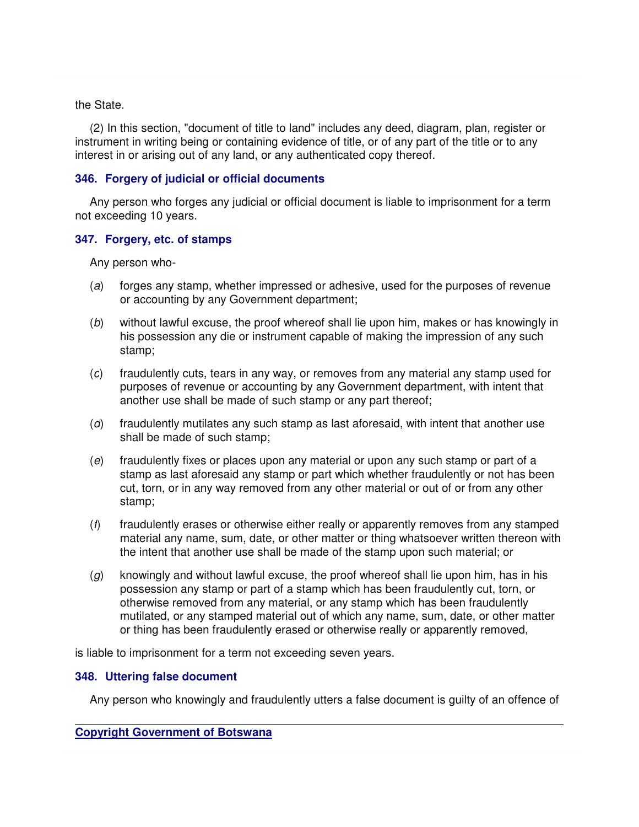the State.

 (2) In this section, "document of title to land" includes any deed, diagram, plan, register or instrument in writing being or containing evidence of title, or of any part of the title or to any interest in or arising out of any land, or any authenticated copy thereof.

# **346. Forgery of judicial or official documents**

 Any person who forges any judicial or official document is liable to imprisonment for a term not exceeding 10 years.

# **347. Forgery, etc. of stamps**

Any person who-

- (a) forges any stamp, whether impressed or adhesive, used for the purposes of revenue or accounting by any Government department;
- (b) without lawful excuse, the proof whereof shall lie upon him, makes or has knowingly in his possession any die or instrument capable of making the impression of any such stamp;
- (c) fraudulently cuts, tears in any way, or removes from any material any stamp used for purposes of revenue or accounting by any Government department, with intent that another use shall be made of such stamp or any part thereof;
- (d) fraudulently mutilates any such stamp as last aforesaid, with intent that another use shall be made of such stamp;
- (e) fraudulently fixes or places upon any material or upon any such stamp or part of a stamp as last aforesaid any stamp or part which whether fraudulently or not has been cut, torn, or in any way removed from any other material or out of or from any other stamp;
- (f) fraudulently erases or otherwise either really or apparently removes from any stamped material any name, sum, date, or other matter or thing whatsoever written thereon with the intent that another use shall be made of the stamp upon such material; or
- $(g)$  knowingly and without lawful excuse, the proof whereof shall lie upon him, has in his possession any stamp or part of a stamp which has been fraudulently cut, torn, or otherwise removed from any material, or any stamp which has been fraudulently mutilated, or any stamped material out of which any name, sum, date, or other matter or thing has been fraudulently erased or otherwise really or apparently removed,

is liable to imprisonment for a term not exceeding seven years.

### **348. Uttering false document**

Any person who knowingly and fraudulently utters a false document is guilty of an offence of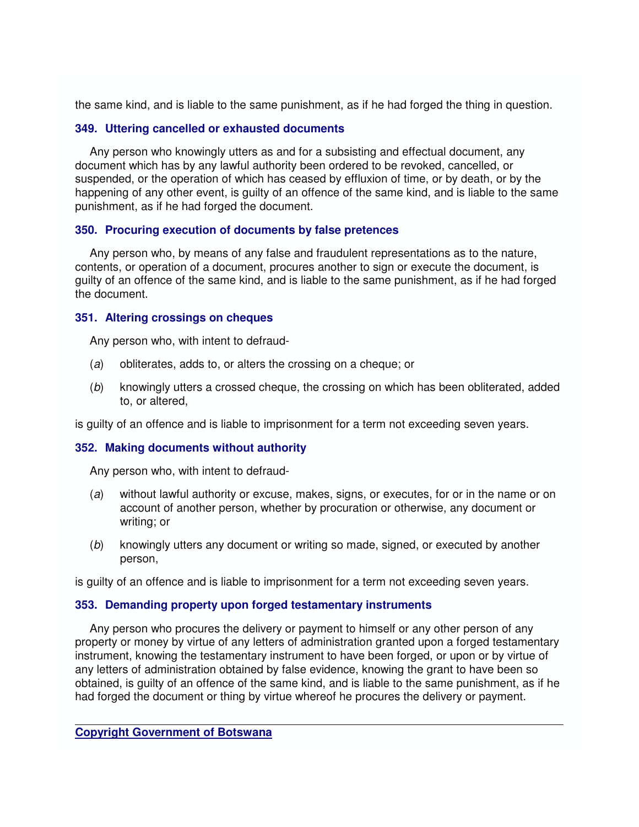the same kind, and is liable to the same punishment, as if he had forged the thing in question.

# **349. Uttering cancelled or exhausted documents**

 Any person who knowingly utters as and for a subsisting and effectual document, any document which has by any lawful authority been ordered to be revoked, cancelled, or suspended, or the operation of which has ceased by effluxion of time, or by death, or by the happening of any other event, is guilty of an offence of the same kind, and is liable to the same punishment, as if he had forged the document.

# **350. Procuring execution of documents by false pretences**

 Any person who, by means of any false and fraudulent representations as to the nature, contents, or operation of a document, procures another to sign or execute the document, is guilty of an offence of the same kind, and is liable to the same punishment, as if he had forged the document.

# **351. Altering crossings on cheques**

Any person who, with intent to defraud-

- (a) obliterates, adds to, or alters the crossing on a cheque; or
- (b) knowingly utters a crossed cheque, the crossing on which has been obliterated, added to, or altered,

is guilty of an offence and is liable to imprisonment for a term not exceeding seven years.

# **352. Making documents without authority**

Any person who, with intent to defraud-

- (a) without lawful authority or excuse, makes, signs, or executes, for or in the name or on account of another person, whether by procuration or otherwise, any document or writing; or
- (b) knowingly utters any document or writing so made, signed, or executed by another person,

is guilty of an offence and is liable to imprisonment for a term not exceeding seven years.

# **353. Demanding property upon forged testamentary instruments**

 Any person who procures the delivery or payment to himself or any other person of any property or money by virtue of any letters of administration granted upon a forged testamentary instrument, knowing the testamentary instrument to have been forged, or upon or by virtue of any letters of administration obtained by false evidence, knowing the grant to have been so obtained, is guilty of an offence of the same kind, and is liable to the same punishment, as if he had forged the document or thing by virtue whereof he procures the delivery or payment.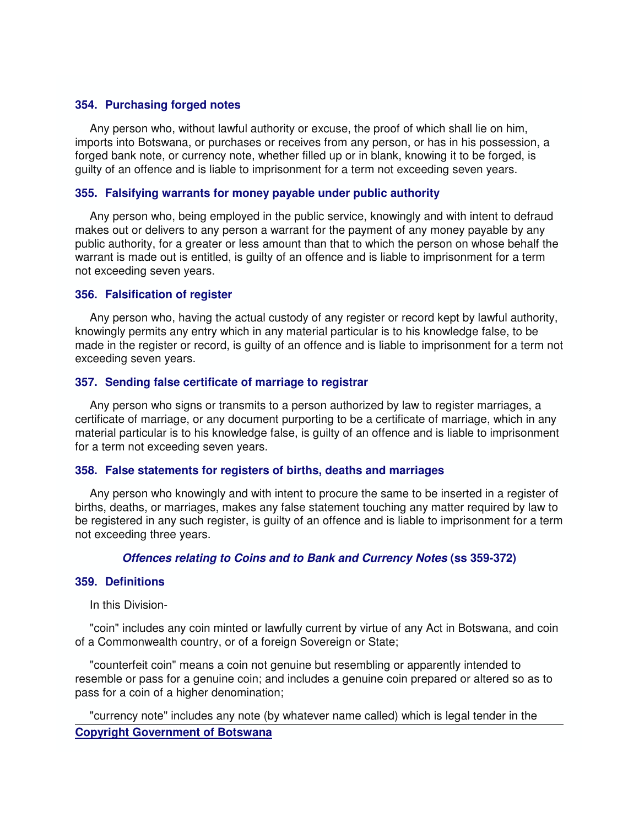#### **354. Purchasing forged notes**

 Any person who, without lawful authority or excuse, the proof of which shall lie on him, imports into Botswana, or purchases or receives from any person, or has in his possession, a forged bank note, or currency note, whether filled up or in blank, knowing it to be forged, is guilty of an offence and is liable to imprisonment for a term not exceeding seven years.

#### **355. Falsifying warrants for money payable under public authority**

 Any person who, being employed in the public service, knowingly and with intent to defraud makes out or delivers to any person a warrant for the payment of any money payable by any public authority, for a greater or less amount than that to which the person on whose behalf the warrant is made out is entitled, is guilty of an offence and is liable to imprisonment for a term not exceeding seven years.

#### **356. Falsification of register**

 Any person who, having the actual custody of any register or record kept by lawful authority, knowingly permits any entry which in any material particular is to his knowledge false, to be made in the register or record, is guilty of an offence and is liable to imprisonment for a term not exceeding seven years.

### **357. Sending false certificate of marriage to registrar**

 Any person who signs or transmits to a person authorized by law to register marriages, a certificate of marriage, or any document purporting to be a certificate of marriage, which in any material particular is to his knowledge false, is guilty of an offence and is liable to imprisonment for a term not exceeding seven years.

### **358. False statements for registers of births, deaths and marriages**

 Any person who knowingly and with intent to procure the same to be inserted in a register of births, deaths, or marriages, makes any false statement touching any matter required by law to be registered in any such register, is guilty of an offence and is liable to imprisonment for a term not exceeding three years.

### **Offences relating to Coins and to Bank and Currency Notes (ss 359-372)**

#### **359. Definitions**

In this Division-

"coin" includes any coin minted or lawfully current by virtue of any Act in Botswana, and coin of a Commonwealth country, or of a foreign Sovereign or State;

 "counterfeit coin" means a coin not genuine but resembling or apparently intended to resemble or pass for a genuine coin; and includes a genuine coin prepared or altered so as to pass for a coin of a higher denomination;

**Copyright Government of Botswana** "currency note" includes any note (by whatever name called) which is legal tender in the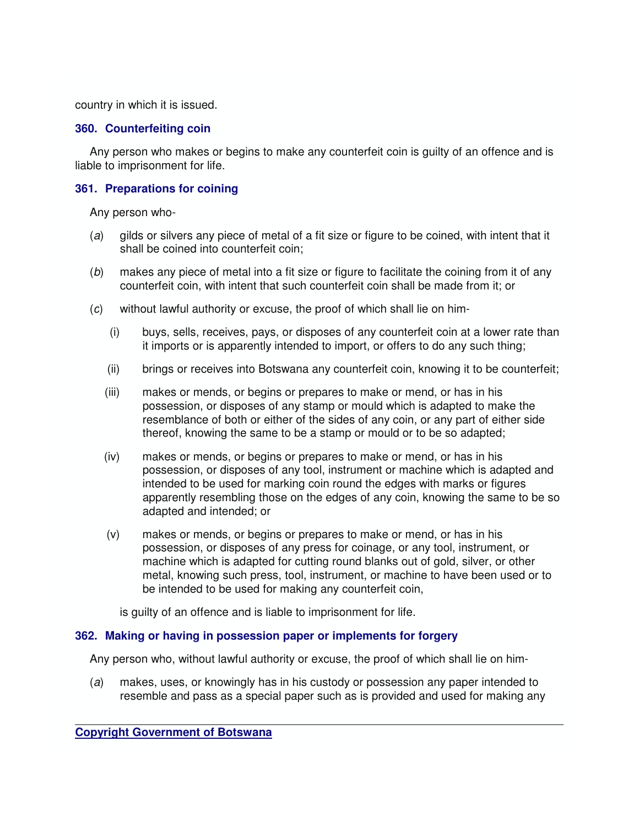country in which it is issued.

### **360. Counterfeiting coin**

 Any person who makes or begins to make any counterfeit coin is guilty of an offence and is liable to imprisonment for life.

### **361. Preparations for coining**

Any person who-

- (a) gilds or silvers any piece of metal of a fit size or figure to be coined, with intent that it shall be coined into counterfeit coin;
- (b) makes any piece of metal into a fit size or figure to facilitate the coining from it of any counterfeit coin, with intent that such counterfeit coin shall be made from it; or
- (c) without lawful authority or excuse, the proof of which shall lie on him-
	- (i) buys, sells, receives, pays, or disposes of any counterfeit coin at a lower rate than it imports or is apparently intended to import, or offers to do any such thing;
	- (ii) brings or receives into Botswana any counterfeit coin, knowing it to be counterfeit;
	- (iii) makes or mends, or begins or prepares to make or mend, or has in his possession, or disposes of any stamp or mould which is adapted to make the resemblance of both or either of the sides of any coin, or any part of either side thereof, knowing the same to be a stamp or mould or to be so adapted;
	- (iv) makes or mends, or begins or prepares to make or mend, or has in his possession, or disposes of any tool, instrument or machine which is adapted and intended to be used for marking coin round the edges with marks or figures apparently resembling those on the edges of any coin, knowing the same to be so adapted and intended; or
	- (v) makes or mends, or begins or prepares to make or mend, or has in his possession, or disposes of any press for coinage, or any tool, instrument, or machine which is adapted for cutting round blanks out of gold, silver, or other metal, knowing such press, tool, instrument, or machine to have been used or to be intended to be used for making any counterfeit coin,

is guilty of an offence and is liable to imprisonment for life.

### **362. Making or having in possession paper or implements for forgery**

Any person who, without lawful authority or excuse, the proof of which shall lie on him-

 (a) makes, uses, or knowingly has in his custody or possession any paper intended to resemble and pass as a special paper such as is provided and used for making any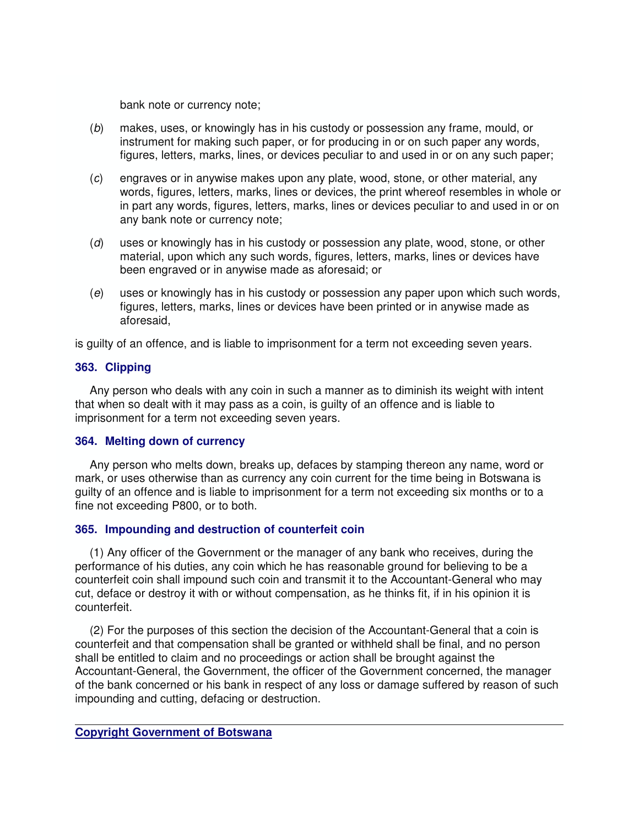bank note or currency note;

- (b) makes, uses, or knowingly has in his custody or possession any frame, mould, or instrument for making such paper, or for producing in or on such paper any words, figures, letters, marks, lines, or devices peculiar to and used in or on any such paper;
- (c) engraves or in anywise makes upon any plate, wood, stone, or other material, any words, figures, letters, marks, lines or devices, the print whereof resembles in whole or in part any words, figures, letters, marks, lines or devices peculiar to and used in or on any bank note or currency note;
- (d) uses or knowingly has in his custody or possession any plate, wood, stone, or other material, upon which any such words, figures, letters, marks, lines or devices have been engraved or in anywise made as aforesaid; or
- (e) uses or knowingly has in his custody or possession any paper upon which such words, figures, letters, marks, lines or devices have been printed or in anywise made as aforesaid,

is guilty of an offence, and is liable to imprisonment for a term not exceeding seven years.

### **363. Clipping**

 Any person who deals with any coin in such a manner as to diminish its weight with intent that when so dealt with it may pass as a coin, is guilty of an offence and is liable to imprisonment for a term not exceeding seven years.

### **364. Melting down of currency**

 Any person who melts down, breaks up, defaces by stamping thereon any name, word or mark, or uses otherwise than as currency any coin current for the time being in Botswana is guilty of an offence and is liable to imprisonment for a term not exceeding six months or to a fine not exceeding P800, or to both.

### **365. Impounding and destruction of counterfeit coin**

 (1) Any officer of the Government or the manager of any bank who receives, during the performance of his duties, any coin which he has reasonable ground for believing to be a counterfeit coin shall impound such coin and transmit it to the Accountant-General who may cut, deface or destroy it with or without compensation, as he thinks fit, if in his opinion it is counterfeit.

 (2) For the purposes of this section the decision of the Accountant-General that a coin is counterfeit and that compensation shall be granted or withheld shall be final, and no person shall be entitled to claim and no proceedings or action shall be brought against the Accountant-General, the Government, the officer of the Government concerned, the manager of the bank concerned or his bank in respect of any loss or damage suffered by reason of such impounding and cutting, defacing or destruction.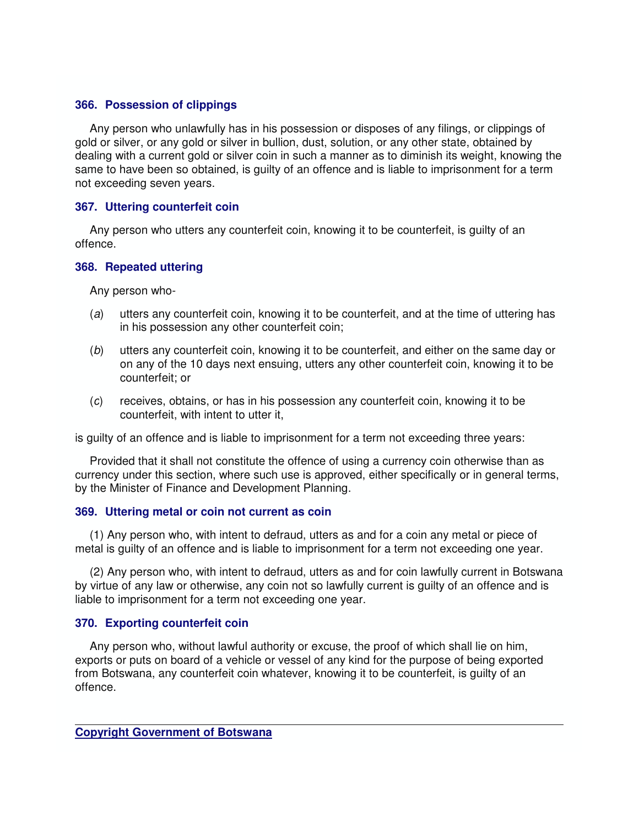### **366. Possession of clippings**

 Any person who unlawfully has in his possession or disposes of any filings, or clippings of gold or silver, or any gold or silver in bullion, dust, solution, or any other state, obtained by dealing with a current gold or silver coin in such a manner as to diminish its weight, knowing the same to have been so obtained, is guilty of an offence and is liable to imprisonment for a term not exceeding seven years.

### **367. Uttering counterfeit coin**

 Any person who utters any counterfeit coin, knowing it to be counterfeit, is guilty of an offence.

### **368. Repeated uttering**

Any person who-

- (a) utters any counterfeit coin, knowing it to be counterfeit, and at the time of uttering has in his possession any other counterfeit coin;
- (b) utters any counterfeit coin, knowing it to be counterfeit, and either on the same day or on any of the 10 days next ensuing, utters any other counterfeit coin, knowing it to be counterfeit; or
- (c) receives, obtains, or has in his possession any counterfeit coin, knowing it to be counterfeit, with intent to utter it,

is guilty of an offence and is liable to imprisonment for a term not exceeding three years:

 Provided that it shall not constitute the offence of using a currency coin otherwise than as currency under this section, where such use is approved, either specifically or in general terms, by the Minister of Finance and Development Planning.

# **369. Uttering metal or coin not current as coin**

 (1) Any person who, with intent to defraud, utters as and for a coin any metal or piece of metal is guilty of an offence and is liable to imprisonment for a term not exceeding one year.

 (2) Any person who, with intent to defraud, utters as and for coin lawfully current in Botswana by virtue of any law or otherwise, any coin not so lawfully current is guilty of an offence and is liable to imprisonment for a term not exceeding one year.

# **370. Exporting counterfeit coin**

 Any person who, without lawful authority or excuse, the proof of which shall lie on him, exports or puts on board of a vehicle or vessel of any kind for the purpose of being exported from Botswana, any counterfeit coin whatever, knowing it to be counterfeit, is guilty of an offence.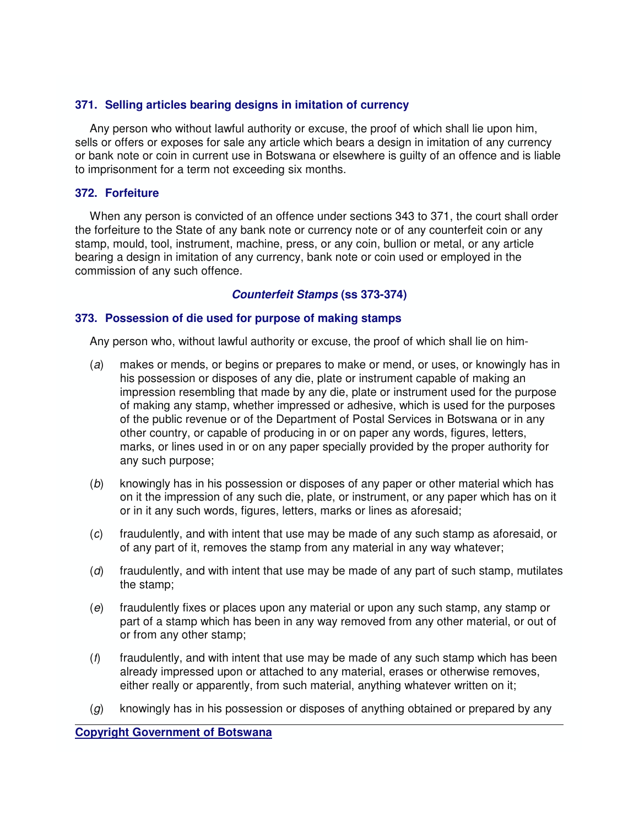# **371. Selling articles bearing designs in imitation of currency**

 Any person who without lawful authority or excuse, the proof of which shall lie upon him, sells or offers or exposes for sale any article which bears a design in imitation of any currency or bank note or coin in current use in Botswana or elsewhere is guilty of an offence and is liable to imprisonment for a term not exceeding six months.

### **372. Forfeiture**

 When any person is convicted of an offence under sections 343 to 371, the court shall order the forfeiture to the State of any bank note or currency note or of any counterfeit coin or any stamp, mould, tool, instrument, machine, press, or any coin, bullion or metal, or any article bearing a design in imitation of any currency, bank note or coin used or employed in the commission of any such offence.

### **Counterfeit Stamps (ss 373-374)**

### **373. Possession of die used for purpose of making stamps**

Any person who, without lawful authority or excuse, the proof of which shall lie on him-

- (a) makes or mends, or begins or prepares to make or mend, or uses, or knowingly has in his possession or disposes of any die, plate or instrument capable of making an impression resembling that made by any die, plate or instrument used for the purpose of making any stamp, whether impressed or adhesive, which is used for the purposes of the public revenue or of the Department of Postal Services in Botswana or in any other country, or capable of producing in or on paper any words, figures, letters, marks, or lines used in or on any paper specially provided by the proper authority for any such purpose;
- (b) knowingly has in his possession or disposes of any paper or other material which has on it the impression of any such die, plate, or instrument, or any paper which has on it or in it any such words, figures, letters, marks or lines as aforesaid;
- (c) fraudulently, and with intent that use may be made of any such stamp as aforesaid, or of any part of it, removes the stamp from any material in any way whatever;
- (d) fraudulently, and with intent that use may be made of any part of such stamp, mutilates the stamp;
- (e) fraudulently fixes or places upon any material or upon any such stamp, any stamp or part of a stamp which has been in any way removed from any other material, or out of or from any other stamp;
- $(f)$  fraudulently, and with intent that use may be made of any such stamp which has been already impressed upon or attached to any material, erases or otherwise removes, either really or apparently, from such material, anything whatever written on it;
- $(q)$  knowingly has in his possession or disposes of anything obtained or prepared by any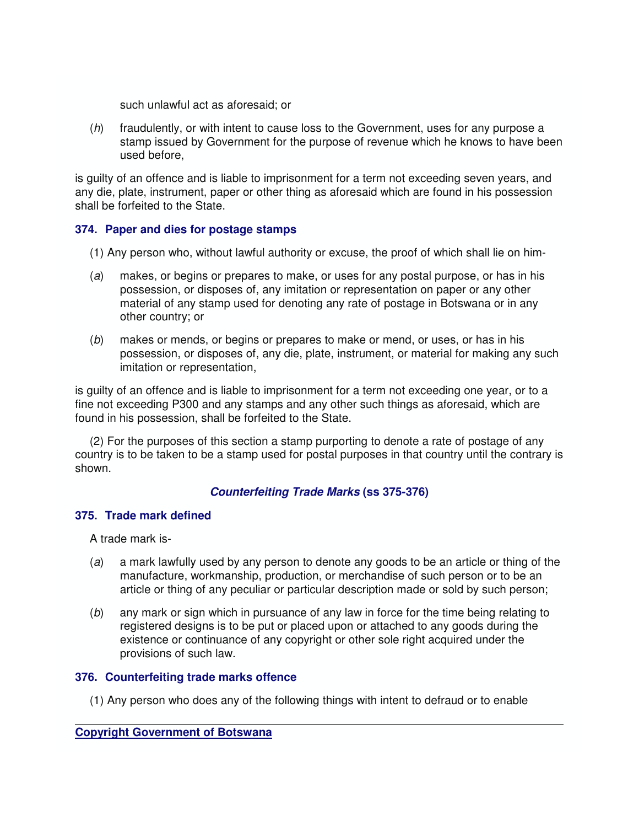such unlawful act as aforesaid; or

 (h) fraudulently, or with intent to cause loss to the Government, uses for any purpose a stamp issued by Government for the purpose of revenue which he knows to have been used before,

is guilty of an offence and is liable to imprisonment for a term not exceeding seven years, and any die, plate, instrument, paper or other thing as aforesaid which are found in his possession shall be forfeited to the State.

# **374. Paper and dies for postage stamps**

- (1) Any person who, without lawful authority or excuse, the proof of which shall lie on him-
- (a) makes, or begins or prepares to make, or uses for any postal purpose, or has in his possession, or disposes of, any imitation or representation on paper or any other material of any stamp used for denoting any rate of postage in Botswana or in any other country; or
- (b) makes or mends, or begins or prepares to make or mend, or uses, or has in his possession, or disposes of, any die, plate, instrument, or material for making any such imitation or representation,

is guilty of an offence and is liable to imprisonment for a term not exceeding one year, or to a fine not exceeding P300 and any stamps and any other such things as aforesaid, which are found in his possession, shall be forfeited to the State.

 (2) For the purposes of this section a stamp purporting to denote a rate of postage of any country is to be taken to be a stamp used for postal purposes in that country until the contrary is shown.

# **Counterfeiting Trade Marks (ss 375-376)**

# **375. Trade mark defined**

A trade mark is-

- (a) a mark lawfully used by any person to denote any goods to be an article or thing of the manufacture, workmanship, production, or merchandise of such person or to be an article or thing of any peculiar or particular description made or sold by such person;
- (b) any mark or sign which in pursuance of any law in force for the time being relating to registered designs is to be put or placed upon or attached to any goods during the existence or continuance of any copyright or other sole right acquired under the provisions of such law.

# **376. Counterfeiting trade marks offence**

(1) Any person who does any of the following things with intent to defraud or to enable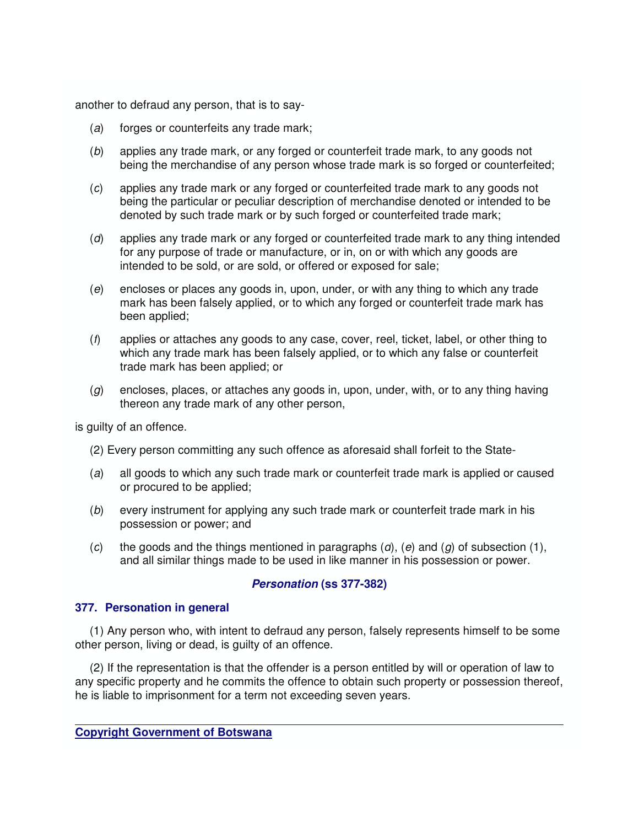another to defraud any person, that is to say-

- (a) forges or counterfeits any trade mark;
- (b) applies any trade mark, or any forged or counterfeit trade mark, to any goods not being the merchandise of any person whose trade mark is so forged or counterfeited;
- (c) applies any trade mark or any forged or counterfeited trade mark to any goods not being the particular or peculiar description of merchandise denoted or intended to be denoted by such trade mark or by such forged or counterfeited trade mark;
- (d) applies any trade mark or any forged or counterfeited trade mark to any thing intended for any purpose of trade or manufacture, or in, on or with which any goods are intended to be sold, or are sold, or offered or exposed for sale;
- (e) encloses or places any goods in, upon, under, or with any thing to which any trade mark has been falsely applied, or to which any forged or counterfeit trade mark has been applied;
- (f) applies or attaches any goods to any case, cover, reel, ticket, label, or other thing to which any trade mark has been falsely applied, or to which any false or counterfeit trade mark has been applied; or
- $(g)$  encloses, places, or attaches any goods in, upon, under, with, or to any thing having thereon any trade mark of any other person,

is guilty of an offence.

- (2) Every person committing any such offence as aforesaid shall forfeit to the State-
- (a) all goods to which any such trade mark or counterfeit trade mark is applied or caused or procured to be applied;
- (b) every instrument for applying any such trade mark or counterfeit trade mark in his possession or power; and
- (c) the goods and the things mentioned in paragraphs  $(a)$ ,  $(e)$  and  $(q)$  of subsection (1), and all similar things made to be used in like manner in his possession or power.

# **Personation (ss 377-382)**

# **377. Personation in general**

 (1) Any person who, with intent to defraud any person, falsely represents himself to be some other person, living or dead, is guilty of an offence.

 (2) If the representation is that the offender is a person entitled by will or operation of law to any specific property and he commits the offence to obtain such property or possession thereof, he is liable to imprisonment for a term not exceeding seven years.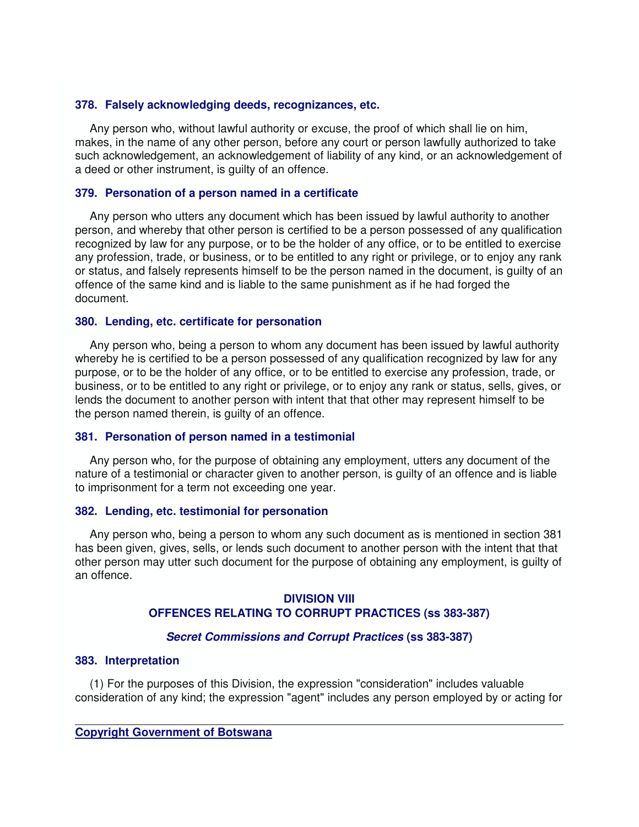#### **378. Falsely acknowledging deeds, recognizances, etc.**

 Any person who, without lawful authority or excuse, the proof of which shall lie on him, makes, in the name of any other person, before any court or person lawfully authorized to take such acknowledgement, an acknowledgement of liability of any kind, or an acknowledgement of a deed or other instrument, is guilty of an offence.

#### **379. Personation of a person named in a certificate**

 Any person who utters any document which has been issued by lawful authority to another person, and whereby that other person is certified to be a person possessed of any qualification recognized by law for any purpose, or to be the holder of any office, or to be entitled to exercise any profession, trade, or business, or to be entitled to any right or privilege, or to enjoy any rank or status, and falsely represents himself to be the person named in the document, is guilty of an offence of the same kind and is liable to the same punishment as if he had forged the document.

# **380. Lending, etc. certificate for personation**

 Any person who, being a person to whom any document has been issued by lawful authority whereby he is certified to be a person possessed of any qualification recognized by law for any purpose, or to be the holder of any office, or to be entitled to exercise any profession, trade, or business, or to be entitled to any right or privilege, or to enjoy any rank or status, sells, gives, or lends the document to another person with intent that that other may represent himself to be the person named therein, is guilty of an offence.

#### **381. Personation of person named in a testimonial**

 Any person who, for the purpose of obtaining any employment, utters any document of the nature of a testimonial or character given to another person, is guilty of an offence and is liable to imprisonment for a term not exceeding one year.

#### **382. Lending, etc. testimonial for personation**

 Any person who, being a person to whom any such document as is mentioned in section 381 has been given, gives, sells, or lends such document to another person with the intent that that other person may utter such document for the purpose of obtaining any employment, is guilty of an offence.

# **DIVISION VIII OFFENCES RELATING TO CORRUPT PRACTICES (ss 383-387)**

### **Secret Commissions and Corrupt Practices (ss 383-387)**

#### **383. Interpretation**

 (1) For the purposes of this Division, the expression "consideration" includes valuable consideration of any kind; the expression "agent" includes any person employed by or acting for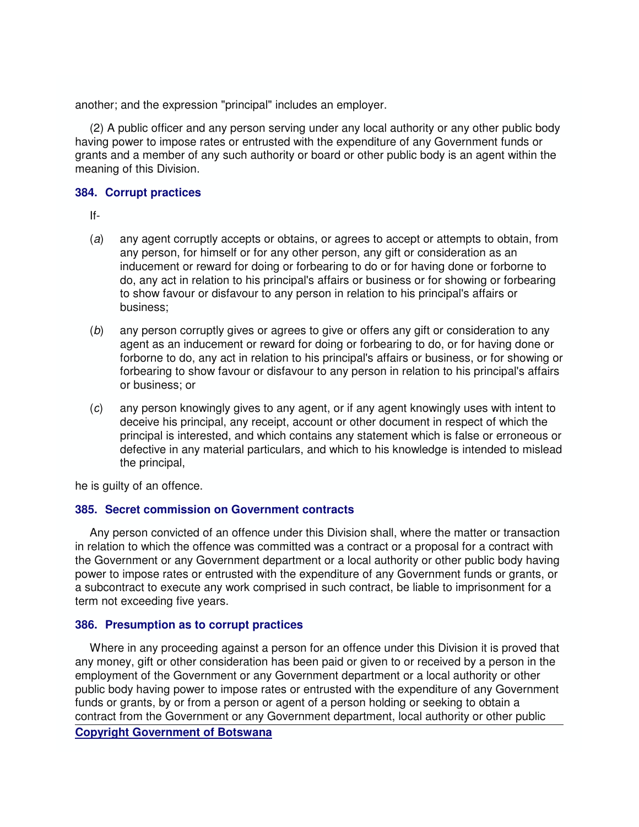another; and the expression "principal" includes an employer.

 (2) A public officer and any person serving under any local authority or any other public body having power to impose rates or entrusted with the expenditure of any Government funds or grants and a member of any such authority or board or other public body is an agent within the meaning of this Division.

### **384. Corrupt practices**

If-

- (a) any agent corruptly accepts or obtains, or agrees to accept or attempts to obtain, from any person, for himself or for any other person, any gift or consideration as an inducement or reward for doing or forbearing to do or for having done or forborne to do, any act in relation to his principal's affairs or business or for showing or forbearing to show favour or disfavour to any person in relation to his principal's affairs or business;
- (b) any person corruptly gives or agrees to give or offers any gift or consideration to any agent as an inducement or reward for doing or forbearing to do, or for having done or forborne to do, any act in relation to his principal's affairs or business, or for showing or forbearing to show favour or disfavour to any person in relation to his principal's affairs or business; or
- (c) any person knowingly gives to any agent, or if any agent knowingly uses with intent to deceive his principal, any receipt, account or other document in respect of which the principal is interested, and which contains any statement which is false or erroneous or defective in any material particulars, and which to his knowledge is intended to mislead the principal,

he is guilty of an offence.

# **385. Secret commission on Government contracts**

 Any person convicted of an offence under this Division shall, where the matter or transaction in relation to which the offence was committed was a contract or a proposal for a contract with the Government or any Government department or a local authority or other public body having power to impose rates or entrusted with the expenditure of any Government funds or grants, or a subcontract to execute any work comprised in such contract, be liable to imprisonment for a term not exceeding five years.

### **386. Presumption as to corrupt practices**

 Where in any proceeding against a person for an offence under this Division it is proved that any money, gift or other consideration has been paid or given to or received by a person in the employment of the Government or any Government department or a local authority or other public body having power to impose rates or entrusted with the expenditure of any Government funds or grants, by or from a person or agent of a person holding or seeking to obtain a contract from the Government or any Government department, local authority or other public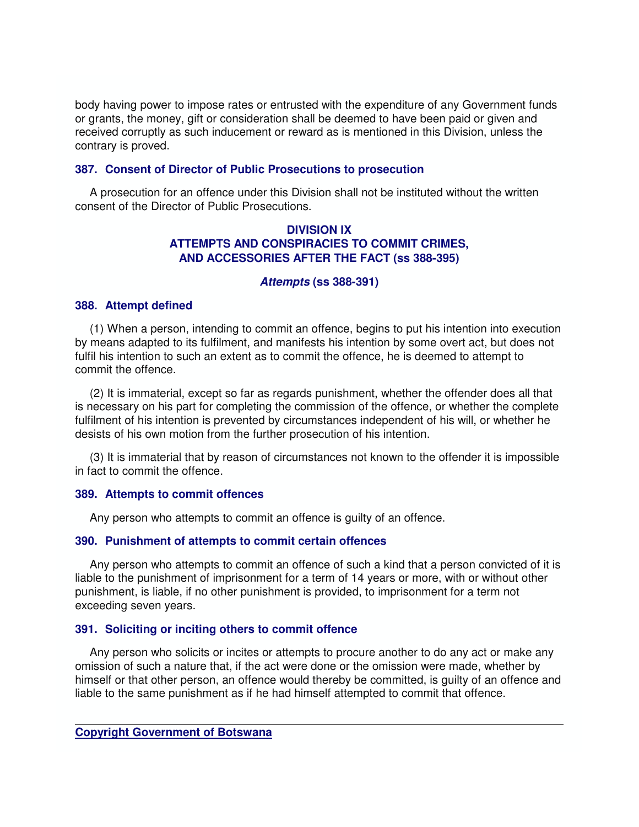body having power to impose rates or entrusted with the expenditure of any Government funds or grants, the money, gift or consideration shall be deemed to have been paid or given and received corruptly as such inducement or reward as is mentioned in this Division, unless the contrary is proved.

### **387. Consent of Director of Public Prosecutions to prosecution**

 A prosecution for an offence under this Division shall not be instituted without the written consent of the Director of Public Prosecutions.

# **DIVISION IX ATTEMPTS AND CONSPIRACIES TO COMMIT CRIMES, AND ACCESSORIES AFTER THE FACT (ss 388-395)**

### **Attempts (ss 388-391)**

#### **388. Attempt defined**

 (1) When a person, intending to commit an offence, begins to put his intention into execution by means adapted to its fulfilment, and manifests his intention by some overt act, but does not fulfil his intention to such an extent as to commit the offence, he is deemed to attempt to commit the offence.

 (2) It is immaterial, except so far as regards punishment, whether the offender does all that is necessary on his part for completing the commission of the offence, or whether the complete fulfilment of his intention is prevented by circumstances independent of his will, or whether he desists of his own motion from the further prosecution of his intention.

 (3) It is immaterial that by reason of circumstances not known to the offender it is impossible in fact to commit the offence.

#### **389. Attempts to commit offences**

Any person who attempts to commit an offence is guilty of an offence.

#### **390. Punishment of attempts to commit certain offences**

 Any person who attempts to commit an offence of such a kind that a person convicted of it is liable to the punishment of imprisonment for a term of 14 years or more, with or without other punishment, is liable, if no other punishment is provided, to imprisonment for a term not exceeding seven years.

#### **391. Soliciting or inciting others to commit offence**

 Any person who solicits or incites or attempts to procure another to do any act or make any omission of such a nature that, if the act were done or the omission were made, whether by himself or that other person, an offence would thereby be committed, is guilty of an offence and liable to the same punishment as if he had himself attempted to commit that offence.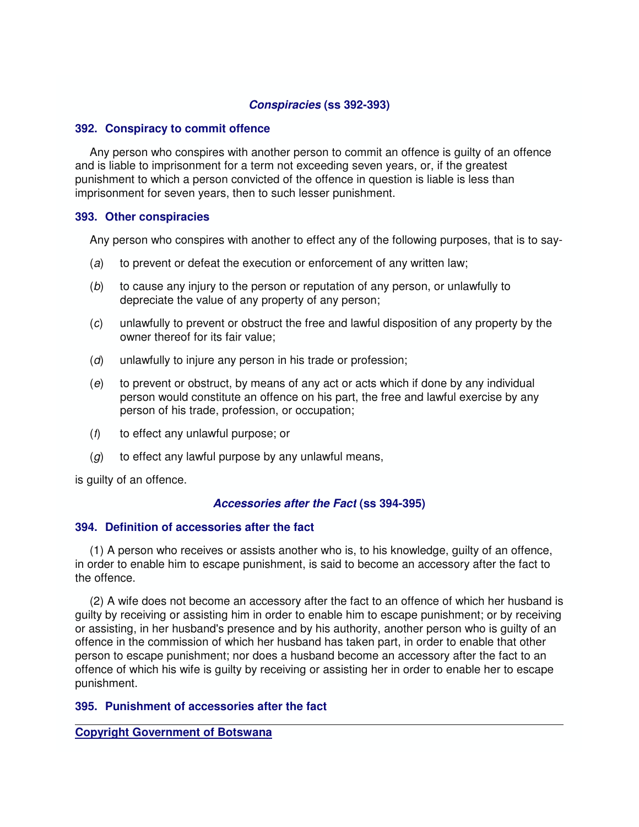# **Conspiracies (ss 392-393)**

### **392. Conspiracy to commit offence**

 Any person who conspires with another person to commit an offence is guilty of an offence and is liable to imprisonment for a term not exceeding seven years, or, if the greatest punishment to which a person convicted of the offence in question is liable is less than imprisonment for seven years, then to such lesser punishment.

### **393. Other conspiracies**

Any person who conspires with another to effect any of the following purposes, that is to say-

- (a) to prevent or defeat the execution or enforcement of any written law;
- (b) to cause any injury to the person or reputation of any person, or unlawfully to depreciate the value of any property of any person;
- (c) unlawfully to prevent or obstruct the free and lawful disposition of any property by the owner thereof for its fair value;
- (d) unlawfully to injure any person in his trade or profession;
- (e) to prevent or obstruct, by means of any act or acts which if done by any individual person would constitute an offence on his part, the free and lawful exercise by any person of his trade, profession, or occupation;
- (f) to effect any unlawful purpose; or
- $(a)$  to effect any lawful purpose by any unlawful means,

is guilty of an offence.

# **Accessories after the Fact (ss 394-395)**

### **394. Definition of accessories after the fact**

 (1) A person who receives or assists another who is, to his knowledge, guilty of an offence, in order to enable him to escape punishment, is said to become an accessory after the fact to the offence.

 (2) A wife does not become an accessory after the fact to an offence of which her husband is guilty by receiving or assisting him in order to enable him to escape punishment; or by receiving or assisting, in her husband's presence and by his authority, another person who is guilty of an offence in the commission of which her husband has taken part, in order to enable that other person to escape punishment; nor does a husband become an accessory after the fact to an offence of which his wife is guilty by receiving or assisting her in order to enable her to escape punishment.

# **395. Punishment of accessories after the fact**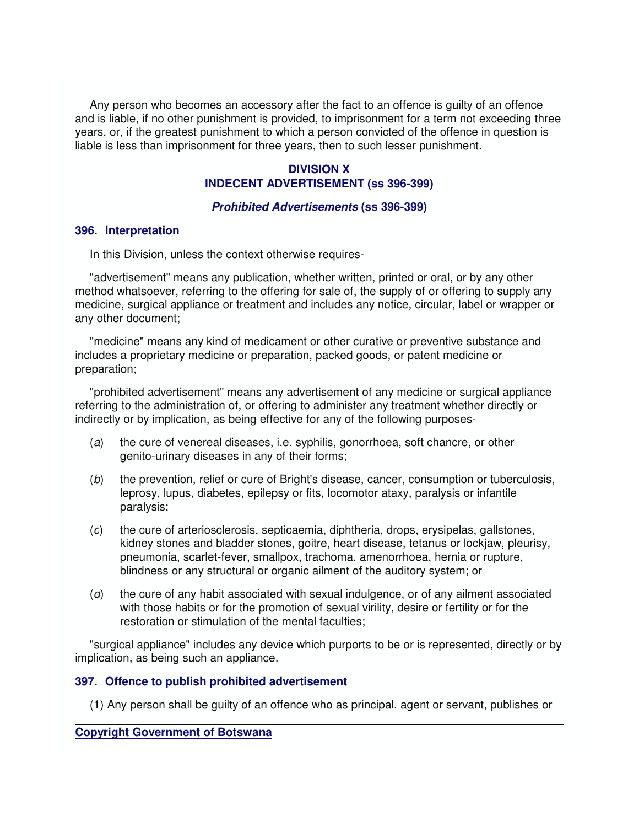Any person who becomes an accessory after the fact to an offence is guilty of an offence and is liable, if no other punishment is provided, to imprisonment for a term not exceeding three years, or, if the greatest punishment to which a person convicted of the offence in question is liable is less than imprisonment for three years, then to such lesser punishment.

### **DIVISION X INDECENT ADVERTISEMENT (ss 396-399)**

### **Prohibited Advertisements (ss 396-399)**

### **396. Interpretation**

In this Division, unless the context otherwise requires-

 "advertisement" means any publication, whether written, printed or oral, or by any other method whatsoever, referring to the offering for sale of, the supply of or offering to supply any medicine, surgical appliance or treatment and includes any notice, circular, label or wrapper or any other document;

 "medicine" means any kind of medicament or other curative or preventive substance and includes a proprietary medicine or preparation, packed goods, or patent medicine or preparation;

 "prohibited advertisement" means any advertisement of any medicine or surgical appliance referring to the administration of, or offering to administer any treatment whether directly or indirectly or by implication, as being effective for any of the following purposes-

- (a) the cure of venereal diseases, i.e. syphilis, gonorrhoea, soft chancre, or other genito-urinary diseases in any of their forms;
- (b) the prevention, relief or cure of Bright's disease, cancer, consumption or tuberculosis, leprosy, lupus, diabetes, epilepsy or fits, locomotor ataxy, paralysis or infantile paralysis;
- (c) the cure of arteriosclerosis, septicaemia, diphtheria, drops, erysipelas, gallstones, kidney stones and bladder stones, goitre, heart disease, tetanus or lockjaw, pleurisy, pneumonia, scarlet-fever, smallpox, trachoma, amenorrhoea, hernia or rupture, blindness or any structural or organic ailment of the auditory system; or
- (d) the cure of any habit associated with sexual indulgence, or of any ailment associated with those habits or for the promotion of sexual virility, desire or fertility or for the restoration or stimulation of the mental faculties;

 "surgical appliance" includes any device which purports to be or is represented, directly or by implication, as being such an appliance.

# **397. Offence to publish prohibited advertisement**

(1) Any person shall be guilty of an offence who as principal, agent or servant, publishes or